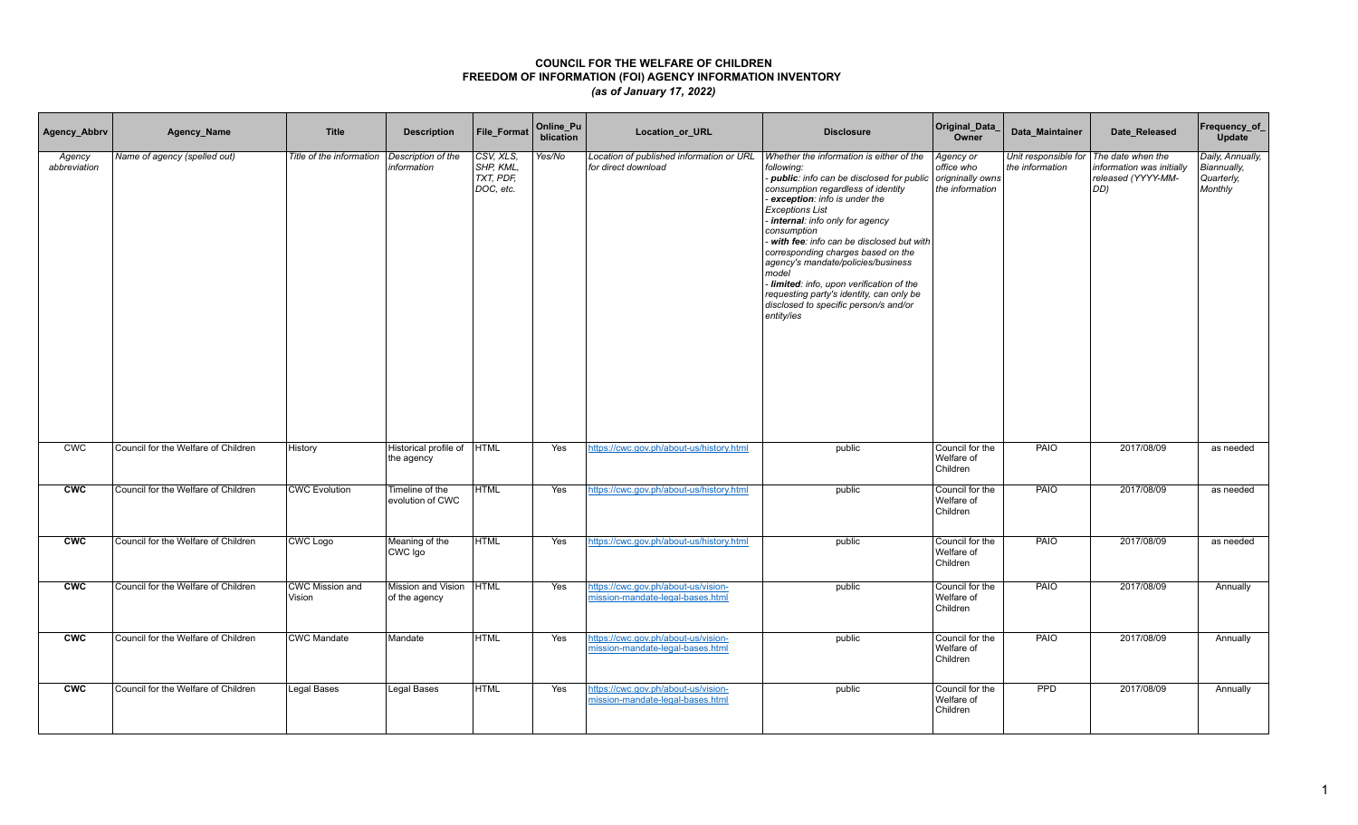| Agency_Abbrv           | Agency_Name                         | <b>Title</b>              | <b>Description</b>                  | File_Format                                      | Online_Pu<br>blication | Location_or_URL                                                         | <b>Disclosure</b>                                                                                                                                                                                                                                                                                                                                                                                                                                                                                                                      | Original_Data_<br>Owner                                        | Data_Maintainer                                             | Date_Released                                          | Frequency_of_<br><b>Update</b>                           |
|------------------------|-------------------------------------|---------------------------|-------------------------------------|--------------------------------------------------|------------------------|-------------------------------------------------------------------------|----------------------------------------------------------------------------------------------------------------------------------------------------------------------------------------------------------------------------------------------------------------------------------------------------------------------------------------------------------------------------------------------------------------------------------------------------------------------------------------------------------------------------------------|----------------------------------------------------------------|-------------------------------------------------------------|--------------------------------------------------------|----------------------------------------------------------|
| Agency<br>abbreviation | Name of agency (spelled out)        | Title of the information  | Description of the<br>information   | CSV, XLS,<br>SHP, KML,<br>TXT, PDF,<br>DOC, etc. | Yes/No                 | Location of published information or URL<br>for direct download         | Whether the information is either of the<br>following:<br>- public: info can be disclosed for public<br>consumption regardless of identity<br>exception: info is under the<br><b>Exceptions List</b><br>internal: info only for agency<br>consumption<br>with fee: info can be disclosed but with<br>corresponding charges based on the<br>agency's mandate/policies/business<br>model<br>- limited: info, upon verification of the<br>requesting party's identity, can only be<br>disclosed to specific person/s and/or<br>entity/ies | Agency or<br>office who<br>origninally owns<br>the information | Unit responsible for   The date when the<br>the information | information was initially<br>released (YYYY-MM-<br>DD) | Daily, Annually,<br>Biannually,<br>Quarterly,<br>Monthly |
| CWC                    | Council for the Welfare of Children | History                   | Historical profile of<br>the agency | <b>HTML</b>                                      | Yes                    | https://cwc.gov.ph/about-us/history.html                                | public                                                                                                                                                                                                                                                                                                                                                                                                                                                                                                                                 | Council for the<br>Welfare of<br>Children                      | PAIO                                                        | 2017/08/09                                             | as needed                                                |
| <b>CWC</b>             | Council for the Welfare of Children | <b>CWC Evolution</b>      | Timeline of the<br>evolution of CWC | <b>HTML</b>                                      | Yes                    | https://cwc.gov.ph/about-us/history.html                                | public                                                                                                                                                                                                                                                                                                                                                                                                                                                                                                                                 | Council for the<br>Welfare of<br>Children                      | <b>PAIO</b>                                                 | 2017/08/09                                             | as needed                                                |
| <b>CWC</b>             | Council for the Welfare of Children | CWC Logo                  | Meaning of the<br>CWC Igo           | <b>HTML</b>                                      | Yes                    | https://cwc.gov.ph/about-us/history.html                                | public                                                                                                                                                                                                                                                                                                                                                                                                                                                                                                                                 | Council for the<br>Welfare of<br>Children                      | PAIO                                                        | 2017/08/09                                             | as needed                                                |
| <b>CWC</b>             | Council for the Welfare of Children | CWC Mission and<br>Vision | Mission and Vision<br>of the agency | <b>HTML</b>                                      | Yes                    | https://cwc.gov.ph/about-us/vision-<br>mission-mandate-legal-bases.html | public                                                                                                                                                                                                                                                                                                                                                                                                                                                                                                                                 | Council for the<br>Welfare of<br>Children                      | PAIO                                                        | 2017/08/09                                             | Annually                                                 |
| <b>CWC</b>             | Council for the Welfare of Children | <b>CWC Mandate</b>        | Mandate                             | <b>HTML</b>                                      | Yes                    | https://cwc.gov.ph/about-us/vision-<br>mission-mandate-legal-bases.html | public                                                                                                                                                                                                                                                                                                                                                                                                                                                                                                                                 | Council for the<br>Welfare of<br>Children                      | <b>PAIO</b>                                                 | 2017/08/09                                             | Annually                                                 |
| <b>CWC</b>             | Council for the Welfare of Children | Legal Bases               | <b>Legal Bases</b>                  | <b>HTML</b>                                      | Yes                    | https://cwc.gov.ph/about-us/vision-<br>mission-mandate-legal-bases.html | public                                                                                                                                                                                                                                                                                                                                                                                                                                                                                                                                 | Council for the<br>Welfare of<br>Children                      | <b>PPD</b>                                                  | 2017/08/09                                             | Annually                                                 |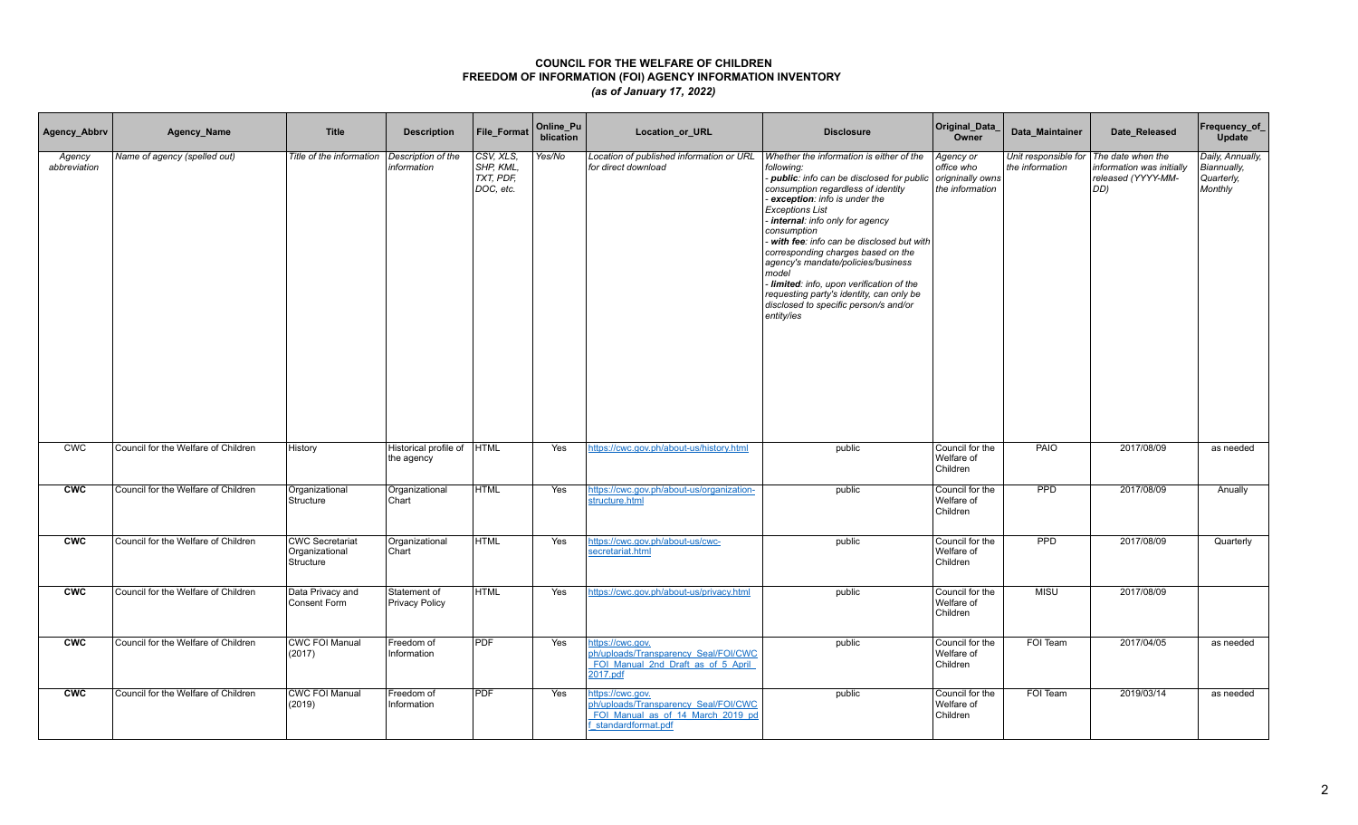| Agency_Abbrv           | Agency_Name                         | <b>Title</b>                                          | <b>Description</b>                    | <b>File Format</b>                               | Online_Pu<br>blication | Location_or_URL                                                                                                     | <b>Disclosure</b>                                                                                                                                                                                                                                                                                                                                                                                                                                                                                                                        | Original_Data_<br>Owner                                        | Data Maintainer | Date Released                                                                                      | Frequency_of_<br>Update                                  |
|------------------------|-------------------------------------|-------------------------------------------------------|---------------------------------------|--------------------------------------------------|------------------------|---------------------------------------------------------------------------------------------------------------------|------------------------------------------------------------------------------------------------------------------------------------------------------------------------------------------------------------------------------------------------------------------------------------------------------------------------------------------------------------------------------------------------------------------------------------------------------------------------------------------------------------------------------------------|----------------------------------------------------------------|-----------------|----------------------------------------------------------------------------------------------------|----------------------------------------------------------|
| Agency<br>abbreviation | Name of agency (spelled out)        | Title of the information                              | Description of the<br>information     | CSV, XLS,<br>SHP, KML,<br>TXT, PDF,<br>DOC, etc. | Yes/No                 | Location of published information or URL<br>for direct download                                                     | Whether the information is either of the<br>following:<br>- public: info can be disclosed for public<br>consumption regardless of identity<br>exception: info is under the<br><b>Exceptions List</b><br>internal: info only for agency<br>consumption<br>- with fee: info can be disclosed but with<br>corresponding charges based on the<br>agency's mandate/policies/business<br>model<br>- limited: info, upon verification of the<br>requesting party's identity, can only be<br>disclosed to specific person/s and/or<br>entity/ies | Agency or<br>office who<br>origninally owns<br>the information | the information | Unit responsible for   The date when the<br>information was initially<br>released (YYYY-MM-<br>DD) | Daily, Annually,<br>Biannually,<br>Quarterly,<br>Monthly |
| <b>CWC</b>             | Council for the Welfare of Children | History                                               | Historical profile of<br>the agency   | <b>HTML</b>                                      | Yes                    | https://cwc.gov.ph/about-us/history.html                                                                            | public                                                                                                                                                                                                                                                                                                                                                                                                                                                                                                                                   | Council for the<br>Welfare of<br>Children                      | PAIO            | 2017/08/09                                                                                         | as needed                                                |
| <b>CWC</b>             | Council for the Welfare of Children | Organizational<br>Structure                           | Organizational<br>Chart               | <b>HTML</b>                                      | Yes                    | https://cwc.gov.ph/about-us/organization-<br>structure.html                                                         | public                                                                                                                                                                                                                                                                                                                                                                                                                                                                                                                                   | Council for the<br>Welfare of<br>Children                      | PPD             | 2017/08/09                                                                                         | Anually                                                  |
| <b>CWC</b>             | Council for the Welfare of Children | <b>CWC Secretariat</b><br>Organizational<br>Structure | Organizational<br>Chart               | <b>HTML</b>                                      | Yes                    | https://cwc.gov.ph/about-us/cwc-<br>secretariat.html                                                                | public                                                                                                                                                                                                                                                                                                                                                                                                                                                                                                                                   | Council for the<br>Welfare of<br>Children                      | <b>PPD</b>      | 2017/08/09                                                                                         | Quarterly                                                |
| <b>CWC</b>             | Council for the Welfare of Children | Data Privacy and<br>Consent Form                      | Statement of<br><b>Privacy Policy</b> | <b>HTML</b>                                      | Yes                    | https://cwc.gov.ph/about-us/privacy.html                                                                            | public                                                                                                                                                                                                                                                                                                                                                                                                                                                                                                                                   | Council for the<br>Welfare of<br>Children                      | <b>MISU</b>     | 2017/08/09                                                                                         |                                                          |
| cw                     | Council for the Welfare of Children | <b>CWC FOI Manual</b><br>(2017)                       | Freedom of<br>Information             | <b>PDF</b>                                       | Yes                    | https://cwc.gov.<br>ph/uploads/Transparency_Seal/FOI/CWC<br>FOI Manual 2nd Draft as of 5 April<br>2017.pdf          | public                                                                                                                                                                                                                                                                                                                                                                                                                                                                                                                                   | Council for the<br>Welfare of<br>Children                      | FOI Team        | 2017/04/05                                                                                         | as needed                                                |
| <b>CWC</b>             | Council for the Welfare of Children | <b>CWC FOI Manual</b><br>(2019)                       | Freedom of<br>Information             | <b>PDF</b>                                       | Yes                    | ittps://cwc.gov.<br>ph/uploads/Transparency_Seal/FOI/CWC<br>FOI Manual as of 14 March 2019 pd<br>standardformat.pdf | public                                                                                                                                                                                                                                                                                                                                                                                                                                                                                                                                   | Council for the<br>Welfare of<br>Children                      | FOI Team        | 2019/03/14                                                                                         | as needed                                                |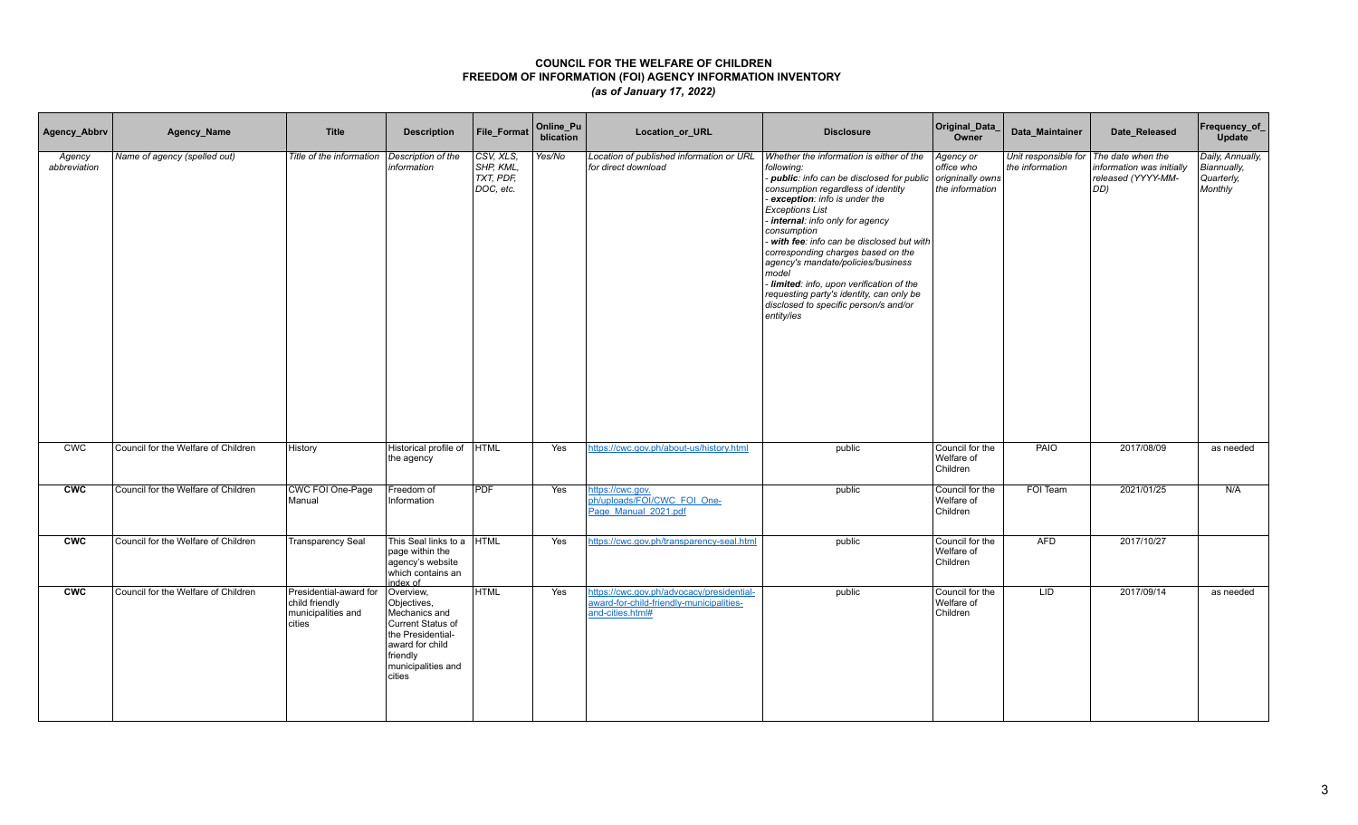| Agency_Abbrv           | Agency_Name                         | <b>Title</b>                                                             | <b>Description</b>                                                                                                                                 | File_Format                                      | Online_Pu<br>blication | Location_or_URL                                                                                           | <b>Disclosure</b>                                                                                                                                                                                                                                                                                                                                                                                                                                                                                                                        | Original_Data_<br>Owner                                        | Data_Maintainer                         | Date_Released                                                                        | Frequency_of_<br><b>Update</b>                           |
|------------------------|-------------------------------------|--------------------------------------------------------------------------|----------------------------------------------------------------------------------------------------------------------------------------------------|--------------------------------------------------|------------------------|-----------------------------------------------------------------------------------------------------------|------------------------------------------------------------------------------------------------------------------------------------------------------------------------------------------------------------------------------------------------------------------------------------------------------------------------------------------------------------------------------------------------------------------------------------------------------------------------------------------------------------------------------------------|----------------------------------------------------------------|-----------------------------------------|--------------------------------------------------------------------------------------|----------------------------------------------------------|
| Agency<br>abbreviation | Name of agency (spelled out)        | Title of the information                                                 | Description of the<br>information                                                                                                                  | CSV, XLS,<br>SHP, KML,<br>TXT, PDF.<br>DOC, etc. | Yes/No                 | Location of published information or URL<br>for direct download                                           | Whether the information is either of the<br>following:<br>- public: info can be disclosed for public<br>consumption regardless of identity<br>exception: info is under the<br><b>Exceptions List</b><br>internal: info only for agency<br>consumption<br>- with fee: info can be disclosed but with<br>corresponding charges based on the<br>agency's mandate/policies/business<br>model<br>- limited: info, upon verification of the<br>requesting party's identity, can only be<br>disclosed to specific person/s and/or<br>entity/ies | Agency or<br>office who<br>origninally owns<br>the information | Unit responsible for<br>the information | The date when the<br>information was initially<br>released (YYYY-MM-<br>$ DD\rangle$ | Daily, Annually,<br>Biannually,<br>Quarterly,<br>Monthly |
| <b>CWC</b>             | Council for the Welfare of Children | History                                                                  | Historical profile of<br>the agency                                                                                                                | <b>HTML</b>                                      | Yes                    | https://cwc.gov.ph/about-us/history.html                                                                  | public                                                                                                                                                                                                                                                                                                                                                                                                                                                                                                                                   | Council for the<br>Welfare of<br>Children                      | PAIO                                    | 2017/08/09                                                                           | as needed                                                |
| <b>CWC</b>             | Council for the Welfare of Children | CWC FOI One-Page<br>Manual                                               | Freedom of<br>Information                                                                                                                          | <b>PDF</b>                                       | Yes                    | nttps://cwc.gov.<br>ph/uploads/FOI/CWC FOI One-<br>Page Manual 2021.pdf                                   | public                                                                                                                                                                                                                                                                                                                                                                                                                                                                                                                                   | Council for the<br>Welfare of<br>Children                      | FOI Team                                | 2021/01/25                                                                           | N/A                                                      |
| <b>CWC</b>             | Council for the Welfare of Children | <b>Transparency Seal</b>                                                 | This Seal links to a HTML<br>page within the<br>agency's website<br>which contains an<br>index of                                                  |                                                  | Yes                    | https://cwc.gov.ph/transparency-seal.html                                                                 | public                                                                                                                                                                                                                                                                                                                                                                                                                                                                                                                                   | Council for the<br>Welfare of<br>Children                      | <b>AFD</b>                              | 2017/10/27                                                                           |                                                          |
| <b>CWC</b>             | Council for the Welfare of Children | Presidential-award for<br>child friendly<br>municipalities and<br>cities | Overview,<br>Objectives,<br>Mechanics and<br>Current Status of<br>the Presidential-<br>award for child<br>friendly<br>municipalities and<br>cities | <b>HTML</b>                                      | Yes                    | https://cwc.gov.ph/advocacy/presidential-<br>award-for-child-friendly-municipalities-<br>and-cities.html# | public                                                                                                                                                                                                                                                                                                                                                                                                                                                                                                                                   | Council for the<br>Welfare of<br>Children                      | LID                                     | 2017/09/14                                                                           | as needed                                                |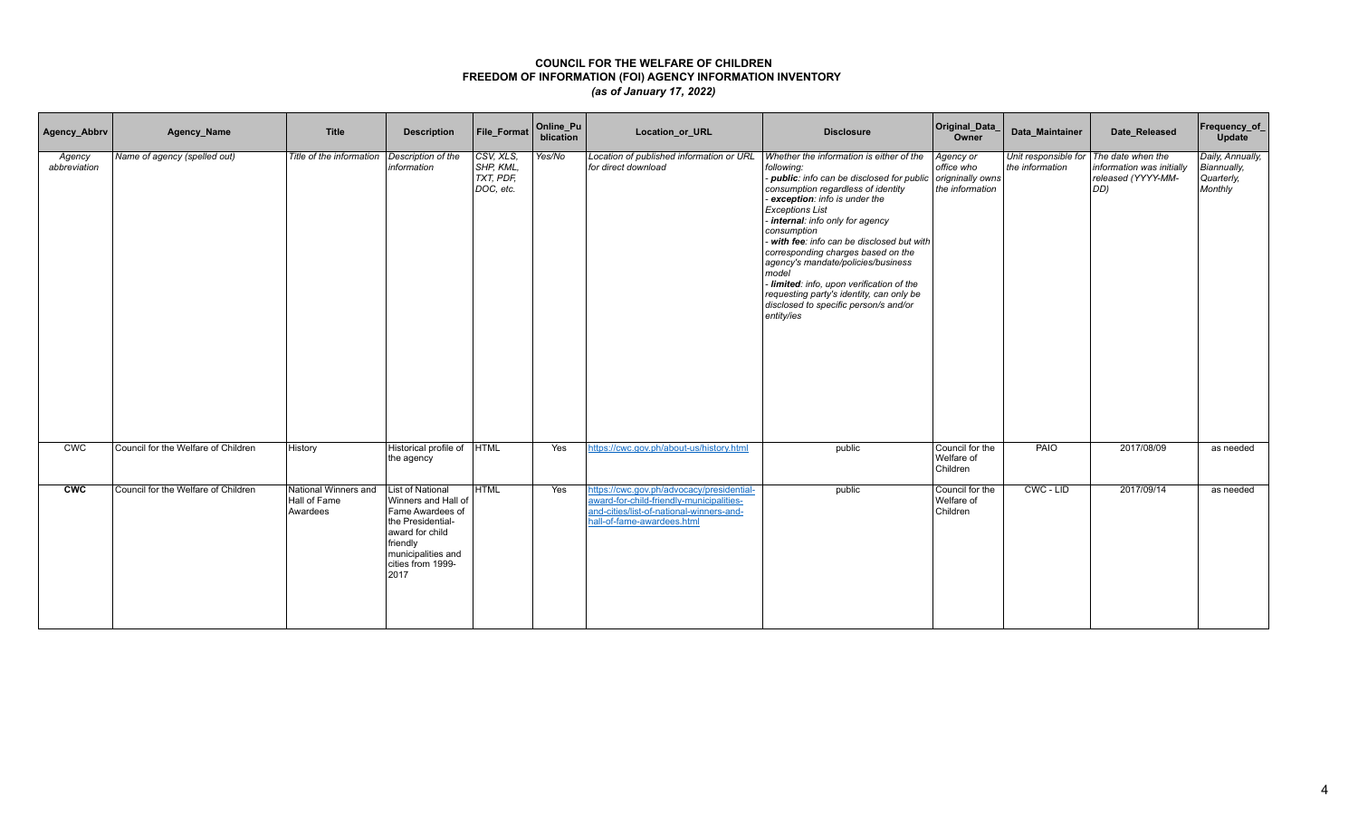| Agency_Abbrv           | Agency_Name                         | <b>Title</b>                                     | <b>Description</b>                                                                                                                                                        | File_Format                                      | Online_Pu<br>blication | Location_or_URL                                                                                                                                                 | <b>Disclosure</b>                                                                                                                                                                                                                                                                                                                                                                                                                                                                                                                          | Original_Data_<br>Owner                                        | Data Maintainer                                           | Date_Released                                          | Frequency_of_<br><b>Update</b>                           |
|------------------------|-------------------------------------|--------------------------------------------------|---------------------------------------------------------------------------------------------------------------------------------------------------------------------------|--------------------------------------------------|------------------------|-----------------------------------------------------------------------------------------------------------------------------------------------------------------|--------------------------------------------------------------------------------------------------------------------------------------------------------------------------------------------------------------------------------------------------------------------------------------------------------------------------------------------------------------------------------------------------------------------------------------------------------------------------------------------------------------------------------------------|----------------------------------------------------------------|-----------------------------------------------------------|--------------------------------------------------------|----------------------------------------------------------|
| Agency<br>abbreviation | Name of agency (spelled out)        | Title of the information                         | Description of the<br>information                                                                                                                                         | CSV, XLS,<br>SHP, KML.<br>TXT, PDF.<br>DOC, etc. | Yes/No                 | Location of published information or URL<br>for direct download                                                                                                 | Whether the information is either of the<br>following:<br>- public: info can be disclosed for public<br>consumption regardless of identity<br>- exception: info is under the<br><b>Exceptions List</b><br>internal: info only for agency<br>consumption<br>- with fee: info can be disclosed but with<br>corresponding charges based on the<br>agency's mandate/policies/business<br>model<br>- limited: info, upon verification of the<br>requesting party's identity, can only be<br>disclosed to specific person/s and/or<br>entity/ies | Agency or<br>office who<br>origninally owns<br>the information | Unit responsible for The date when the<br>the information | information was initially<br>released (YYYY-MM-<br>DD) | Daily, Annually,<br>Biannually,<br>Quarterly,<br>Monthly |
| CWC                    | Council for the Welfare of Children | History                                          | Historical profile of HTML<br>the agency                                                                                                                                  |                                                  | Yes                    | https://cwc.gov.ph/about-us/history.html                                                                                                                        | public                                                                                                                                                                                                                                                                                                                                                                                                                                                                                                                                     | Council for the<br>Welfare of<br>Children                      | <b>PAIO</b>                                               | 2017/08/09                                             | as needed                                                |
| cw                     | Council for the Welfare of Children | National Winners and<br>Hall of Fame<br>Awardees | <b>List of National</b><br>Winners and Hall of<br>Fame Awardees of<br>the Presidential-<br>award for child<br>friendly<br>municipalities and<br>cities from 1999-<br>2017 | <b>HTML</b>                                      | Yes                    | https://cwc.gov.ph/advocacy/presidential-<br>award-for-child-friendly-municipalities-<br>and-cities/list-of-national-winners-and-<br>hall-of-fame-awardees.html | public                                                                                                                                                                                                                                                                                                                                                                                                                                                                                                                                     | Council for the<br>Welfare of<br>Children                      | CWC - LID                                                 | 2017/09/14                                             | as needed                                                |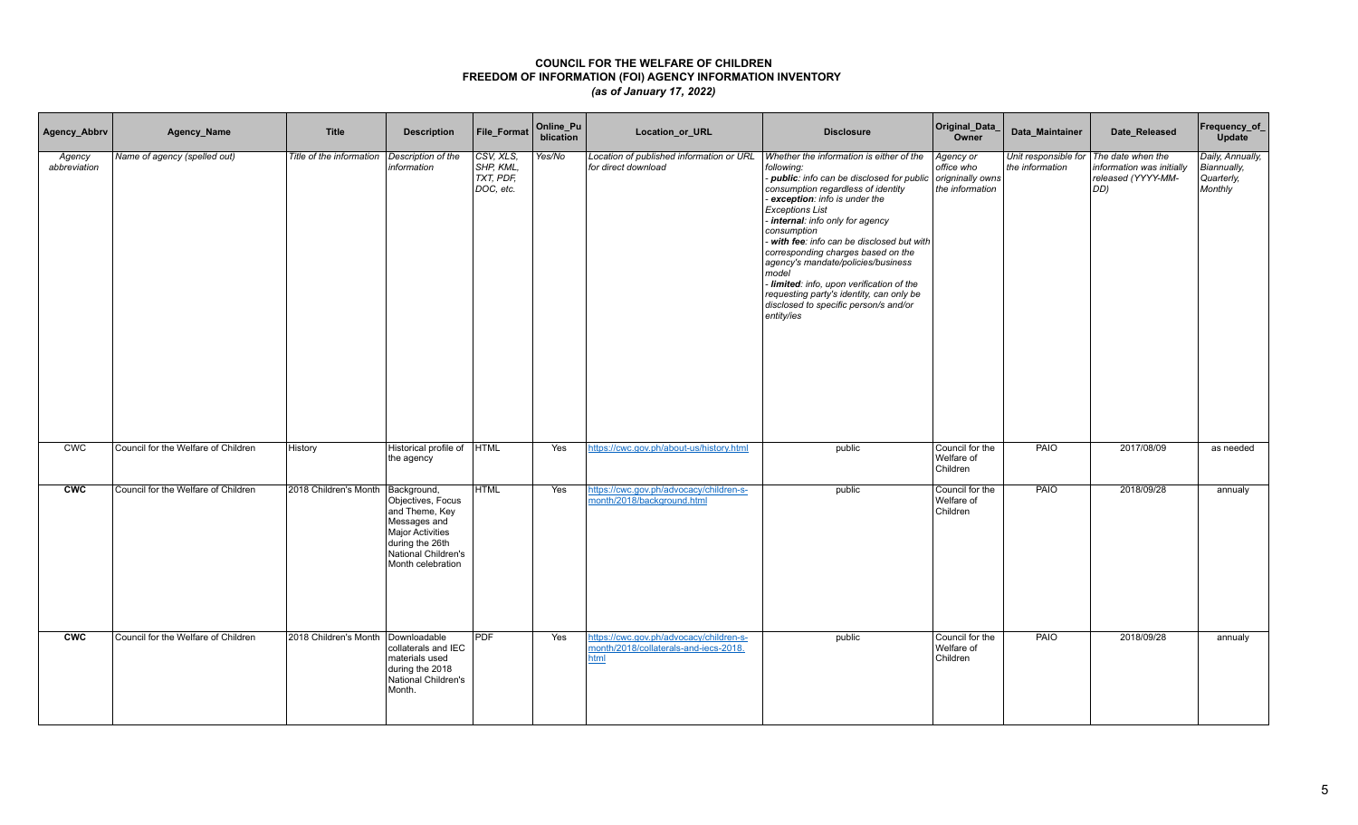| Agency_Abbrv           | Agency_Name                         | Title                    | <b>Description</b>                                                                                                                                    | File_Format                                         | Online_Pu<br>blication | Location_or_URL                                                                          | <b>Disclosure</b>                                                                                                                                                                                                                                                                                                                                                                                                                                                                                                                        | Original_Data_<br>Owner                                        | Data_Maintainer                         | Date_Released                                                               | Frequency_of_<br><b>Update</b>                           |
|------------------------|-------------------------------------|--------------------------|-------------------------------------------------------------------------------------------------------------------------------------------------------|-----------------------------------------------------|------------------------|------------------------------------------------------------------------------------------|------------------------------------------------------------------------------------------------------------------------------------------------------------------------------------------------------------------------------------------------------------------------------------------------------------------------------------------------------------------------------------------------------------------------------------------------------------------------------------------------------------------------------------------|----------------------------------------------------------------|-----------------------------------------|-----------------------------------------------------------------------------|----------------------------------------------------------|
| Agency<br>abbreviation | Name of agency (spelled out)        | Title of the information | Description of the<br>information                                                                                                                     | CSV, XLS,<br>SHP, KML,<br>$TXT$ , PDF,<br>DOC, etc. | Yes/No                 | Location of published information or URL<br>for direct download                          | Whether the information is either of the<br>following:<br>- public: info can be disclosed for public<br>consumption regardless of identity<br>exception: info is under the<br><b>Exceptions List</b><br>- internal: info only for agency<br>consumption<br>with fee: info can be disclosed but with<br>corresponding charges based on the<br>agency's mandate/policies/business<br>model<br>- limited: info, upon verification of the<br>requesting party's identity, can only be<br>disclosed to specific person/s and/or<br>entity/ies | Agency or<br>office who<br>origninally owns<br>the information | Unit responsible for<br>the information | The date when the<br>information was initially<br>released (YYYY-MM-<br>DD) | Daily, Annually,<br>Biannually,<br>Quarterly,<br>Monthly |
| <b>CWC</b>             | Council for the Welfare of Children | History                  | Historical profile of HTML<br>the agency                                                                                                              |                                                     | Yes                    | https://cwc.gov.ph/about-us/history.html                                                 | public                                                                                                                                                                                                                                                                                                                                                                                                                                                                                                                                   | Council for the<br>Welfare of<br>Children                      | <b>PAIO</b>                             | 2017/08/09                                                                  | as needed                                                |
| <b>CWC</b>             | Council for the Welfare of Children | 2018 Children's Month    | Background,<br>Objectives, Focus<br>and Theme, Key<br>Messages and<br>Major Activities<br>during the 26th<br>National Children's<br>Month celebration | <b>HTML</b>                                         | Yes                    | https://cwc.gov.ph/advocacy/children-s-<br>month/2018/background.html                    | public                                                                                                                                                                                                                                                                                                                                                                                                                                                                                                                                   | Council for the<br>Welfare of<br>Children                      | PAIO                                    | 2018/09/28                                                                  | annualy                                                  |
| <b>CWC</b>             | Council for the Welfare of Children | 2018 Children's Month    | Downloadable<br>collaterals and IEC<br>materials used<br>during the 2018<br>National Children's<br>Month.                                             | <b>PDF</b>                                          | Yes                    | https://cwc.gov.ph/advocacy/children-s-<br>month/2018/collaterals-and-iecs-2018.<br>html | public                                                                                                                                                                                                                                                                                                                                                                                                                                                                                                                                   | Council for the<br>Welfare of<br>Children                      | PAIO                                    | 2018/09/28                                                                  | annualy                                                  |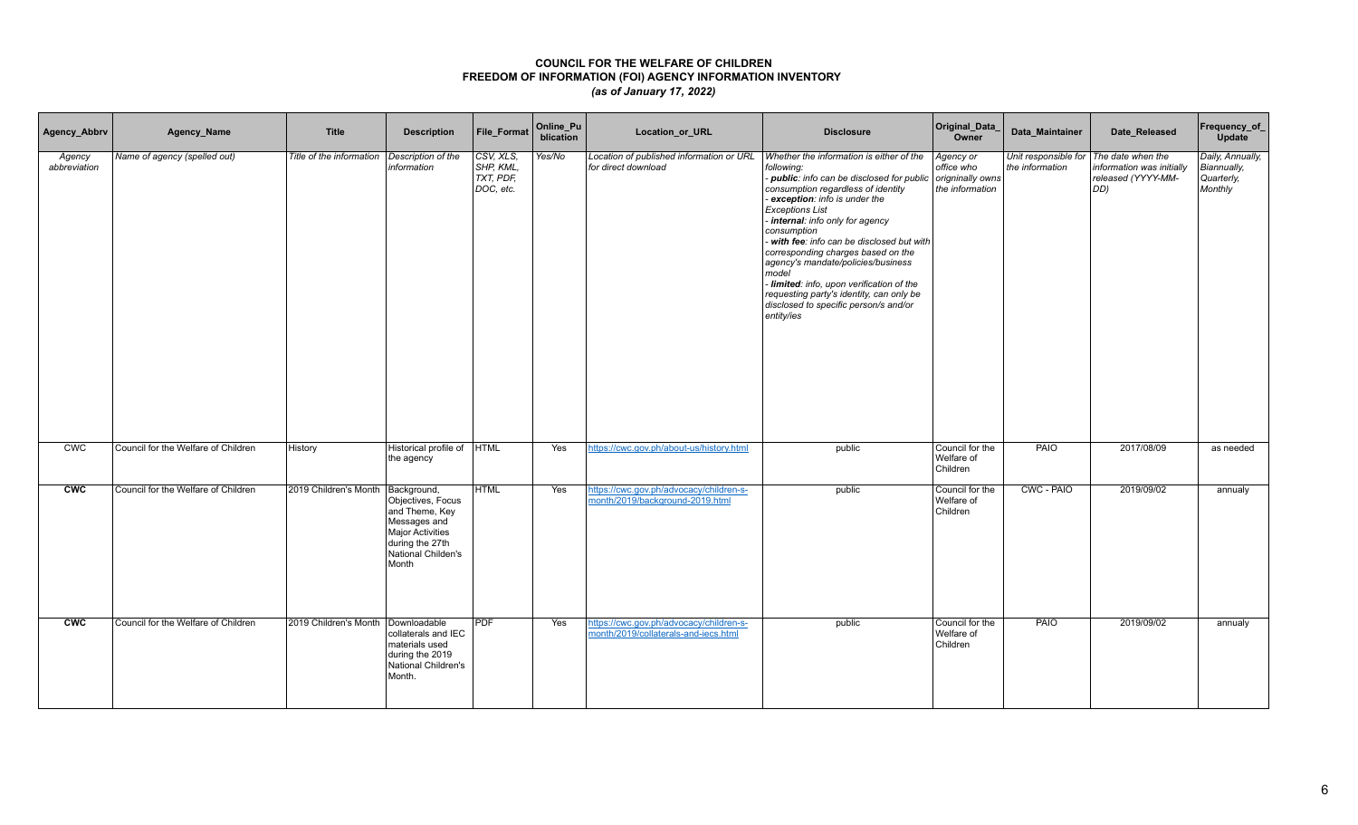| Agency_Abbrv           | Agency_Name                         | <b>Title</b>             | <b>Description</b>                                                                                                                       | File_Format                                      | Online_Pu<br>blication | Location_or_URL                                                                 | <b>Disclosure</b>                                                                                                                                                                                                                                                                                                                                                                                                                                                                                                                          | Original_Data_<br>Owner                                                | Data_Maintainer                                           | Date_Released                                                   | Frequency_of_<br>Update                                  |
|------------------------|-------------------------------------|--------------------------|------------------------------------------------------------------------------------------------------------------------------------------|--------------------------------------------------|------------------------|---------------------------------------------------------------------------------|--------------------------------------------------------------------------------------------------------------------------------------------------------------------------------------------------------------------------------------------------------------------------------------------------------------------------------------------------------------------------------------------------------------------------------------------------------------------------------------------------------------------------------------------|------------------------------------------------------------------------|-----------------------------------------------------------|-----------------------------------------------------------------|----------------------------------------------------------|
| Agency<br>abbreviation | Name of agency (spelled out)        | Title of the information | Description of the<br>information                                                                                                        | CSV, XLS,<br>SHP, KML.<br>TXT, PDF,<br>DOC, etc. | Yes/No                 | Location of published information or URL<br>for direct download                 | Whether the information is either of the<br>following:<br>- public: info can be disclosed for public<br>consumption regardless of identity<br>- exception: info is under the<br><b>Exceptions List</b><br>internal: info only for agency<br>consumption<br>- with fee: info can be disclosed but with<br>corresponding charges based on the<br>agency's mandate/policies/business<br>model<br>- limited: info, upon verification of the<br>requesting party's identity, can only be<br>disclosed to specific person/s and/or<br>entity/ies | Agency or<br>office who<br>$ $ origninally owns $ $<br>the information | Unit responsible for The date when the<br>the information | information was initially<br>released (YYYY-MM-<br>$ DD\rangle$ | Daily, Annually,<br>Biannually,<br>Quarterly,<br>Monthly |
| CWC                    | Council for the Welfare of Children | History                  | Historical profile of<br>the agency                                                                                                      | <b>HTML</b>                                      | Yes                    | https://cwc.gov.ph/about-us/history.html                                        | public                                                                                                                                                                                                                                                                                                                                                                                                                                                                                                                                     | Council for the<br>Welfare of<br>Children                              | PAIO                                                      | 2017/08/09                                                      | as needed                                                |
| <b>CWC</b>             | Council for the Welfare of Children | 2019 Children's Month    | Background,<br>Objectives, Focus<br>and Theme, Key<br>Messages and<br>Major Activities<br>during the 27th<br>National Childen's<br>Month | <b>HTML</b>                                      | Yes                    | https://cwc.gov.ph/advocacy/children-s-<br>month/2019/background-2019.html      | public                                                                                                                                                                                                                                                                                                                                                                                                                                                                                                                                     | Council for the<br>Welfare of<br>Children                              | CWC - PAIO                                                | 2019/09/02                                                      | annualy                                                  |
| <b>CWC</b>             | Council for the Welfare of Children | 2019 Children's Month    | Downloadable<br>collaterals and IEC<br>materials used<br>during the 2019<br>National Children's<br>Month.                                | <b>PDF</b>                                       | Yes                    | https://cwc.gov.ph/advocacy/children-s-<br>month/2019/collaterals-and-iecs.html | public                                                                                                                                                                                                                                                                                                                                                                                                                                                                                                                                     | Council for the<br>Welfare of<br>Children                              | PAIO                                                      | 2019/09/02                                                      | annualy                                                  |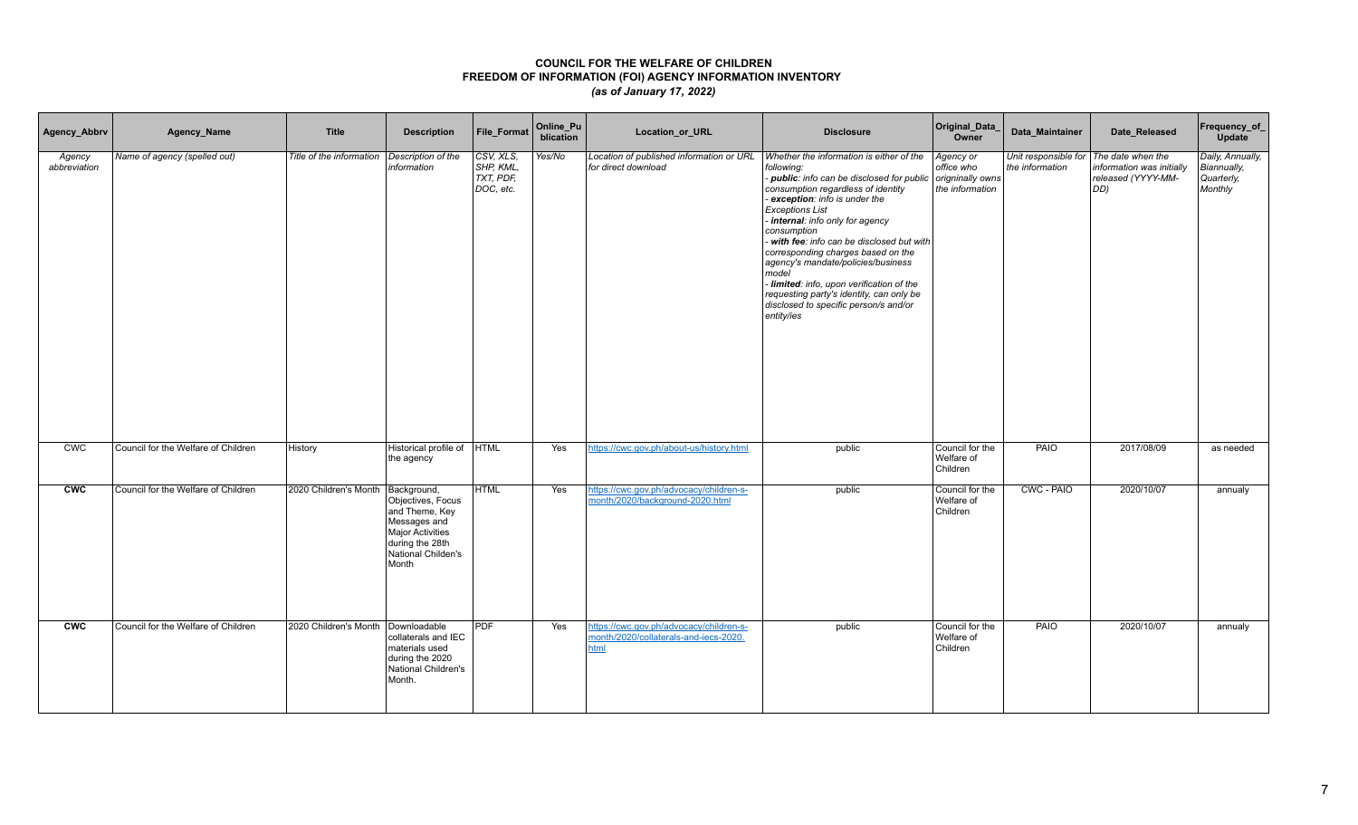| Agency_Abbrv           | Agency_Name                         | <b>Title</b>             | <b>Description</b>                                                                                                                              | File_Format                                      | Online_Pu<br>blication | Location_or_URL                                                                          | <b>Disclosure</b>                                                                                                                                                                                                                                                                                                                                                                                                                                                                                                                            | Original_Data_<br>Owner                                        | Data_Maintainer                         | Date_Released                                                                        | Frequency_of_<br>Update                                  |
|------------------------|-------------------------------------|--------------------------|-------------------------------------------------------------------------------------------------------------------------------------------------|--------------------------------------------------|------------------------|------------------------------------------------------------------------------------------|----------------------------------------------------------------------------------------------------------------------------------------------------------------------------------------------------------------------------------------------------------------------------------------------------------------------------------------------------------------------------------------------------------------------------------------------------------------------------------------------------------------------------------------------|----------------------------------------------------------------|-----------------------------------------|--------------------------------------------------------------------------------------|----------------------------------------------------------|
| Agency<br>abbreviation | Name of agency (spelled out)        | Title of the information | Description of the<br>information                                                                                                               | CSV, XLS.<br>SHP, KML.<br>TXT, PDF,<br>DOC, etc. | Yes/No                 | Location of published information or URL<br>for direct download                          | Whether the information is either of the<br>following:<br>- public: info can be disclosed for public<br>consumption regardless of identity<br>- exception: info is under the<br><b>Exceptions List</b><br>- internal: info only for agency<br>consumption<br>- with fee: info can be disclosed but with<br>corresponding charges based on the<br>agency's mandate/policies/business<br>model<br>- limited: info, upon verification of the<br>requesting party's identity, can only be<br>disclosed to specific person/s and/or<br>entity/ies | Agency or<br>office who<br>origninally owns<br>the information | Unit responsible for<br>the information | The date when the<br>information was initially<br>released (YYYY-MM-<br>$ DD\rangle$ | Daily, Annually,<br>Biannually,<br>Quarterly,<br>Monthly |
| CWC                    | Council for the Welfare of Children | History                  | Historical profile of<br>the agency                                                                                                             | <b>HTML</b>                                      | Yes                    | https://cwc.gov.ph/about-us/history.html                                                 | public                                                                                                                                                                                                                                                                                                                                                                                                                                                                                                                                       | Council for the<br>Welfare of<br>Children                      | PAIO                                    | 2017/08/09                                                                           | as needed                                                |
| <b>CWC</b>             | Council for the Welfare of Children | 2020 Children's Month    | Background,<br>Objectives, Focus<br>and Theme, Key<br>Messages and<br><b>Major Activities</b><br>during the 28th<br>National Childen's<br>Month | <b>HTML</b>                                      | Yes                    | https://cwc.gov.ph/advocacy/children-s-<br>month/2020/background-2020.html               | public                                                                                                                                                                                                                                                                                                                                                                                                                                                                                                                                       | Council for the<br>Welfare of<br>Children                      | CWC - PAIO                              | 2020/10/07                                                                           | annualy                                                  |
| <b>CWC</b>             | Council for the Welfare of Children | 2020 Children's Month    | Downloadable<br>collaterals and IEC<br>materials used<br>during the 2020<br>National Children's<br>Month.                                       | <b>PDF</b>                                       | Yes                    | https://cwc.gov.ph/advocacy/children-s-<br>month/2020/collaterals-and-iecs-2020.<br>html | public                                                                                                                                                                                                                                                                                                                                                                                                                                                                                                                                       | Council for the<br>Welfare of<br>Children                      | PAIO                                    | 2020/10/07                                                                           | annualy                                                  |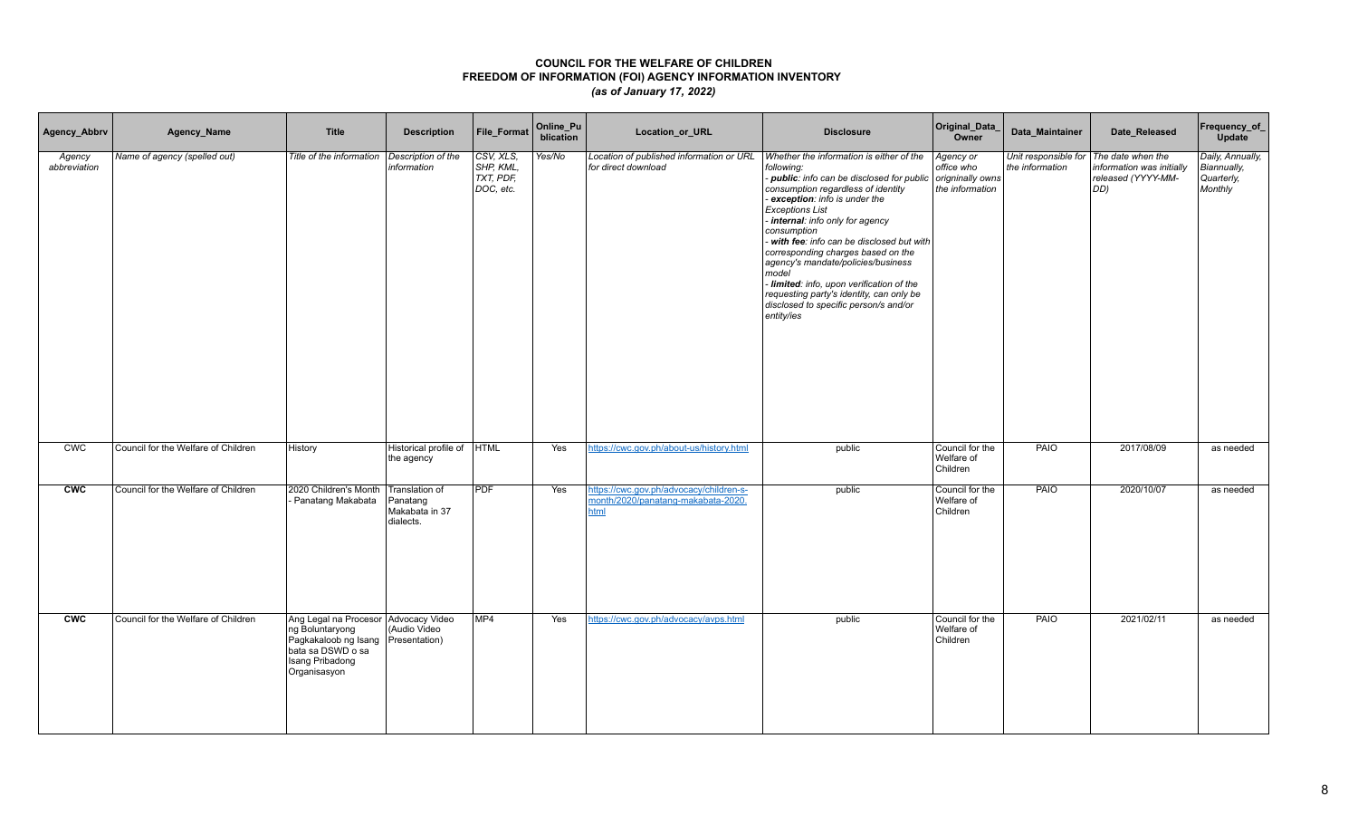| Agency_Abbrv           | Agency_Name                         | <b>Title</b>                                                                                                                            | <b>Description</b>                                        | <b>File Format</b>                               | Online_Pu<br>blication | Location_or_URL                                                                       | <b>Disclosure</b>                                                                                                                                                                                                                                                                                                                                                                                                                                                                                                                          | Original_Data_<br>Owner                                        | Data Maintainer                                             | Date Released                                          | Frequency_of_<br><b>Update</b>                           |
|------------------------|-------------------------------------|-----------------------------------------------------------------------------------------------------------------------------------------|-----------------------------------------------------------|--------------------------------------------------|------------------------|---------------------------------------------------------------------------------------|--------------------------------------------------------------------------------------------------------------------------------------------------------------------------------------------------------------------------------------------------------------------------------------------------------------------------------------------------------------------------------------------------------------------------------------------------------------------------------------------------------------------------------------------|----------------------------------------------------------------|-------------------------------------------------------------|--------------------------------------------------------|----------------------------------------------------------|
| Agency<br>abbreviation | Name of agency (spelled out)        | Title of the information                                                                                                                | Description of the<br>information                         | CSV, XLS,<br>SHP, KML,<br>TXT, PDF,<br>DOC, etc. | Yes/No                 | Location of published information or URL<br>for direct download                       | Whether the information is either of the<br>following:<br>- public: info can be disclosed for public<br>consumption regardless of identity<br>- exception: info is under the<br><b>Exceptions List</b><br>internal: info only for agency<br>consumption<br>- with fee: info can be disclosed but with<br>corresponding charges based on the<br>agency's mandate/policies/business<br>model<br>- limited: info, upon verification of the<br>requesting party's identity, can only be<br>disclosed to specific person/s and/or<br>entity/ies | Agency or<br>office who<br>origninally owns<br>the information | Unit responsible for   The date when the<br>the information | information was initially<br>released (YYYY-MM-<br>DD) | Daily, Annually,<br>Biannually,<br>Quarterly,<br>Monthly |
| CWC                    | Council for the Welfare of Children | History                                                                                                                                 | Historical profile of<br>the agency                       | <b>HTML</b>                                      | Yes                    | https://cwc.gov.ph/about-us/history.html                                              | public                                                                                                                                                                                                                                                                                                                                                                                                                                                                                                                                     | Council for the<br>Welfare of<br>Children                      | PAIO                                                        | 2017/08/09                                             | as needed                                                |
| <b>CWC</b>             | Council for the Welfare of Children | 2020 Children's Month<br>Panatang Makabata                                                                                              | Translation of<br>Panatang<br>Makabata in 37<br>dialects. | <b>PDF</b>                                       | Yes                    | https://cwc.gov.ph/advocacy/children-s-<br>month/2020/panatang-makabata-2020.<br>html | public                                                                                                                                                                                                                                                                                                                                                                                                                                                                                                                                     | Council for the<br>Welfare of<br>Children                      | PAIO                                                        | 2020/10/07                                             | as needed                                                |
| <b>CWC</b>             | Council for the Welfare of Children | Ang Legal na Procesor Advocacy Video<br>ng Boluntaryong<br>Pagkakaloob ng Isang<br>bata sa DSWD o sa<br>Isang Pribadong<br>Organisasyon | (Audio Video<br>Presentation)                             | MP <sub>4</sub>                                  | Yes                    | https://cwc.gov.ph/advocacy/avps.html                                                 | public                                                                                                                                                                                                                                                                                                                                                                                                                                                                                                                                     | Council for the<br>Welfare of<br>Children                      | PAIO                                                        | 2021/02/11                                             | as needed                                                |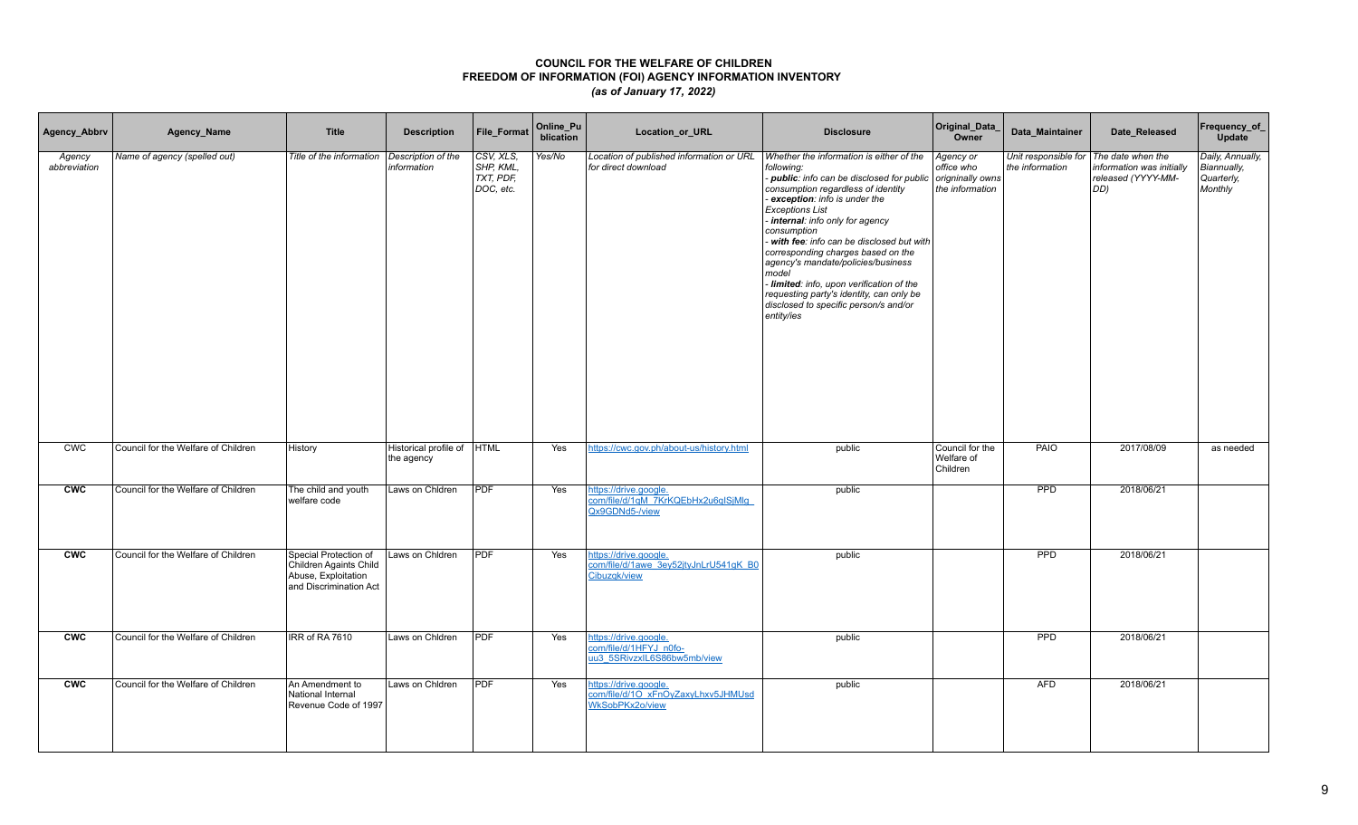| Agency_Abbrv           | Agency_Name                         | <b>Title</b>                                                                                     | <b>Description</b>                  | File_Format                                      | Online_Pu<br>blication | Location_or_URL                                                                | <b>Disclosure</b>                                                                                                                                                                                                                                                                                                                                                                                                                                                                                                                        | Original_Data_<br>Owner                                        | Data_Maintainer                                             | Date_Released                                          | Frequency_of_<br>Update                                  |
|------------------------|-------------------------------------|--------------------------------------------------------------------------------------------------|-------------------------------------|--------------------------------------------------|------------------------|--------------------------------------------------------------------------------|------------------------------------------------------------------------------------------------------------------------------------------------------------------------------------------------------------------------------------------------------------------------------------------------------------------------------------------------------------------------------------------------------------------------------------------------------------------------------------------------------------------------------------------|----------------------------------------------------------------|-------------------------------------------------------------|--------------------------------------------------------|----------------------------------------------------------|
| Agency<br>abbreviation | Name of agency (spelled out)        | Title of the information                                                                         | Description of the<br>information   | CSV, XLS,<br>SHP, KML,<br>TXT, PDF,<br>DOC, etc. | Yes/No                 | Location of published information or URL<br>for direct download                | Whether the information is either of the<br>following:<br>- public: info can be disclosed for public<br>consumption regardless of identity<br>exception: info is under the<br><b>Exceptions List</b><br>internal: info only for agency<br>consumption<br>- with fee: info can be disclosed but with<br>corresponding charges based on the<br>agency's mandate/policies/business<br>model<br>- limited: info, upon verification of the<br>requesting party's identity, can only be<br>disclosed to specific person/s and/or<br>entity/ies | Agency or<br>office who<br>origninally owns<br>the information | Unit responsible for   The date when the<br>the information | information was initially<br>released (YYYY-MM-<br>DD) | Daily, Annually,<br>Biannually,<br>Quarterly,<br>Monthly |
| CWC                    | Council for the Welfare of Children | History                                                                                          | Historical profile of<br>the agency | <b>HTML</b>                                      | Yes                    | https://cwc.gov.ph/about-us/history.html                                       | public                                                                                                                                                                                                                                                                                                                                                                                                                                                                                                                                   | Council for the<br>Welfare of<br>Children                      | <b>PAIO</b>                                                 | 2017/08/09                                             | as needed                                                |
| <b>CWC</b>             | Council for the Welfare of Children | The child and youth<br>welfare code                                                              | Laws on Chidren                     | <b>PDF</b>                                       | Yes                    | https://drive.google.<br>com/file/d/1qM 7KrKQEbHx2u6qISjMlq<br>Qx9GDNd5-/view  | public                                                                                                                                                                                                                                                                                                                                                                                                                                                                                                                                   |                                                                | PPD                                                         | 2018/06/21                                             |                                                          |
| <b>CWC</b>             | Council for the Welfare of Children | Special Protection of<br>Children Againts Child<br>Abuse, Exploitation<br>and Discrimination Act | Laws on Chidren                     | <b>PDF</b>                                       | Yes                    | https://drive.google.<br>com/file/d/1awe 3ey52jtyJnLrU541gK B0<br>Cibuzqk/view | public                                                                                                                                                                                                                                                                                                                                                                                                                                                                                                                                   |                                                                | <b>PPD</b>                                                  | 2018/06/21                                             |                                                          |
| <b>CWC</b>             | Council for the Welfare of Children | IRR of RA 7610                                                                                   | Laws on Chidren                     | <b>PDF</b>                                       | Yes                    | nttps://drive.google.<br>com/file/d/1HFYJ_n0fo-<br>uu3 5SRivzxIL6S86bw5mb/view | public                                                                                                                                                                                                                                                                                                                                                                                                                                                                                                                                   |                                                                | PPD                                                         | 2018/06/21                                             |                                                          |
| <b>CWC</b>             | Council for the Welfare of Children | An Amendment to<br>National Internal<br>Revenue Code of 1997                                     | Laws on Chidren                     | <b>PDF</b>                                       | Yes                    | https://drive.google.<br>com/file/d/10 xFnOyZaxyLhxv5JHMUsd<br>WkSobPKx2o/view | public                                                                                                                                                                                                                                                                                                                                                                                                                                                                                                                                   |                                                                | <b>AFD</b>                                                  | 2018/06/21                                             |                                                          |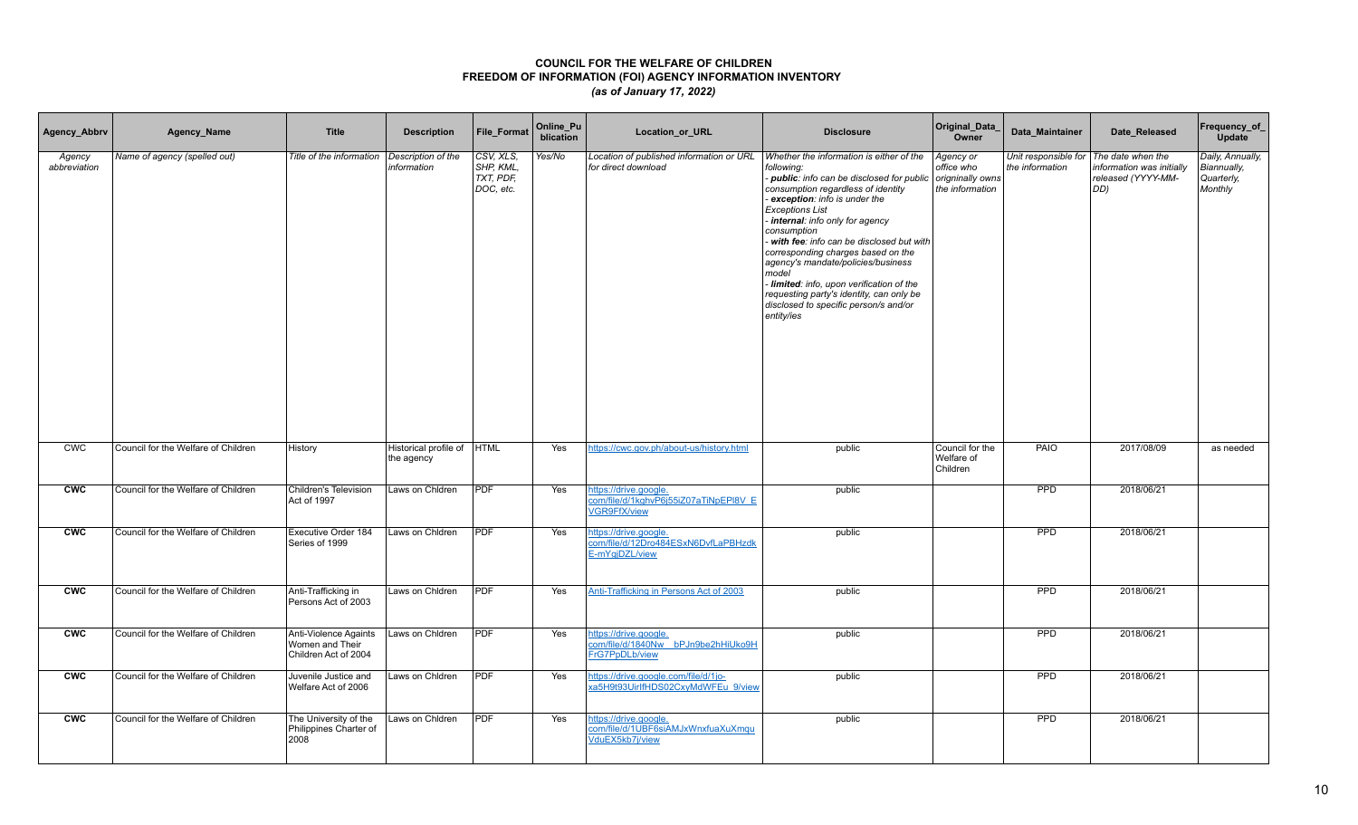| Agency_Abbrv           | Agency_Name                         | <b>Title</b>                                                     | <b>Description</b>                       | <b>File Format</b>                               | Online_Pu<br>blication | Location_or_URL                                                                | <b>Disclosure</b>                                                                                                                                                                                                                                                                                                                                                                                                                                                                                                                        | Original_Data_<br>Owner                                        | Data Maintainer | Date Released                                                                                    | Frequency_of_<br>Update                                  |
|------------------------|-------------------------------------|------------------------------------------------------------------|------------------------------------------|--------------------------------------------------|------------------------|--------------------------------------------------------------------------------|------------------------------------------------------------------------------------------------------------------------------------------------------------------------------------------------------------------------------------------------------------------------------------------------------------------------------------------------------------------------------------------------------------------------------------------------------------------------------------------------------------------------------------------|----------------------------------------------------------------|-----------------|--------------------------------------------------------------------------------------------------|----------------------------------------------------------|
| Agency<br>abbreviation | Name of agency (spelled out)        | Title of the information                                         | Description of the<br>information        | CSV, XLS,<br>SHP, KML,<br>TXT, PDF,<br>DOC, etc. | Yes/No                 | Location of published information or URL<br>for direct download                | Whether the information is either of the<br>following:<br>- public: info can be disclosed for public<br>consumption regardless of identity<br>exception: info is under the<br><b>Exceptions List</b><br>- internal: info only for agency<br>consumption<br>with fee: info can be disclosed but with<br>corresponding charges based on the<br>agency's mandate/policies/business<br>model<br>- limited: info, upon verification of the<br>requesting party's identity, can only be<br>disclosed to specific person/s and/or<br>entity/ies | Agency or<br>office who<br>origninally owns<br>the information | the information | Unit responsible for The date when the<br>information was initially<br>released (YYYY-MM-<br>DD) | Daily, Annually,<br>Biannually,<br>Quarterly,<br>Monthly |
| <b>CWC</b>             | Council for the Welfare of Children | History                                                          | Historical profile of HTML<br>the agency |                                                  | Yes                    | https://cwc.gov.ph/about-us/history.html                                       | public                                                                                                                                                                                                                                                                                                                                                                                                                                                                                                                                   | Council for the<br>Welfare of<br>Children                      | PAIO            | 2017/08/09                                                                                       | as needed                                                |
| <b>CWC</b>             | Council for the Welfare of Children | Children's Television<br>Act of 1997                             | Laws on Chidren                          | <b>PDF</b>                                       | Yes                    | https://drive.google.<br>com/file/d/1kghvP6j55iZ07aTiNpEPI8V E<br>VGR9FfX/view | public                                                                                                                                                                                                                                                                                                                                                                                                                                                                                                                                   |                                                                | <b>PPD</b>      | 2018/06/21                                                                                       |                                                          |
| cw                     | Council for the Welfare of Children | Executive Order 184<br>Series of 1999                            | Laws on Chidren                          | PDF                                              | Yes                    | https://drive.google.<br>com/file/d/12Dro484ESxN6DvfLaPBHzdk<br>E-mYgjDZL/view | public                                                                                                                                                                                                                                                                                                                                                                                                                                                                                                                                   |                                                                | PPD             | 2018/06/21                                                                                       |                                                          |
| <b>CWC</b>             | Council for the Welfare of Children | Anti-Trafficking in<br>Persons Act of 2003                       | Laws on Chldren                          | <b>PDF</b>                                       | Yes                    | Anti-Trafficking in Persons Act of 2003                                        | public                                                                                                                                                                                                                                                                                                                                                                                                                                                                                                                                   |                                                                | <b>PPD</b>      | 2018/06/21                                                                                       |                                                          |
| <b>CWC</b>             | Council for the Welfare of Children | Anti-Violence Againts<br>Women and Their<br>Children Act of 2004 | Laws on Chidren                          | <b>PDF</b>                                       | Yes                    | nttps://drive.google.<br>com/file/d/1840Nw bPJn9be2hHiUko9H<br>FrG7PpDLb/view  | public                                                                                                                                                                                                                                                                                                                                                                                                                                                                                                                                   |                                                                | <b>PPD</b>      | 2018/06/21                                                                                       |                                                          |
| <b>CWC</b>             | Council for the Welfare of Children | Juvenile Justice and<br>Welfare Act of 2006                      | Laws on Chidren                          | PDF                                              | Yes                    | https://drive.google.com/file/d/1jo-<br>xa5H9t93UirlfHDS02CxyMdWFEu 9/view     | public                                                                                                                                                                                                                                                                                                                                                                                                                                                                                                                                   |                                                                | <b>PPD</b>      | 2018/06/21                                                                                       |                                                          |
| <b>CWC</b>             | Council for the Welfare of Children | The University of the<br>Philippines Charter of<br>2008          | Laws on Chidren                          | PDF                                              | Yes                    | https://drive.google.<br>com/file/d/1UBF6siAMJxWnxfuaXuXmqu<br>VduEX5kb7j/view | public                                                                                                                                                                                                                                                                                                                                                                                                                                                                                                                                   |                                                                | PPD             | 2018/06/21                                                                                       |                                                          |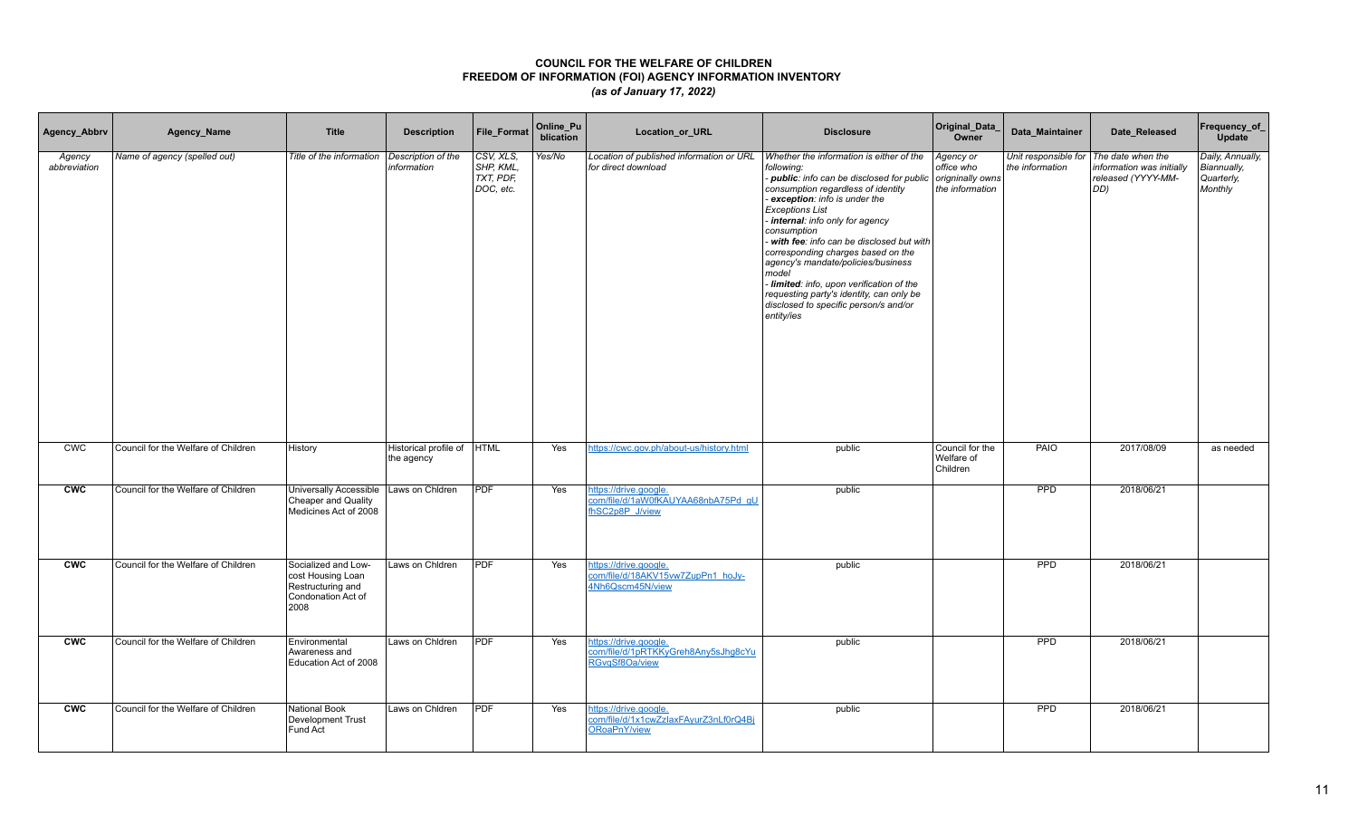| Agency_Abbrv           | Agency_Name                         | <b>Title</b>                                                                                | <b>Description</b>                       | <b>File Format</b>                                             | Online_Pu<br>blication | Location_or_URL                                                                | <b>Disclosure</b>                                                                                                                                                                                                                                                                                                                                                                                                                                                                                                                        | Original_Data<br>Owner                                         | Data Maintainer | Date Released                                                                                    | Frequency_of_<br>Update                                  |
|------------------------|-------------------------------------|---------------------------------------------------------------------------------------------|------------------------------------------|----------------------------------------------------------------|------------------------|--------------------------------------------------------------------------------|------------------------------------------------------------------------------------------------------------------------------------------------------------------------------------------------------------------------------------------------------------------------------------------------------------------------------------------------------------------------------------------------------------------------------------------------------------------------------------------------------------------------------------------|----------------------------------------------------------------|-----------------|--------------------------------------------------------------------------------------------------|----------------------------------------------------------|
| Agency<br>abbreviation | Name of agency (spelled out)        | Title of the information                                                                    | Description of the<br>information        | CSV, XLS.<br>SHP, KML,<br>$\overline{TXT}$ , PDF,<br>DOC, etc. | Yes/No                 | Location of published information or URL<br>for direct download                | Whether the information is either of the<br>following:<br>- public: info can be disclosed for public<br>consumption regardless of identity<br>exception: info is under the<br><b>Exceptions List</b><br>internal: info only for agency<br>consumption<br>- with fee: info can be disclosed but with<br>corresponding charges based on the<br>agency's mandate/policies/business<br>model<br>- limited: info, upon verification of the<br>requesting party's identity, can only be<br>disclosed to specific person/s and/or<br>entity/ies | Agency or<br>office who<br>origninally owns<br>the information | the information | Unit responsible for The date when the<br>information was initially<br>released (YYYY-MM-<br>DD) | Daily, Annually,<br>Biannually,<br>Quarterly,<br>Monthly |
| <b>CWC</b>             | Council for the Welfare of Children | History                                                                                     | Historical profile of HTML<br>the agency |                                                                | Yes                    | https://cwc.gov.ph/about-us/history.html                                       | public                                                                                                                                                                                                                                                                                                                                                                                                                                                                                                                                   | Council for the<br>Welfare of<br>Children                      | PAIO            | 2017/08/09                                                                                       | as needed                                                |
| <b>CWC</b>             | Council for the Welfare of Children | Universally Accessible<br>Cheaper and Quality<br>Medicines Act of 2008                      | Laws on Chidren                          | <b>PDF</b>                                                     | Yes                    | https://drive.google.<br>com/file/d/1aW0fKAUYAA68nbA75Pd_gU<br>fhSC2p8P J/view | public                                                                                                                                                                                                                                                                                                                                                                                                                                                                                                                                   |                                                                | PPD             | 2018/06/21                                                                                       |                                                          |
| <b>CWC</b>             | Council for the Welfare of Children | Socialized and Low-<br>cost Housing Loan<br>Restructuring and<br>Condonation Act of<br>2008 | Laws on Chidren                          | PDF                                                            | Yes                    | https://drive.google.<br>com/file/d/18AKV15vw7ZupPn1_hoJy-<br>4Nh6Qscm45N/view | public                                                                                                                                                                                                                                                                                                                                                                                                                                                                                                                                   |                                                                | <b>PPD</b>      | 2018/06/21                                                                                       |                                                          |
| <b>CWC</b>             | Council for the Welfare of Children | Environmental<br>Awareness and<br>Education Act of 2008                                     | Laws on Chidren                          | PDF                                                            | Yes                    | nttps://drive.google.<br>com/file/d/1pRTKKyGreh8Any5sJhg8cYu<br>RGvgSf8Oa/view | public                                                                                                                                                                                                                                                                                                                                                                                                                                                                                                                                   |                                                                | <b>PPD</b>      | 2018/06/21                                                                                       |                                                          |
| <b>CWC</b>             | Council for the Welfare of Children | <b>National Book</b><br>Development Trust<br>Fund Act                                       | Laws on Chidren                          | PDF                                                            | Yes                    | https://drive.google.<br>com/file/d/1x1cwZzlaxFAyurZ3nLf0rQ4Bj<br>ORoaPnY/view | public                                                                                                                                                                                                                                                                                                                                                                                                                                                                                                                                   |                                                                | PPD             | 2018/06/21                                                                                       |                                                          |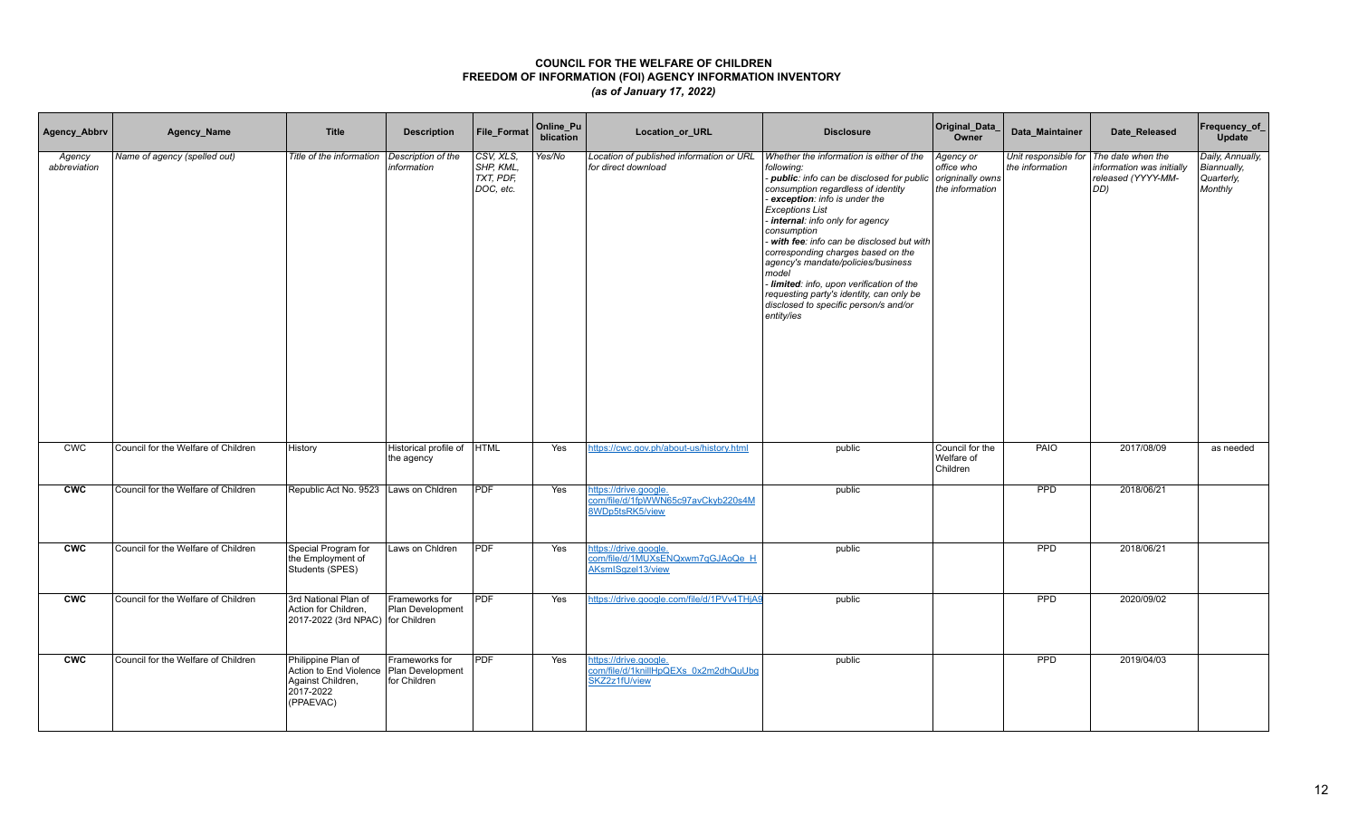| Agency_Abbrv           | Agency_Name                         | <b>Title</b>                                                                                | <b>Description</b>                                 | <b>File Format</b>                               | Online_Pu<br>blication | Location_or_URL                                                                | <b>Disclosure</b>                                                                                                                                                                                                                                                                                                                                                                                                                                                                                                                        | Original_Data_<br>Owner                                        | Data Maintainer                         | Date Released                                                               | Frequency_of_<br><b>Update</b>                           |
|------------------------|-------------------------------------|---------------------------------------------------------------------------------------------|----------------------------------------------------|--------------------------------------------------|------------------------|--------------------------------------------------------------------------------|------------------------------------------------------------------------------------------------------------------------------------------------------------------------------------------------------------------------------------------------------------------------------------------------------------------------------------------------------------------------------------------------------------------------------------------------------------------------------------------------------------------------------------------|----------------------------------------------------------------|-----------------------------------------|-----------------------------------------------------------------------------|----------------------------------------------------------|
| Agency<br>abbreviation | Name of agency (spelled out)        | Title of the information                                                                    | Description of the<br>information                  | CSV, XLS,<br>SHP, KML,<br>TXT, PDF,<br>DOC, etc. | Yes/No                 | Location of published information or URL<br>for direct download                | Whether the information is either of the<br>following:<br>- public: info can be disclosed for public<br>consumption regardless of identity<br>exception: info is under the<br><b>Exceptions List</b><br>internal: info only for agency<br>consumption<br>- with fee: info can be disclosed but with<br>corresponding charges based on the<br>agency's mandate/policies/business<br>model<br>- limited: info, upon verification of the<br>requesting party's identity, can only be<br>disclosed to specific person/s and/or<br>entity/ies | Agency or<br>office who<br>origninally owns<br>the information | Unit responsible for<br>the information | The date when the<br>information was initially<br>released (YYYY-MM-<br>OD) | Daily, Annually,<br>Biannually,<br>Quarterly,<br>Monthly |
| <b>CWC</b>             | Council for the Welfare of Children | History                                                                                     | Historical profile of<br>the agency                | <b>HTML</b>                                      | Yes                    | https://cwc.gov.ph/about-us/history.html                                       | public                                                                                                                                                                                                                                                                                                                                                                                                                                                                                                                                   | Council for the<br>Welfare of<br>Children                      | PAIO                                    | 2017/08/09                                                                  | as needed                                                |
| <b>CWC</b>             | Council for the Welfare of Children | Republic Act No. 9523   Laws on Chidren                                                     |                                                    | <b>PDF</b>                                       | Yes                    | https://drive.google.<br>com/file/d/1fpWWN65c97avCkyb220s4M<br>8WDp5tsRK5/view | public                                                                                                                                                                                                                                                                                                                                                                                                                                                                                                                                   |                                                                | <b>PPD</b>                              | 2018/06/21                                                                  |                                                          |
| <b>CWC</b>             | Council for the Welfare of Children | Special Program for<br>the Employment of<br>Students (SPES)                                 | Laws on Chidren                                    | <b>PDF</b>                                       | Yes                    | https://drive.google.<br>com/file/d/1MUXsENQxwm7qGJAoQe H<br>AKsmISgzel13/view | public                                                                                                                                                                                                                                                                                                                                                                                                                                                                                                                                   |                                                                | <b>PPD</b>                              | 2018/06/21                                                                  |                                                          |
| <b>CWC</b>             | Council for the Welfare of Children | 3rd National Plan of<br>Action for Children,<br>2017-2022 (3rd NPAC) for Children           | Frameworks for<br>Plan Development                 | <b>PDF</b>                                       | Yes                    | https://drive.google.com/file/d/1PVv4THjA9                                     | public                                                                                                                                                                                                                                                                                                                                                                                                                                                                                                                                   |                                                                | <b>PPD</b>                              | 2020/09/02                                                                  |                                                          |
| <b>CWC</b>             | Council for the Welfare of Children | Philippine Plan of<br>Action to End Violence<br>Against Children,<br>2017-2022<br>(PPAEVAC) | Frameworks for<br>Plan Development<br>for Children | <b>PDF</b>                                       | Yes                    | https://drive.google.<br>com/file/d/1knillHpQEXs_0x2m2dhQuUbg<br>SKZ2z1fU/view | public                                                                                                                                                                                                                                                                                                                                                                                                                                                                                                                                   |                                                                | PPD                                     | 2019/04/03                                                                  |                                                          |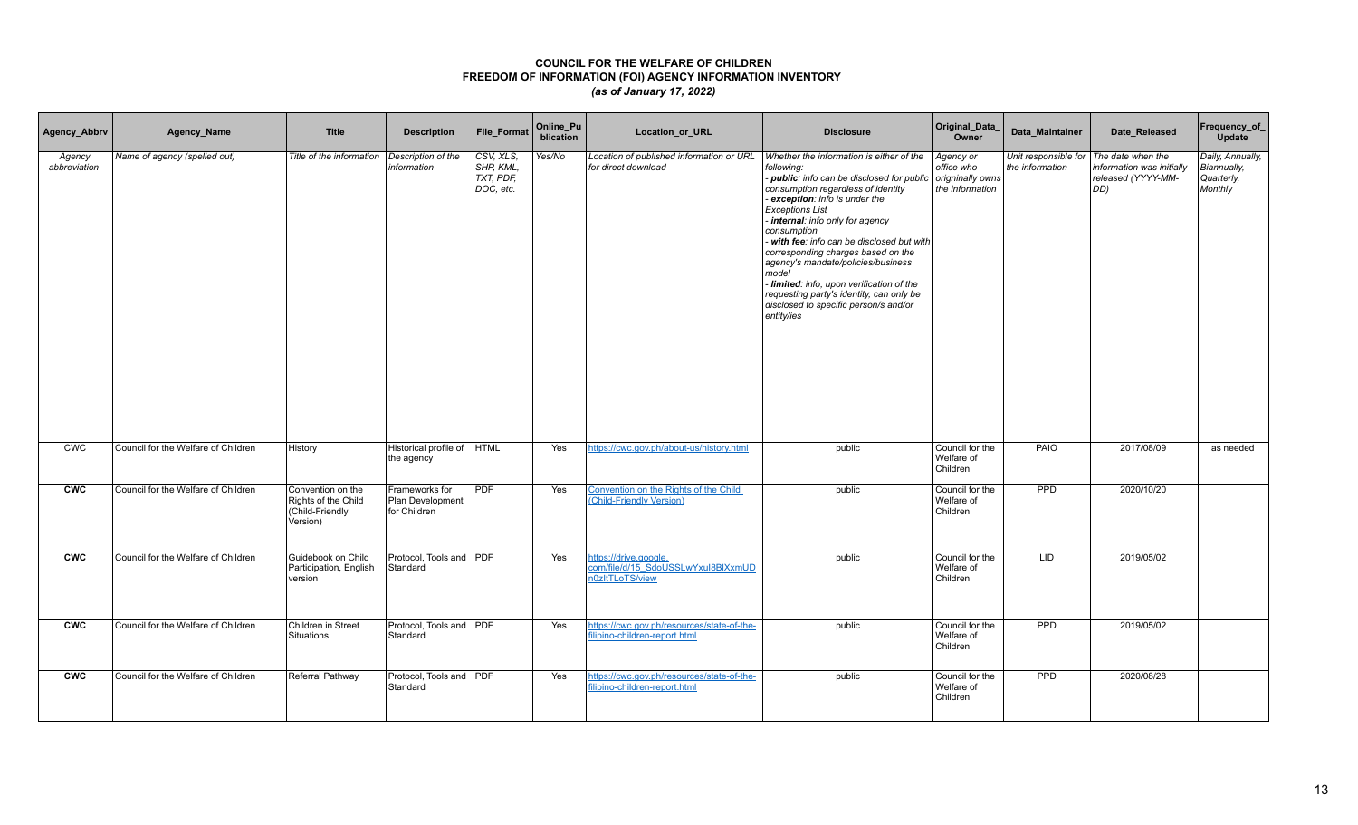| Agency_Abbrv           | Agency_Name                         | <b>Title</b>                                                            | <b>Description</b>                                 | <b>File Format</b>                               | Online_Pu<br>blication | Location_or_URL                                                                | <b>Disclosure</b>                                                                                                                                                                                                                                                                                                                                                                                                                                                                                                                    | Original_Data_<br>Owner                                        | Data_Maintainer                         | Date_Released                                                               | Frequency_of_<br><b>Update</b>                           |
|------------------------|-------------------------------------|-------------------------------------------------------------------------|----------------------------------------------------|--------------------------------------------------|------------------------|--------------------------------------------------------------------------------|--------------------------------------------------------------------------------------------------------------------------------------------------------------------------------------------------------------------------------------------------------------------------------------------------------------------------------------------------------------------------------------------------------------------------------------------------------------------------------------------------------------------------------------|----------------------------------------------------------------|-----------------------------------------|-----------------------------------------------------------------------------|----------------------------------------------------------|
| Agency<br>abbreviation | Name of agency (spelled out)        | Title of the information                                                | Description of the<br>information                  | CSV, XLS,<br>SHP, KML.<br>TXT, PDF.<br>DOC, etc. | Yes/No                 | Location of published information or URL<br>for direct download                | Whether the information is either of the<br>following:<br>- public: info can be disclosed for public<br>consumption regardless of identity<br>exception: info is under the<br><b>Exceptions List</b><br>internal: info only for agency<br>consumption<br>with fee: info can be disclosed but with<br>corresponding charges based on the<br>agency's mandate/policies/business<br>model<br>Iimited: info, upon verification of the<br>requesting party's identity, can only be<br>disclosed to specific person/s and/or<br>entity/ies | Agency or<br>office who<br>origninally owns<br>the information | Unit responsible for<br>the information | The date when the<br>information was initially<br>released (YYYY-MM-<br>DD) | Daily, Annually,<br>Biannually,<br>Quarterly,<br>Monthly |
| CWC                    | Council for the Welfare of Children | History                                                                 | Historical profile of HTML<br>the agency           |                                                  | Yes                    | https://cwc.gov.ph/about-us/history.html                                       | public                                                                                                                                                                                                                                                                                                                                                                                                                                                                                                                               | Council for the<br>Welfare of<br>Children                      | <b>PAIO</b>                             | 2017/08/09                                                                  | as needed                                                |
| <b>CWC</b>             | Council for the Welfare of Children | Convention on the<br>Rights of the Child<br>(Child-Friendly<br>Version) | Frameworks for<br>Plan Development<br>for Children | <b>PDF</b>                                       | Yes                    | Convention on the Rights of the Child<br>(Child-Friendly Version)              | public                                                                                                                                                                                                                                                                                                                                                                                                                                                                                                                               | Council for the<br>Welfare of<br>Children                      | <b>PPD</b>                              | 2020/10/20                                                                  |                                                          |
| <b>CWC</b>             | Council for the Welfare of Children | Guidebook on Child<br>Participation, English<br>version                 | Protocol, Tools and PDF<br>Standard                |                                                  | Yes                    | https://drive.google.<br>com/file/d/15 SdoUSSLwYxul8BIXxmUD<br>n0zltTLoTS/view | public                                                                                                                                                                                                                                                                                                                                                                                                                                                                                                                               | Council for the<br>Welfare of<br>Children                      | <b>LID</b>                              | 2019/05/02                                                                  |                                                          |
| <b>CWC</b>             | Council for the Welfare of Children | Children in Street<br>Situations                                        | Protocol, Tools and <b>PDF</b><br>Standard         |                                                  | Yes                    | https://cwc.gov.ph/resources/state-of-the-<br>filipino-children-report.html    | public                                                                                                                                                                                                                                                                                                                                                                                                                                                                                                                               | Council for the<br>Welfare of<br>Children                      | <b>PPD</b>                              | 2019/05/02                                                                  |                                                          |
| <b>CWC</b>             | Council for the Welfare of Children | Referral Pathway                                                        | Protocol, Tools and PDF<br>Standard                |                                                  | Yes                    | https://cwc.gov.ph/resources/state-of-the-<br>filipino-children-report.html    | public                                                                                                                                                                                                                                                                                                                                                                                                                                                                                                                               | Council for the<br>Welfare of<br>Children                      | PPD                                     | 2020/08/28                                                                  |                                                          |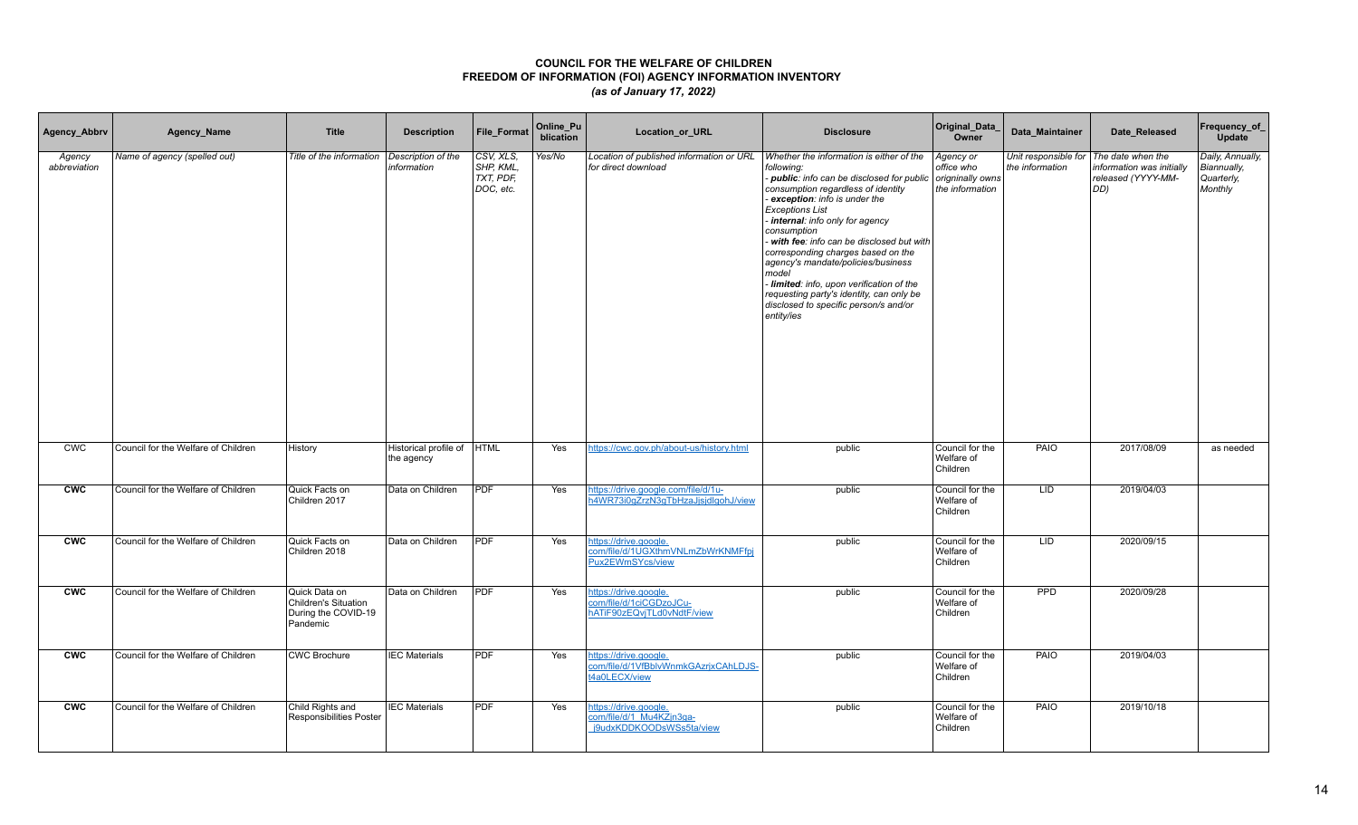| Agency_Abbrv           | Agency_Name                         | <b>Title</b>                                                             | <b>Description</b>                  | <b>File Format</b>                               | Online Pu<br>blication | Location_or_URL                                                                | <b>Disclosure</b>                                                                                                                                                                                                                                                                                                                                                                                                                                                                                                                        | Original_Data_<br>Owner                                        | Data_Maintainer | Date_Released                                                                                      | Frequency_of_<br>Update                                  |
|------------------------|-------------------------------------|--------------------------------------------------------------------------|-------------------------------------|--------------------------------------------------|------------------------|--------------------------------------------------------------------------------|------------------------------------------------------------------------------------------------------------------------------------------------------------------------------------------------------------------------------------------------------------------------------------------------------------------------------------------------------------------------------------------------------------------------------------------------------------------------------------------------------------------------------------------|----------------------------------------------------------------|-----------------|----------------------------------------------------------------------------------------------------|----------------------------------------------------------|
| Agency<br>abbreviation | Name of agency (spelled out)        | Title of the information                                                 | Description of the<br>information   | CSV, XLS,<br>SHP, KML,<br>TXT, PDF,<br>DOC, etc. | Yes/No                 | Location of published information or URL<br>for direct download                | Whether the information is either of the<br>following:<br>- public: info can be disclosed for public<br>consumption regardless of identity<br>exception: info is under the<br><b>Exceptions List</b><br>internal: info only for agency<br>consumption<br>- with fee: info can be disclosed but with<br>corresponding charges based on the<br>agency's mandate/policies/business<br>model<br>- limited: info, upon verification of the<br>requesting party's identity, can only be<br>disclosed to specific person/s and/or<br>entity/ies | Agency or<br>office who<br>origninally owns<br>the information | the information | Unit responsible for   The date when the<br>information was initially<br>released (YYYY-MM-<br>DD) | Daily, Annually,<br>Biannually,<br>Quarterly,<br>Monthly |
| CWC                    | Council for the Welfare of Children | History                                                                  | Historical profile of<br>the agency | <b>HTML</b>                                      | Yes                    | https://cwc.gov.ph/about-us/history.html                                       | public                                                                                                                                                                                                                                                                                                                                                                                                                                                                                                                                   | Council for the<br>Welfare of<br>Children                      | <b>PAIO</b>     | 2017/08/09                                                                                         | as needed                                                |
| <b>CWC</b>             | Council for the Welfare of Children | Quick Facts on<br>Children 2017                                          | Data on Children                    | <b>PDF</b>                                       | Yes                    | https://drive.google.com/file/d/1u-<br>h4WR73i0qZrzN3qTbHzaJjsjdlqohJ/view     | public                                                                                                                                                                                                                                                                                                                                                                                                                                                                                                                                   | Council for the<br>Welfare of<br>Children                      | <b>LID</b>      | 2019/04/03                                                                                         |                                                          |
| <b>CWC</b>             | Council for the Welfare of Children | Quick Facts on<br>Children 2018                                          | Data on Children                    | <b>PDF</b>                                       | Yes                    | nttps://drive.google.<br>com/file/d/1UGXthmVNLmZbWrKNMFfpj<br>Pux2EWmSYcs/view | public                                                                                                                                                                                                                                                                                                                                                                                                                                                                                                                                   | Council for the<br>Welfare of<br>Children                      | <b>LID</b>      | 2020/09/15                                                                                         |                                                          |
| <b>CWC</b>             | Council for the Welfare of Children | Quick Data on<br>Children's Situation<br>During the COVID-19<br>Pandemic | Data on Children                    | PDF                                              | Yes                    | https://drive.google.<br>com/file/d/1ciCGDzoJCu-<br>hATiF90zEQvjTLd0vNdtF/view | public                                                                                                                                                                                                                                                                                                                                                                                                                                                                                                                                   | Council for the<br>Welfare of<br>Children                      | PPD             | 2020/09/28                                                                                         |                                                          |
| <b>CWC</b>             | Council for the Welfare of Children | <b>CWC Brochure</b>                                                      | <b>IEC</b> Materials                | <b>PDF</b>                                       | Yes                    | https://drive.google.<br>com/file/d/1VfBblvWnmkGAzrjxCAhLDJS-<br>t4a0LECX/view | public                                                                                                                                                                                                                                                                                                                                                                                                                                                                                                                                   | Council for the<br>Welfare of<br>Children                      | PAIO            | 2019/04/03                                                                                         |                                                          |
| <b>CWC</b>             | Council for the Welfare of Children | Child Rights and<br><b>Responsibilities Poster</b>                       | <b>IEC Materials</b>                | <b>PDF</b>                                       | Yes                    | https://drive.google.<br>com/file/d/1 Mu4KZjn3ga-<br>j9udxKDDKOODsWSs5ta/view  | public                                                                                                                                                                                                                                                                                                                                                                                                                                                                                                                                   | Council for the<br>Welfare of<br>Children                      | PAIO            | 2019/10/18                                                                                         |                                                          |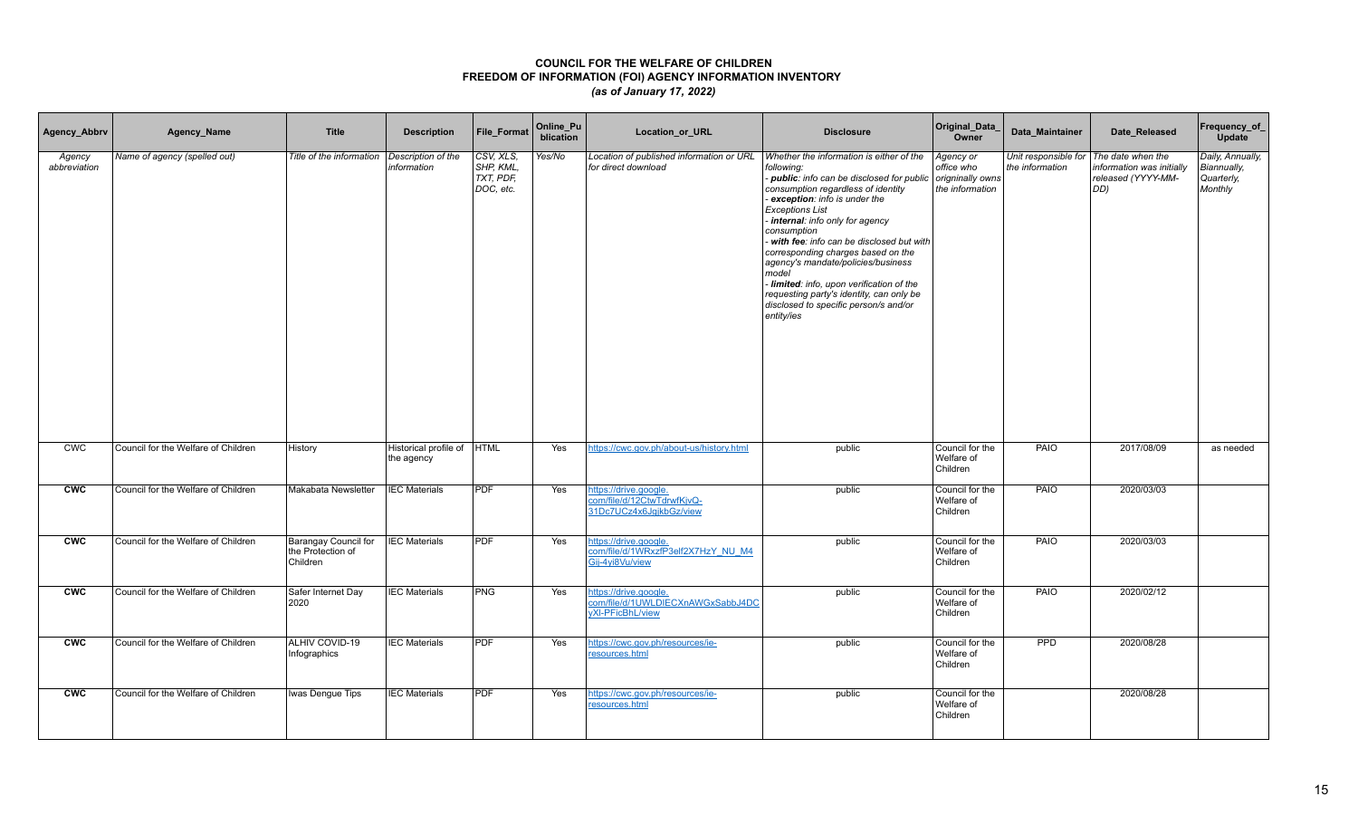| Agency_Abbrv           | Agency_Name                         | <b>Title</b>                                          | <b>Description</b>                       | <b>File Format</b>                                  | Online_Pu<br>blication | Location_or_URL                                                                       | <b>Disclosure</b>                                                                                                                                                                                                                                                                                                                                                                                                                                                                                                                        | Original_Data_<br>Owner                                        | Data Maintainer                                           | Date_Released                                          | Frequency_of_<br>Update                                  |
|------------------------|-------------------------------------|-------------------------------------------------------|------------------------------------------|-----------------------------------------------------|------------------------|---------------------------------------------------------------------------------------|------------------------------------------------------------------------------------------------------------------------------------------------------------------------------------------------------------------------------------------------------------------------------------------------------------------------------------------------------------------------------------------------------------------------------------------------------------------------------------------------------------------------------------------|----------------------------------------------------------------|-----------------------------------------------------------|--------------------------------------------------------|----------------------------------------------------------|
| Agency<br>abbreviation | Name of agency (spelled out)        | Title of the information                              | Description of the<br>information        | CSV, XLS,<br>SHP, KML,<br>$TXT$ , PDF,<br>DOC, etc. | Yes/No                 | Location of published information or URL<br>for direct download                       | Whether the information is either of the<br>following:<br>- public: info can be disclosed for public<br>consumption regardless of identity<br>exception: info is under the<br><b>Exceptions List</b><br>internal: info only for agency<br>consumption<br>- with fee: info can be disclosed but with<br>corresponding charges based on the<br>agency's mandate/policies/business<br>model<br>- limited: info, upon verification of the<br>requesting party's identity, can only be<br>disclosed to specific person/s and/or<br>entity/ies | Agency or<br>office who<br>origninally owns<br>the information | Unit responsible for The date when the<br>the information | information was initially<br>released (YYYY-MM-<br>DD) | Daily, Annually,<br>Biannually,<br>Quarterly,<br>Monthly |
| <b>CWC</b>             | Council for the Welfare of Children | History                                               | Historical profile of HTML<br>the agency |                                                     | Yes                    | https://cwc.gov.ph/about-us/history.html                                              | public                                                                                                                                                                                                                                                                                                                                                                                                                                                                                                                                   | Council for the<br>Welfare of<br>Children                      | PAIO                                                      | 2017/08/09                                             | as needed                                                |
| <b>CWC</b>             | Council for the Welfare of Children | Makabata Newsletter                                   | <b>IEC Materials</b>                     | <b>PDF</b>                                          | Yes                    | https://drive.google.<br>com/file/d/12CtwTdrwfKjvQ-<br>31Dc7UCz4x6JqjkbGz/view        | public                                                                                                                                                                                                                                                                                                                                                                                                                                                                                                                                   | Council for the<br>Welfare of<br>Children                      | PAIO                                                      | 2020/03/03                                             |                                                          |
| <b>CWC</b>             | Council for the Welfare of Children | Barangay Council for<br>the Protection of<br>Children | <b>IEC Materials</b>                     | <b>PDF</b>                                          | Yes                    | https://drive.google.<br>com/file/d/1WRxzfP3elf2X7HzY_NU_M4<br>Gij-4yi8Vu/view        | public                                                                                                                                                                                                                                                                                                                                                                                                                                                                                                                                   | Council for the<br>Welfare of<br>Children                      | PAIO                                                      | 2020/03/03                                             |                                                          |
| <b>CWC</b>             | Council for the Welfare of Children | Safer Internet Day<br>2020                            | <b>IEC Materials</b>                     | PNG                                                 | Yes                    | https://drive.google.<br>com/file/d/1UWLDIECXnAWGxSabbJ4DC<br><b>vXI-PFicBhL/view</b> | public                                                                                                                                                                                                                                                                                                                                                                                                                                                                                                                                   | Council for the<br>Welfare of<br>Children                      | PAIO                                                      | 2020/02/12                                             |                                                          |
| <b>CWC</b>             | Council for the Welfare of Children | ALHIV COVID-19<br>Infographics                        | <b>IEC Materials</b>                     | <b>PDF</b>                                          | Yes                    | https://cwc.gov.ph/resources/ie-<br>resources.html                                    | public                                                                                                                                                                                                                                                                                                                                                                                                                                                                                                                                   | Council for the<br>Welfare of<br>Children                      | <b>PPD</b>                                                | 2020/08/28                                             |                                                          |
| <b>CWC</b>             | Council for the Welfare of Children | Iwas Dengue Tips                                      | <b>IEC Materials</b>                     | <b>PDF</b>                                          | Yes                    | https://cwc.gov.ph/resources/ie-<br>resources.html                                    | public                                                                                                                                                                                                                                                                                                                                                                                                                                                                                                                                   | Council for the<br>Welfare of<br>Children                      |                                                           | 2020/08/28                                             |                                                          |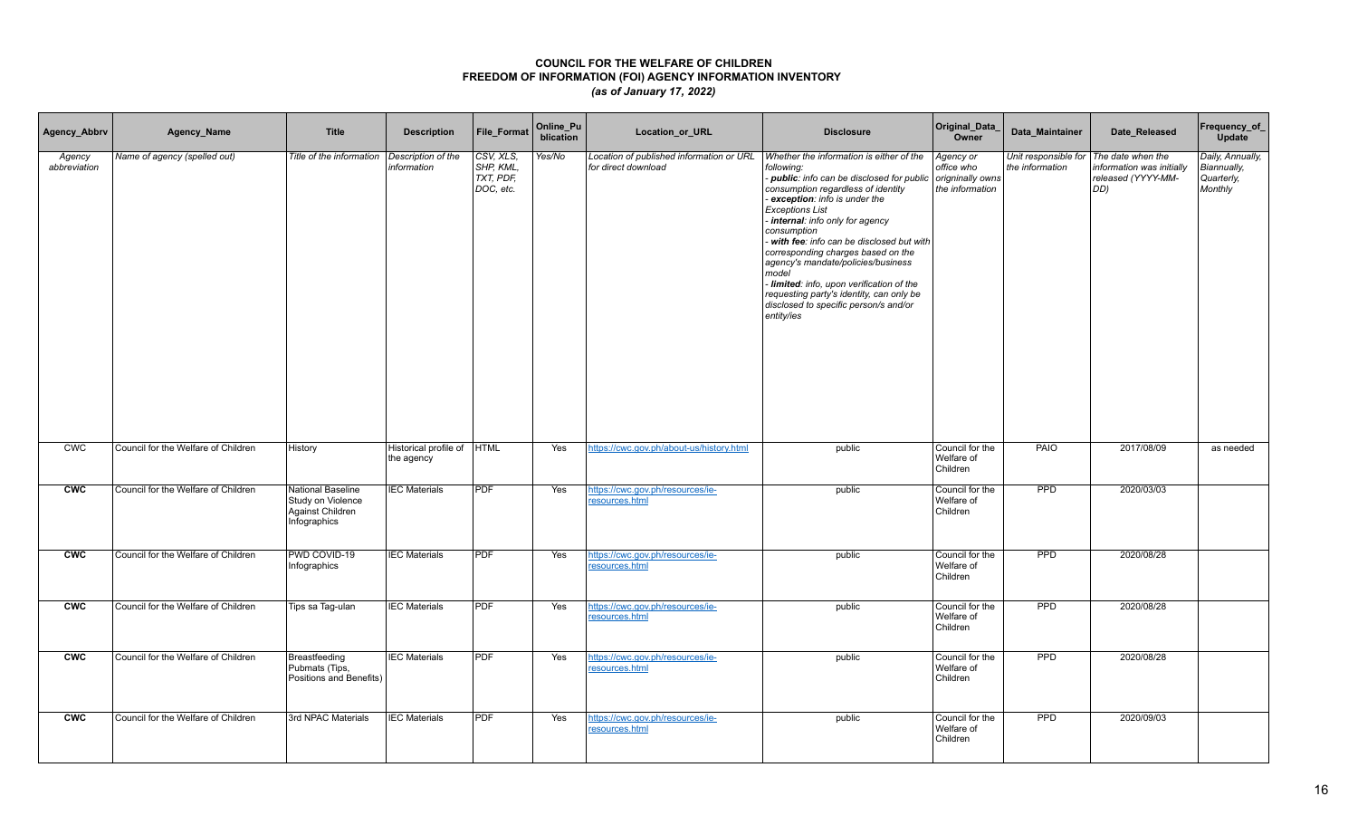| Agency_Abbrv           | Agency_Name                         | <b>Title</b>                                                               | <b>Description</b>                       | <b>File Format</b>                              | Online_Pu<br>blication | Location_or_URL                                                 | <b>Disclosure</b>                                                                                                                                                                                                                                                                                                                                                                                                                                                                                                                          | Original_Data_<br>Owner                                        | Data Maintainer | Date Released                                                                                       | Frequency_of_<br>Update                                  |
|------------------------|-------------------------------------|----------------------------------------------------------------------------|------------------------------------------|-------------------------------------------------|------------------------|-----------------------------------------------------------------|--------------------------------------------------------------------------------------------------------------------------------------------------------------------------------------------------------------------------------------------------------------------------------------------------------------------------------------------------------------------------------------------------------------------------------------------------------------------------------------------------------------------------------------------|----------------------------------------------------------------|-----------------|-----------------------------------------------------------------------------------------------------|----------------------------------------------------------|
| Agency<br>abbreviation | Name of agency (spelled out)        | Title of the information                                                   | Description of the<br>information        | CSV, XLS,<br>SHP, KML,<br>TXT, PDF<br>DOC, etc. | Yes/No                 | Location of published information or URL<br>for direct download | Whether the information is either of the<br>following:<br>- public: info can be disclosed for public<br>consumption regardless of identity<br>- exception: info is under the<br><b>Exceptions List</b><br>- internal: info only for agency<br>consumption<br>with fee: info can be disclosed but with<br>corresponding charges based on the<br>agency's mandate/policies/business<br>model<br>- limited: info, upon verification of the<br>requesting party's identity, can only be<br>disclosed to specific person/s and/or<br>entity/ies | Agency or<br>office who<br>origninally owns<br>the information | the information | Unit responsible for The date when the<br>information was initially<br>released (YYYY-MM-<br>$DD$ ) | Daily, Annually,<br>Biannually,<br>Quarterly,<br>Monthly |
| <b>CWC</b>             | Council for the Welfare of Children | History                                                                    | Historical profile of HTML<br>the agency |                                                 | Yes                    | https://cwc.gov.ph/about-us/history.html                        | public                                                                                                                                                                                                                                                                                                                                                                                                                                                                                                                                     | Council for the<br>Welfare of<br>Children                      | <b>PAIO</b>     | 2017/08/09                                                                                          | as needed                                                |
| <b>CWC</b>             | Council for the Welfare of Children | National Baseline<br>Study on Violence<br>Against Children<br>Infographics | <b>IEC Materials</b>                     | <b>PDF</b>                                      | Yes                    | https://cwc.gov.ph/resources/ie-<br>resources.html              | public                                                                                                                                                                                                                                                                                                                                                                                                                                                                                                                                     | Council for the<br>Welfare of<br>Children                      | PPD             | 2020/03/03                                                                                          |                                                          |
| <b>CWC</b>             | Council for the Welfare of Children | PWD COVID-19<br>Infographics                                               | <b>IEC Materials</b>                     | <b>PDF</b>                                      | Yes                    | https://cwc.gov.ph/resources/ie-<br>resources.html              | public                                                                                                                                                                                                                                                                                                                                                                                                                                                                                                                                     | Council for the<br>Welfare of<br>Children                      | <b>PPD</b>      | 2020/08/28                                                                                          |                                                          |
| <b>CWC</b>             | Council for the Welfare of Children | Tips sa Tag-ulan                                                           | <b>IEC Materials</b>                     | <b>PDF</b>                                      | Yes                    | https://cwc.gov.ph/resources/ie-<br>resources.html              | public                                                                                                                                                                                                                                                                                                                                                                                                                                                                                                                                     | Council for the<br>Welfare of<br>Children                      | <b>PPD</b>      | 2020/08/28                                                                                          |                                                          |
| <b>CWC</b>             | Council for the Welfare of Children | Breastfeeding<br>Pubmats (Tips,<br>Positions and Benefits)                 | <b>IEC Materials</b>                     | <b>PDF</b>                                      | Yes                    | https://cwc.gov.ph/resources/ie-<br>resources.html              | public                                                                                                                                                                                                                                                                                                                                                                                                                                                                                                                                     | Council for the<br>Welfare of<br>Children                      | <b>PPD</b>      | 2020/08/28                                                                                          |                                                          |
| cw                     | Council for the Welfare of Children | 3rd NPAC Materials                                                         | <b>IEC Materials</b>                     | <b>PDF</b>                                      | Yes                    | https://cwc.gov.ph/resources/ie-<br>resources.html              | public                                                                                                                                                                                                                                                                                                                                                                                                                                                                                                                                     | Council for the<br>Welfare of<br>Children                      | <b>PPD</b>      | 2020/09/03                                                                                          |                                                          |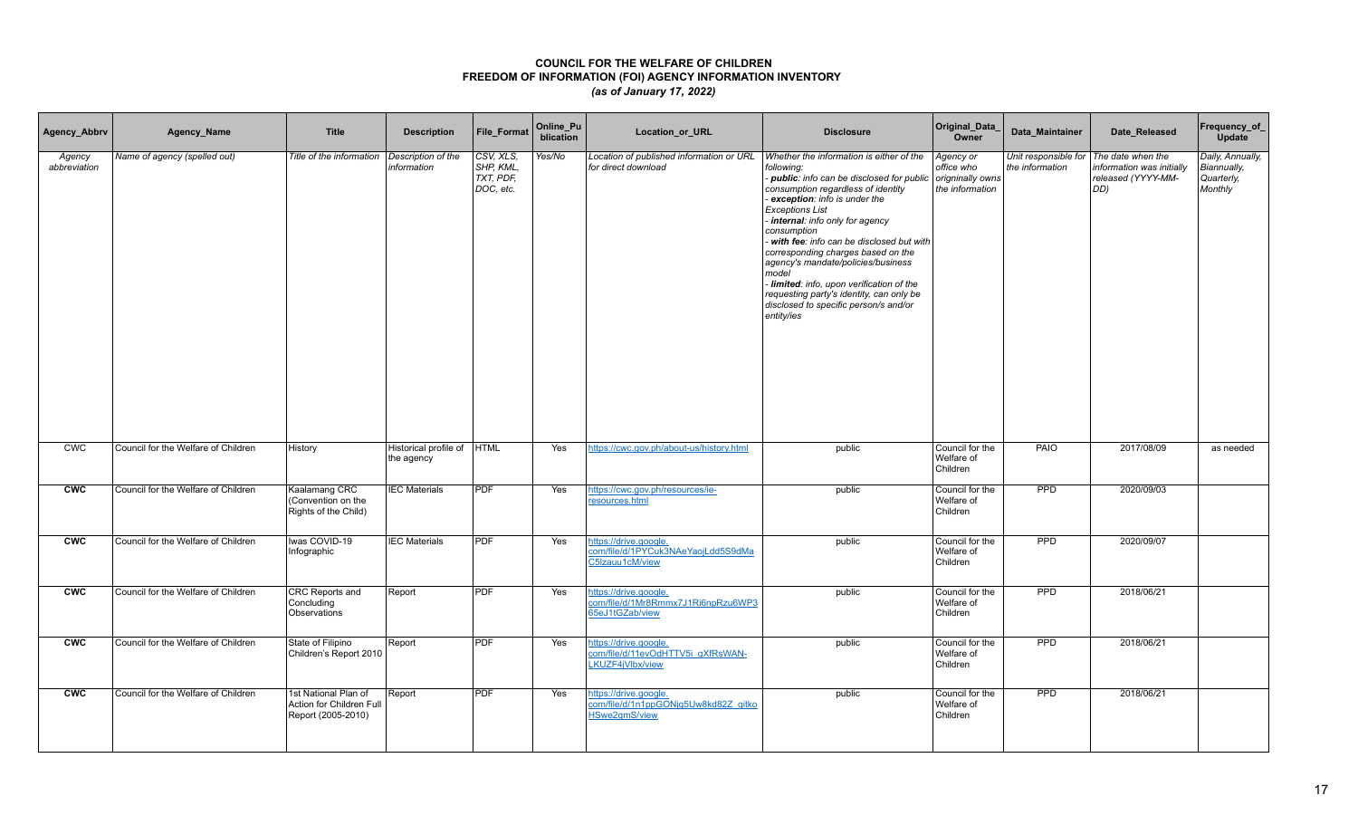| Agency_Abbrv           | Agency_Name                         | <b>Title</b>                                                           | <b>Description</b>                        | File_Format                                      | Online_Pu<br>blication | Location_or_URL                                                                       | <b>Disclosure</b>                                                                                                                                                                                                                                                                                                                                                                                                                                                                                                                    | Original_Data_<br>Owner                                        | Data Maintainer | Date_Released                                                                                             | Frequency_of_<br>Update                                  |
|------------------------|-------------------------------------|------------------------------------------------------------------------|-------------------------------------------|--------------------------------------------------|------------------------|---------------------------------------------------------------------------------------|--------------------------------------------------------------------------------------------------------------------------------------------------------------------------------------------------------------------------------------------------------------------------------------------------------------------------------------------------------------------------------------------------------------------------------------------------------------------------------------------------------------------------------------|----------------------------------------------------------------|-----------------|-----------------------------------------------------------------------------------------------------------|----------------------------------------------------------|
| Agency<br>abbreviation | Name of agency (spelled out)        | Title of the information                                               | Description of the<br>information         | CSV, XLS.<br>SHP, KML,<br>TXT, PDF,<br>DOC, etc. | Yes/No                 | Location of published information or URL<br>for direct download                       | Whether the information is either of the<br>following:<br>- public: info can be disclosed for public<br>consumption regardless of identity<br>exception: info is under the<br><b>Exceptions List</b><br>internal: info only for agency<br>consumption<br>with fee: info can be disclosed but with<br>corresponding charges based on the<br>agency's mandate/policies/business<br>model<br>Iimited: info, upon verification of the<br>requesting party's identity, can only be<br>disclosed to specific person/s and/or<br>entity/ies | Agency or<br>office who<br>origninally owns<br>the information | the information | Unit responsible for The date when the<br>information was initially<br>released (YYYY-MM-<br>$ DD\rangle$ | Daily, Annually,<br>Biannually,<br>Quarterly,<br>Monthly |
| <b>CWC</b>             | Council for the Welfare of Children | History                                                                | Historical profile of  HTML<br>the agency |                                                  | Yes                    | https://cwc.gov.ph/about-us/history.html                                              | public                                                                                                                                                                                                                                                                                                                                                                                                                                                                                                                               | Council for the<br>Welfare of<br>Children                      | PAIO            | 2017/08/09                                                                                                | as needed                                                |
| <b>CWC</b>             | Council for the Welfare of Children | Kaalamang CRC<br>(Convention on the<br>Rights of the Child)            | <b>IEC Materials</b>                      | <b>PDF</b>                                       | Yes                    | https://cwc.gov.ph/resources/ie-<br>resources.html                                    | public                                                                                                                                                                                                                                                                                                                                                                                                                                                                                                                               | Council for the<br>Welfare of<br>Children                      | PPD             | 2020/09/03                                                                                                |                                                          |
| <b>CWC</b>             | Council for the Welfare of Children | Iwas COVID-19<br>Infographic                                           | <b>IEC Materials</b>                      | <b>PDF</b>                                       | Yes                    | https://drive.google.<br>com/file/d/1PYCuk3NAeYaojLdd5S9dMa<br>C5Izauu1cM/view        | public                                                                                                                                                                                                                                                                                                                                                                                                                                                                                                                               | Council for the<br>Welfare of<br>Children                      | <b>PPD</b>      | 2020/09/07                                                                                                |                                                          |
| <b>CWC</b>             | Council for the Welfare of Children | CRC Reports and<br>Concluding<br>Observations                          | Report                                    | PDF                                              | Yes                    | https://drive.google.<br>com/file/d/1Mr8Rmmx7J1Ri6npRzu6WP3<br>65eJ1tGZab/view        | public                                                                                                                                                                                                                                                                                                                                                                                                                                                                                                                               | Council for the<br>Welfare of<br>Children                      | PPD             | 2018/06/21                                                                                                |                                                          |
| <b>CWC</b>             | Council for the Welfare of Children | State of Filipino<br>Children's Report 2010                            | Report                                    | <b>PDF</b>                                       | Yes                    | https://drive.google.<br>com/file/d/11evOdHTTV5i_gXfRsWAN-<br>LKUZF4iVlbx/view        | public                                                                                                                                                                                                                                                                                                                                                                                                                                                                                                                               | Council for the<br>Welfare of<br>Children                      | PPD             | 2018/06/21                                                                                                |                                                          |
| <b>CWC</b>             | Council for the Welfare of Children | 1st National Plan of<br>Action for Children Full<br>Report (2005-2010) | Report                                    | <b>PDF</b>                                       | Yes                    | https://drive.google.<br>com/file/d/1n1ppGONjg5Uw8kd82Z_qitko<br><b>HSwe2qmS/view</b> | public                                                                                                                                                                                                                                                                                                                                                                                                                                                                                                                               | Council for the<br>Welfare of<br>Children                      | <b>PPD</b>      | 2018/06/21                                                                                                |                                                          |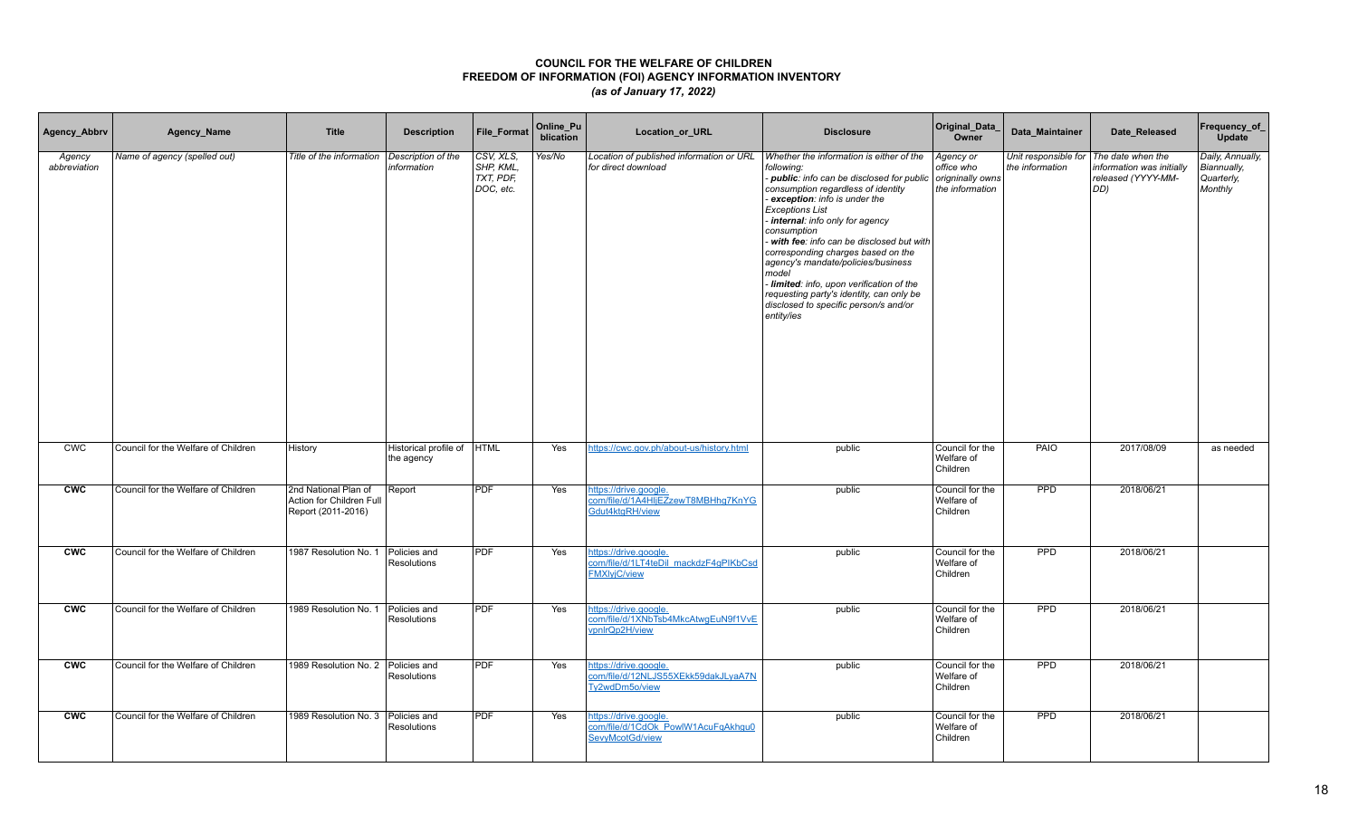| Agency_Abbrv           | Agency_Name                         | <b>Title</b>                                                           | <b>Description</b>                       | <b>File Format</b>                              | Online_Pu<br>blication | <b>Location or URL</b>                                                                | <b>Disclosure</b>                                                                                                                                                                                                                                                                                                                                                                                                                                                                                                                          | Original_Data_<br>Owner                                        | Data Maintainer                                           | Date Released                                          | Frequency_of_<br>Update                                  |
|------------------------|-------------------------------------|------------------------------------------------------------------------|------------------------------------------|-------------------------------------------------|------------------------|---------------------------------------------------------------------------------------|--------------------------------------------------------------------------------------------------------------------------------------------------------------------------------------------------------------------------------------------------------------------------------------------------------------------------------------------------------------------------------------------------------------------------------------------------------------------------------------------------------------------------------------------|----------------------------------------------------------------|-----------------------------------------------------------|--------------------------------------------------------|----------------------------------------------------------|
| Agency<br>abbreviation | Name of agency (spelled out)        | Title of the information                                               | Description of the<br>information        | CSV, XLS,<br>SHP, KML.<br>TXT, PDF<br>DOC, etc. | Yes/No                 | Location of published information or URL<br>for direct download                       | Whether the information is either of the<br>following:<br>- public: info can be disclosed for public<br>consumption regardless of identity<br>exception: info is under the<br><b>Exceptions List</b><br>- internal: info only for agency<br>consumption<br>- with fee: info can be disclosed but with<br>corresponding charges based on the<br>agency's mandate/policies/business<br>model<br>- limited: info, upon verification of the<br>requesting party's identity, can only be<br>disclosed to specific person/s and/or<br>entity/ies | Agency or<br>office who<br>origninally owns<br>the information | Unit responsible for The date when the<br>the information | information was initially<br>released (YYYY-MM-<br>DD) | Daily, Annually,<br>Biannually,<br>Quarterly,<br>Monthly |
| <b>CWC</b>             | Council for the Welfare of Children | History                                                                | Historical profile of HTML<br>the agency |                                                 | Yes                    | https://cwc.gov.ph/about-us/history.html                                              | public                                                                                                                                                                                                                                                                                                                                                                                                                                                                                                                                     | Council for the<br>Welfare of<br>Children                      | PAIO                                                      | 2017/08/09                                             | as needed                                                |
| <b>CWC</b>             | Council for the Welfare of Children | 2nd National Plan of<br>Action for Children Full<br>Report (2011-2016) | Report                                   | <b>PDF</b>                                      | Yes                    | https://drive.google.<br>com/file/d/1A4HIjEZzewT8MBHhg7KnYG<br>Gdut4ktqRH/view        | public                                                                                                                                                                                                                                                                                                                                                                                                                                                                                                                                     | Council for the<br>Welfare of<br>Children                      | <b>PPD</b>                                                | 2018/06/21                                             |                                                          |
| <b>CWC</b>             | Council for the Welfare of Children | 1987 Resolution No. 1                                                  | Policies and<br>Resolutions              | PDF                                             | Yes                    | https://drive.google.<br>com/file/d/1LT4teDil_mackdzF4qPIKbCsd<br><b>FMXIviC/view</b> | public                                                                                                                                                                                                                                                                                                                                                                                                                                                                                                                                     | Council for the<br>Welfare of<br>Children                      | <b>PPD</b>                                                | 2018/06/21                                             |                                                          |
| CWC                    | Council for the Welfare of Children | 1989 Resolution No. 1   Policies and                                   | <b>Resolutions</b>                       | PDF                                             | Yes                    | https://drive.google.<br>com/file/d/1XNbTsb4MkcAtwaEuN9f1VvE<br>vpnlrQp2H/view        | public                                                                                                                                                                                                                                                                                                                                                                                                                                                                                                                                     | Council for the<br>Welfare of<br>Children                      | <b>PPD</b>                                                | 2018/06/21                                             |                                                          |
| <b>CWC</b>             | Council for the Welfare of Children | 1989 Resolution No. 2 Policies and                                     | Resolutions                              | PDF                                             | Yes                    | https://drive.google.<br>com/file/d/12NLJS55XEkk59dakJLyaA7N<br>Ty2wdDm5o/view        | public                                                                                                                                                                                                                                                                                                                                                                                                                                                                                                                                     | Council for the<br>Welfare of<br>Children                      | <b>PPD</b>                                                | 2018/06/21                                             |                                                          |
| cw                     | Council for the Welfare of Children | 1989 Resolution No. 3   Policies and                                   | Resolutions                              | <b>PDF</b>                                      | Yes                    | https://drive.google.<br>com/file/d/1CdOk_PowlW1AcuFqAkhgu0<br>SevyMcotGd/view        | public                                                                                                                                                                                                                                                                                                                                                                                                                                                                                                                                     | Council for the<br>Welfare of<br>Children                      | PPD                                                       | 2018/06/21                                             |                                                          |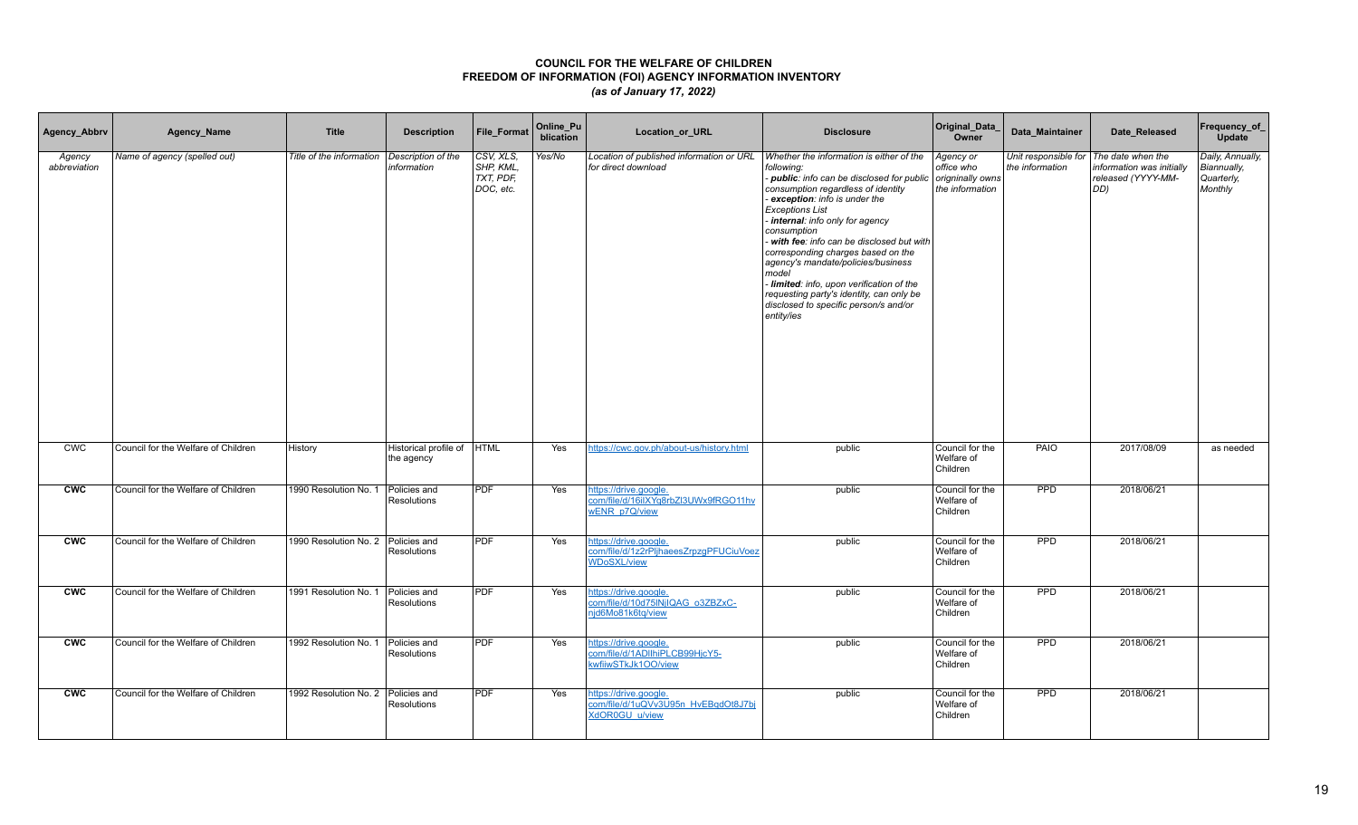| Agency_Abbrv           | Agency_Name                         | <b>Title</b>                         | <b>Description</b>                       | <b>File Format</b>                                  | Online_Pu<br>blication | Location_or_URL                                                                       | <b>Disclosure</b>                                                                                                                                                                                                                                                                                                                                                                                                                                                                                                                        | Original_Data_<br>Owner                                        | Data Maintainer | Date Released                                                                                    | Frequency_of_<br>Update                                  |
|------------------------|-------------------------------------|--------------------------------------|------------------------------------------|-----------------------------------------------------|------------------------|---------------------------------------------------------------------------------------|------------------------------------------------------------------------------------------------------------------------------------------------------------------------------------------------------------------------------------------------------------------------------------------------------------------------------------------------------------------------------------------------------------------------------------------------------------------------------------------------------------------------------------------|----------------------------------------------------------------|-----------------|--------------------------------------------------------------------------------------------------|----------------------------------------------------------|
| Agency<br>abbreviation | Name of agency (spelled out)        | Title of the information             | Description of the<br>information        | CSV, XLS,<br>SHP, KML,<br>$TXT$ , PDF,<br>DOC, etc. | Yes/No                 | Location of published information or URL<br>for direct download                       | Whether the information is either of the<br>following:<br>- public: info can be disclosed for public<br>consumption regardless of identity<br>exception: info is under the<br><b>Exceptions List</b><br>internal: info only for agency<br>consumption<br>- with fee: info can be disclosed but with<br>corresponding charges based on the<br>agency's mandate/policies/business<br>model<br>- limited: info, upon verification of the<br>requesting party's identity, can only be<br>disclosed to specific person/s and/or<br>entity/ies | Agency or<br>office who<br>origninally owns<br>the information | the information | Unit responsible for The date when the<br>information was initially<br>released (YYYY-MM-<br>DD) | Daily, Annually,<br>Biannually,<br>Quarterly,<br>Monthly |
| <b>CWC</b>             | Council for the Welfare of Children | History                              | Historical profile of HTML<br>the agency |                                                     | Yes                    | https://cwc.gov.ph/about-us/history.html                                              | public                                                                                                                                                                                                                                                                                                                                                                                                                                                                                                                                   | Council for the<br>Welfare of<br>Children                      | PAIO            | 2017/08/09                                                                                       | as needed                                                |
| <b>CWC</b>             | Council for the Welfare of Children | 1990 Resolution No. 1                | Policies and<br><b>Resolutions</b>       | <b>PDF</b>                                          | Yes                    | https://drive.google.<br>com/file/d/16iIXYq8rbZl3UWx9fRGO11hv<br>wENR p7Q/view        | public                                                                                                                                                                                                                                                                                                                                                                                                                                                                                                                                   | Council for the<br>Welfare of<br>Children                      | PPD             | 2018/06/21                                                                                       |                                                          |
| <b>CWC</b>             | Council for the Welfare of Children | 1990 Resolution No. 2   Policies and | Resolutions                              | <b>PDF</b>                                          | Yes                    | https://drive.google.<br>com/file/d/1z2rPljhaeesZrpzqPFUCiuVoez<br><b>WDoSXL/view</b> | public                                                                                                                                                                                                                                                                                                                                                                                                                                                                                                                                   | Council for the<br>Welfare of<br>Children                      | PPD             | 2018/06/21                                                                                       |                                                          |
| <b>CWC</b>             | Council for the Welfare of Children | 1991 Resolution No. 1                | Policies and<br><b>Resolutions</b>       | <b>PDF</b>                                          | Yes                    | https://drive.google.<br>com/file/d/10d75INiIQAG_o3ZBZxC-<br>njd6Mo81k6tq/view        | public                                                                                                                                                                                                                                                                                                                                                                                                                                                                                                                                   | Council for the<br>Welfare of<br>Children                      | <b>PPD</b>      | 2018/06/21                                                                                       |                                                          |
| <b>CWC</b>             | Council for the Welfare of Children | 1992 Resolution No. 1 Policies and   | Resolutions                              | <b>PDF</b>                                          | Yes                    | nttps://drive.google.<br>com/file/d/1ADIIhiPLCB99HjcY5-<br>kwfiiwSTkJk1OO/view        | public                                                                                                                                                                                                                                                                                                                                                                                                                                                                                                                                   | Council for the<br>Welfare of<br>Children                      | <b>PPD</b>      | 2018/06/21                                                                                       |                                                          |
| <b>CWC</b>             | Council for the Welfare of Children | 1992 Resolution No. 2                | Policies and<br><b>Resolutions</b>       | <b>PDF</b>                                          | Yes                    | nttps://drive.google.<br>com/file/d/1uQVv3U95n_HvEBqdOt8J7bj<br><b>XdOR0GU u/view</b> | public                                                                                                                                                                                                                                                                                                                                                                                                                                                                                                                                   | Council for the<br>Welfare of<br>Children                      | PPD             | 2018/06/21                                                                                       |                                                          |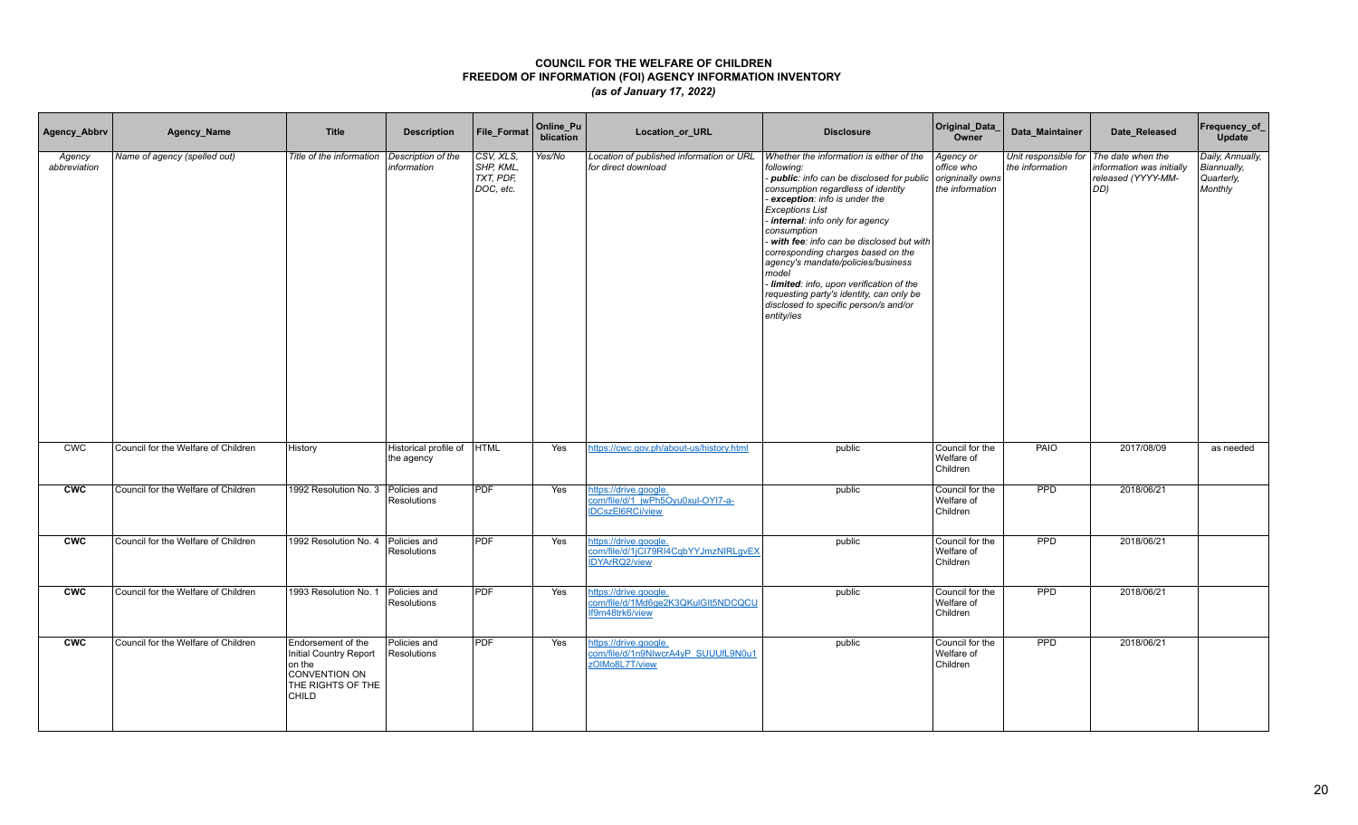| Agency_Abbrv           | Agency_Name                         | <b>Title</b>                                                                                          | <b>Description</b>                  | <b>File Format</b>                               | Online_Pu<br>blication | Location_or_URL                                                                       | <b>Disclosure</b>                                                                                                                                                                                                                                                                                                                                                                                                                                                                                                                      | Original_Data_<br>Owner                                        | Data Maintainer                                             | Date Released                                          | Frequency_of_<br>Update                                  |
|------------------------|-------------------------------------|-------------------------------------------------------------------------------------------------------|-------------------------------------|--------------------------------------------------|------------------------|---------------------------------------------------------------------------------------|----------------------------------------------------------------------------------------------------------------------------------------------------------------------------------------------------------------------------------------------------------------------------------------------------------------------------------------------------------------------------------------------------------------------------------------------------------------------------------------------------------------------------------------|----------------------------------------------------------------|-------------------------------------------------------------|--------------------------------------------------------|----------------------------------------------------------|
| Agency<br>abbreviation | Name of agency (spelled out)        | Title of the information                                                                              | Description of the<br>information   | CSV, XLS,<br>SHP, KML,<br>TXT, PDF,<br>DOC, etc. | Yes/No                 | Location of published information or URL<br>for direct download                       | Whether the information is either of the<br>followina:<br>- public: info can be disclosed for public<br>consumption regardless of identity<br>exception: info is under the<br><b>Exceptions List</b><br>internal: info only for agency<br>consumption<br>- with fee: info can be disclosed but with<br>corresponding charges based on the<br>agency's mandate/policies/business<br>model<br>Iimited: info, upon verification of the<br>requesting party's identity, can only be<br>disclosed to specific person/s and/or<br>entity/ies | Agency or<br>office who<br>origninally owns<br>the information | Unit responsible for   The date when the<br>the information | information was initially<br>released (YYYY-MM-<br>DD) | Daily, Annually,<br>Biannually,<br>Quarterly,<br>Monthly |
| <b>CWC</b>             | Council for the Welfare of Children | History                                                                                               | Historical profile of<br>the agency | <b>HTML</b>                                      | Yes                    | https://cwc.gov.ph/about-us/history.html                                              | public                                                                                                                                                                                                                                                                                                                                                                                                                                                                                                                                 | Council for the<br>Welfare of<br>Children                      | PAIO                                                        | 2017/08/09                                             | as needed                                                |
| <b>CWC</b>             | Council for the Welfare of Children | 1992 Resolution No. 3   Policies and                                                                  | Resolutions                         | <b>PDF</b>                                       | Yes                    | https://drive.google.<br>com/file/d/1 jwPh5Oyu0xul-OYI7-a-<br><b>IDCszEI6RCi/view</b> | public                                                                                                                                                                                                                                                                                                                                                                                                                                                                                                                                 | Council for the<br>Welfare of<br>Children                      | <b>PPD</b>                                                  | 2018/06/21                                             |                                                          |
| <b>CWC</b>             | Council for the Welfare of Children | 1992 Resolution No. 4   Policies and                                                                  | Resolutions                         | <b>PDF</b>                                       | Yes                    | https://drive.google.<br>com/file/d/1jCl79RI4CqbYYJmzNIRLqvEX<br><b>IDYArRQ2/view</b> | public                                                                                                                                                                                                                                                                                                                                                                                                                                                                                                                                 | Council for the<br>Welfare of<br>Children                      | <b>PPD</b>                                                  | 2018/06/21                                             |                                                          |
| <b>CWC</b>             | Council for the Welfare of Children | 1993 Resolution No. 1                                                                                 | Policies and<br>Resolutions         | <b>PDF</b>                                       | Yes                    | https://drive.google.<br>com/file/d/1Md6ge2K3QKulGIt5NDCQCU<br>If9m48trk6/view        | public                                                                                                                                                                                                                                                                                                                                                                                                                                                                                                                                 | Council for the<br>Welfare of<br>Children                      | PPD                                                         | 2018/06/21                                             |                                                          |
| <b>CWC</b>             | Council for the Welfare of Children | Endorsement of the<br>Initial Country Report<br>on the<br>CONVENTION ON<br>THE RIGHTS OF THE<br>CHILD | Policies and<br>Resolutions         | <b>PDF</b>                                       | Yes                    | https://drive.google.<br>com/file/d/1n9NIwcrA4yP_SUUUfL9N0u1<br>zOIMo8L7T/view        | public                                                                                                                                                                                                                                                                                                                                                                                                                                                                                                                                 | Council for the<br>Welfare of<br>Children                      | <b>PPD</b>                                                  | 2018/06/21                                             |                                                          |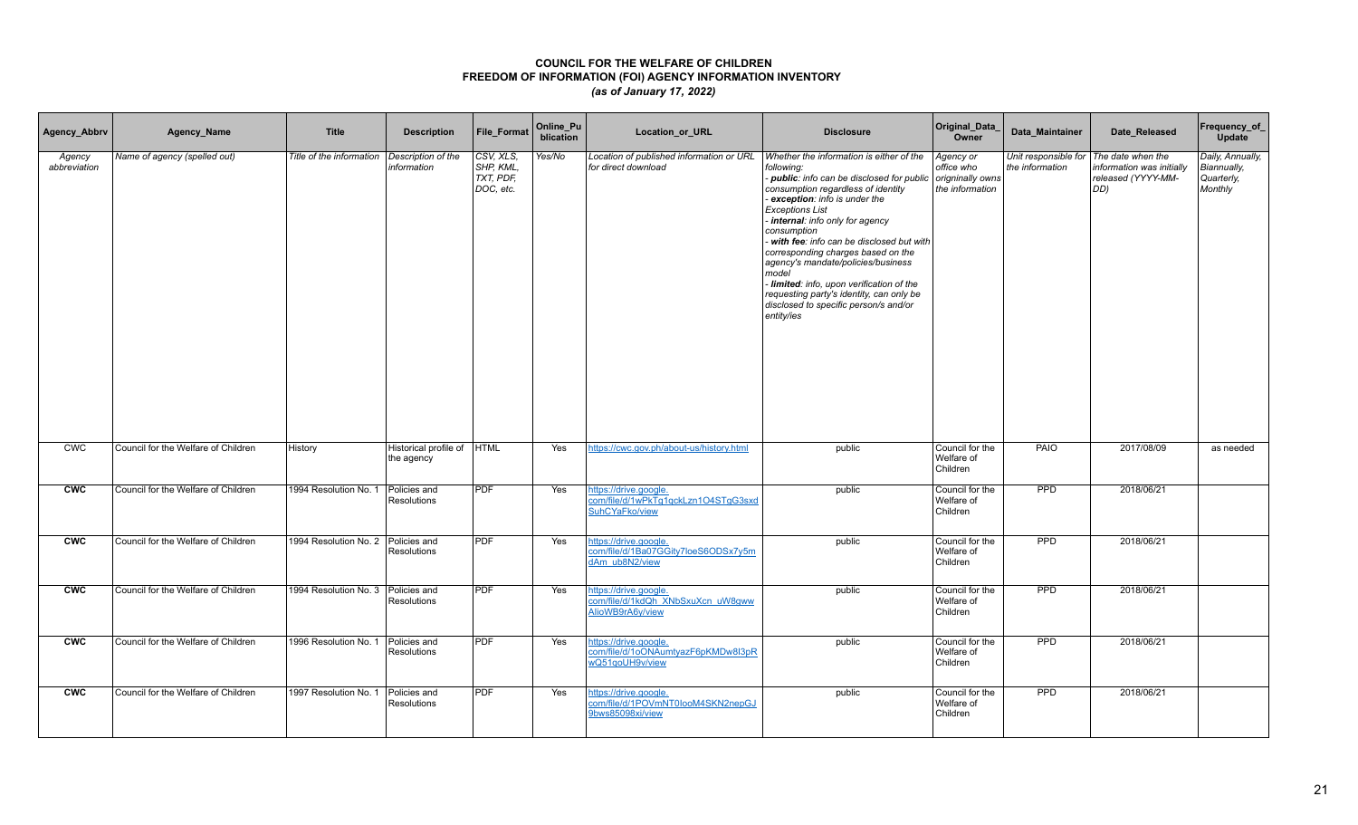| Agency_Abbrv           | Agency_Name                         | <b>Title</b>                       | <b>Description</b>                       | <b>File Format</b>                               | Online_Pu<br>blication | Location_or_URL                                                                | <b>Disclosure</b>                                                                                                                                                                                                                                                                                                                                                                                                                                                                                                                        | Original_Data_<br>Owner                                        | Data Maintainer                                             | Date_Released                                          | Frequency_of_<br>Update                                  |
|------------------------|-------------------------------------|------------------------------------|------------------------------------------|--------------------------------------------------|------------------------|--------------------------------------------------------------------------------|------------------------------------------------------------------------------------------------------------------------------------------------------------------------------------------------------------------------------------------------------------------------------------------------------------------------------------------------------------------------------------------------------------------------------------------------------------------------------------------------------------------------------------------|----------------------------------------------------------------|-------------------------------------------------------------|--------------------------------------------------------|----------------------------------------------------------|
| Agency<br>abbreviation | Name of agency (spelled out)        | Title of the information           | Description of the<br>information        | CSV, XLS,<br>SHP, KML,<br>TXT, PDF,<br>DOC, etc. | Yes/No                 | Location of published information or URL<br>for direct download                | Whether the information is either of the<br>following:<br>- public: info can be disclosed for public<br>consumption regardless of identity<br>exception: info is under the<br><b>Exceptions List</b><br>internal: info only for agency<br>consumption<br>- with fee: info can be disclosed but with<br>corresponding charges based on the<br>agency's mandate/policies/business<br>model<br>- limited: info, upon verification of the<br>requesting party's identity, can only be<br>disclosed to specific person/s and/or<br>entity/ies | Agency or<br>office who<br>origninally owns<br>the information | Unit responsible for   The date when the<br>the information | information was initially<br>released (YYYY-MM-<br>DD) | Daily, Annually,<br>Biannually,<br>Quarterly,<br>Monthly |
| <b>CWC</b>             | Council for the Welfare of Children | History                            | Historical profile of HTML<br>the agency |                                                  | Yes                    | https://cwc.gov.ph/about-us/history.html                                       | public                                                                                                                                                                                                                                                                                                                                                                                                                                                                                                                                   | Council for the<br>Welfare of<br>Children                      | PAIO                                                        | 2017/08/09                                             | as needed                                                |
| <b>CWC</b>             | Council for the Welfare of Children | 1994 Resolution No. 1              | Policies and<br><b>Resolutions</b>       | <b>PDF</b>                                       | Yes                    | https://drive.google.<br>com/file/d/1wPkTq1qckLzn1O4STqG3sxd<br>SuhCYaFko/view | public                                                                                                                                                                                                                                                                                                                                                                                                                                                                                                                                   | Council for the<br>Welfare of<br>Children                      | <b>PPD</b>                                                  | 2018/06/21                                             |                                                          |
| <b>CWC</b>             | Council for the Welfare of Children | 1994 Resolution No. 2 Policies and | <b>Resolutions</b>                       | <b>PDF</b>                                       | Yes                    | https://drive.google.<br>com/file/d/1Ba07GGity7loeS6ODSx7y5m<br>dAm ub8N2/view | public                                                                                                                                                                                                                                                                                                                                                                                                                                                                                                                                   | Council for the<br>Welfare of<br>Children                      | PPD                                                         | 2018/06/21                                             |                                                          |
| <b>CWC</b>             | Council for the Welfare of Children | 1994 Resolution No. 3 Policies and | <b>Resolutions</b>                       | <b>PDF</b>                                       | Yes                    | https://drive.google.<br>com/file/d/1kdQh XNbSxuXcn uW8qww<br>AlioWB9rA6y/view | public                                                                                                                                                                                                                                                                                                                                                                                                                                                                                                                                   | Council for the<br>Welfare of<br>Children                      | PPD                                                         | 2018/06/21                                             |                                                          |
| <b>CWC</b>             | Council for the Welfare of Children | 1996 Resolution No. 1 Policies and | Resolutions                              | <b>PDF</b>                                       | Yes                    | https://drive.google.<br>com/file/d/1oONAumtyazF6pKMDw8I3pR<br>wQ51qoUH9v/view | public                                                                                                                                                                                                                                                                                                                                                                                                                                                                                                                                   | Council for the<br>Welfare of<br>Children                      | <b>PPD</b>                                                  | 2018/06/21                                             |                                                          |
| <b>CWC</b>             | Council for the Welfare of Children | 1997 Resolution No. 1              | Policies and<br><b>Resolutions</b>       | <b>PDF</b>                                       | Yes                    | nttps://drive.google.<br>com/file/d/1POVmNT0looM4SKN2nepGJ<br>9bws85098xi/view | public                                                                                                                                                                                                                                                                                                                                                                                                                                                                                                                                   | Council for the<br>Welfare of<br>Children                      | PPD                                                         | 2018/06/21                                             |                                                          |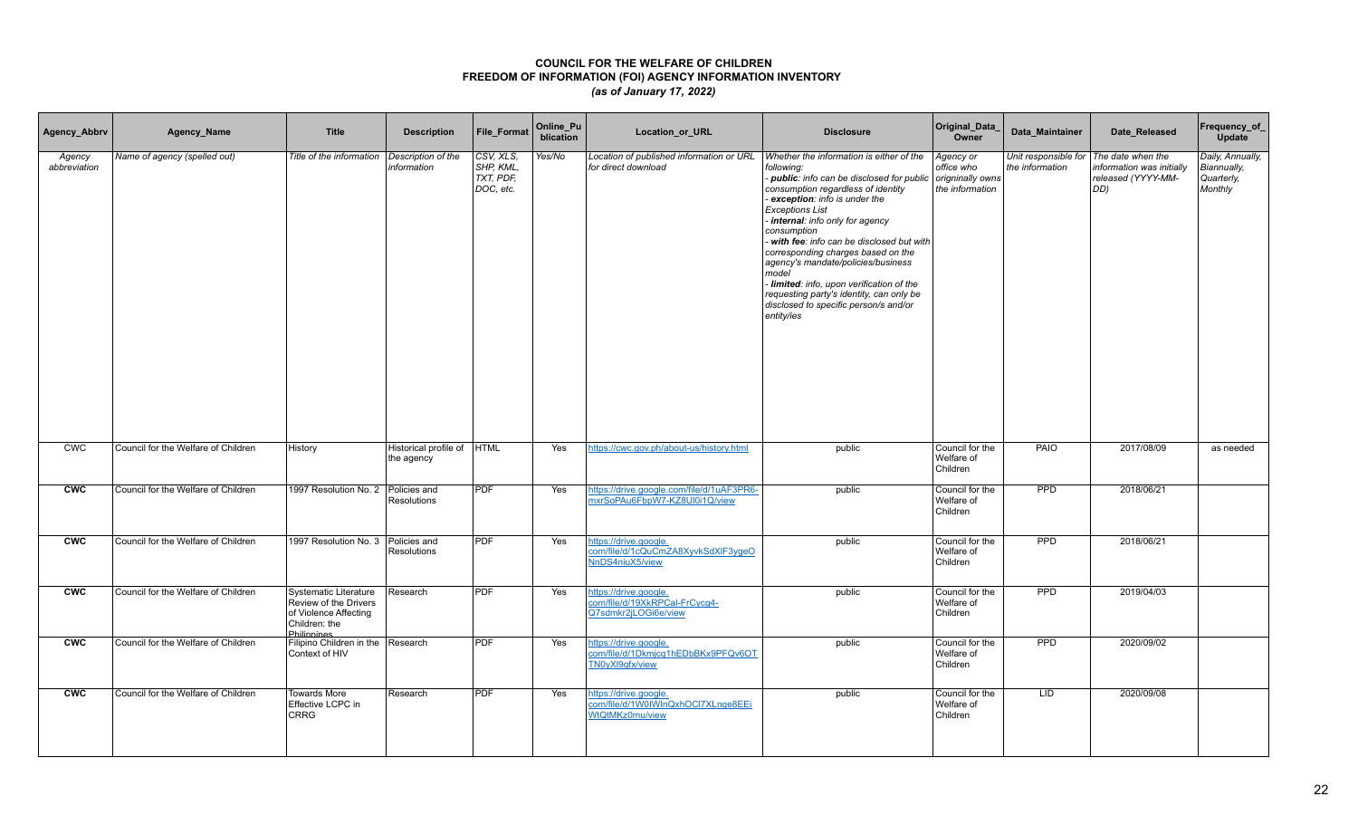| Agency_Abbrv           | Agency_Name                         | <b>Title</b>                                                                                                          | <b>Description</b>                       | <b>File Format</b>                               | Online_Pu<br>blication | Location_or_URL                                                                | <b>Disclosure</b>                                                                                                                                                                                                                                                                                                                                                                                                                                                                                                                      | Original_Data_<br>Owner                                        | Data Maintainer                         | Date_Released                                                               | Frequency_of_<br>Update                                  |
|------------------------|-------------------------------------|-----------------------------------------------------------------------------------------------------------------------|------------------------------------------|--------------------------------------------------|------------------------|--------------------------------------------------------------------------------|----------------------------------------------------------------------------------------------------------------------------------------------------------------------------------------------------------------------------------------------------------------------------------------------------------------------------------------------------------------------------------------------------------------------------------------------------------------------------------------------------------------------------------------|----------------------------------------------------------------|-----------------------------------------|-----------------------------------------------------------------------------|----------------------------------------------------------|
| Agency<br>abbreviation | Name of agency (spelled out)        | Title of the information                                                                                              | Description of the<br>information        | CSV, XLS,<br>SHP, KML,<br>TXT, PDF,<br>DOC, etc. | Yes/No                 | Location of published information or URL<br>for direct download                | Whether the information is either of the<br>following:<br>- public: info can be disclosed for public<br>consumption regardless of identity<br>exception: info is under the<br><b>Exceptions List</b><br>internal: info only for agency<br>consumption<br>with fee: info can be disclosed but with<br>corresponding charges based on the<br>agency's mandate/policies/business<br>model<br>- limited: info, upon verification of the<br>requesting party's identity, can only be<br>disclosed to specific person/s and/or<br>entity/ies | Agency or<br>office who<br>origninally owns<br>the information | Unit responsible for<br>the information | The date when the<br>information was initially<br>released (YYYY-MM-<br>DD) | Daily, Annually,<br>Biannually,<br>Quarterly,<br>Monthly |
| <b>CWC</b>             | Council for the Welfare of Children | History                                                                                                               | Historical profile of HTML<br>the agency |                                                  | Yes                    | https://cwc.gov.ph/about-us/history.html                                       | public                                                                                                                                                                                                                                                                                                                                                                                                                                                                                                                                 | Council for the<br>Welfare of<br>Children                      | <b>PAIO</b>                             | 2017/08/09                                                                  | as needed                                                |
| <b>CWC</b>             | Council for the Welfare of Children | 1997 Resolution No. 2 Policies and                                                                                    | <b>Resolutions</b>                       | <b>PDF</b>                                       | Yes                    | https://drive.google.com/file/d/1uAF3PR6-<br>mxrSoPAu6FbpW7-KZ8Ul0i1Q/view     | public                                                                                                                                                                                                                                                                                                                                                                                                                                                                                                                                 | Council for the<br>Welfare of<br>Children                      | <b>PPD</b>                              | 2018/06/21                                                                  |                                                          |
| <b>CWC</b>             | Council for the Welfare of Children | 1997 Resolution No. 3 Policies and                                                                                    | <b>Resolutions</b>                       | <b>PDF</b>                                       | Yes                    | nttps://drive.google.<br>com/file/d/1cQuCmZA8XyvkSdXIF3ygeO<br>NnDS4niuX5/view | public                                                                                                                                                                                                                                                                                                                                                                                                                                                                                                                                 | Council for the<br>Welfare of<br>Children                      | <b>PPD</b>                              | 2018/06/21                                                                  |                                                          |
| <b>CWC</b>             | Council for the Welfare of Children | <b>Systematic Literature</b><br>Review of the Drivers<br>of Violence Affecting<br>Children: the<br><b>Philippines</b> | Research                                 | PDF                                              | Yes                    | nttps://drive.google.<br>com/file/d/19XkRPCal-FrCycq4-<br>Q7sdmkr2jLOGi6e/view | public                                                                                                                                                                                                                                                                                                                                                                                                                                                                                                                                 | Council for the<br>Welfare of<br>Children                      | PPD                                     | 2019/04/03                                                                  |                                                          |
| <b>CWC</b>             | Council for the Welfare of Children | Filipino Children in the Research<br>Context of HIV                                                                   |                                          | <b>PDF</b>                                       | Yes                    | nttps://drive.google.<br>com/file/d/1Dkmjcq1hEDbBKx9PFQv6OT<br>TN0yXl9qfx/view | public                                                                                                                                                                                                                                                                                                                                                                                                                                                                                                                                 | Council for the<br>Welfare of<br>Children                      | <b>PPD</b>                              | 2020/09/02                                                                  |                                                          |
| <b>CWC</b>             | Council for the Welfare of Children | <b>Towards More</b><br>Effective LCPC in<br><b>CRRG</b>                                                               | Research                                 | <b>PDF</b>                                       | Yes                    | https://drive.google.<br>com/file/d/1W0IWInQxhOCI7XLnge8EEi<br>WtQtMKz0mu/view | public                                                                                                                                                                                                                                                                                                                                                                                                                                                                                                                                 | Council for the<br>Welfare of<br>Children                      | LID                                     | 2020/09/08                                                                  |                                                          |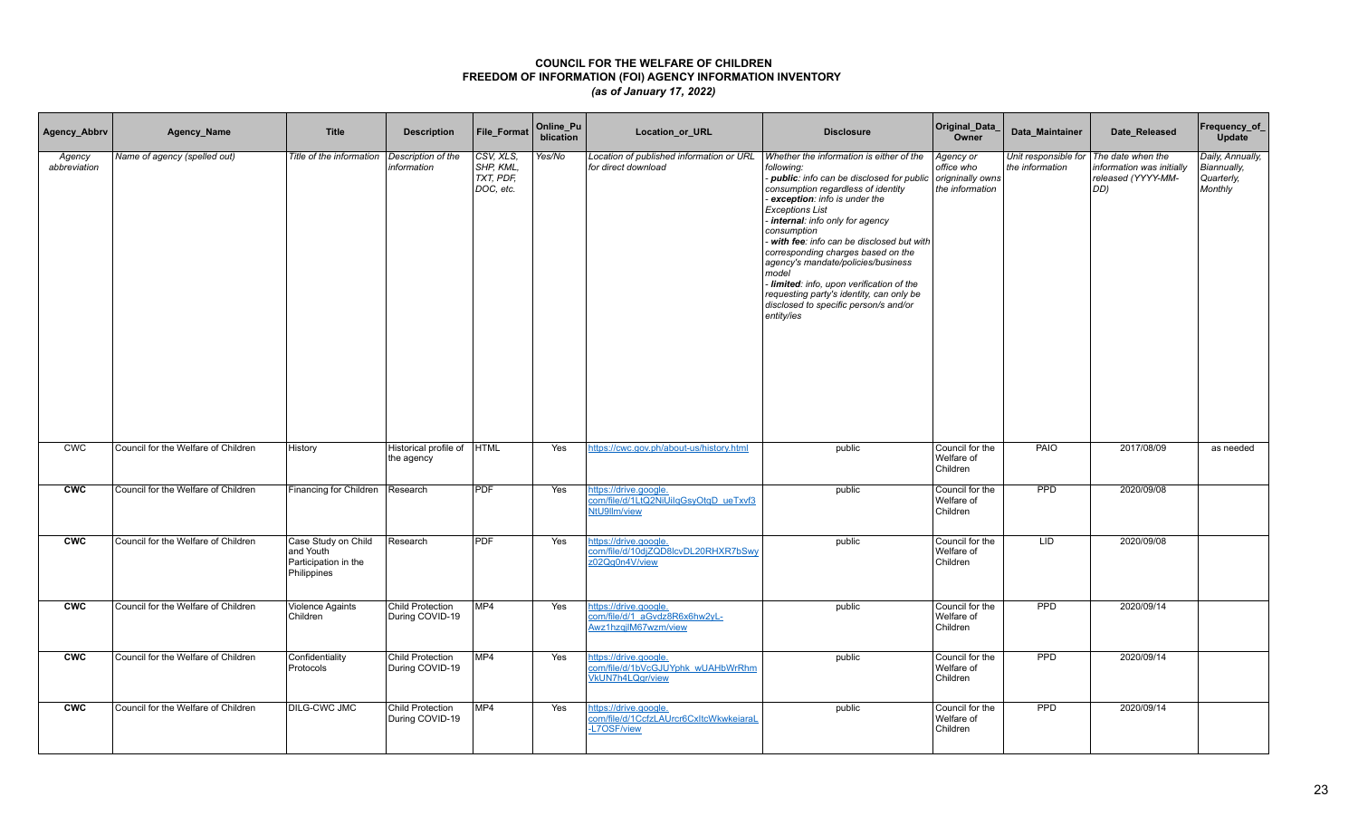| Agency_Abbrv           | Agency_Name                         | <b>Title</b>                                                            | <b>Description</b>                         | <b>File Format</b>                               | Online_Pu<br>blication | Location_or_URL                                                                       | <b>Disclosure</b>                                                                                                                                                                                                                                                                                                                                                                                                                                                                                                                      | Original_Data<br>Owner                                         | Data Maintainer | Date Released                                                                                      | Frequency_of_<br>Update                                  |
|------------------------|-------------------------------------|-------------------------------------------------------------------------|--------------------------------------------|--------------------------------------------------|------------------------|---------------------------------------------------------------------------------------|----------------------------------------------------------------------------------------------------------------------------------------------------------------------------------------------------------------------------------------------------------------------------------------------------------------------------------------------------------------------------------------------------------------------------------------------------------------------------------------------------------------------------------------|----------------------------------------------------------------|-----------------|----------------------------------------------------------------------------------------------------|----------------------------------------------------------|
| Agency<br>abbreviation | Name of agency (spelled out)        | Title of the information                                                | Description of the<br>information          | CSV, XLS.<br>SHP, KML,<br>TXT. PDF.<br>DOC, etc. | Yes/No                 | Location of published information or URL<br>for direct download                       | Whether the information is either of the<br>following:<br>- public: info can be disclosed for public<br>consumption regardless of identity<br>exception: info is under the<br><b>Exceptions List</b><br>internal: info only for agency<br>consumption<br>with fee: info can be disclosed but with<br>corresponding charges based on the<br>agency's mandate/policies/business<br>model<br>- limited: info, upon verification of the<br>requesting party's identity, can only be<br>disclosed to specific person/s and/or<br>entity/ies | Agency or<br>office who<br>origninally owns<br>the information | the information | Unit responsible for   The date when the<br>information was initially<br>released (YYYY-MM-<br>DD) | Daily, Annually,<br>Biannually,<br>Quarterly,<br>Monthly |
| <b>CWC</b>             | Council for the Welfare of Children | History                                                                 | Historical profile of  HTML<br>the agency  |                                                  | Yes                    | https://cwc.gov.ph/about-us/history.html                                              | public                                                                                                                                                                                                                                                                                                                                                                                                                                                                                                                                 | Council for the<br>Welfare of<br>Children                      | PAIO            | 2017/08/09                                                                                         | as needed                                                |
| <b>CWC</b>             | Council for the Welfare of Children | Financing for Children                                                  | Research                                   | <b>PDF</b>                                       | Yes                    | https://drive.google.<br>com/file/d/1LtQ2NiUilqGsyOtqD_ueTxvf3<br>NtU9llm/view        | public                                                                                                                                                                                                                                                                                                                                                                                                                                                                                                                                 | Council for the<br>Welfare of<br>Children                      | PPD             | 2020/09/08                                                                                         |                                                          |
| <b>CWC</b>             | Council for the Welfare of Children | Case Study on Child<br>and Youth<br>Participation in the<br>Philippines | Research                                   | <b>PDF</b>                                       | Yes                    | nttps://drive.google.<br>com/file/d/10djZQD8lcvDL20RHXR7bSwy<br>z02Qq0n4V/view        | public                                                                                                                                                                                                                                                                                                                                                                                                                                                                                                                                 | Council for the<br>Welfare of<br>Children                      | <b>LID</b>      | 2020/09/08                                                                                         |                                                          |
| <b>CWC</b>             | Council for the Welfare of Children | <b>Violence Againts</b><br>Children                                     | <b>Child Protection</b><br>During COVID-19 | MP4                                              | Yes                    | https://drive.google.<br>com/file/d/1 aGvdz8R6x6hw2yL-<br>Awz1hzgjlM67wzm/view        | public                                                                                                                                                                                                                                                                                                                                                                                                                                                                                                                                 | Council for the<br>Welfare of<br>Children                      | <b>PPD</b>      | 2020/09/14                                                                                         |                                                          |
| <b>CWC</b>             | Council for the Welfare of Children | Confidentiality<br>Protocols                                            | <b>Child Protection</b><br>During COVID-19 | MP4                                              | Yes                    | https://drive.google.<br>com/file/d/1bVcGJUYphk_wUAHbWrRhm<br><b>VkUN7h4LQgr/view</b> | public                                                                                                                                                                                                                                                                                                                                                                                                                                                                                                                                 | Council for the<br>Welfare of<br>Children                      | <b>PPD</b>      | 2020/09/14                                                                                         |                                                          |
| <b>CWC</b>             | Council for the Welfare of Children | <b>DILG-CWC JMC</b>                                                     | Child Protection<br>During COVID-19        | MP4                                              | Yes                    | https://drive.google.<br>com/file/d/1CcfzLAUrcr6CxItcWkwkeiaraL<br><b>L7OSF/view</b>  | public                                                                                                                                                                                                                                                                                                                                                                                                                                                                                                                                 | Council for the<br>Welfare of<br>Children                      | PPD             | 2020/09/14                                                                                         |                                                          |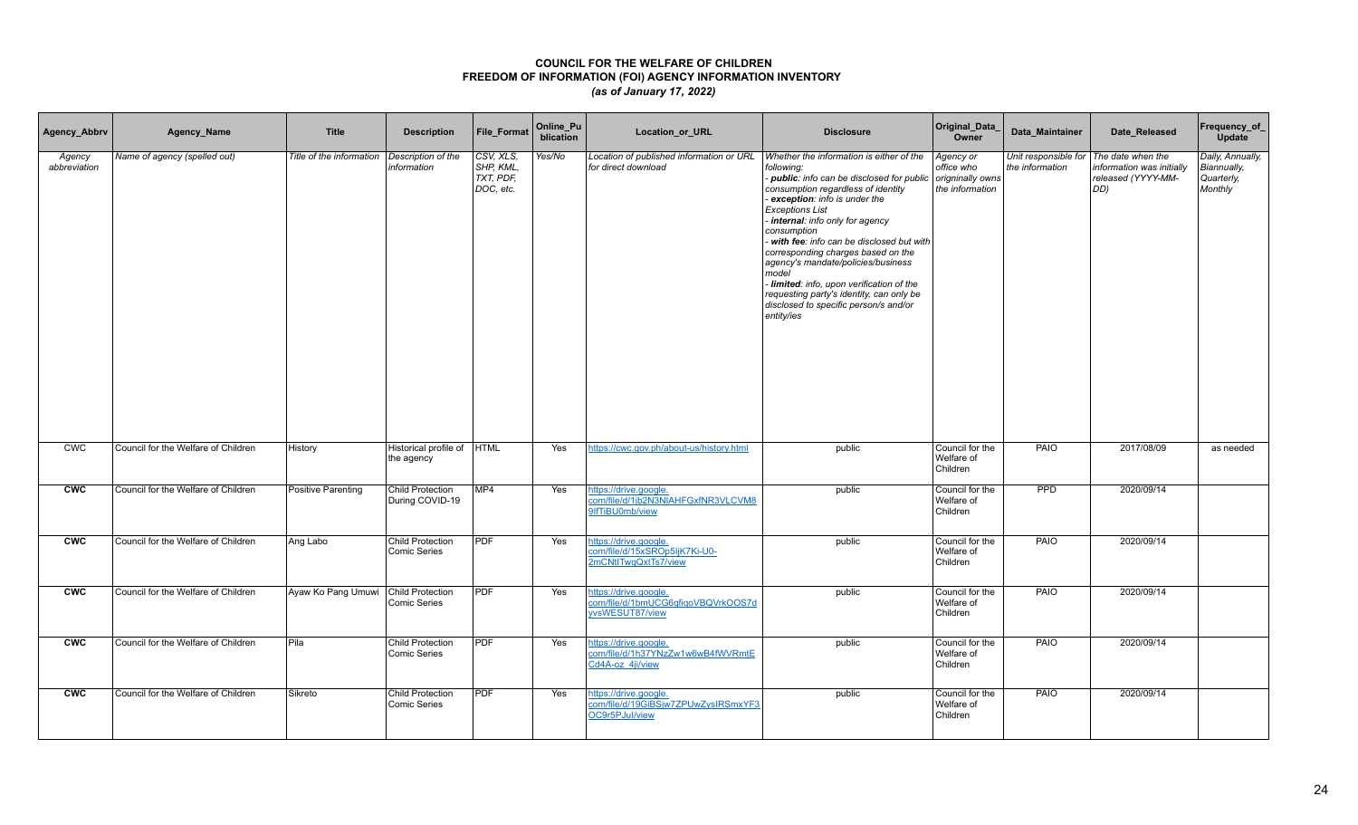| Agency_Abbrv           | Agency_Name                         | <b>Title</b>                        | <b>Description</b>                      | <b>File Format</b>                               | Online_Pu<br>blication | Location_or_URL                                                                | <b>Disclosure</b>                                                                                                                                                                                                                                                                                                                                                                                                                                                                                                                 | Original_Data_<br>Owner                                        | Data Maintainer                                           | Date Released                                          | Frequency_of_<br>Update                                  |
|------------------------|-------------------------------------|-------------------------------------|-----------------------------------------|--------------------------------------------------|------------------------|--------------------------------------------------------------------------------|-----------------------------------------------------------------------------------------------------------------------------------------------------------------------------------------------------------------------------------------------------------------------------------------------------------------------------------------------------------------------------------------------------------------------------------------------------------------------------------------------------------------------------------|----------------------------------------------------------------|-----------------------------------------------------------|--------------------------------------------------------|----------------------------------------------------------|
| Agency<br>abbreviation | Name of agency (spelled out)        | Title of the information            | Description of the<br>information       | CSV, XLS,<br>SHP, KML,<br>TXT, PDF,<br>DOC, etc. | Yes/No                 | Location of published information or URL<br>for direct download                | Whether the information is either of the<br>following:<br>- public: info can be disclosed for public<br>consumption regardless of identity<br>exception: info is under the<br>Exceptions List<br>internal: info only for agency<br>consumption<br>- with fee: info can be disclosed but with<br>corresponding charges based on the<br>agency's mandate/policies/business<br>model<br>- limited: info, upon verification of the<br>requesting party's identity, can only be<br>disclosed to specific person/s and/or<br>entity/ies | Agency or<br>office who<br>origninally owns<br>the information | Unit responsible for The date when the<br>the information | information was initially<br>released (YYYY-MM-<br>DD) | Daily, Annually,<br>Biannually,<br>Quarterly,<br>Monthly |
| <b>CWC</b>             | Council for the Welfare of Children | History                             | Historical profile of<br>the agency     | <b>HTML</b>                                      | Yes                    | https://cwc.gov.ph/about-us/history.html                                       | public                                                                                                                                                                                                                                                                                                                                                                                                                                                                                                                            | Council for the<br>Welfare of<br>Children                      | PAIO                                                      | 2017/08/09                                             | as needed                                                |
| <b>CWC</b>             | Council for the Welfare of Children | <b>Positive Parenting</b>           | Child Protection<br>During COVID-19     | MP <sub>4</sub>                                  | Yes                    | https://drive.google.<br>com/file/d/1jb2N3NIAHFGxfNR3VLCVM8<br>9IfTiBU0mb/view | public                                                                                                                                                                                                                                                                                                                                                                                                                                                                                                                            | Council for the<br>Welfare of<br>Children                      | <b>PPD</b>                                                | 2020/09/14                                             |                                                          |
| <b>CWC</b>             | Council for the Welfare of Children | Ang Labo                            | <b>Child Protection</b><br>Comic Series | <b>PDF</b>                                       | Yes                    | https://drive.google.<br>com/file/d/15xSROp5ljK7Ki-U0-<br>2mCNtlTwgQxtTs7/view | public                                                                                                                                                                                                                                                                                                                                                                                                                                                                                                                            | Council for the<br>Welfare of<br>Children                      | PAIO                                                      | 2020/09/14                                             |                                                          |
| <b>CWC</b>             | Council for the Welfare of Children | Ayaw Ko Pang Umuwi Child Protection | Comic Series                            | <b>PDF</b>                                       | Yes                    | https://drive.google.<br>com/file/d/1bmUCG6qfiqoVBQVrkOOS7d<br>yvsWESUT87/view | public                                                                                                                                                                                                                                                                                                                                                                                                                                                                                                                            | Council for the<br>Welfare of<br>Children                      | PAIO                                                      | 2020/09/14                                             |                                                          |
| <b>CWC</b>             | Council for the Welfare of Children | Pila                                | <b>Child Protection</b><br>Comic Series | <b>PDF</b>                                       | Yes                    | https://drive.google.<br>com/file/d/1h37YNzZw1w6wB4fWVRmtE<br>Cd4A-oz 4ji/view | public                                                                                                                                                                                                                                                                                                                                                                                                                                                                                                                            | Council for the<br>Welfare of<br>Children                      | <b>PAIO</b>                                               | 2020/09/14                                             |                                                          |
| <b>CWC</b>             | Council for the Welfare of Children | Sikreto                             | <b>Child Protection</b><br>Comic Series | <b>PDF</b>                                       | Yes                    | https://drive.google.<br>com/file/d/19GiBSjw7ZPUwZysIRSmxYF3<br>OC9r5PJul/view | public                                                                                                                                                                                                                                                                                                                                                                                                                                                                                                                            | Council for the<br>Welfare of<br>Children                      | PAIO                                                      | 2020/09/14                                             |                                                          |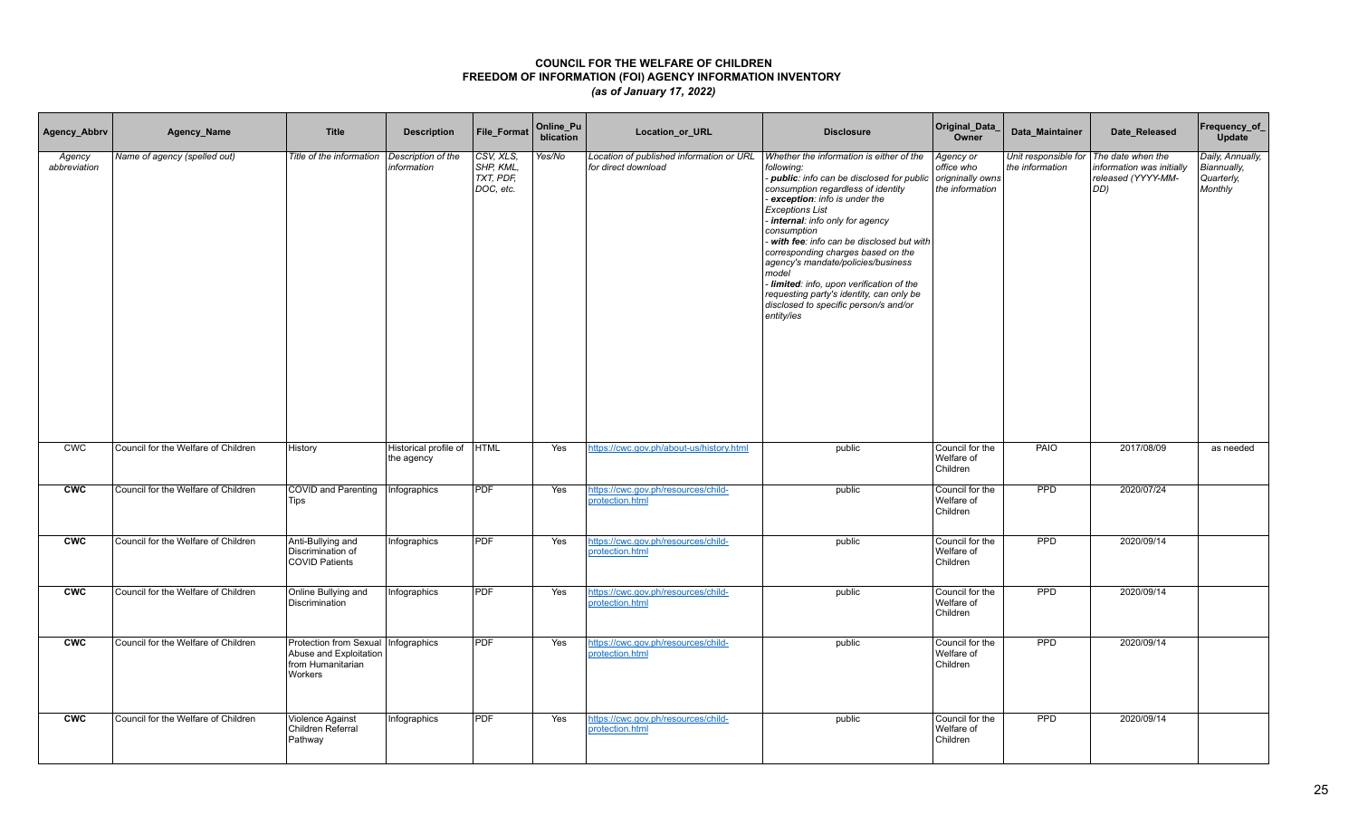| Agency_Abbrv           | Agency_Name                         | <b>Title</b>                                                                                    | <b>Description</b>                  | File_Format                                                    | Online_Pu<br>blication | Location_or_URL                                                 | <b>Disclosure</b>                                                                                                                                                                                                                                                                                                                                                                                                                                                                                                                          | Original_Data_<br>Owner                                        | Data_Maintainer | Date_Released                                                                                    | Frequency_of_<br>Update                                         |
|------------------------|-------------------------------------|-------------------------------------------------------------------------------------------------|-------------------------------------|----------------------------------------------------------------|------------------------|-----------------------------------------------------------------|--------------------------------------------------------------------------------------------------------------------------------------------------------------------------------------------------------------------------------------------------------------------------------------------------------------------------------------------------------------------------------------------------------------------------------------------------------------------------------------------------------------------------------------------|----------------------------------------------------------------|-----------------|--------------------------------------------------------------------------------------------------|-----------------------------------------------------------------|
| Agency<br>abbreviation | Name of agency (spelled out)        | Title of the information                                                                        | Description of the<br>information   | CSV, XLS.<br>SHP, KML,<br>$\overline{TXT}$ , PDF,<br>DOC, etc. | Yes/No                 | Location of published information or URL<br>for direct download | Whether the information is either of the<br>following:<br>- public: info can be disclosed for public<br>consumption regardless of identity<br>exception: info is under the<br><b>Exceptions List</b><br>- internal: info only for agency<br>consumption<br>- with fee: info can be disclosed but with<br>corresponding charges based on the<br>agency's mandate/policies/business<br>model<br>- limited: info, upon verification of the<br>requesting party's identity, can only be<br>disclosed to specific person/s and/or<br>entity/ies | Agency or<br>office who<br>origninally owns<br>the information | the information | Unit responsible for The date when the<br>information was initially<br>released (YYYY-MM-<br>DD) | Daily, Annually,<br><b>Biannually,</b><br>Quarterly,<br>Monthly |
| <b>CWC</b>             | Council for the Welfare of Children | History                                                                                         | Historical profile of<br>the agency | <b>HTML</b>                                                    | Yes                    | https://cwc.gov.ph/about-us/history.html                        | public                                                                                                                                                                                                                                                                                                                                                                                                                                                                                                                                     | Council for the<br>Welfare of<br>Children                      | <b>PAIO</b>     | 2017/08/09                                                                                       | as needed                                                       |
| cw                     | Council for the Welfare of Children | <b>COVID</b> and Parenting<br><b>Tips</b>                                                       | Infographics                        | <b>PDF</b>                                                     | Yes                    | https://cwc.gov.ph/resources/child-<br>protection.html          | public                                                                                                                                                                                                                                                                                                                                                                                                                                                                                                                                     | Council for the<br>Welfare of<br>Children                      | <b>PPD</b>      | 2020/07/24                                                                                       |                                                                 |
| <b>CWC</b>             | Council for the Welfare of Children | Anti-Bullying and<br>Discrimination of<br><b>COVID Patients</b>                                 | Infographics                        | <b>PDF</b>                                                     | Yes                    | https://cwc.gov.ph/resources/child-<br>protection.html          | public                                                                                                                                                                                                                                                                                                                                                                                                                                                                                                                                     | Council for the<br>Welfare of<br>Children                      | PPD             | 2020/09/14                                                                                       |                                                                 |
| <b>CWC</b>             | Council for the Welfare of Children | Online Bullying and<br>Discrimination                                                           | Infographics                        | PDF                                                            | Yes                    | https://cwc.gov.ph/resources/child-<br>protection.html          | public                                                                                                                                                                                                                                                                                                                                                                                                                                                                                                                                     | Council for the<br>Welfare of<br>Children                      | PPD             | 2020/09/14                                                                                       |                                                                 |
| CWC                    | Council for the Welfare of Children | Protection from Sexual   Infographics<br>Abuse and Exploitation<br>from Humanitarian<br>Workers |                                     | <b>PDF</b>                                                     | Yes                    | https://cwc.gov.ph/resources/child-<br>protection.html          | public                                                                                                                                                                                                                                                                                                                                                                                                                                                                                                                                     | Council for the<br>Welfare of<br>Children                      | <b>PPD</b>      | 2020/09/14                                                                                       |                                                                 |
| <b>CWC</b>             | Council for the Welfare of Children | Violence Against<br>Children Referral<br>Pathway                                                | Infographics                        | PDF                                                            | Yes                    | https://cwc.gov.ph/resources/child-<br>protection.html          | public                                                                                                                                                                                                                                                                                                                                                                                                                                                                                                                                     | Council for the<br>Welfare of<br>Children                      | PPD             | 2020/09/14                                                                                       |                                                                 |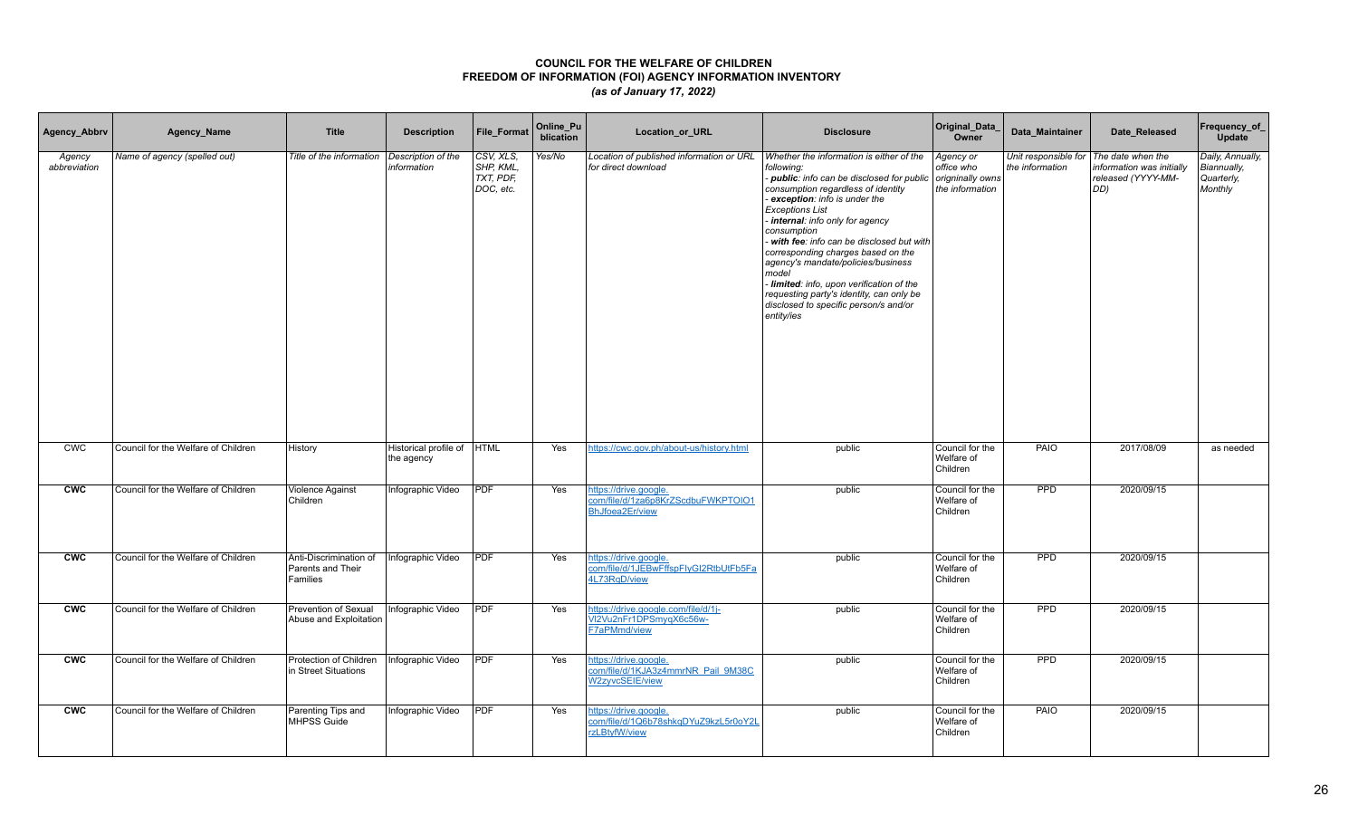| Agency_Abbrv           | Agency_Name                         | <b>Title</b>                                            | <b>Description</b>                       | File_Format                                     | Online_Pu<br>blication | Location_or_URL                                                                       | <b>Disclosure</b>                                                                                                                                                                                                                                                                                                                                                                                                                                                                                                                        | Original_Data_<br>Owner                                        | Data Maintainer | Date Released                                                                                    | Frequency_of_<br>Update                                  |
|------------------------|-------------------------------------|---------------------------------------------------------|------------------------------------------|-------------------------------------------------|------------------------|---------------------------------------------------------------------------------------|------------------------------------------------------------------------------------------------------------------------------------------------------------------------------------------------------------------------------------------------------------------------------------------------------------------------------------------------------------------------------------------------------------------------------------------------------------------------------------------------------------------------------------------|----------------------------------------------------------------|-----------------|--------------------------------------------------------------------------------------------------|----------------------------------------------------------|
| Agency<br>abbreviation | Name of agency (spelled out)        | Title of the information                                | Description of the<br>information        | CSV, XLS.<br>SHP, KML.<br>TXT, PDF<br>DOC, etc. | Yes/No                 | Location of published information or URL<br>for direct download                       | Whether the information is either of the<br>following:<br>- public: info can be disclosed for public<br>consumption regardless of identity<br>exception: info is under the<br><b>Exceptions List</b><br>internal: info only for agency<br>consumption<br>- with fee: info can be disclosed but with<br>corresponding charges based on the<br>agency's mandate/policies/business<br>model<br>- limited: info, upon verification of the<br>requesting party's identity, can only be<br>disclosed to specific person/s and/or<br>entity/ies | Agency or<br>office who<br>origninally owns<br>the information | the information | Unit responsible for The date when the<br>information was initially<br>released (YYYY-MM-<br>DD) | Daily, Annually,<br>Biannually,<br>Quarterly,<br>Monthly |
| <b>CWC</b>             | Council for the Welfare of Children | History                                                 | Historical profile of HTML<br>the agency |                                                 | Yes                    | https://cwc.gov.ph/about-us/history.html                                              | public                                                                                                                                                                                                                                                                                                                                                                                                                                                                                                                                   | Council for the<br>Welfare of<br>Children                      | <b>PAIO</b>     | 2017/08/09                                                                                       | as needed                                                |
| <b>CWC</b>             | Council for the Welfare of Children | Violence Against<br>Children                            | Infographic Video                        | PDF                                             | Yes                    | https://drive.google.<br>com/file/d/1za6p8KrZScdbuFWKPTOIO1<br><b>BhJfoea2Er/view</b> | public                                                                                                                                                                                                                                                                                                                                                                                                                                                                                                                                   | Council for the<br>Welfare of<br>Children                      | <b>PPD</b>      | 2020/09/15                                                                                       |                                                          |
| <b>CWC</b>             | Council for the Welfare of Children | Anti-Discrimination of<br>Parents and Their<br>Families | Infographic Video                        | PDF                                             | Yes                    | nttps://drive.google.<br>com/file/d/1JEBwFffspFlyGl2RtbUtFb5Fa<br>4L73RgD/view        | public                                                                                                                                                                                                                                                                                                                                                                                                                                                                                                                                   | Council for the<br>Welfare of<br>Children                      | <b>PPD</b>      | 2020/09/15                                                                                       |                                                          |
| <b>CWC</b>             | Council for the Welfare of Children | Prevention of Sexual<br>Abuse and Exploitation          | Infographic Video                        | PDF                                             | Yes                    | https://drive.google.com/file/d/1j-<br>VI2Vu2nFr1DPSmyqX6c56w-<br><b>F7aPMmd/view</b> | public                                                                                                                                                                                                                                                                                                                                                                                                                                                                                                                                   | Council for the<br>Welfare of<br>Children                      | <b>PPD</b>      | 2020/09/15                                                                                       |                                                          |
| <b>CWC</b>             | Council for the Welfare of Children | Protection of Children<br>in Street Situations          | Infographic Video                        | PDF                                             | Yes                    | https://drive.google.<br>com/file/d/1KJA3z4mmrNR Pail 9M38C<br>W2zyvcSEIE/view        | public                                                                                                                                                                                                                                                                                                                                                                                                                                                                                                                                   | Council for the<br>Welfare of<br>Children                      | <b>PPD</b>      | 2020/09/15                                                                                       |                                                          |
| <b>CWC</b>             | Council for the Welfare of Children | Parenting Tips and<br>MHPSS Guide                       | Infographic Video                        | <b>PDF</b>                                      | Yes                    | https://drive.google.<br>com/file/d/1Q6b78shkqDYuZ9kzL5r0oY2L<br>rzLBtyfW/view        | public                                                                                                                                                                                                                                                                                                                                                                                                                                                                                                                                   | Council for the<br>Welfare of<br>Children                      | <b>PAIO</b>     | 2020/09/15                                                                                       |                                                          |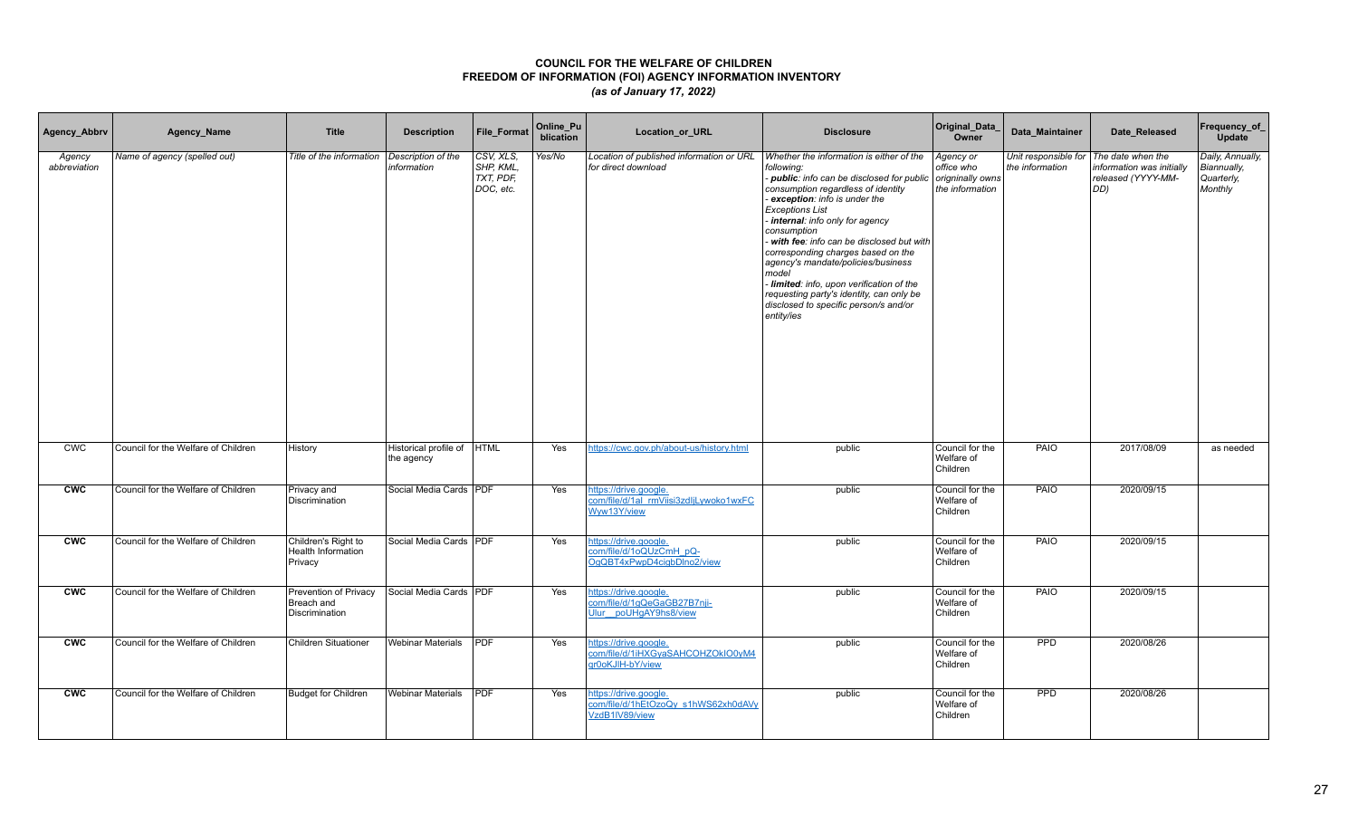| Agency_Abbrv           | Agency_Name                         | <b>Title</b>                                          | <b>Description</b>                       | <b>File Format</b>                                  | Online_Pu<br>blication | Location_or_URL                                                                | <b>Disclosure</b>                                                                                                                                                                                                                                                                                                                                                                                                                                                                                                                        | Original_Data_<br>Owner                                        | Data Maintainer                                           | Date Released                                          | Frequency_of_<br>Update                                  |
|------------------------|-------------------------------------|-------------------------------------------------------|------------------------------------------|-----------------------------------------------------|------------------------|--------------------------------------------------------------------------------|------------------------------------------------------------------------------------------------------------------------------------------------------------------------------------------------------------------------------------------------------------------------------------------------------------------------------------------------------------------------------------------------------------------------------------------------------------------------------------------------------------------------------------------|----------------------------------------------------------------|-----------------------------------------------------------|--------------------------------------------------------|----------------------------------------------------------|
| Agency<br>abbreviation | Name of agency (spelled out)        | Title of the information                              | Description of the<br>information        | CSV, XLS,<br>SHP, KML,<br>$TXT$ , PDF,<br>DOC, etc. | Yes/No                 | Location of published information or URL<br>for direct download                | Whether the information is either of the<br>following:<br>- public: info can be disclosed for public<br>consumption regardless of identity<br>exception: info is under the<br><b>Exceptions List</b><br>internal: info only for agency<br>consumption<br>- with fee: info can be disclosed but with<br>corresponding charges based on the<br>agency's mandate/policies/business<br>model<br>- limited: info, upon verification of the<br>requesting party's identity, can only be<br>disclosed to specific person/s and/or<br>entity/ies | Agency or<br>office who<br>origninally owns<br>the information | Unit responsible for The date when the<br>the information | information was initially<br>released (YYYY-MM-<br>DD) | Daily, Annually,<br>Biannually,<br>Quarterly,<br>Monthly |
| <b>CWC</b>             | Council for the Welfare of Children | History                                               | Historical profile of HTML<br>the agency |                                                     | Yes                    | https://cwc.gov.ph/about-us/history.html                                       | public                                                                                                                                                                                                                                                                                                                                                                                                                                                                                                                                   | Council for the<br>Welfare of<br>Children                      | PAIO                                                      | 2017/08/09                                             | as needed                                                |
| <b>CWC</b>             | Council for the Welfare of Children | Privacy and<br><b>Discrimination</b>                  | Social Media Cards   PDF                 |                                                     | Yes                    | https://drive.google.<br>com/file/d/1al_rmViisi3zdljLywoko1wxFC<br>Wyw13Y/view | public                                                                                                                                                                                                                                                                                                                                                                                                                                                                                                                                   | Council for the<br>Welfare of<br>Children                      | <b>PAIO</b>                                               | 2020/09/15                                             |                                                          |
| <b>CWC</b>             | Council for the Welfare of Children | Children's Right to<br>Health Information<br>Privacy  | Social Media Cards PDF                   |                                                     | Yes                    | https://drive.google.<br>com/file/d/1oQUzCmH pQ-<br>OqQBT4xPwpD4ciqbDlno2/view | public                                                                                                                                                                                                                                                                                                                                                                                                                                                                                                                                   | Council for the<br>Welfare of<br>Children                      | PAIO                                                      | 2020/09/15                                             |                                                          |
| <b>CWC</b>             | Council for the Welfare of Children | Prevention of Privacy<br>Breach and<br>Discrimination | Social Media Cards   PDF                 |                                                     | Yes                    | https://drive.google.<br>com/file/d/1gQeGaGB27B7nii-<br>Ulur poUHgAY9hs8/view  | public                                                                                                                                                                                                                                                                                                                                                                                                                                                                                                                                   | Council for the<br>Welfare of<br>Children                      | PAIO                                                      | 2020/09/15                                             |                                                          |
| <b>CWC</b>             | Council for the Welfare of Children | <b>Children Situationer</b>                           | <b>Webinar Materials</b>                 | <b>PDF</b>                                          | Yes                    | https://drive.google.<br>com/file/d/1iHXGyaSAHCOHZOkIO0yM4<br>gr0oKJIH-bY/view | public                                                                                                                                                                                                                                                                                                                                                                                                                                                                                                                                   | Council for the<br>Welfare of<br>Children                      | <b>PPD</b>                                                | 2020/08/26                                             |                                                          |
| <b>CWC</b>             | Council for the Welfare of Children | <b>Budget for Children</b>                            | <b>Webinar Materials</b>                 | <b>PDF</b>                                          | Yes                    | https://drive.google.<br>com/file/d/1hEtOzoQy_s1hWS62xh0dAVy<br>VzdB1IV89/view | public                                                                                                                                                                                                                                                                                                                                                                                                                                                                                                                                   | Council for the<br>Welfare of<br>Children                      | PPD                                                       | 2020/08/26                                             |                                                          |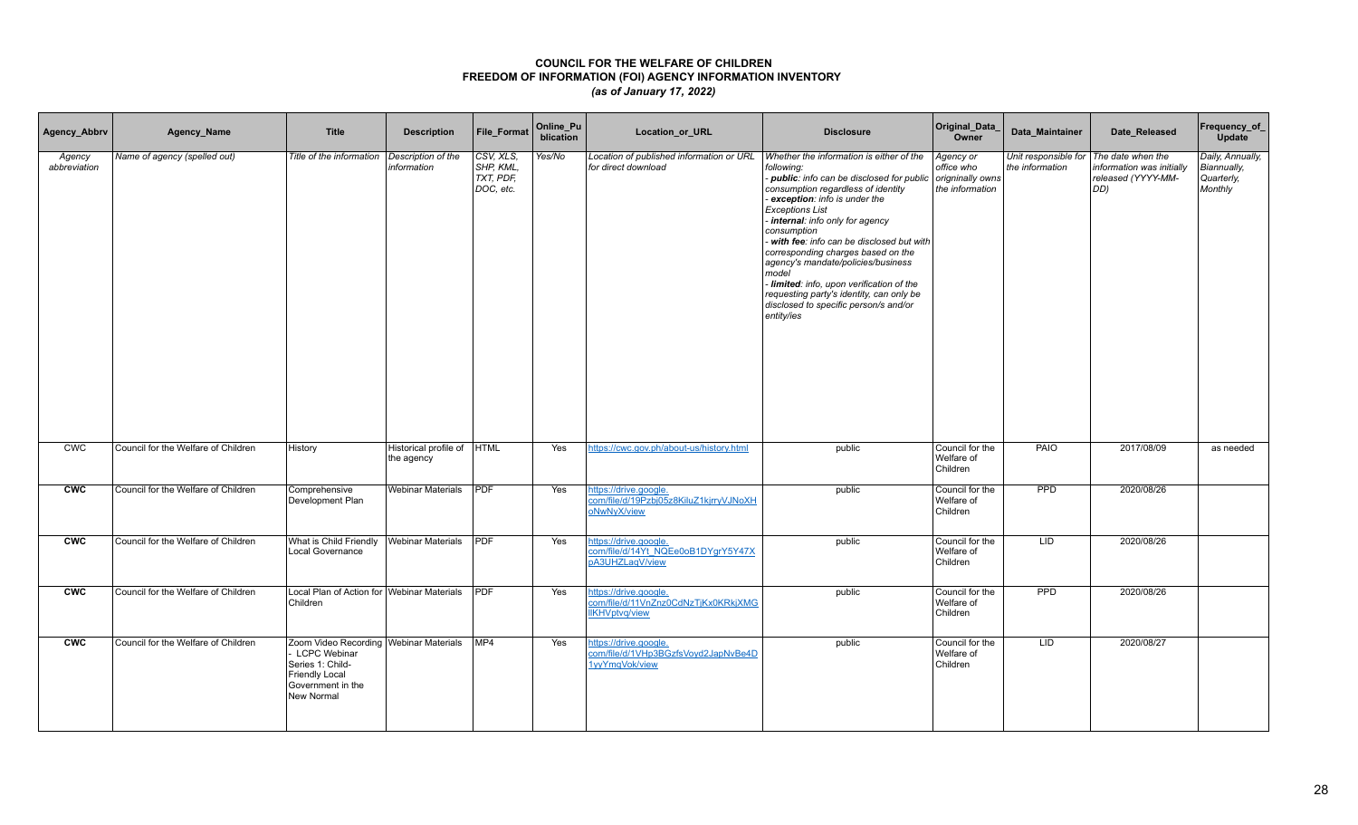| Agency_Abbrv           | Agency_Name                         | <b>Title</b>                                                                                                                               | <b>Description</b>                        | <b>File Format</b>                                  | Online_Pu<br>blication | Location_or_URL                                                                       | <b>Disclosure</b>                                                                                                                                                                                                                                                                                                                                                                                                                                                                                                                        | Original_Data_<br>Owner                                        | Data Maintainer                         | Date Released                                                               | Frequency_of_<br>Update                                  |
|------------------------|-------------------------------------|--------------------------------------------------------------------------------------------------------------------------------------------|-------------------------------------------|-----------------------------------------------------|------------------------|---------------------------------------------------------------------------------------|------------------------------------------------------------------------------------------------------------------------------------------------------------------------------------------------------------------------------------------------------------------------------------------------------------------------------------------------------------------------------------------------------------------------------------------------------------------------------------------------------------------------------------------|----------------------------------------------------------------|-----------------------------------------|-----------------------------------------------------------------------------|----------------------------------------------------------|
| Agency<br>abbreviation | Name of agency (spelled out)        | Title of the information                                                                                                                   | Description of the<br>information         | CSV, XLS,<br>SHP. KML.<br>$TXT$ , PDF,<br>DOC, etc. | Yes/No                 | Location of published information or URL<br>for direct download                       | Whether the information is either of the<br>followina:<br>- public: info can be disclosed for public<br>consumption regardless of identity<br>exception: info is under the<br><b>Exceptions List</b><br>internal: info only for agency<br>consumption<br>- with fee: info can be disclosed but with<br>corresponding charges based on the<br>agency's mandate/policies/business<br>model<br>- limited: info, upon verification of the<br>requesting party's identity, can only be<br>disclosed to specific person/s and/or<br>entity/ies | Agency or<br>office who<br>origninally owns<br>the information | Unit responsible for<br>the information | The date when the<br>information was initially<br>released (YYYY-MM-<br>DD) | Daily, Annually,<br>Biannually,<br>Quarterly,<br>Monthly |
| <b>CWC</b>             | Council for the Welfare of Children | History                                                                                                                                    | Historical profile of  HTML<br>the agency |                                                     | Yes                    | https://cwc.gov.ph/about-us/history.html                                              | public                                                                                                                                                                                                                                                                                                                                                                                                                                                                                                                                   | Council for the<br>Welfare of<br>Children                      | PAIO                                    | 2017/08/09                                                                  | as needed                                                |
| <b>CWC</b>             | Council for the Welfare of Children | Comprehensive<br>Development Plan                                                                                                          | <b>Webinar Materials</b>                  | PDF                                                 | Yes                    | https://drive.google.<br>com/file/d/19Pzbj05z8KiluZ1kjrryVJNoXH<br>oNwNyX/view        | public                                                                                                                                                                                                                                                                                                                                                                                                                                                                                                                                   | Council for the<br>Welfare of<br>Children                      | <b>PPD</b>                              | 2020/08/26                                                                  |                                                          |
| <b>CWC</b>             | Council for the Welfare of Children | What is Child Friendly<br><b>Local Governance</b>                                                                                          | <b>Webinar Materials</b>                  | PDF                                                 | Yes                    | nttps://drive.google.<br>com/file/d/14Yt_NQEe0oB1DYgrY5Y47X<br>pA3UHZLagV/view        | public                                                                                                                                                                                                                                                                                                                                                                                                                                                                                                                                   | Council for the<br>Welfare of<br>Children                      | <b>LID</b>                              | 2020/08/26                                                                  |                                                          |
| <b>CWC</b>             | Council for the Welfare of Children | Local Plan of Action for Webinar Materials<br>Children                                                                                     |                                           | <b>PDF</b>                                          | Yes                    | https://drive.google.<br>com/file/d/11VnZnz0CdNzTjKx0KRkjXMG<br><b>IIKHVptvg/view</b> | public                                                                                                                                                                                                                                                                                                                                                                                                                                                                                                                                   | Council for the<br>Welfare of<br>Children                      | PPD                                     | 2020/08/26                                                                  |                                                          |
| <b>CWC</b>             | Council for the Welfare of Children | Zoom Video Recording   Webinar Materials<br>- LCPC Webinar<br>Series 1: Child-<br><b>Friendly Local</b><br>Government in the<br>New Normal |                                           | MP4                                                 | Yes                    | https://drive.google.<br>com/file/d/1VHp3BGzfsVoyd2JapNvBe4D<br>1yyYmgVok/view        | public                                                                                                                                                                                                                                                                                                                                                                                                                                                                                                                                   | Council for the<br>Welfare of<br>Children                      | LID                                     | 2020/08/27                                                                  |                                                          |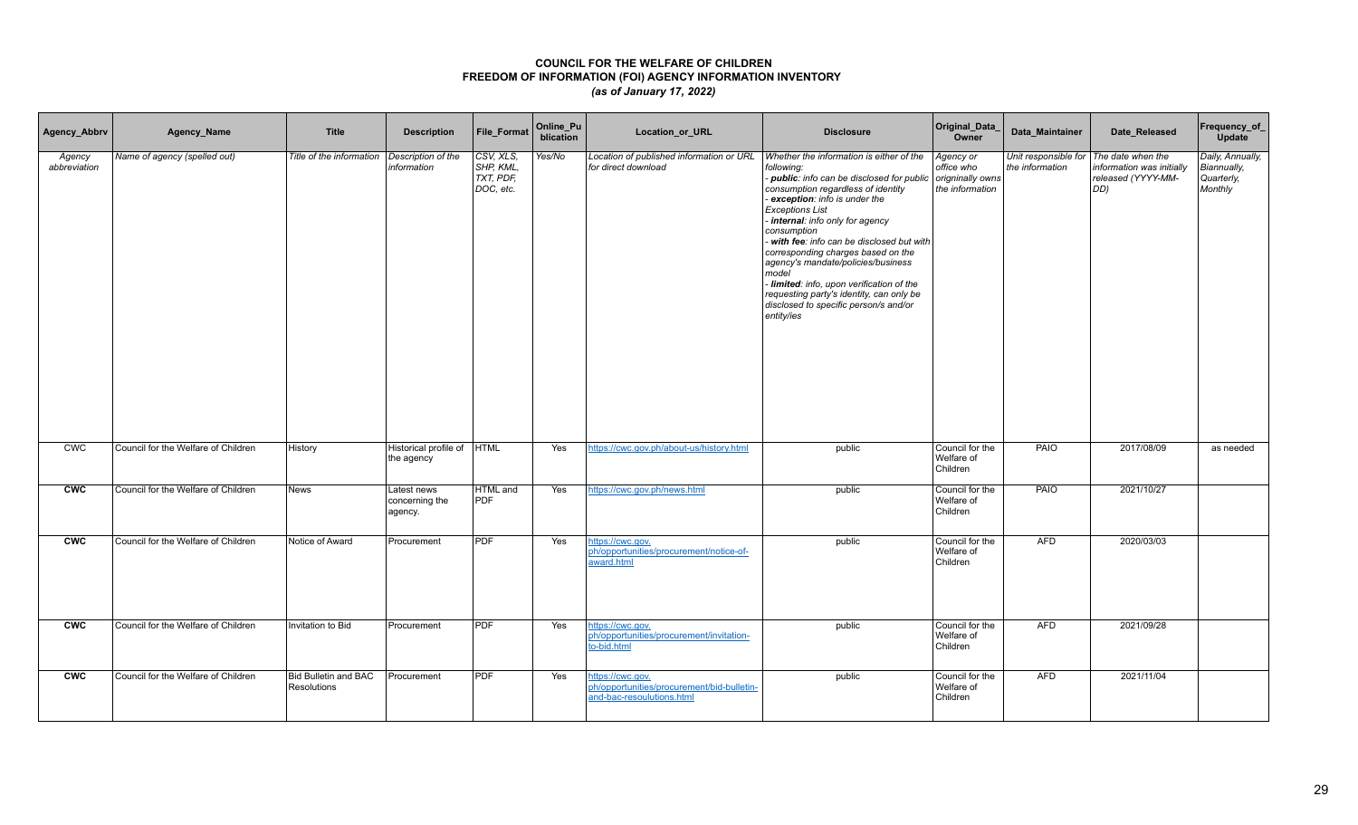| Agency_Abbrv           | Agency_Name                         | <b>Title</b>                               | <b>Description</b>                       | <b>File Format</b>                               | Online_Pu<br>blication | Location_or_URL                                                                             | <b>Disclosure</b>                                                                                                                                                                                                                                                                                                                                                                                                                                                                                                           | Original_Data_<br>Owner                                        | Data_Maintainer                         | Date_Released                                                               | Frequency_of_<br><b>Update</b>                           |
|------------------------|-------------------------------------|--------------------------------------------|------------------------------------------|--------------------------------------------------|------------------------|---------------------------------------------------------------------------------------------|-----------------------------------------------------------------------------------------------------------------------------------------------------------------------------------------------------------------------------------------------------------------------------------------------------------------------------------------------------------------------------------------------------------------------------------------------------------------------------------------------------------------------------|----------------------------------------------------------------|-----------------------------------------|-----------------------------------------------------------------------------|----------------------------------------------------------|
| Agency<br>abbreviation | Name of agency (spelled out)        | Title of the information                   | Description of the<br>information        | CSV, XLS,<br>SHP, KML,<br>TXT, PDF,<br>DOC, etc. | Yes/No                 | Location of published information or URL<br>for direct download                             | Whether the information is either of the<br>following:<br>public: info can be disclosed for public<br>consumption regardless of identity<br>exception: info is under the<br>Exceptions List<br>internal: info only for agency<br>consumption<br>with fee: info can be disclosed but with<br>corresponding charges based on the<br>agency's mandate/policies/business<br>model<br>Iimited: info, upon verification of the<br>requesting party's identity, can only be<br>disclosed to specific person/s and/or<br>entity/ies | Agency or<br>office who<br>origninally owns<br>the information | Unit responsible for<br>the information | The date when the<br>information was initially<br>released (YYYY-MM-<br>DD) | Daily, Annually,<br>Biannually,<br>Quarterly,<br>Monthly |
| <b>CWC</b>             | Council for the Welfare of Children | History                                    | Historical profile of<br>the agency      | <b>HTML</b>                                      | Yes                    | https://cwc.gov.ph/about-us/history.html                                                    | public                                                                                                                                                                                                                                                                                                                                                                                                                                                                                                                      | Council for the<br>Welfare of<br>Children                      | PAIO                                    | 2017/08/09                                                                  | as needed                                                |
| <b>CWC</b>             | Council for the Welfare of Children | News                                       | Latest news<br>concerning the<br>agency. | <b>HTML</b> and<br>PDF                           | Yes                    | https://cwc.gov.ph/news.html                                                                | public                                                                                                                                                                                                                                                                                                                                                                                                                                                                                                                      | Council for the<br>Welfare of<br>Children                      | PAIO                                    | 2021/10/27                                                                  |                                                          |
| <b>CWC</b>             | Council for the Welfare of Children | Notice of Award                            | Procurement                              | <b>PDF</b>                                       | Yes                    | https://cwc.gov.<br>ph/opportunities/procurement/notice-of-<br>award.html                   | public                                                                                                                                                                                                                                                                                                                                                                                                                                                                                                                      | Council for the<br>Welfare of<br>Children                      | <b>AFD</b>                              | 2020/03/03                                                                  |                                                          |
| <b>CWC</b>             | Council for the Welfare of Children | Invitation to Bid                          | Procurement                              | <b>PDF</b>                                       | Yes                    | https://cwc.gov.<br>ph/opportunities/procurement/invitation-<br>to-bid.html                 | public                                                                                                                                                                                                                                                                                                                                                                                                                                                                                                                      | Council for the<br>Welfare of<br>Children                      | <b>AFD</b>                              | 2021/09/28                                                                  |                                                          |
| <b>CWC</b>             | Council for the Welfare of Children | <b>Bid Bulletin and BAC</b><br>Resolutions | Procurement                              | <b>PDF</b>                                       | Yes                    | https://cwc.gov.<br>ph/opportunities/procurement/bid-bulletin-<br>and-bac-resoulutions.html | public                                                                                                                                                                                                                                                                                                                                                                                                                                                                                                                      | Council for the<br>Welfare of<br>Children                      | <b>AFD</b>                              | 2021/11/04                                                                  |                                                          |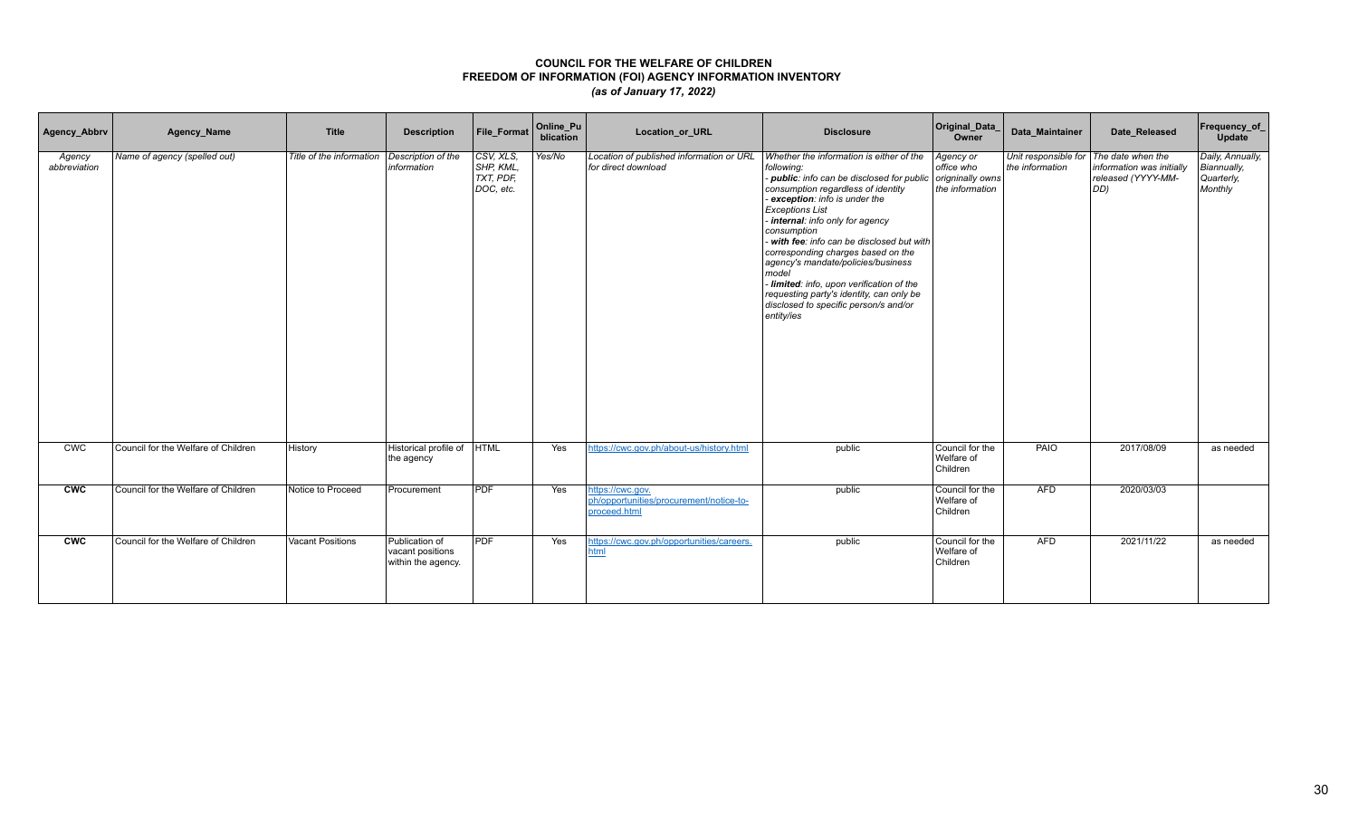| Agency_Abbrv           | Agency_Name                         | <b>Title</b>             | <b>Description</b>                                       | File_Format                                         | Online_Pu<br>blication | Location_or_URL                                                             | <b>Disclosure</b>                                                                                                                                                                                                                                                                                                                                                                                                                                                                                                                      | Original_Data<br>Owner                                         | Data Maintainer | Date_Released                                                                                    | Frequency_of_<br>Update                                  |
|------------------------|-------------------------------------|--------------------------|----------------------------------------------------------|-----------------------------------------------------|------------------------|-----------------------------------------------------------------------------|----------------------------------------------------------------------------------------------------------------------------------------------------------------------------------------------------------------------------------------------------------------------------------------------------------------------------------------------------------------------------------------------------------------------------------------------------------------------------------------------------------------------------------------|----------------------------------------------------------------|-----------------|--------------------------------------------------------------------------------------------------|----------------------------------------------------------|
| Agency<br>abbreviation | Name of agency (spelled out)        | Title of the information | Description of the<br>information                        | CSV, XLS,<br>SHP, KML,<br>$TXT$ , PDF,<br>DOC, etc. | Yes/No                 | Location of published information or URL<br>for direct download             | Whether the information is either of the<br>following:<br>- public: info can be disclosed for public<br>consumption regardless of identity<br>- exception: info is under the<br><b>Exceptions List</b><br>internal: info only for agency<br>consumption<br>with fee: info can be disclosed but with<br>corresponding charges based on the<br>agency's mandate/policies/business<br>model<br>Iimited: info, upon verification of the<br>requesting party's identity, can only be<br>disclosed to specific person/s and/or<br>entity/ies | Agency or<br>office who<br>origninally owns<br>the information | the information | Unit responsible for The date when the<br>information was initially<br>released (YYYY-MM-<br>DD) | Daily, Annually,<br>Biannually,<br>Quarterly,<br>Monthly |
| CWC                    | Council for the Welfare of Children | History                  | Historical profile of<br>the agency                      | <b>HTML</b>                                         | Yes                    | https://cwc.gov.ph/about-us/history.html                                    | public                                                                                                                                                                                                                                                                                                                                                                                                                                                                                                                                 | Council for the<br>Welfare of<br>Children                      | <b>PAIO</b>     | 2017/08/09                                                                                       | as needed                                                |
| cw                     | Council for the Welfare of Children | Notice to Proceed        | Procurement                                              | PDF                                                 | Yes                    | https://cwc.gov.<br>ph/opportunities/procurement/notice-to-<br>proceed.html | public                                                                                                                                                                                                                                                                                                                                                                                                                                                                                                                                 | Council for the<br>Welfare of<br>Children                      | AFD             | 2020/03/03                                                                                       |                                                          |
| <b>CWC</b>             | Council for the Welfare of Children | <b>Vacant Positions</b>  | Publication of<br>vacant positions<br>within the agency. | <b>PDF</b>                                          | Yes                    | https://cwc.gov.ph/opportunities/careers.<br><b>html</b>                    | public                                                                                                                                                                                                                                                                                                                                                                                                                                                                                                                                 | Council for the<br>Welfare of<br>Children                      | <b>AFD</b>      | 2021/11/22                                                                                       | as needed                                                |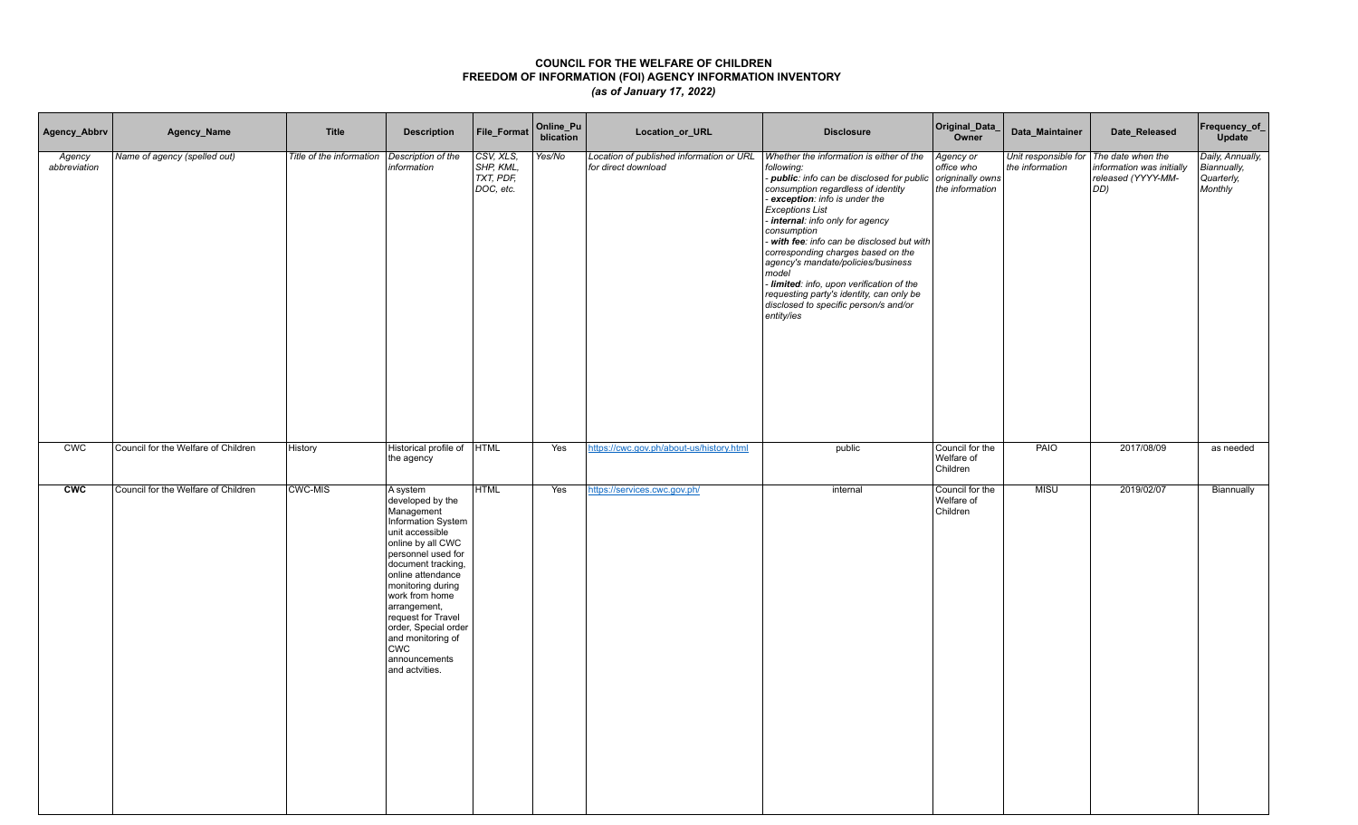| Agency_Abbrv           | Agency_Name                         | <b>Title</b>             | <b>Description</b>                                                                                                                                                                                                                                                                                                                                   | File_Format                                      | Online_Pu<br>blication | Location_or_URL                                                 | <b>Disclosure</b>                                                                                                                                                                                                                                                                                                                                                                                                                                                                                                                            | Original_Data_<br>Owner                                        | Data_Maintainer                                           | Date_Released                                                   | Frequency_of_<br>Update                                         |
|------------------------|-------------------------------------|--------------------------|------------------------------------------------------------------------------------------------------------------------------------------------------------------------------------------------------------------------------------------------------------------------------------------------------------------------------------------------------|--------------------------------------------------|------------------------|-----------------------------------------------------------------|----------------------------------------------------------------------------------------------------------------------------------------------------------------------------------------------------------------------------------------------------------------------------------------------------------------------------------------------------------------------------------------------------------------------------------------------------------------------------------------------------------------------------------------------|----------------------------------------------------------------|-----------------------------------------------------------|-----------------------------------------------------------------|-----------------------------------------------------------------|
| Agency<br>abbreviation | Name of agency (spelled out)        | Title of the information | Description of the<br>information                                                                                                                                                                                                                                                                                                                    | CSV, XLS,<br>SHP, KML,<br>TXT, PDF,<br>DOC, etc. | Yes/No                 | Location of published information or URL<br>for direct download | Whether the information is either of the<br>following:<br>- public: info can be disclosed for public<br>consumption regardless of identity<br>- exception: info is under the<br><b>Exceptions List</b><br>- internal: info only for agency<br>consumption<br>- with fee: info can be disclosed but with<br>corresponding charges based on the<br>agency's mandate/policies/business<br>model<br>- limited: info, upon verification of the<br>requesting party's identity, can only be<br>disclosed to specific person/s and/or<br>entity/ies | Agency or<br>office who<br>origninally owns<br>the information | Unit responsible for The date when the<br>the information | information was initially<br>released (YYYY-MM-<br>$ DD\rangle$ | Daily, Annually,<br><b>Biannually,</b><br>Quarterly,<br>Monthly |
| <b>CWC</b>             | Council for the Welfare of Children | History                  | Historical profile of  HTML<br>the agency                                                                                                                                                                                                                                                                                                            |                                                  | Yes                    | https://cwc.gov.ph/about-us/history.html                        | public                                                                                                                                                                                                                                                                                                                                                                                                                                                                                                                                       | Council for the<br>Welfare of<br>Children                      | PAIO                                                      | 2017/08/09                                                      | as needed                                                       |
| <b>CWC</b>             | Council for the Welfare of Children | <b>CWC-MIS</b>           | A system<br>developed by the<br>Management<br>Information System<br>unit accessible<br>online by all CWC<br>personnel used for<br>document tracking,<br>online attendance<br>monitoring during<br>work from home<br>arrangement,<br>request for Travel<br>order, Special order<br>and monitoring of<br><b>CWC</b><br>announcements<br>and actvities. | <b>HTML</b>                                      | Yes                    | https://services.cwc.gov.ph/                                    | internal                                                                                                                                                                                                                                                                                                                                                                                                                                                                                                                                     | Council for the<br>Welfare of<br>Children                      | <b>MISU</b>                                               | 2019/02/07                                                      | Biannually                                                      |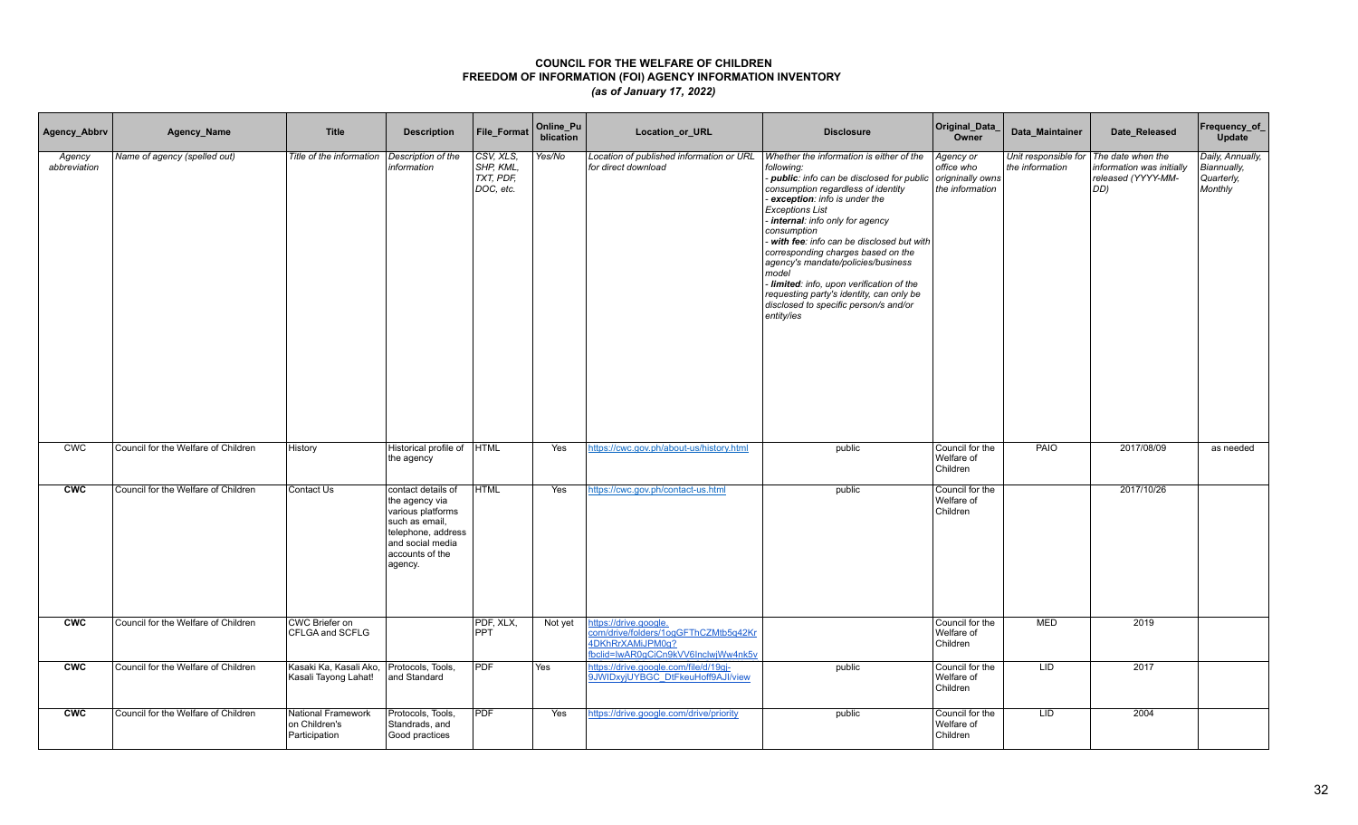| Agency_Abbrv           | Agency_Name                         | <b>Title</b>                                         | <b>Description</b>                                                                                                                                  | File_Format                                      | Online_Pu<br>blication | Location_or_URL                                                                                                          | <b>Disclosure</b>                                                                                                                                                                                                                                                                                                                                                                                                                                                                                                                    | Original_Data_<br>Owner                                        | Data_Maintainer                                             | Date_Released                                          | Frequency_of_<br>Update                                  |
|------------------------|-------------------------------------|------------------------------------------------------|-----------------------------------------------------------------------------------------------------------------------------------------------------|--------------------------------------------------|------------------------|--------------------------------------------------------------------------------------------------------------------------|--------------------------------------------------------------------------------------------------------------------------------------------------------------------------------------------------------------------------------------------------------------------------------------------------------------------------------------------------------------------------------------------------------------------------------------------------------------------------------------------------------------------------------------|----------------------------------------------------------------|-------------------------------------------------------------|--------------------------------------------------------|----------------------------------------------------------|
| Agency<br>abbreviation | Name of agency (spelled out)        | Title of the information                             | Description of the<br>information                                                                                                                   | CSV, XLS,<br>SHP, KML,<br>TXT, PDF,<br>DOC, etc. | Yes/No                 | Location of published information or URL<br>for direct download                                                          | Whether the information is either of the<br>following:<br>- public: info can be disclosed for public<br>consumption regardless of identity<br>exception: info is under the<br><b>Exceptions List</b><br>internal: info only for agency<br>consumption<br>with fee: info can be disclosed but with<br>corresponding charges based on the<br>agency's mandate/policies/business<br>model<br>Iimited: info, upon verification of the<br>requesting party's identity, can only be<br>disclosed to specific person/s and/or<br>entity/ies | Agency or<br>office who<br>origninally owns<br>the information | Unit responsible for   The date when the<br>the information | information was initially<br>released (YYYY-MM-<br>DD) | Daily, Annually,<br>Biannually,<br>Quarterly,<br>Monthly |
| CWC                    | Council for the Welfare of Children | History                                              | Historical profile of<br>the agency                                                                                                                 | <b>HTML</b>                                      | Yes                    | https://cwc.gov.ph/about-us/history.html                                                                                 | public                                                                                                                                                                                                                                                                                                                                                                                                                                                                                                                               | Council for the<br>Welfare of<br>Children                      | PAIO                                                        | 2017/08/09                                             | as needed                                                |
| <b>CWC</b>             | Council for the Welfare of Children | Contact Us                                           | contact details of<br>the agency via<br>various platforms<br>such as email,<br>telephone, address<br>and social media<br>accounts of the<br>agency. | <b>HTML</b>                                      | Yes                    | https://cwc.gov.ph/contact-us.html                                                                                       | public                                                                                                                                                                                                                                                                                                                                                                                                                                                                                                                               | Council for the<br>Welfare of<br>Children                      |                                                             | 2017/10/26                                             |                                                          |
| <b>CWC</b>             | Council for the Welfare of Children | CWC Briefer on<br>CFLGA and SCFLG                    |                                                                                                                                                     | PDF, XLX,<br><b>PPT</b>                          | Not yet                | https://drive.google.<br>com/drive/folders/1ogGFThCZMtb5q42Kr<br>4DKhRrXAMiJPM0q?<br>fbclid=IwAR0gCiCn9kVV6InclwjWw4nk5v |                                                                                                                                                                                                                                                                                                                                                                                                                                                                                                                                      | Council for the<br>Welfare of<br>Children                      | <b>MED</b>                                                  | 2019                                                   |                                                          |
| <b>CWC</b>             | Council for the Welfare of Children | Kasaki Ka, Kasali Ako,<br>Kasali Tayong Lahat!       | Protocols, Tools,<br>and Standard                                                                                                                   | <b>PDF</b>                                       | Yes                    | https://drive.google.com/file/d/19gj-<br>9JWIDxyjUYBGC DtFkeuHoff9AJI/view                                               | public                                                                                                                                                                                                                                                                                                                                                                                                                                                                                                                               | Council for the<br>Welfare of<br>Children                      | LID.                                                        | 2017                                                   |                                                          |
| <b>CWC</b>             | Council for the Welfare of Children | National Framework<br>on Children's<br>Participation | Protocols, Tools,<br>Standrads, and<br>Good practices                                                                                               | <b>PDF</b>                                       | Yes                    | https://drive.google.com/drive/priority                                                                                  | public                                                                                                                                                                                                                                                                                                                                                                                                                                                                                                                               | Council for the<br>Welfare of<br>Children                      | LID                                                         | 2004                                                   |                                                          |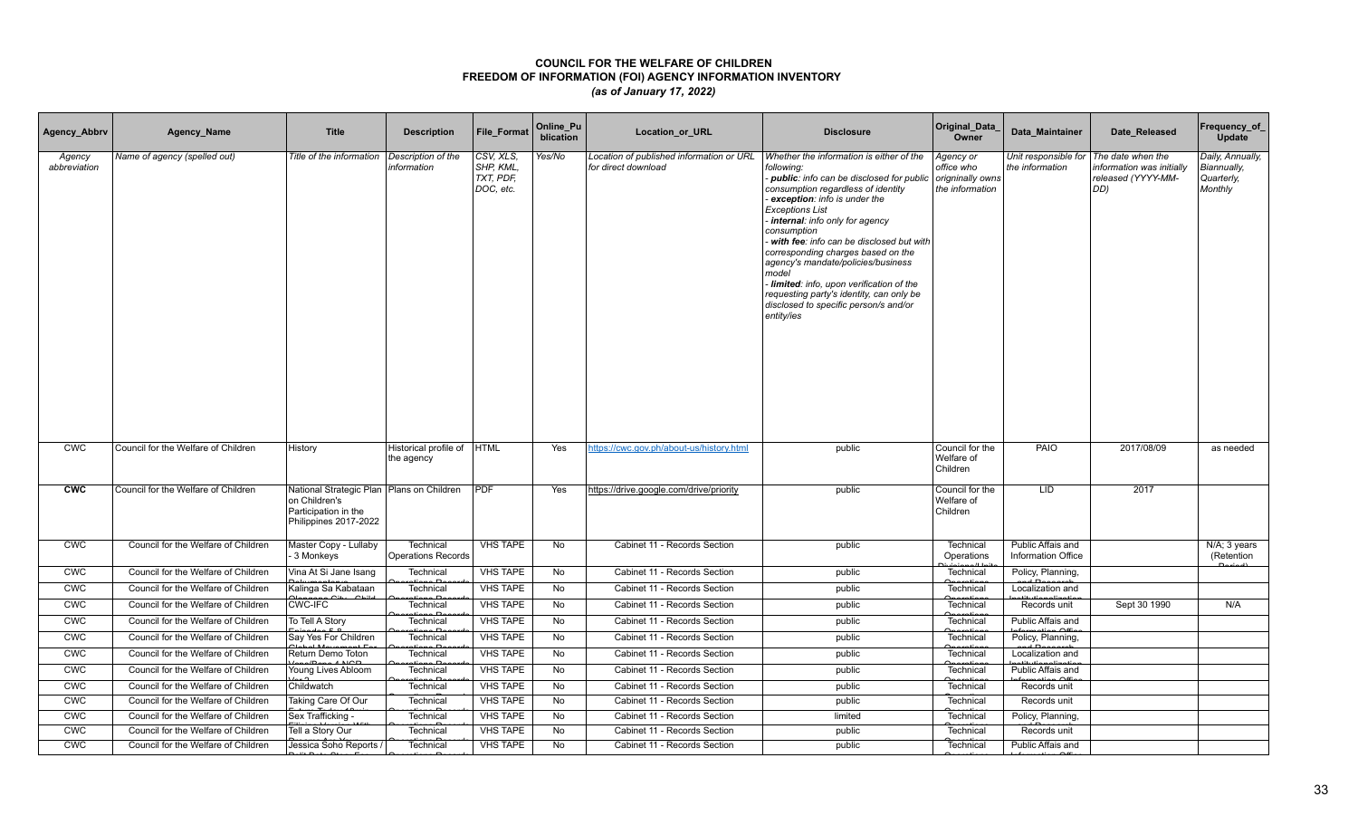| Agency_Abbrv           | Agency_Name                         | <b>Title</b>                                                                                                  | <b>Description</b>                            | <b>File Format</b>                               | Online_Pu<br>blication | Location_or_URL                                                 | <b>Disclosure</b>                                                                                                                                                                                                                                                                                                                                                                                                                                                                                                                    | Original_Data<br>Owner                                         | Data Maintainer                         | Date Released                                                               | Frequency_of<br>Update                                   |
|------------------------|-------------------------------------|---------------------------------------------------------------------------------------------------------------|-----------------------------------------------|--------------------------------------------------|------------------------|-----------------------------------------------------------------|--------------------------------------------------------------------------------------------------------------------------------------------------------------------------------------------------------------------------------------------------------------------------------------------------------------------------------------------------------------------------------------------------------------------------------------------------------------------------------------------------------------------------------------|----------------------------------------------------------------|-----------------------------------------|-----------------------------------------------------------------------------|----------------------------------------------------------|
| Agency<br>abbreviation | Name of agency (spelled out)        | Title of the information                                                                                      | Description of the<br>information             | CSV, XLS,<br>SHP, KML,<br>TXT, PDF,<br>DOC, etc. | Yes/No                 | Location of published information or URL<br>for direct download | Whether the information is either of the<br>following:<br>- public: info can be disclosed for public<br>consumption regardless of identity<br>exception: info is under the<br><b>Exceptions List</b><br>internal: info only for agency<br>consumption<br>with fee: info can be disclosed but with<br>corresponding charges based on the<br>agency's mandate/policies/business<br>model<br>Iimited: info, upon verification of the<br>requesting party's identity, can only be<br>disclosed to specific person/s and/or<br>entity/ies | Agency or<br>office who<br>origninally owns<br>the information | Unit responsible for<br>the information | The date when the<br>information was initially<br>released (YYYY-MM-<br>DD) | Daily, Annually,<br>Biannually,<br>Quarterly,<br>Monthly |
| <b>CWC</b>             | Council for the Welfare of Children | History                                                                                                       | Historical profile of<br>the agency           | <b>HTML</b>                                      | Yes                    | https://cwc.gov.ph/about-us/history.html                        | public                                                                                                                                                                                                                                                                                                                                                                                                                                                                                                                               | Council for the<br>Welfare of<br>Children                      | PAIO                                    | 2017/08/09                                                                  | as needed                                                |
| <b>CWC</b>             | Council for the Welfare of Children | National Strategic Plan   Plans on Children<br>on Children's<br>Participation in the<br>Philippines 2017-2022 |                                               | <b>PDF</b>                                       | Yes                    | https://drive.google.com/drive/priority                         | public                                                                                                                                                                                                                                                                                                                                                                                                                                                                                                                               | Council for the<br>Welfare of<br>Children                      | LID.                                    | 2017                                                                        |                                                          |
| <b>CWC</b>             | Council for the Welfare of Children | Master Copy - Lullaby<br>3 Monkeys                                                                            | <b>Technical</b><br><b>Operations Records</b> | <b>VHS TAPE</b>                                  | No                     | Cabinet 11 - Records Section                                    | public                                                                                                                                                                                                                                                                                                                                                                                                                                                                                                                               | Technical<br>Operations                                        | Public Affais and<br>Information Office |                                                                             | N/A; 3 years<br>(Retention                               |
| <b>CWC</b>             | Council for the Welfare of Children | Vina At Si Jane Isang                                                                                         | Technical                                     | <b>VHS TAPE</b>                                  | No                     | Cabinet 11 - Records Section                                    | public                                                                                                                                                                                                                                                                                                                                                                                                                                                                                                                               | Technical                                                      | Policy, Planning,                       |                                                                             |                                                          |
| <b>CWC</b>             | Council for the Welfare of Children | Kalinga Sa Kabataan                                                                                           | Technical<br>متلمومنة                         | <b>VHS TAPE</b>                                  | No                     | Cabinet 11 - Records Section                                    | public                                                                                                                                                                                                                                                                                                                                                                                                                                                                                                                               | Technical                                                      | Localization and                        |                                                                             |                                                          |
| <b>CWC</b>             | Council for the Welfare of Children | <b>CWC-IFC</b>                                                                                                | Technical<br>$\mathsf{max}$                   | <b>VHS TAPE</b>                                  | No                     | Cabinet 11 - Records Section                                    | public                                                                                                                                                                                                                                                                                                                                                                                                                                                                                                                               | Technical                                                      | Records unit                            | Sept 30 1990                                                                | N/A                                                      |
| <b>CWC</b>             | Council for the Welfare of Children | To Tell A Story                                                                                               | Technical<br>tione De                         | <b>VHS TAPE</b>                                  | No                     | Cabinet 11 - Records Section                                    | public                                                                                                                                                                                                                                                                                                                                                                                                                                                                                                                               | Technical                                                      | Public Affais and<br>armatian Offic     |                                                                             |                                                          |
| <b>CWC</b>             | Council for the Welfare of Children | Say Yes For Children                                                                                          | Technical<br>$\overline{a}$                   | <b>VHS TAPE</b>                                  | No                     | Cabinet 11 - Records Section                                    | public                                                                                                                                                                                                                                                                                                                                                                                                                                                                                                                               | Technical                                                      | Policy, Planning,                       |                                                                             |                                                          |
| <b>CWC</b>             | Council for the Welfare of Children | Return Demo Toton<br>$n$ ana/Dana 4 NCD                                                                       | Technical<br>$\sim$ $\sim$                    | <b>VHS TAPE</b>                                  | No                     | Cabinet 11 - Records Section                                    | public                                                                                                                                                                                                                                                                                                                                                                                                                                                                                                                               | Technical                                                      | Localization and                        |                                                                             |                                                          |
| <b>CWC</b>             | Council for the Welfare of Children | Young Lives Abloom                                                                                            | Technical<br>. n                              | <b>VHS TAPE</b>                                  | No                     | Cabinet 11 - Records Section                                    | public                                                                                                                                                                                                                                                                                                                                                                                                                                                                                                                               | Technical                                                      | Public Affais and<br>$\sim$             |                                                                             |                                                          |
| CWC                    | Council for the Welfare of Children | Childwatch                                                                                                    | Technical                                     | <b>VHS TAPE</b>                                  | No                     | Cabinet 11 - Records Section                                    | public                                                                                                                                                                                                                                                                                                                                                                                                                                                                                                                               | Technical                                                      | Records unit                            |                                                                             |                                                          |
| <b>CWC</b>             | Council for the Welfare of Children | Taking Care Of Our                                                                                            | Technical                                     | <b>VHS TAPE</b>                                  | No                     | Cabinet 11 - Records Section                                    | public                                                                                                                                                                                                                                                                                                                                                                                                                                                                                                                               | Technical                                                      | Records unit                            |                                                                             |                                                          |
| <b>CWC</b>             | Council for the Welfare of Children | Sex Trafficking                                                                                               | Technical                                     | <b>VHS TAPE</b>                                  | No                     | Cabinet 11 - Records Section                                    | limited                                                                                                                                                                                                                                                                                                                                                                                                                                                                                                                              | Technical                                                      | Policy, Planning,                       |                                                                             |                                                          |
| <b>CWC</b>             | Council for the Welfare of Children | Tell a Story Our                                                                                              | Technical                                     | <b>VHS TAPE</b>                                  | No                     | Cabinet 11 - Records Section                                    | public                                                                                                                                                                                                                                                                                                                                                                                                                                                                                                                               | Technical                                                      | Records unit                            |                                                                             |                                                          |
| <b>CWC</b>             | Council for the Welfare of Children | Jessica Soho Reports                                                                                          | Technical                                     | <b>VHS TAPE</b>                                  | No                     | Cabinet 11 - Records Section                                    | public                                                                                                                                                                                                                                                                                                                                                                                                                                                                                                                               | Technical                                                      | Public Affais and                       |                                                                             |                                                          |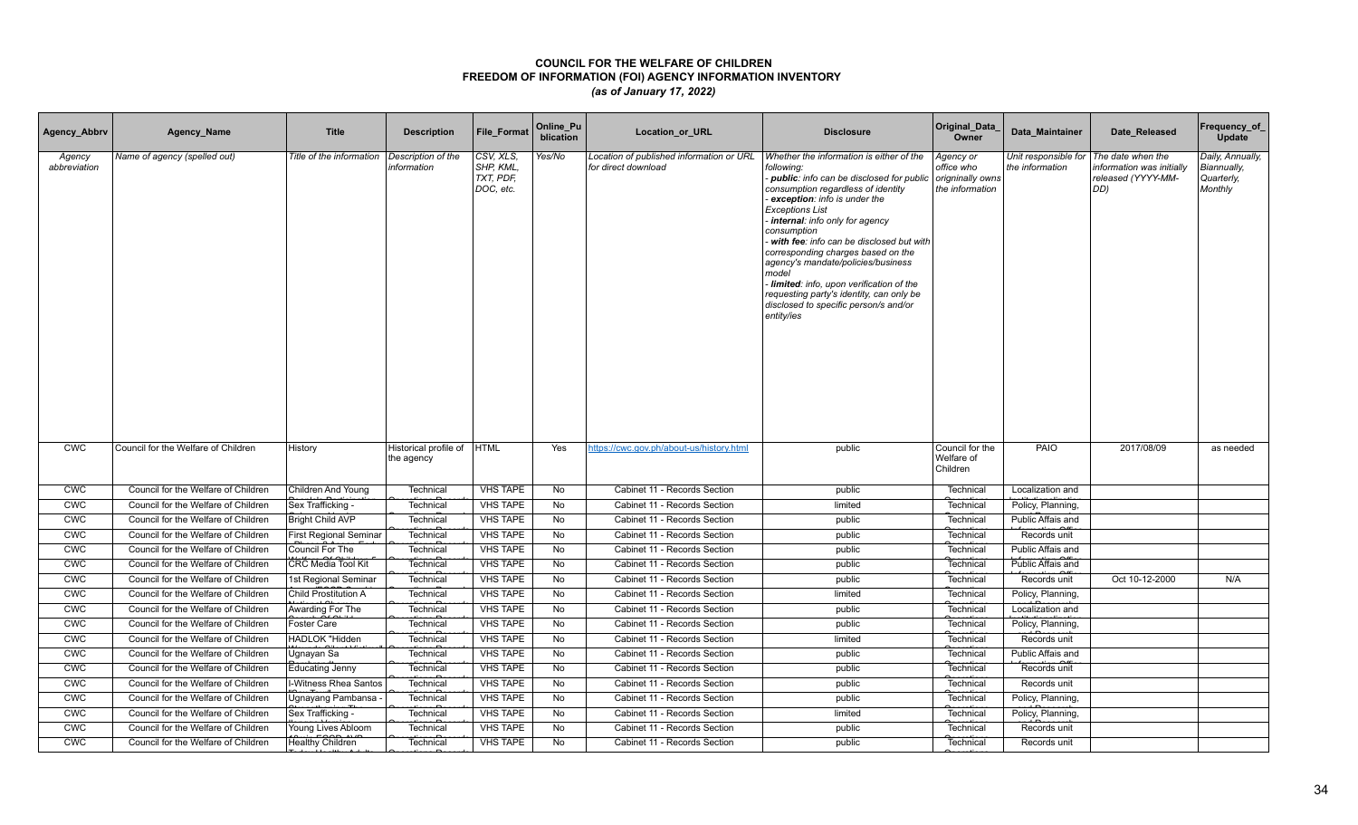| Agency_Abbrv           | Agency_Name                         | <b>Title</b>                  | <b>Description</b>                  | <b>File Format</b>                               | Online_Pu<br>blication | Location_or_URL                                                 | <b>Disclosure</b>                                                                                                                                                                                                                                                                                                                                                                                                                                                                                                                    | Original_Data<br>Owner                                         | Data Maintainer                         | Date Released                                                               | Frequency_of_<br>Update                                  |
|------------------------|-------------------------------------|-------------------------------|-------------------------------------|--------------------------------------------------|------------------------|-----------------------------------------------------------------|--------------------------------------------------------------------------------------------------------------------------------------------------------------------------------------------------------------------------------------------------------------------------------------------------------------------------------------------------------------------------------------------------------------------------------------------------------------------------------------------------------------------------------------|----------------------------------------------------------------|-----------------------------------------|-----------------------------------------------------------------------------|----------------------------------------------------------|
| Agency<br>abbreviation | Name of agency (spelled out)        | Title of the information      | Description of the<br>information   | CSV, XLS,<br>SHP, KML,<br>TXT, PDF,<br>DOC, etc. | Yes/No                 | Location of published information or URL<br>for direct download | Whether the information is either of the<br>following:<br>- public: info can be disclosed for public<br>consumption regardless of identity<br>exception: info is under the<br><b>Exceptions List</b><br>internal: info only for agency<br>consumption<br>with fee: info can be disclosed but with<br>corresponding charges based on the<br>agency's mandate/policies/business<br>model<br>Iimited: info, upon verification of the<br>requesting party's identity, can only be<br>disclosed to specific person/s and/or<br>entity/ies | Agency or<br>office who<br>origninally owns<br>the information | Unit responsible for<br>the information | The date when the<br>information was initially<br>released (YYYY-MM-<br>DD) | Daily, Annually,<br>Biannually,<br>Quarterly,<br>Monthly |
| <b>CWC</b>             | Council for the Welfare of Children | History                       | Historical profile of<br>the agency | <b>HTML</b>                                      | Yes                    | https://cwc.gov.ph/about-us/history.html                        | public                                                                                                                                                                                                                                                                                                                                                                                                                                                                                                                               | Council for the<br>Welfare of<br>Children                      | PAIO                                    | 2017/08/09                                                                  | as needed                                                |
| <b>CWC</b>             | Council for the Welfare of Children | Children And Young            | Technical                           | <b>VHS TAPE</b>                                  | No                     | Cabinet 11 - Records Section                                    | public                                                                                                                                                                                                                                                                                                                                                                                                                                                                                                                               | Technical                                                      | Localization and                        |                                                                             |                                                          |
| <b>CWC</b>             | Council for the Welfare of Children | Sex Trafficking -             | Technical                           | <b>VHS TAPE</b>                                  | No                     | Cabinet 11 - Records Section                                    | limited                                                                                                                                                                                                                                                                                                                                                                                                                                                                                                                              | Technical                                                      | Policy, Planning,                       |                                                                             |                                                          |
| CWC                    | Council for the Welfare of Children | <b>Bright Child AVP</b>       | Technical                           | <b>VHS TAPE</b>                                  | No                     | Cabinet 11 - Records Section                                    | public                                                                                                                                                                                                                                                                                                                                                                                                                                                                                                                               | Technical                                                      | Public Affais and                       |                                                                             |                                                          |
| <b>CWC</b>             | Council for the Welfare of Children | <b>First Regional Seminar</b> | Technical                           | <b>VHS TAPE</b>                                  | <b>No</b>              | Cabinet 11 - Records Section                                    | public                                                                                                                                                                                                                                                                                                                                                                                                                                                                                                                               | Technical                                                      | Records unit                            |                                                                             |                                                          |
| <b>CWC</b>             | Council for the Welfare of Children | Council For The               | Technical                           | <b>VHS TAPE</b>                                  | No                     | Cabinet 11 - Records Section                                    | public                                                                                                                                                                                                                                                                                                                                                                                                                                                                                                                               | Technical                                                      | Public Affais and                       |                                                                             |                                                          |
| <b>CWC</b>             | Council for the Welfare of Children | CRC Media Tool Kit            | Technical                           | <b>VHS TAPE</b>                                  | No                     | Cabinet 11 - Records Section                                    | public                                                                                                                                                                                                                                                                                                                                                                                                                                                                                                                               | Technical                                                      | Public Affais and                       |                                                                             |                                                          |
| <b>CWC</b>             | Council for the Welfare of Children | 1st Regional Seminar          | Technical                           | <b>VHS TAPE</b>                                  | No                     | Cabinet 11 - Records Section                                    | public                                                                                                                                                                                                                                                                                                                                                                                                                                                                                                                               | Technical                                                      | Records unit                            | Oct 10-12-2000                                                              | N/A                                                      |
| <b>CWC</b>             | Council for the Welfare of Children | Child Prostitution A          | Technical                           | <b>VHS TAPE</b>                                  | <b>No</b>              | Cabinet 11 - Records Section                                    | limited                                                                                                                                                                                                                                                                                                                                                                                                                                                                                                                              | Technical                                                      | Policy, Planning,                       |                                                                             |                                                          |
| <b>CWC</b>             | Council for the Welfare of Children | Awarding For The              | Technical                           | <b>VHS TAPE</b>                                  | No                     | Cabinet 11 - Records Section                                    | public                                                                                                                                                                                                                                                                                                                                                                                                                                                                                                                               | Technical                                                      | Localization and                        |                                                                             |                                                          |
| <b>CWC</b>             | Council for the Welfare of Children | <b>Foster Care</b>            | Technical                           | <b>VHS TAPE</b>                                  | No                     | Cabinet 11 - Records Section                                    | public                                                                                                                                                                                                                                                                                                                                                                                                                                                                                                                               | Technical                                                      | Policy, Planning,                       |                                                                             |                                                          |
| <b>CWC</b>             | Council for the Welfare of Children | HADLOK "Hidden                | Technical                           | <b>VHS TAPE</b>                                  | No                     | Cabinet 11 - Records Section                                    | limited                                                                                                                                                                                                                                                                                                                                                                                                                                                                                                                              | Technical                                                      | Records unit                            |                                                                             |                                                          |
| <b>CWC</b>             | Council for the Welfare of Children | Ugnayan Sa                    | Technical                           | <b>VHS TAPE</b>                                  | No                     | Cabinet 11 - Records Section                                    | public                                                                                                                                                                                                                                                                                                                                                                                                                                                                                                                               | Technical                                                      | Public Affais and                       |                                                                             |                                                          |
| <b>CWC</b>             | Council for the Welfare of Children | <b>Educating Jenny</b>        | Technical                           | <b>VHS TAPE</b>                                  | No                     | Cabinet 11 - Records Section                                    | public                                                                                                                                                                                                                                                                                                                                                                                                                                                                                                                               | Technical                                                      | Records unit                            |                                                                             |                                                          |
| CWC                    | Council for the Welfare of Children | I-Witness Rhea Santos         | Technical                           | <b>VHS TAPE</b>                                  | No                     | Cabinet 11 - Records Section                                    | public                                                                                                                                                                                                                                                                                                                                                                                                                                                                                                                               | Technical                                                      | Records unit                            |                                                                             |                                                          |
| <b>CWC</b>             | Council for the Welfare of Children | Ugnayang Pambansa             | Technical                           | <b>VHS TAPE</b>                                  | No                     | Cabinet 11 - Records Section                                    | public                                                                                                                                                                                                                                                                                                                                                                                                                                                                                                                               | Technical                                                      | Policy, Planning,                       |                                                                             |                                                          |
| <b>CWC</b>             | Council for the Welfare of Children | Sex Trafficking -             | Technical                           | <b>VHS TAPE</b>                                  | No                     | Cabinet 11 - Records Section                                    | limited                                                                                                                                                                                                                                                                                                                                                                                                                                                                                                                              | Technical                                                      | Policy, Planning,                       |                                                                             |                                                          |
| <b>CWC</b>             | Council for the Welfare of Children | Young Lives Abloom            | Technica                            | <b>VHS TAPE</b>                                  | No                     | Cabinet 11 - Records Section                                    | public                                                                                                                                                                                                                                                                                                                                                                                                                                                                                                                               | Technical                                                      | Records unit                            |                                                                             |                                                          |
| <b>CWC</b>             | Council for the Welfare of Children | Healthy Children              | Technical                           | <b>VHS TAPE</b>                                  | No                     | Cabinet 11 - Records Section                                    | public                                                                                                                                                                                                                                                                                                                                                                                                                                                                                                                               | Technical                                                      | Records unit                            |                                                                             |                                                          |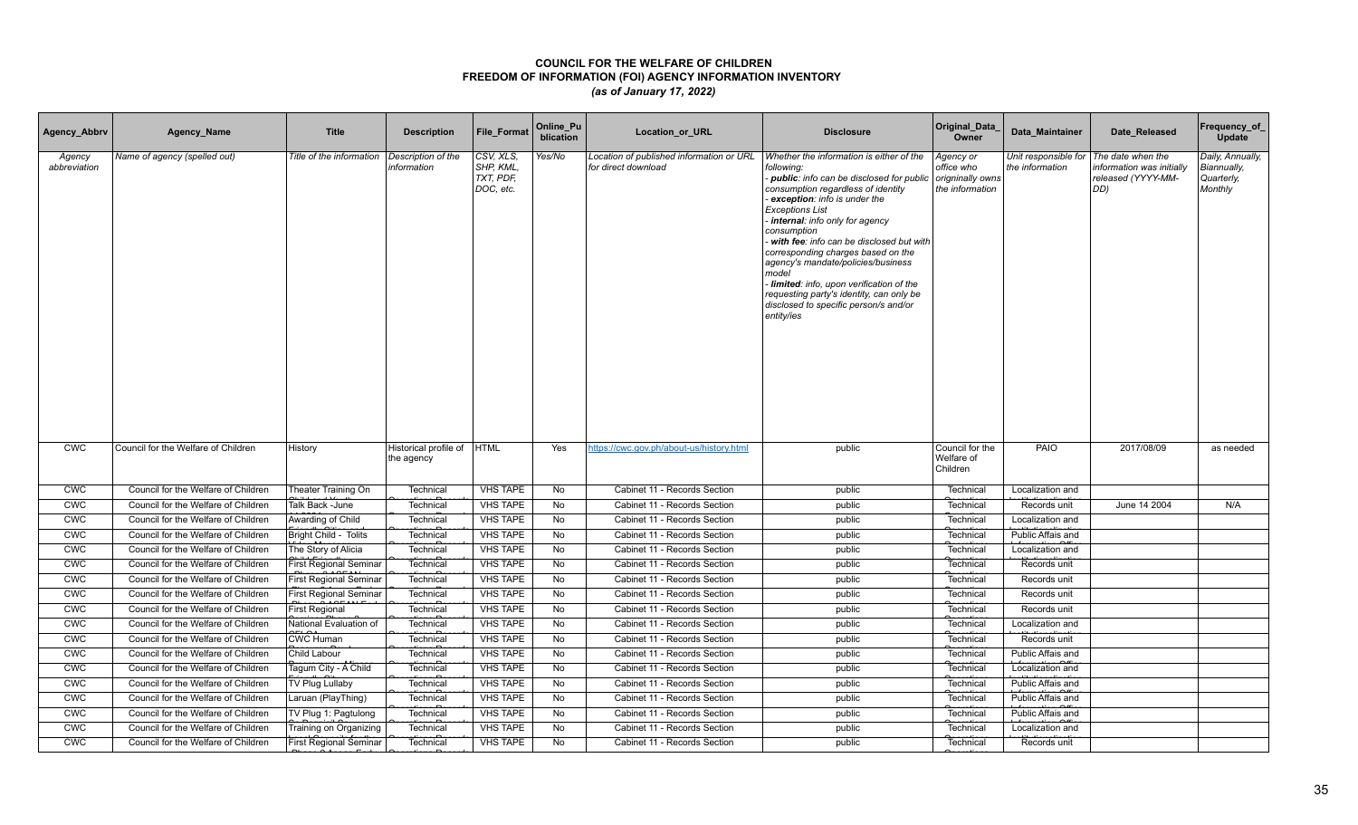| Agency_Abbrv           | Agency_Name                         | <b>Title</b>                  | <b>Description</b>                  | <b>File Format</b>                               | Online_Pu<br>blication | Location_or_URL                                                 | <b>Disclosure</b>                                                                                                                                                                                                                                                                                                                                                                                                                                                                                                                    | Original_Data<br>Owner                                         | Data Maintainer                         | Date Released                                                               | Frequency_of_<br>Update                                  |
|------------------------|-------------------------------------|-------------------------------|-------------------------------------|--------------------------------------------------|------------------------|-----------------------------------------------------------------|--------------------------------------------------------------------------------------------------------------------------------------------------------------------------------------------------------------------------------------------------------------------------------------------------------------------------------------------------------------------------------------------------------------------------------------------------------------------------------------------------------------------------------------|----------------------------------------------------------------|-----------------------------------------|-----------------------------------------------------------------------------|----------------------------------------------------------|
| Agency<br>abbreviation | Name of agency (spelled out)        | Title of the information      | Description of the<br>information   | CSV, XLS,<br>SHP, KML,<br>TXT, PDF,<br>DOC, etc. | Yes/No                 | Location of published information or URL<br>for direct download | Whether the information is either of the<br>following:<br>- public: info can be disclosed for public<br>consumption regardless of identity<br>exception: info is under the<br><b>Exceptions List</b><br>internal: info only for agency<br>consumption<br>with fee: info can be disclosed but with<br>corresponding charges based on the<br>agency's mandate/policies/business<br>model<br>Iimited: info, upon verification of the<br>requesting party's identity, can only be<br>disclosed to specific person/s and/or<br>entity/ies | Agency or<br>office who<br>origninally owns<br>the information | Unit responsible for<br>the information | The date when the<br>information was initially<br>released (YYYY-MM-<br>DD) | Daily, Annually,<br>Biannually,<br>Quarterly,<br>Monthly |
| <b>CWC</b>             | Council for the Welfare of Children | History                       | Historical profile of<br>the agency | <b>HTML</b>                                      | Yes                    | https://cwc.gov.ph/about-us/history.html                        | public                                                                                                                                                                                                                                                                                                                                                                                                                                                                                                                               | Council for the<br>Welfare of<br>Children                      | PAIO                                    | 2017/08/09                                                                  | as needed                                                |
| <b>CWC</b>             | Council for the Welfare of Children | Theater Training On           | Technical                           | <b>VHS TAPE</b>                                  | No                     | Cabinet 11 - Records Section                                    | public                                                                                                                                                                                                                                                                                                                                                                                                                                                                                                                               | Technical                                                      | Localization and                        |                                                                             |                                                          |
| <b>CWC</b>             | Council for the Welfare of Children | Talk Back -June               | Technical                           | <b>VHS TAPE</b>                                  | No                     | Cabinet 11 - Records Section                                    | public                                                                                                                                                                                                                                                                                                                                                                                                                                                                                                                               | Technical                                                      | Records unit                            | June 14 2004                                                                | N/A                                                      |
| CWC                    | Council for the Welfare of Children | Awarding of Child             | Technical                           | <b>VHS TAPE</b>                                  | No                     | Cabinet 11 - Records Section                                    | public                                                                                                                                                                                                                                                                                                                                                                                                                                                                                                                               | Technical                                                      | Localization and                        |                                                                             |                                                          |
| <b>CWC</b>             | Council for the Welfare of Children | Bright Child - Tolits         | Technical                           | <b>VHS TAPE</b>                                  | <b>No</b>              | Cabinet 11 - Records Section                                    | public                                                                                                                                                                                                                                                                                                                                                                                                                                                                                                                               | Technical                                                      | Public Affais and                       |                                                                             |                                                          |
| <b>CWC</b>             | Council for the Welfare of Children | The Story of Alicia           | Technical                           | <b>VHS TAPE</b>                                  | No                     | Cabinet 11 - Records Section                                    | public                                                                                                                                                                                                                                                                                                                                                                                                                                                                                                                               | Technical                                                      | Localization and                        |                                                                             |                                                          |
| <b>CWC</b>             | Council for the Welfare of Children | <b>First Regional Seminar</b> | Technical                           | <b>VHS TAPE</b>                                  | No                     | Cabinet 11 - Records Section                                    | public                                                                                                                                                                                                                                                                                                                                                                                                                                                                                                                               | Technical                                                      | Records unit                            |                                                                             |                                                          |
| <b>CWC</b>             | Council for the Welfare of Children | <b>First Regional Seminar</b> | Technical                           | <b>VHS TAPE</b>                                  | No                     | Cabinet 11 - Records Section                                    | public                                                                                                                                                                                                                                                                                                                                                                                                                                                                                                                               | Technical                                                      | Records unit                            |                                                                             |                                                          |
| <b>CWC</b>             | Council for the Welfare of Children | <b>First Regional Seminar</b> | Technical                           | <b>VHS TAPE</b>                                  | <b>No</b>              | Cabinet 11 - Records Section                                    | public                                                                                                                                                                                                                                                                                                                                                                                                                                                                                                                               | Technical                                                      | Records unit                            |                                                                             |                                                          |
| <b>CWC</b>             | Council for the Welfare of Children | <b>First Regional</b>         | Technical                           | <b>VHS TAPE</b>                                  | No                     | Cabinet 11 - Records Section                                    | public                                                                                                                                                                                                                                                                                                                                                                                                                                                                                                                               | Technical                                                      | Records unit                            |                                                                             |                                                          |
| <b>CWC</b>             | Council for the Welfare of Children | National Evaluation of        | Technical                           | <b>VHS TAPE</b>                                  | No                     | Cabinet 11 - Records Section                                    | public                                                                                                                                                                                                                                                                                                                                                                                                                                                                                                                               | Technical                                                      | Localization and                        |                                                                             |                                                          |
| <b>CWC</b>             | Council for the Welfare of Children | <b>CWC Human</b>              | Technical                           | <b>VHS TAPE</b>                                  | No                     | Cabinet 11 - Records Section                                    | public                                                                                                                                                                                                                                                                                                                                                                                                                                                                                                                               | Technical                                                      | Records unit                            |                                                                             |                                                          |
| <b>CWC</b>             | Council for the Welfare of Children | Child Labour                  | Technical                           | <b>VHS TAPE</b>                                  | No                     | Cabinet 11 - Records Section                                    | public                                                                                                                                                                                                                                                                                                                                                                                                                                                                                                                               | Technical                                                      | Public Affais and                       |                                                                             |                                                          |
| <b>CWC</b>             | Council for the Welfare of Children | Tagum City - A Child          | Technical                           | <b>VHS TAPE</b>                                  | No                     | Cabinet 11 - Records Section                                    | public                                                                                                                                                                                                                                                                                                                                                                                                                                                                                                                               | Technical                                                      | Localization and                        |                                                                             |                                                          |
| <b>CWC</b>             | Council for the Welfare of Children | TV Plug Lullaby               | Technical                           | <b>VHS TAPE</b>                                  | No                     | Cabinet 11 - Records Section                                    | public                                                                                                                                                                                                                                                                                                                                                                                                                                                                                                                               | Technical                                                      | Public Affais and                       |                                                                             |                                                          |
| <b>CWC</b>             | Council for the Welfare of Children | Laruan (PlayThing)            | Technical                           | <b>VHS TAPE</b>                                  | No                     | Cabinet 11 - Records Section                                    | public                                                                                                                                                                                                                                                                                                                                                                                                                                                                                                                               | Technical                                                      | Public Affais and                       |                                                                             |                                                          |
| <b>CWC</b>             | Council for the Welfare of Children | TV Plug 1: Pagtulong          | Technical                           | <b>VHS TAPE</b>                                  | No                     | Cabinet 11 - Records Section                                    | public                                                                                                                                                                                                                                                                                                                                                                                                                                                                                                                               | Technical                                                      | Public Affais and                       |                                                                             |                                                          |
| <b>CWC</b>             | Council for the Welfare of Children | Training on Organizing        | Technical                           | <b>VHS TAPE</b>                                  | No                     | Cabinet 11 - Records Section                                    | public                                                                                                                                                                                                                                                                                                                                                                                                                                                                                                                               | Technical                                                      | Localization and                        |                                                                             |                                                          |
| <b>CWC</b>             | Council for the Welfare of Children | <b>First Regional Seminar</b> | Technical                           | <b>VHS TAPE</b>                                  | No                     | Cabinet 11 - Records Section                                    | public                                                                                                                                                                                                                                                                                                                                                                                                                                                                                                                               | Technical                                                      | Records unit                            |                                                                             |                                                          |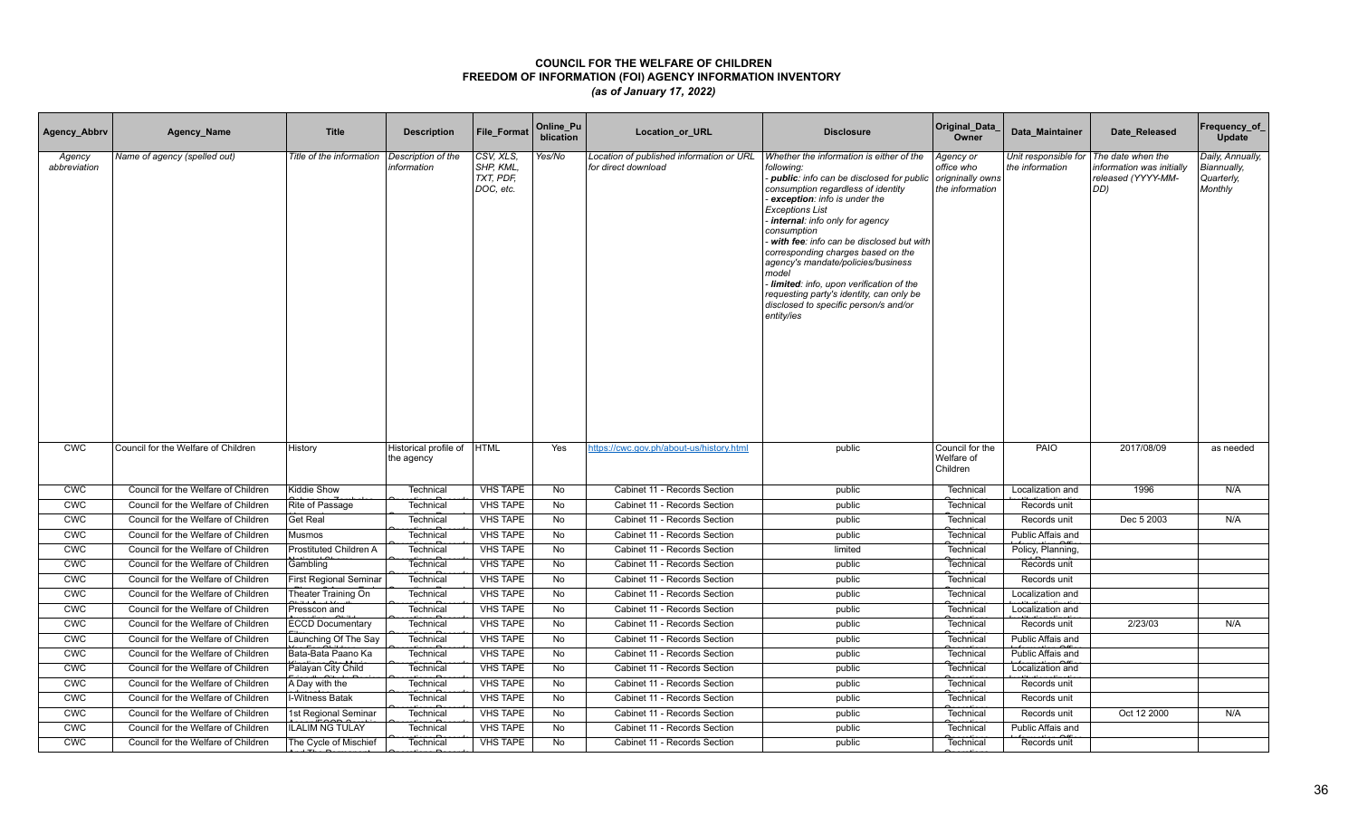| Agency_Abbrv           | Agency_Name                         | <b>Title</b>                  | <b>Description</b>                  | <b>File Format</b>                               | Online_Pu<br>blication | Location_or_URL                                                 | <b>Disclosure</b>                                                                                                                                                                                                                                                                                                                                                                                                                                                                                                                    | Original_Data<br>Owner                                         | Data Maintainer                         | Date Released                                                               | Frequency_of_<br>Update                                  |
|------------------------|-------------------------------------|-------------------------------|-------------------------------------|--------------------------------------------------|------------------------|-----------------------------------------------------------------|--------------------------------------------------------------------------------------------------------------------------------------------------------------------------------------------------------------------------------------------------------------------------------------------------------------------------------------------------------------------------------------------------------------------------------------------------------------------------------------------------------------------------------------|----------------------------------------------------------------|-----------------------------------------|-----------------------------------------------------------------------------|----------------------------------------------------------|
| Agency<br>abbreviation | Name of agency (spelled out)        | Title of the information      | Description of the<br>information   | CSV, XLS,<br>SHP, KML,<br>TXT, PDF,<br>DOC, etc. | Yes/No                 | Location of published information or URL<br>for direct download | Whether the information is either of the<br>following:<br>- public: info can be disclosed for public<br>consumption regardless of identity<br>exception: info is under the<br><b>Exceptions List</b><br>internal: info only for agency<br>consumption<br>with fee: info can be disclosed but with<br>corresponding charges based on the<br>agency's mandate/policies/business<br>model<br>Iimited: info, upon verification of the<br>requesting party's identity, can only be<br>disclosed to specific person/s and/or<br>entity/ies | Agency or<br>office who<br>origninally owns<br>the information | Unit responsible for<br>the information | The date when the<br>information was initially<br>released (YYYY-MM-<br>DD) | Daily, Annually,<br>Biannually,<br>Quarterly,<br>Monthly |
| <b>CWC</b>             | Council for the Welfare of Children | History                       | Historical profile of<br>the agency | <b>HTML</b>                                      | Yes                    | https://cwc.gov.ph/about-us/history.html                        | public                                                                                                                                                                                                                                                                                                                                                                                                                                                                                                                               | Council for the<br>Welfare of<br>Children                      | PAIO                                    | 2017/08/09                                                                  | as needed                                                |
| <b>CWC</b>             | Council for the Welfare of Children | Kiddie Show                   | Technical                           | <b>VHS TAPE</b>                                  | No                     | Cabinet 11 - Records Section                                    | public                                                                                                                                                                                                                                                                                                                                                                                                                                                                                                                               | Technical                                                      | Localization and                        | 1996                                                                        | N/A                                                      |
| <b>CWC</b>             | Council for the Welfare of Children | Rite of Passage               | Technical                           | <b>VHS TAPE</b>                                  | No                     | Cabinet 11 - Records Section                                    | public                                                                                                                                                                                                                                                                                                                                                                                                                                                                                                                               | Technical                                                      | Records unit                            |                                                                             |                                                          |
| CWC                    | Council for the Welfare of Children | Get Real                      | Technical                           | <b>VHS TAPE</b>                                  | No                     | Cabinet 11 - Records Section                                    | public                                                                                                                                                                                                                                                                                                                                                                                                                                                                                                                               | Technical                                                      | Records unit                            | Dec 5 2003                                                                  | N/A                                                      |
| <b>CWC</b>             | Council for the Welfare of Children | <b>Musmos</b>                 | Technical                           | <b>VHS TAPE</b>                                  | <b>No</b>              | Cabinet 11 - Records Section                                    | public                                                                                                                                                                                                                                                                                                                                                                                                                                                                                                                               | Technical                                                      | Public Affais and                       |                                                                             |                                                          |
| <b>CWC</b>             | Council for the Welfare of Children | Prostituted Children A        | Technical                           | <b>VHS TAPE</b>                                  | No                     | Cabinet 11 - Records Section                                    | limited                                                                                                                                                                                                                                                                                                                                                                                                                                                                                                                              | Technical                                                      | Policy, Planning,                       |                                                                             |                                                          |
| <b>CWC</b>             | Council for the Welfare of Children | Gambling                      | Technical                           | <b>VHS TAPE</b>                                  | No                     | Cabinet 11 - Records Section                                    | public                                                                                                                                                                                                                                                                                                                                                                                                                                                                                                                               | Technical                                                      | Records unit                            |                                                                             |                                                          |
| <b>CWC</b>             | Council for the Welfare of Children | <b>First Regional Seminar</b> | Technical                           | <b>VHS TAPE</b>                                  | No                     | Cabinet 11 - Records Section                                    | public                                                                                                                                                                                                                                                                                                                                                                                                                                                                                                                               | Technical                                                      | Records unit                            |                                                                             |                                                          |
| <b>CWC</b>             | Council for the Welfare of Children | Theater Training On           | Technical                           | <b>VHS TAPE</b>                                  | <b>No</b>              | Cabinet 11 - Records Section                                    | public                                                                                                                                                                                                                                                                                                                                                                                                                                                                                                                               | Technical                                                      | Localization and                        |                                                                             |                                                          |
| <b>CWC</b>             | Council for the Welfare of Children | Presscon and                  | Technical                           | <b>VHS TAPE</b>                                  | No                     | Cabinet 11 - Records Section                                    | public                                                                                                                                                                                                                                                                                                                                                                                                                                                                                                                               | Technical                                                      | Localization and                        |                                                                             |                                                          |
| <b>CWC</b>             | Council for the Welfare of Children | <b>ECCD Documentary</b>       | Technical                           | <b>VHS TAPE</b>                                  | No                     | Cabinet 11 - Records Section                                    | public                                                                                                                                                                                                                                                                                                                                                                                                                                                                                                                               | Technical                                                      | Records unit                            | 2/23/03                                                                     | N/A                                                      |
| <b>CWC</b>             | Council for the Welfare of Children | Launching Of The Say          | Technical                           | <b>VHS TAPE</b>                                  | No                     | Cabinet 11 - Records Section                                    | public                                                                                                                                                                                                                                                                                                                                                                                                                                                                                                                               | Technical                                                      | Public Affais and                       |                                                                             |                                                          |
| <b>CWC</b>             | Council for the Welfare of Children | Bata-Bata Paano Ka            | Technical                           | <b>VHS TAPE</b>                                  | No                     | Cabinet 11 - Records Section                                    | public                                                                                                                                                                                                                                                                                                                                                                                                                                                                                                                               | Technical                                                      | Public Affais and                       |                                                                             |                                                          |
| <b>CWC</b>             | Council for the Welfare of Children | Palayan City Child            | Technical                           | <b>VHS TAPE</b>                                  | No                     | Cabinet 11 - Records Section                                    | public                                                                                                                                                                                                                                                                                                                                                                                                                                                                                                                               | Technical                                                      | Localization and                        |                                                                             |                                                          |
| <b>CWC</b>             | Council for the Welfare of Children | A Day with the                | Technical                           | <b>VHS TAPE</b>                                  | No                     | Cabinet 11 - Records Section                                    | public                                                                                                                                                                                                                                                                                                                                                                                                                                                                                                                               | Technical                                                      | Records unit                            |                                                                             |                                                          |
| <b>CWC</b>             | Council for the Welfare of Children | I-Witness Batak               | Technical                           | <b>VHS TAPE</b>                                  | No                     | Cabinet 11 - Records Section                                    | public                                                                                                                                                                                                                                                                                                                                                                                                                                                                                                                               | Technical                                                      | Records unit                            |                                                                             |                                                          |
| <b>CWC</b>             | Council for the Welfare of Children | 1st Regional Seminar          | Technical                           | <b>VHS TAPE</b>                                  | No                     | Cabinet 11 - Records Section                                    | public                                                                                                                                                                                                                                                                                                                                                                                                                                                                                                                               | Technical                                                      | Records unit                            | Oct 12 2000                                                                 | N/A                                                      |
| <b>CWC</b>             | Council for the Welfare of Children | <b>ILALIM NG TULAY</b>        | Technica                            | <b>VHS TAPE</b>                                  | No                     | Cabinet 11 - Records Section                                    | public                                                                                                                                                                                                                                                                                                                                                                                                                                                                                                                               | Technical                                                      | Public Affais and                       |                                                                             |                                                          |
| <b>CWC</b>             | Council for the Welfare of Children | The Cycle of Mischief         | Technical                           | <b>VHS TAPE</b>                                  | No                     | Cabinet 11 - Records Section                                    | public                                                                                                                                                                                                                                                                                                                                                                                                                                                                                                                               | Technical                                                      | Records unit                            |                                                                             |                                                          |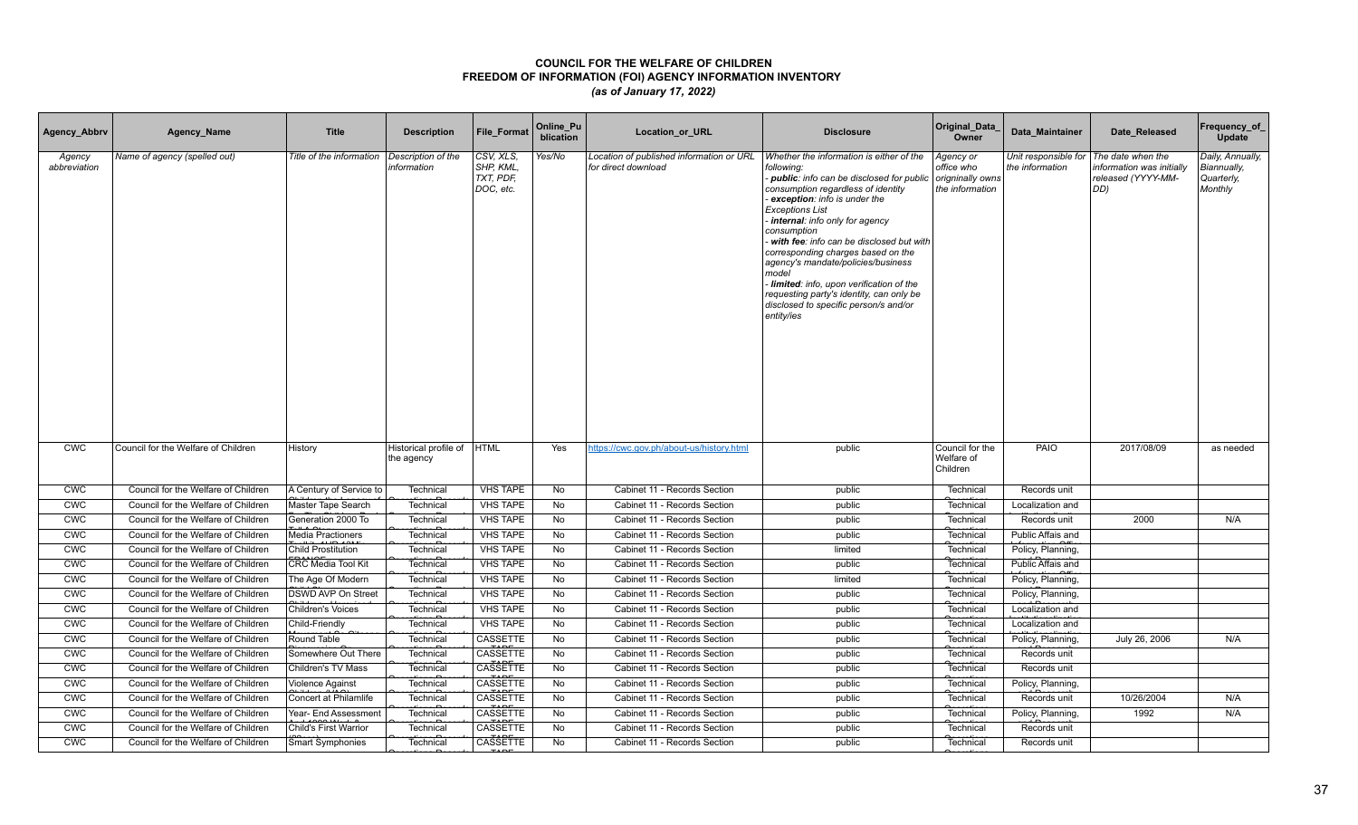| Agency_Abbrv           | Agency_Name                         | <b>Title</b>              | <b>Description</b>                  | <b>File Format</b>                              | Online_Pu<br>blication | Location_or_URL                                                 | <b>Disclosure</b>                                                                                                                                                                                                                                                                                                                                                                                                                                                                                                                    | Original_Data<br>Owner                                         | Data Maintainer                         | Date Released                                                               | Frequency_of_<br>Update                                  |
|------------------------|-------------------------------------|---------------------------|-------------------------------------|-------------------------------------------------|------------------------|-----------------------------------------------------------------|--------------------------------------------------------------------------------------------------------------------------------------------------------------------------------------------------------------------------------------------------------------------------------------------------------------------------------------------------------------------------------------------------------------------------------------------------------------------------------------------------------------------------------------|----------------------------------------------------------------|-----------------------------------------|-----------------------------------------------------------------------------|----------------------------------------------------------|
| Agency<br>abbreviation | Name of agency (spelled out)        | Title of the information  | Description of the<br>information   | CSV, XLS,<br>SHP, KML<br>TXT, PDF,<br>DOC, etc. | Yes/No                 | Location of published information or URL<br>for direct download | Whether the information is either of the<br>following:<br>- public: info can be disclosed for public<br>consumption regardless of identity<br>exception: info is under the<br><b>Exceptions List</b><br>internal: info only for agency<br>consumption<br>with fee: info can be disclosed but with<br>corresponding charges based on the<br>agency's mandate/policies/business<br>model<br>Iimited: info, upon verification of the<br>requesting party's identity, can only be<br>disclosed to specific person/s and/or<br>entity/ies | Agency or<br>office who<br>origninally owns<br>the information | Unit responsible for<br>the information | The date when the<br>information was initially<br>released (YYYY-MM-<br>DD) | Daily, Annually,<br>Biannually,<br>Quarterly,<br>Monthly |
| <b>CWC</b>             | Council for the Welfare of Children | History                   | Historical profile of<br>the agency | <b>HTML</b>                                     | Yes                    | https://cwc.gov.ph/about-us/history.html                        | public                                                                                                                                                                                                                                                                                                                                                                                                                                                                                                                               | Council for the<br>Welfare of<br>Children                      | PAIO                                    | 2017/08/09                                                                  | as needed                                                |
| <b>CWC</b>             | Council for the Welfare of Children | A Century of Service to   | Technical                           | <b>VHS TAPE</b>                                 | No                     | Cabinet 11 - Records Section                                    | public                                                                                                                                                                                                                                                                                                                                                                                                                                                                                                                               | Technical                                                      | Records unit                            |                                                                             |                                                          |
| <b>CWC</b>             | Council for the Welfare of Children | Master Tape Search        | Technical                           | <b>VHS TAPE</b>                                 | No                     | Cabinet 11 - Records Section                                    | public                                                                                                                                                                                                                                                                                                                                                                                                                                                                                                                               | Technical                                                      | Localization and                        |                                                                             |                                                          |
| CWC                    | Council for the Welfare of Children | Generation 2000 To        | Technical                           | <b>VHS TAPE</b>                                 | <b>No</b>              | Cabinet 11 - Records Section                                    | public                                                                                                                                                                                                                                                                                                                                                                                                                                                                                                                               | Technical                                                      | Records unit                            | 2000                                                                        | N/A                                                      |
| <b>CWC</b>             | Council for the Welfare of Children | <b>Media Practioners</b>  | Technical                           | <b>VHS TAPE</b>                                 | <b>No</b>              | Cabinet 11 - Records Section                                    | public                                                                                                                                                                                                                                                                                                                                                                                                                                                                                                                               | Technical                                                      | Public Affais and                       |                                                                             |                                                          |
| <b>CWC</b>             | Council for the Welfare of Children | <b>Child Prostitution</b> | Technical                           | <b>VHS TAPE</b>                                 | No                     | Cabinet 11 - Records Section                                    | limited                                                                                                                                                                                                                                                                                                                                                                                                                                                                                                                              | Technical                                                      | Policy, Planning,                       |                                                                             |                                                          |
| <b>CWC</b>             | Council for the Welfare of Children | CRC Media Tool Kit        | Technical                           | <b>VHS TAPE</b>                                 | No                     | Cabinet 11 - Records Section                                    | public                                                                                                                                                                                                                                                                                                                                                                                                                                                                                                                               | Technical                                                      | Public Affais and                       |                                                                             |                                                          |
| <b>CWC</b>             | Council for the Welfare of Children | The Age Of Modern         | Technical                           | <b>VHS TAPE</b>                                 | No                     | Cabinet 11 - Records Section                                    | limited                                                                                                                                                                                                                                                                                                                                                                                                                                                                                                                              | Technical                                                      | Policy, Planning,                       |                                                                             |                                                          |
| <b>CWC</b>             | Council for the Welfare of Children | <b>DSWD AVP On Street</b> | Technical                           | <b>VHS TAPE</b>                                 | <b>No</b>              | Cabinet 11 - Records Section                                    | public                                                                                                                                                                                                                                                                                                                                                                                                                                                                                                                               | Technical                                                      | Policy, Planning,                       |                                                                             |                                                          |
| <b>CWC</b>             | Council for the Welfare of Children | Children's Voices         | Technical                           | <b>VHS TAPE</b>                                 | No                     | Cabinet 11 - Records Section                                    | public                                                                                                                                                                                                                                                                                                                                                                                                                                                                                                                               | Technical                                                      | Localization and                        |                                                                             |                                                          |
| <b>CWC</b>             | Council for the Welfare of Children | Child-Friendly            | Technical                           | <b>VHS TAPE</b>                                 | No                     | Cabinet 11 - Records Section                                    | public                                                                                                                                                                                                                                                                                                                                                                                                                                                                                                                               | Technical                                                      | Localization and                        |                                                                             |                                                          |
| <b>CWC</b>             | Council for the Welfare of Children | Round Table               | Technical                           | CASSETTE                                        | No                     | Cabinet 11 - Records Section                                    | public                                                                                                                                                                                                                                                                                                                                                                                                                                                                                                                               | Technical                                                      | Policy, Planning,                       | July 26, 2006                                                               | N/A                                                      |
| <b>CWC</b>             | Council for the Welfare of Children | Somewhere Out There       | Technical                           | CASSETTE                                        | No                     | Cabinet 11 - Records Section                                    | public                                                                                                                                                                                                                                                                                                                                                                                                                                                                                                                               | Technical                                                      | Records unit                            |                                                                             |                                                          |
| <b>CWC</b>             | Council for the Welfare of Children | <b>Children's TV Mass</b> | Technical                           | <b>CASSETTE</b>                                 | No                     | Cabinet 11 - Records Section                                    | public                                                                                                                                                                                                                                                                                                                                                                                                                                                                                                                               | Technical                                                      | Records unit                            |                                                                             |                                                          |
| CWC                    | Council for the Welfare of Children | Violence Against          | Technical                           | CASSETTE                                        | No                     | Cabinet 11 - Records Section                                    | public                                                                                                                                                                                                                                                                                                                                                                                                                                                                                                                               | Technical                                                      | Policy, Planning,                       |                                                                             |                                                          |
| <b>CWC</b>             | Council for the Welfare of Children | Concert at Philamlife     | Technical                           | CASSETTE                                        | No                     | Cabinet 11 - Records Section                                    | public                                                                                                                                                                                                                                                                                                                                                                                                                                                                                                                               | Technical                                                      | Records unit                            | 10/26/2004                                                                  | N/A                                                      |
| <b>CWC</b>             | Council for the Welfare of Children | Year- End Assessment      | Technical                           | CASSETTE                                        | No                     | Cabinet 11 - Records Section                                    | public                                                                                                                                                                                                                                                                                                                                                                                                                                                                                                                               | Technical                                                      | Policy, Planning,                       | 1992                                                                        | N/A                                                      |
| <b>CWC</b>             | Council for the Welfare of Children | Child's First Warrior     | Technica                            | CASSETTE                                        | No                     | Cabinet 11 - Records Section                                    | public                                                                                                                                                                                                                                                                                                                                                                                                                                                                                                                               | Technical                                                      | Records unit                            |                                                                             |                                                          |
| <b>CWC</b>             | Council for the Welfare of Children | Smart Symphonies          | Technical                           | <b>CASSETTE</b>                                 | No                     | Cabinet 11 - Records Section                                    | public                                                                                                                                                                                                                                                                                                                                                                                                                                                                                                                               | Technical                                                      | Records unit                            |                                                                             |                                                          |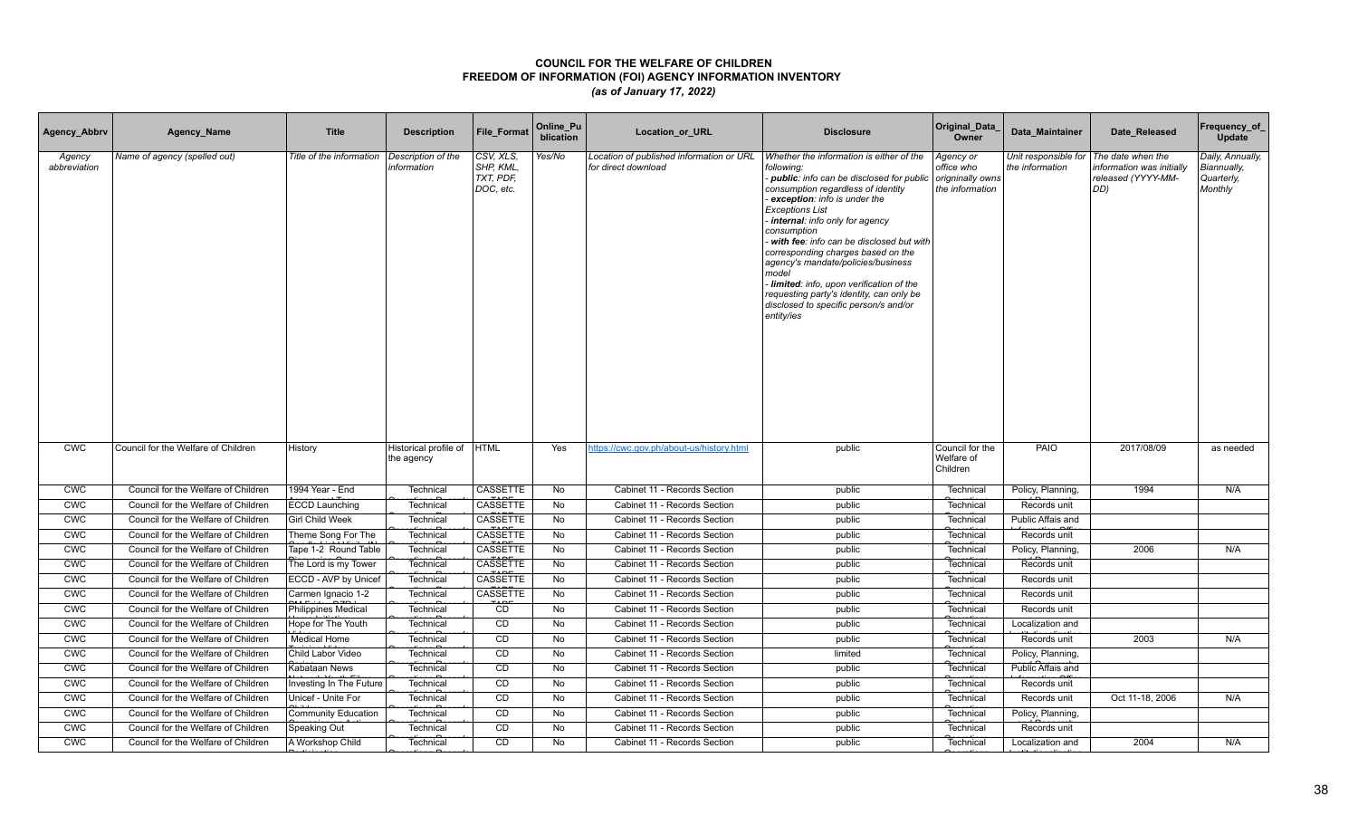| Agency_Abbrv           | Agency_Name                         | <b>Title</b>               | <b>Description</b>                  | <b>File Format</b>                              | Online_Pu<br>blication | Location_or_URL                                                 | <b>Disclosure</b>                                                                                                                                                                                                                                                                                                                                                                                                                                                                                                                    | Original_Data<br>Owner                                         | Data Maintainer                         | Date Released                                                               | Frequency_of_<br>Update                                  |
|------------------------|-------------------------------------|----------------------------|-------------------------------------|-------------------------------------------------|------------------------|-----------------------------------------------------------------|--------------------------------------------------------------------------------------------------------------------------------------------------------------------------------------------------------------------------------------------------------------------------------------------------------------------------------------------------------------------------------------------------------------------------------------------------------------------------------------------------------------------------------------|----------------------------------------------------------------|-----------------------------------------|-----------------------------------------------------------------------------|----------------------------------------------------------|
| Agency<br>abbreviation | Name of agency (spelled out)        | Title of the information   | Description of the<br>information   | CSV, XLS,<br>SHP, KML<br>TXT, PDF,<br>DOC, etc. | Yes/No                 | Location of published information or URL<br>for direct download | Whether the information is either of the<br>following:<br>- public: info can be disclosed for public<br>consumption regardless of identity<br>exception: info is under the<br><b>Exceptions List</b><br>internal: info only for agency<br>consumption<br>with fee: info can be disclosed but with<br>corresponding charges based on the<br>agency's mandate/policies/business<br>model<br>Iimited: info, upon verification of the<br>requesting party's identity, can only be<br>disclosed to specific person/s and/or<br>entity/ies | Agency or<br>office who<br>origninally owns<br>the information | Unit responsible for<br>the information | The date when the<br>information was initially<br>released (YYYY-MM-<br>DD) | Daily, Annually,<br>Biannually,<br>Quarterly,<br>Monthly |
| <b>CWC</b>             | Council for the Welfare of Children | History                    | Historical profile of<br>the agency | <b>HTML</b>                                     | Yes                    | https://cwc.gov.ph/about-us/history.html                        | public                                                                                                                                                                                                                                                                                                                                                                                                                                                                                                                               | Council for the<br>Welfare of<br>Children                      | PAIO                                    | 2017/08/09                                                                  | as needed                                                |
| <b>CWC</b>             | Council for the Welfare of Children | 1994 Year - End            | Technical                           | CASSETTE                                        | No                     | Cabinet 11 - Records Section                                    | public                                                                                                                                                                                                                                                                                                                                                                                                                                                                                                                               | Technical                                                      | Policy, Planning,                       | 1994                                                                        | N/A                                                      |
| <b>CWC</b>             | Council for the Welfare of Children | <b>ECCD Launching</b>      | Technical                           | CASSETTE                                        | No                     | Cabinet 11 - Records Section                                    | public                                                                                                                                                                                                                                                                                                                                                                                                                                                                                                                               | Technical                                                      | Records unit                            |                                                                             |                                                          |
| CWC                    | Council for the Welfare of Children | <b>Girl Child Week</b>     | Technical                           | <b>CASSETTE</b>                                 | No                     | Cabinet 11 - Records Section                                    | public                                                                                                                                                                                                                                                                                                                                                                                                                                                                                                                               | Technical                                                      | Public Affais and                       |                                                                             |                                                          |
| <b>CWC</b>             | Council for the Welfare of Children | Theme Song For The         | Technical                           | CASSETTE                                        | <b>No</b>              | Cabinet 11 - Records Section                                    | public                                                                                                                                                                                                                                                                                                                                                                                                                                                                                                                               | Technical                                                      | Records unit                            |                                                                             |                                                          |
| <b>CWC</b>             | Council for the Welfare of Children | Tape 1-2 Round Table       | Technical                           | <b>CASSETTE</b>                                 | No                     | Cabinet 11 - Records Section                                    | public                                                                                                                                                                                                                                                                                                                                                                                                                                                                                                                               | Technical                                                      | Policy, Planning,                       | 2006                                                                        | N/A                                                      |
| <b>CWC</b>             | Council for the Welfare of Children | The Lord is my Tower       | Technical                           | CASSETTE<br><b>TADE</b>                         | No                     | Cabinet 11 - Records Section                                    | public                                                                                                                                                                                                                                                                                                                                                                                                                                                                                                                               | Technical                                                      | Records unit                            |                                                                             |                                                          |
| <b>CWC</b>             | Council for the Welfare of Children | ECCD - AVP by Unicef       | Technical                           | CASSETTE                                        | No                     | Cabinet 11 - Records Section                                    | public                                                                                                                                                                                                                                                                                                                                                                                                                                                                                                                               | Technical                                                      | Records unit                            |                                                                             |                                                          |
| <b>CWC</b>             | Council for the Welfare of Children | Carmen Ignacio 1-2         | Technical                           | <b>CASSETTE</b><br>ىصت                          | <b>No</b>              | Cabinet 11 - Records Section                                    | public                                                                                                                                                                                                                                                                                                                                                                                                                                                                                                                               | Technical                                                      | Records unit                            |                                                                             |                                                          |
| <b>CWC</b>             | Council for the Welfare of Children | Philippines Medical        | Technical                           | CD                                              | No                     | Cabinet 11 - Records Section                                    | public                                                                                                                                                                                                                                                                                                                                                                                                                                                                                                                               | Technical                                                      | Records unit                            |                                                                             |                                                          |
| <b>CWC</b>             | Council for the Welfare of Children | Hope for The Youth         | Technical                           | CD                                              | No                     | Cabinet 11 - Records Section                                    | public                                                                                                                                                                                                                                                                                                                                                                                                                                                                                                                               | Technical                                                      | Localization and                        |                                                                             |                                                          |
| <b>CWC</b>             | Council for the Welfare of Children | <b>Medical Home</b>        | Technical                           | CD                                              | No                     | Cabinet 11 - Records Section                                    | public                                                                                                                                                                                                                                                                                                                                                                                                                                                                                                                               | Technical                                                      | Records unit                            | 2003                                                                        | N/A                                                      |
| <b>CWC</b>             | Council for the Welfare of Children | Child Labor Video          | Technical                           | CD                                              | No                     | Cabinet 11 - Records Section                                    | limited                                                                                                                                                                                                                                                                                                                                                                                                                                                                                                                              | Technical                                                      | Policy, Planning,                       |                                                                             |                                                          |
| <b>CWC</b>             | Council for the Welfare of Children | Kabataan News              | Technical                           | CD                                              | No                     | Cabinet 11 - Records Section                                    | public                                                                                                                                                                                                                                                                                                                                                                                                                                                                                                                               | Technical                                                      | Public Affais and                       |                                                                             |                                                          |
| CWC                    | Council for the Welfare of Children | Investing In The Future    | Technical                           | CD                                              | No                     | Cabinet 11 - Records Section                                    | public                                                                                                                                                                                                                                                                                                                                                                                                                                                                                                                               | Technical                                                      | Records unit                            |                                                                             |                                                          |
| <b>CWC</b>             | Council for the Welfare of Children | Unicef - Unite For         | Technical                           | CD                                              | <b>No</b>              | Cabinet 11 - Records Section                                    | public                                                                                                                                                                                                                                                                                                                                                                                                                                                                                                                               | Technical                                                      | Records unit                            | Oct 11-18, 2006                                                             | N/A                                                      |
| <b>CWC</b>             | Council for the Welfare of Children | <b>Community Education</b> | Technical                           | CD                                              | No                     | Cabinet 11 - Records Section                                    | public                                                                                                                                                                                                                                                                                                                                                                                                                                                                                                                               | Technical                                                      | Policy, Planning,                       |                                                                             |                                                          |
| <b>CWC</b>             | Council for the Welfare of Children | Speaking Out               | Technical                           | CD                                              | No                     | Cabinet 11 - Records Section                                    | public                                                                                                                                                                                                                                                                                                                                                                                                                                                                                                                               | Technical                                                      | Records unit                            |                                                                             |                                                          |
| <b>CWC</b>             | Council for the Welfare of Children | A Workshop Child           | Technical                           | CD                                              | <b>No</b>              | Cabinet 11 - Records Section                                    | public                                                                                                                                                                                                                                                                                                                                                                                                                                                                                                                               | Technical                                                      | Localization and                        | 2004                                                                        | N/A                                                      |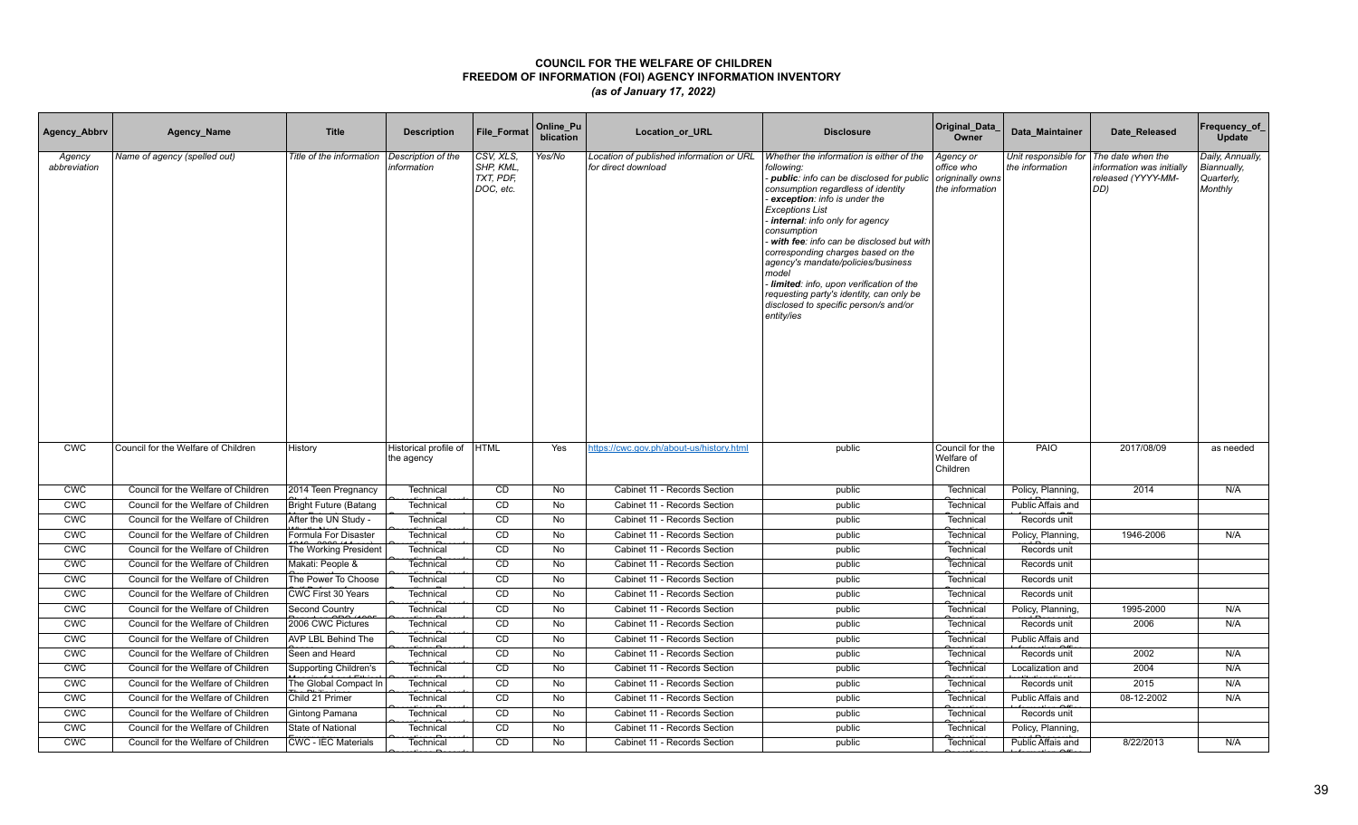| Agency_Abbrv           | Agency_Name                         | <b>Title</b>                 | <b>Description</b>                  | <b>File Format</b>                              | Online_Pu<br>blication | Location_or_URL                                                 | <b>Disclosure</b>                                                                                                                                                                                                                                                                                                                                                                                                                                                                                                                    | Original_Data<br>Owner                                         | Data Maintainer                         | Date Released                                                               | Frequency_of_<br>Update                                  |
|------------------------|-------------------------------------|------------------------------|-------------------------------------|-------------------------------------------------|------------------------|-----------------------------------------------------------------|--------------------------------------------------------------------------------------------------------------------------------------------------------------------------------------------------------------------------------------------------------------------------------------------------------------------------------------------------------------------------------------------------------------------------------------------------------------------------------------------------------------------------------------|----------------------------------------------------------------|-----------------------------------------|-----------------------------------------------------------------------------|----------------------------------------------------------|
| Agency<br>abbreviation | Name of agency (spelled out)        | Title of the information     | Description of the<br>information   | CSV, XLS,<br>SHP, KML<br>TXT, PDF,<br>DOC, etc. | Yes/No                 | Location of published information or URL<br>for direct download | Whether the information is either of the<br>following:<br>- public: info can be disclosed for public<br>consumption regardless of identity<br>exception: info is under the<br><b>Exceptions List</b><br>internal: info only for agency<br>consumption<br>with fee: info can be disclosed but with<br>corresponding charges based on the<br>agency's mandate/policies/business<br>model<br>Iimited: info, upon verification of the<br>requesting party's identity, can only be<br>disclosed to specific person/s and/or<br>entity/ies | Agency or<br>office who<br>origninally owns<br>the information | Unit responsible for<br>the information | The date when the<br>information was initially<br>released (YYYY-MM-<br>DD) | Daily, Annually,<br>Biannually,<br>Quarterly,<br>Monthly |
| <b>CWC</b>             | Council for the Welfare of Children | History                      | Historical profile of<br>the agency | HTML                                            | Yes                    | https://cwc.gov.ph/about-us/history.html                        | public                                                                                                                                                                                                                                                                                                                                                                                                                                                                                                                               | Council for the<br>Welfare of<br>Children                      | PAIO                                    | 2017/08/09                                                                  | as needed                                                |
| <b>CWC</b>             | Council for the Welfare of Children | 2014 Teen Pregnancy          | Technical                           | CD                                              | No                     | Cabinet 11 - Records Section                                    | public                                                                                                                                                                                                                                                                                                                                                                                                                                                                                                                               | Technical                                                      | Policy, Planning,                       | 2014                                                                        | N/A                                                      |
| <b>CWC</b>             | Council for the Welfare of Children | <b>Bright Future (Batang</b> | Technical                           | CD                                              | No                     | Cabinet 11 - Records Section                                    | public                                                                                                                                                                                                                                                                                                                                                                                                                                                                                                                               | Technical                                                      | Public Affais and                       |                                                                             |                                                          |
| CWC                    | Council for the Welfare of Children | After the UN Study -         | Technical                           | CD                                              | No                     | Cabinet 11 - Records Section                                    | public                                                                                                                                                                                                                                                                                                                                                                                                                                                                                                                               | Technical                                                      | Records unit                            |                                                                             |                                                          |
| <b>CWC</b>             | Council for the Welfare of Children | Formula For Disaster         | Technical                           | CD                                              | <b>No</b>              | Cabinet 11 - Records Section                                    | public                                                                                                                                                                                                                                                                                                                                                                                                                                                                                                                               | Technical                                                      | Policy, Planning,                       | 1946-2006                                                                   | N/A                                                      |
| <b>CWC</b>             | Council for the Welfare of Children | The Working President        | Technical                           | <b>CD</b>                                       | No                     | Cabinet 11 - Records Section                                    | public                                                                                                                                                                                                                                                                                                                                                                                                                                                                                                                               | Technical                                                      | Records unit                            |                                                                             |                                                          |
| <b>CWC</b>             | Council for the Welfare of Children | Makati: People &             | Technical                           | CD                                              | No                     | Cabinet 11 - Records Section                                    | public                                                                                                                                                                                                                                                                                                                                                                                                                                                                                                                               | Technical                                                      | Records unit                            |                                                                             |                                                          |
| <b>CWC</b>             | Council for the Welfare of Children | The Power To Choose          | Technical                           | CD                                              | No                     | Cabinet 11 - Records Section                                    | public                                                                                                                                                                                                                                                                                                                                                                                                                                                                                                                               | Technical                                                      | Records unit                            |                                                                             |                                                          |
| <b>CWC</b>             | Council for the Welfare of Children | CWC First 30 Years           | Technical                           | CD                                              | No                     | Cabinet 11 - Records Section                                    | public                                                                                                                                                                                                                                                                                                                                                                                                                                                                                                                               | Technical                                                      | Records unit                            |                                                                             |                                                          |
| <b>CWC</b>             | Council for the Welfare of Children | Second Country               | Technical                           | CD                                              | No                     | Cabinet 11 - Records Section                                    | public                                                                                                                                                                                                                                                                                                                                                                                                                                                                                                                               | Technical                                                      | Policy, Planning,                       | 1995-2000                                                                   | N/A                                                      |
| <b>CWC</b>             | Council for the Welfare of Children | 2006 CWC Pictures            | Technical                           | CD                                              | No                     | Cabinet 11 - Records Section                                    | public                                                                                                                                                                                                                                                                                                                                                                                                                                                                                                                               | Technical                                                      | Records unit                            | 2006                                                                        | N/A                                                      |
| <b>CWC</b>             | Council for the Welfare of Children | AVP LBL Behind The           | Technical                           | CD                                              | No                     | Cabinet 11 - Records Section                                    | public                                                                                                                                                                                                                                                                                                                                                                                                                                                                                                                               | Technical                                                      | Public Affais and                       |                                                                             |                                                          |
| <b>CWC</b>             | Council for the Welfare of Children | Seen and Heard               | Technical                           | CD                                              | No                     | Cabinet 11 - Records Section                                    | public                                                                                                                                                                                                                                                                                                                                                                                                                                                                                                                               | Technical                                                      | Records unit                            | 2002                                                                        | N/A                                                      |
| CWC                    | Council for the Welfare of Children | <b>Supporting Children's</b> | Technical                           | CD                                              | No                     | Cabinet 11 - Records Section                                    | public                                                                                                                                                                                                                                                                                                                                                                                                                                                                                                                               | Technical                                                      | Localization and                        | 2004                                                                        | N/A                                                      |
| CWC                    | Council for the Welfare of Children | The Global Compact In        | Technical                           | CD                                              | No                     | Cabinet 11 - Records Section                                    | public                                                                                                                                                                                                                                                                                                                                                                                                                                                                                                                               | Technical                                                      | Records unit                            | 2015                                                                        | N/A                                                      |
| <b>CWC</b>             | Council for the Welfare of Children | Child 21 Primer              | Technical                           | CD                                              | <b>No</b>              | Cabinet 11 - Records Section                                    | public                                                                                                                                                                                                                                                                                                                                                                                                                                                                                                                               | Technical                                                      | Public Affais and                       | 08-12-2002                                                                  | N/A                                                      |
| <b>CWC</b>             | Council for the Welfare of Children | Gintong Pamana               | Technical                           | CD                                              | No                     | Cabinet 11 - Records Section                                    | public                                                                                                                                                                                                                                                                                                                                                                                                                                                                                                                               | Technical                                                      | Records unit                            |                                                                             |                                                          |
| <b>CWC</b>             | Council for the Welfare of Children | State of National            | Technical                           | CD                                              | No                     | Cabinet 11 - Records Section                                    | public                                                                                                                                                                                                                                                                                                                                                                                                                                                                                                                               | Technical                                                      | Policy, Planning,                       |                                                                             |                                                          |
| <b>CWC</b>             | Council for the Welfare of Children | <b>CWC - IEC Materials</b>   | Technical                           | CD                                              | <b>No</b>              | Cabinet 11 - Records Section                                    | public                                                                                                                                                                                                                                                                                                                                                                                                                                                                                                                               | Technical                                                      | Public Affais and                       | 8/22/2013                                                                   | N/A                                                      |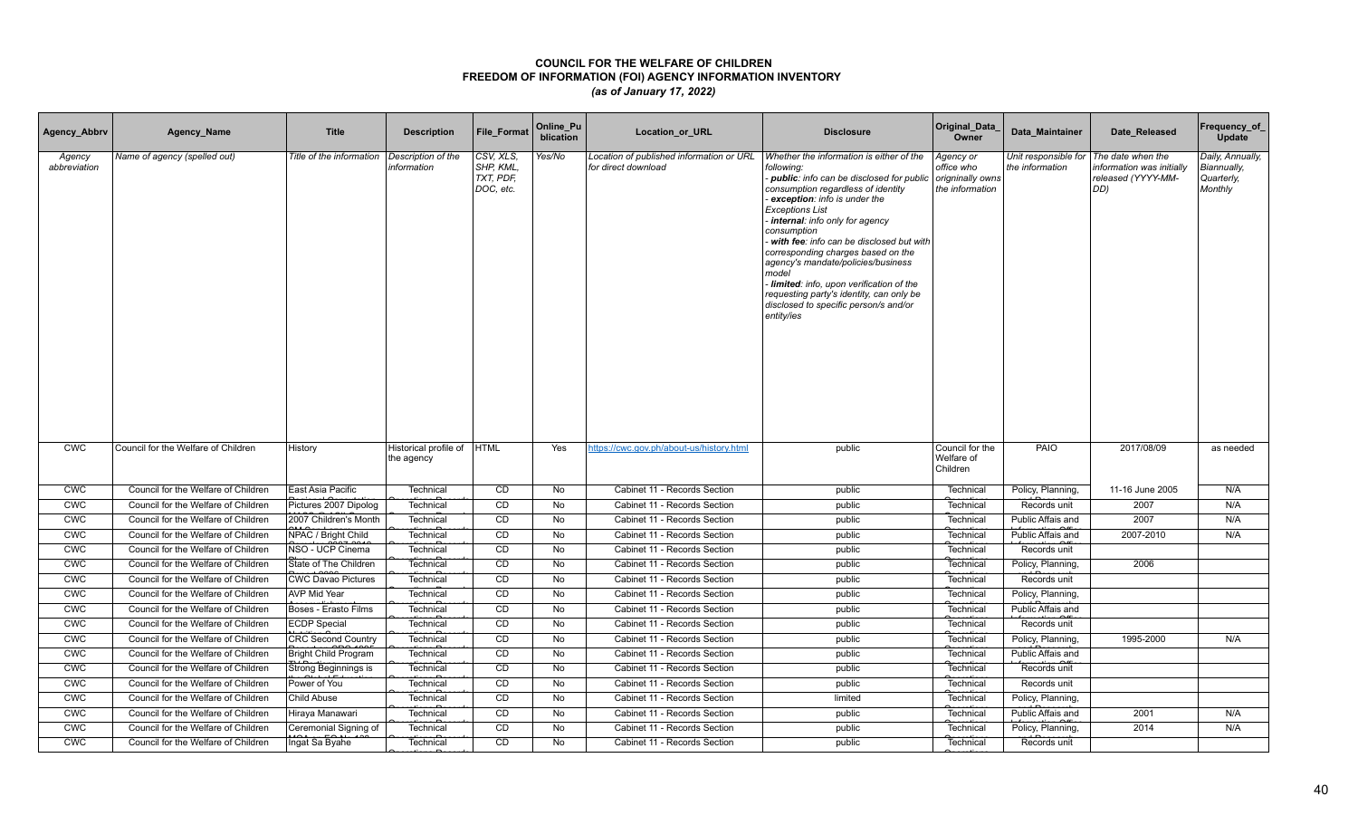| Agency_Abbrv           | Agency_Name                         | <b>Title</b>                | <b>Description</b>                  | <b>File Format</b>                              | Online_Pu<br>blication | Location_or_URL                                                 | <b>Disclosure</b>                                                                                                                                                                                                                                                                                                                                                                                                                                                                                                                    | Original_Data<br>Owner                                         | Data Maintainer                         | Date Released                                                               | Frequency_of_<br>Update                                  |
|------------------------|-------------------------------------|-----------------------------|-------------------------------------|-------------------------------------------------|------------------------|-----------------------------------------------------------------|--------------------------------------------------------------------------------------------------------------------------------------------------------------------------------------------------------------------------------------------------------------------------------------------------------------------------------------------------------------------------------------------------------------------------------------------------------------------------------------------------------------------------------------|----------------------------------------------------------------|-----------------------------------------|-----------------------------------------------------------------------------|----------------------------------------------------------|
| Agency<br>abbreviation | Name of agency (spelled out)        | Title of the information    | Description of the<br>information   | CSV, XLS,<br>SHP, KML<br>TXT, PDF,<br>DOC, etc. | Yes/No                 | Location of published information or URL<br>for direct download | Whether the information is either of the<br>following:<br>- public: info can be disclosed for public<br>consumption regardless of identity<br>exception: info is under the<br><b>Exceptions List</b><br>internal: info only for agency<br>consumption<br>with fee: info can be disclosed but with<br>corresponding charges based on the<br>agency's mandate/policies/business<br>model<br>Iimited: info, upon verification of the<br>requesting party's identity, can only be<br>disclosed to specific person/s and/or<br>entity/ies | Agency or<br>office who<br>origninally owns<br>the information | Unit responsible for<br>the information | The date when the<br>information was initially<br>released (YYYY-MM-<br>DD) | Daily, Annually,<br>Biannually,<br>Quarterly,<br>Monthly |
| <b>CWC</b>             | Council for the Welfare of Children | History                     | Historical profile of<br>the agency | <b>HTML</b>                                     | Yes                    | https://cwc.gov.ph/about-us/history.html                        | public                                                                                                                                                                                                                                                                                                                                                                                                                                                                                                                               | Council for the<br>Welfare of<br>Children                      | PAIO                                    | 2017/08/09                                                                  | as needed                                                |
| <b>CWC</b>             | Council for the Welfare of Children | East Asia Pacific           | Technical                           | CD                                              | No                     | Cabinet 11 - Records Section                                    | public                                                                                                                                                                                                                                                                                                                                                                                                                                                                                                                               | Technical                                                      | Policy, Planning,                       | 11-16 June 2005                                                             | N/A                                                      |
| <b>CWC</b>             | Council for the Welfare of Children | Pictures 2007 Dipolog       | Technical                           | CD                                              | No                     | Cabinet 11 - Records Section                                    | public                                                                                                                                                                                                                                                                                                                                                                                                                                                                                                                               | Technical                                                      | Records unit                            | 2007                                                                        | N/A                                                      |
| CWC                    | Council for the Welfare of Children | 2007 Children's Month       | Technical                           | CD                                              | No                     | Cabinet 11 - Records Section                                    | public                                                                                                                                                                                                                                                                                                                                                                                                                                                                                                                               | Technical                                                      | Public Affais and                       | 2007                                                                        | N/A                                                      |
| <b>CWC</b>             | Council for the Welfare of Children | NPAC / Bright Child         | Technical                           | CD                                              | <b>No</b>              | Cabinet 11 - Records Section                                    | public                                                                                                                                                                                                                                                                                                                                                                                                                                                                                                                               | Technical                                                      | Public Affais and                       | 2007-2010                                                                   | N/A                                                      |
| <b>CWC</b>             | Council for the Welfare of Children | NSO - UCP Cinema            | Technical                           | <b>CD</b>                                       | No                     | Cabinet 11 - Records Section                                    | public                                                                                                                                                                                                                                                                                                                                                                                                                                                                                                                               | Technical                                                      | Records unit                            |                                                                             |                                                          |
| <b>CWC</b>             | Council for the Welfare of Children | State of The Children       | Technical                           | CD                                              | No                     | Cabinet 11 - Records Section                                    | public                                                                                                                                                                                                                                                                                                                                                                                                                                                                                                                               | Technical                                                      | Policy, Planning,                       | 2006                                                                        |                                                          |
| <b>CWC</b>             | Council for the Welfare of Children | <b>CWC Davao Pictures</b>   | Technical                           | CD                                              | No                     | Cabinet 11 - Records Section                                    | public                                                                                                                                                                                                                                                                                                                                                                                                                                                                                                                               | Technical                                                      | Records unit                            |                                                                             |                                                          |
| <b>CWC</b>             | Council for the Welfare of Children | AVP Mid Year                | Technical                           | CD                                              | No                     | Cabinet 11 - Records Section                                    | public                                                                                                                                                                                                                                                                                                                                                                                                                                                                                                                               | Technical                                                      | Policy, Planning,                       |                                                                             |                                                          |
| <b>CWC</b>             | Council for the Welfare of Children | Boses - Erasto Films        | Technical                           | CD                                              | No                     | Cabinet 11 - Records Section                                    | public                                                                                                                                                                                                                                                                                                                                                                                                                                                                                                                               | Technical                                                      | Public Affais and                       |                                                                             |                                                          |
| <b>CWC</b>             | Council for the Welfare of Children | <b>ECDP Special</b>         | Technical                           | CD                                              | No                     | Cabinet 11 - Records Section                                    | public                                                                                                                                                                                                                                                                                                                                                                                                                                                                                                                               | Technical                                                      | Records unit                            |                                                                             |                                                          |
| <b>CWC</b>             | Council for the Welfare of Children | <b>CRC Second Country</b>   | Technical                           | CD                                              | No                     | Cabinet 11 - Records Section                                    | public                                                                                                                                                                                                                                                                                                                                                                                                                                                                                                                               | Technical                                                      | Policy, Planning,                       | 1995-2000                                                                   | N/A                                                      |
| <b>CWC</b>             | Council for the Welfare of Children | <b>Bright Child Program</b> | Technical                           | CD                                              | No                     | Cabinet 11 - Records Section                                    | public                                                                                                                                                                                                                                                                                                                                                                                                                                                                                                                               | Technical                                                      | Public Affais and                       |                                                                             |                                                          |
| <b>CMC</b>             | Council for the Welfare of Children | Strong Beginnings is        | Technical                           | CD                                              | No                     | Cabinet 11 - Records Section                                    | public                                                                                                                                                                                                                                                                                                                                                                                                                                                                                                                               | Technical                                                      | Records unit                            |                                                                             |                                                          |
| CWC                    | Council for the Welfare of Children | Power of You                | Technical                           | CD                                              | No                     | Cabinet 11 - Records Section                                    | public                                                                                                                                                                                                                                                                                                                                                                                                                                                                                                                               | Technical                                                      | Records unit                            |                                                                             |                                                          |
| <b>CWC</b>             | Council for the Welfare of Children | Child Abuse                 | Technical                           | CD                                              | <b>No</b>              | Cabinet 11 - Records Section                                    | limited                                                                                                                                                                                                                                                                                                                                                                                                                                                                                                                              | Technical                                                      | Policy, Planning,                       |                                                                             |                                                          |
| <b>CWC</b>             | Council for the Welfare of Children | Hiraya Manawari             | Technical                           | CD                                              | No                     | Cabinet 11 - Records Section                                    | public                                                                                                                                                                                                                                                                                                                                                                                                                                                                                                                               | Technical                                                      | Public Affais and                       | 2001                                                                        | N/A                                                      |
| <b>CWC</b>             | Council for the Welfare of Children | Ceremonial Signing of       | Technical                           | CD                                              | No                     | Cabinet 11 - Records Section                                    | public                                                                                                                                                                                                                                                                                                                                                                                                                                                                                                                               | Technical                                                      | Policy, Planning,                       | 2014                                                                        | N/A                                                      |
| <b>CWC</b>             | Council for the Welfare of Children | Ingat Sa Byahe              | Technical                           | CD                                              | <b>No</b>              | Cabinet 11 - Records Section                                    | public                                                                                                                                                                                                                                                                                                                                                                                                                                                                                                                               | Technical                                                      | Records unit                            |                                                                             |                                                          |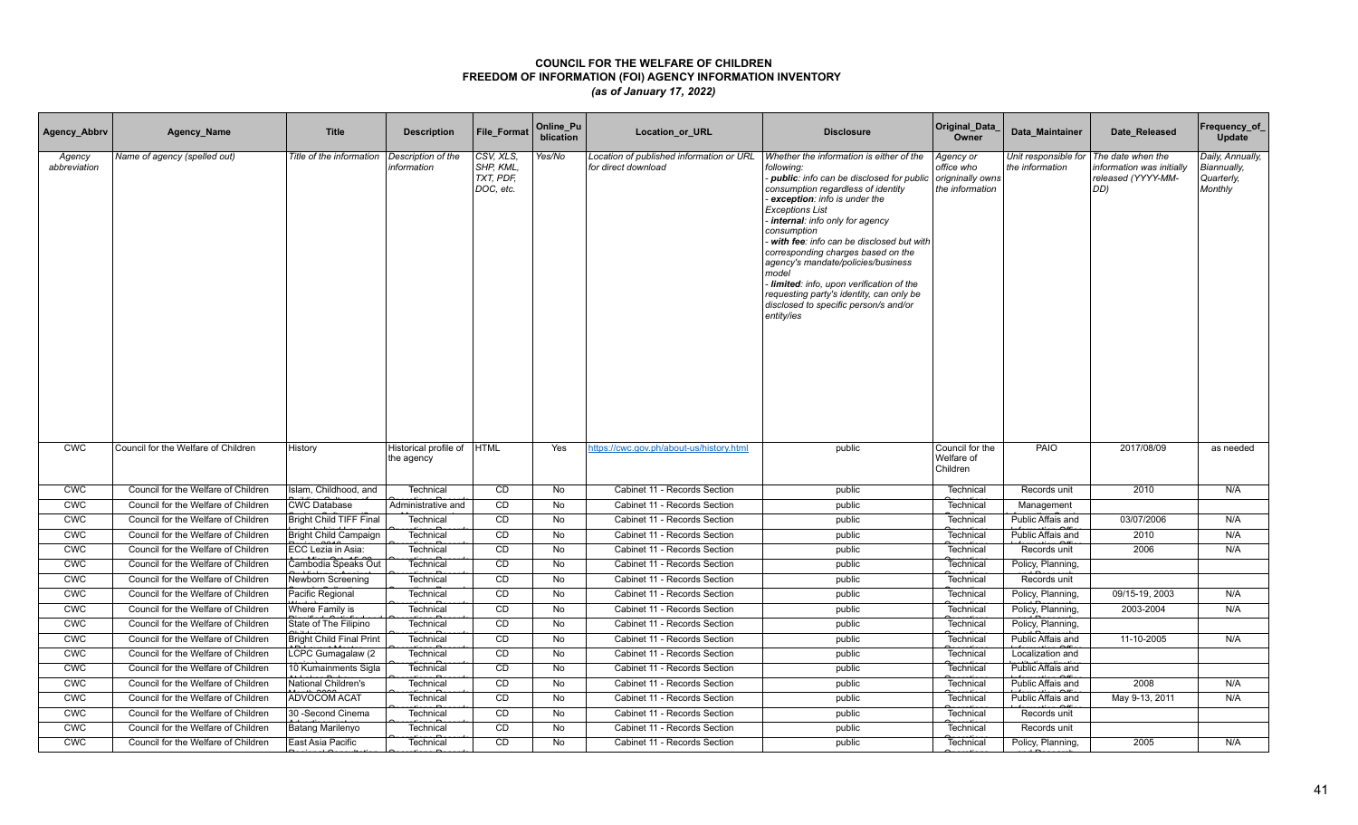| Agency_Abbrv           | Agency_Name                         | <b>Title</b>                    | <b>Description</b>                  | <b>File Format</b>                              | Online_Pu<br>blication | Location_or_URL                                                 | <b>Disclosure</b>                                                                                                                                                                                                                                                                                                                                                                                                                                                                                                                    | Original_Data<br>Owner                                         | Data Maintainer                         | Date Released                                                               | Frequency_of_<br>Update                                  |
|------------------------|-------------------------------------|---------------------------------|-------------------------------------|-------------------------------------------------|------------------------|-----------------------------------------------------------------|--------------------------------------------------------------------------------------------------------------------------------------------------------------------------------------------------------------------------------------------------------------------------------------------------------------------------------------------------------------------------------------------------------------------------------------------------------------------------------------------------------------------------------------|----------------------------------------------------------------|-----------------------------------------|-----------------------------------------------------------------------------|----------------------------------------------------------|
| Agency<br>abbreviation | Name of agency (spelled out)        | Title of the information        | Description of the<br>information   | CSV, XLS,<br>SHP, KML<br>TXT, PDF,<br>DOC, etc. | Yes/No                 | Location of published information or URL<br>for direct download | Whether the information is either of the<br>following:<br>- public: info can be disclosed for public<br>consumption regardless of identity<br>exception: info is under the<br><b>Exceptions List</b><br>internal: info only for agency<br>consumption<br>with fee: info can be disclosed but with<br>corresponding charges based on the<br>agency's mandate/policies/business<br>model<br>Iimited: info, upon verification of the<br>requesting party's identity, can only be<br>disclosed to specific person/s and/or<br>entity/ies | Agency or<br>office who<br>origninally owns<br>the information | Unit responsible for<br>the information | The date when the<br>information was initially<br>released (YYYY-MM-<br>DD) | Daily, Annually,<br>Biannually,<br>Quarterly,<br>Monthly |
| <b>CWC</b>             | Council for the Welfare of Children | History                         | Historical profile of<br>the agency | <b>HTML</b>                                     | Yes                    | https://cwc.gov.ph/about-us/history.html                        | public                                                                                                                                                                                                                                                                                                                                                                                                                                                                                                                               | Council for the<br>Welfare of<br>Children                      | PAIO                                    | 2017/08/09                                                                  | as needed                                                |
| <b>CWC</b>             | Council for the Welfare of Children | Islam, Childhood, and           | Technical                           | CD                                              | No                     | Cabinet 11 - Records Section                                    | public                                                                                                                                                                                                                                                                                                                                                                                                                                                                                                                               | Technical                                                      | Records unit                            | 2010                                                                        | N/A                                                      |
| <b>CWC</b>             | Council for the Welfare of Children | <b>CWC Database</b>             | Administrative and                  | CD                                              | No                     | Cabinet 11 - Records Section                                    | public                                                                                                                                                                                                                                                                                                                                                                                                                                                                                                                               | Technical                                                      | Management                              |                                                                             |                                                          |
| CWC                    | Council for the Welfare of Children | Bright Child TIFF Final         | Technical                           | CD                                              | No                     | Cabinet 11 - Records Section                                    | public                                                                                                                                                                                                                                                                                                                                                                                                                                                                                                                               | Technical                                                      | Public Affais and                       | 03/07/2006                                                                  | N/A                                                      |
| <b>CWC</b>             | Council for the Welfare of Children | <b>Bright Child Campaign</b>    | Technical                           | CD                                              | <b>No</b>              | Cabinet 11 - Records Section                                    | public                                                                                                                                                                                                                                                                                                                                                                                                                                                                                                                               | Technical                                                      | Public Affais and                       | 2010                                                                        | N/A                                                      |
| <b>CWC</b>             | Council for the Welfare of Children | ECC Lezia in Asia:              | Technical                           | CD                                              | No                     | Cabinet 11 - Records Section                                    | public                                                                                                                                                                                                                                                                                                                                                                                                                                                                                                                               | Technical                                                      | Records unit                            | 2006                                                                        | N/A                                                      |
| <b>CWC</b>             | Council for the Welfare of Children | Cambodia Speaks Out             | Technical                           | CD                                              | No                     | Cabinet 11 - Records Section                                    | public                                                                                                                                                                                                                                                                                                                                                                                                                                                                                                                               | Technical                                                      | Policy, Planning,                       |                                                                             |                                                          |
| <b>CWC</b>             | Council for the Welfare of Children | Newborn Screening               | Technical                           | CD                                              | No                     | Cabinet 11 - Records Section                                    | public                                                                                                                                                                                                                                                                                                                                                                                                                                                                                                                               | Technical                                                      | Records unit                            |                                                                             |                                                          |
| <b>CWC</b>             | Council for the Welfare of Children | Pacific Regional                | Technical                           | CD                                              | No                     | Cabinet 11 - Records Section                                    | public                                                                                                                                                                                                                                                                                                                                                                                                                                                                                                                               | Technical                                                      | Policy, Planning,                       | 09/15-19, 2003                                                              | N/A                                                      |
| <b>CWC</b>             | Council for the Welfare of Children | Where Family is                 | Technical                           | CD                                              | No                     | Cabinet 11 - Records Section                                    | public                                                                                                                                                                                                                                                                                                                                                                                                                                                                                                                               | Technical                                                      | Policy, Planning,                       | 2003-2004                                                                   | N/A                                                      |
| <b>CWC</b>             | Council for the Welfare of Children | State of The Filipino           | Technical                           | CD                                              | No                     | Cabinet 11 - Records Section                                    | public                                                                                                                                                                                                                                                                                                                                                                                                                                                                                                                               | Technical                                                      | Policy, Planning,                       |                                                                             |                                                          |
| <b>CWC</b>             | Council for the Welfare of Children | <b>Bright Child Final Print</b> | Technical                           | CD                                              | No                     | Cabinet 11 - Records Section                                    | public                                                                                                                                                                                                                                                                                                                                                                                                                                                                                                                               | Technical                                                      | Public Affais and                       | 11-10-2005                                                                  | N/A                                                      |
| <b>CWC</b>             | Council for the Welfare of Children | LCPC Gumagalaw (2               | Technical                           | CD                                              | No                     | Cabinet 11 - Records Section                                    | public                                                                                                                                                                                                                                                                                                                                                                                                                                                                                                                               | Technical                                                      | Localization and                        |                                                                             |                                                          |
| <b>CMC</b>             | Council for the Welfare of Children | 10 Kumainments Sigla            | Technical                           | CD                                              | No                     | Cabinet 11 - Records Section                                    | public                                                                                                                                                                                                                                                                                                                                                                                                                                                                                                                               | Technical                                                      | Public Affais and                       |                                                                             |                                                          |
| CWC                    | Council for the Welfare of Children | National Children's             | Technical                           | CD                                              | No                     | Cabinet 11 - Records Section                                    | public                                                                                                                                                                                                                                                                                                                                                                                                                                                                                                                               | Technical                                                      | Public Affais and                       | 2008                                                                        | N/A                                                      |
| <b>CWC</b>             | Council for the Welfare of Children | ADVOCOM ACAT                    | Technical                           | CD                                              | <b>No</b>              | Cabinet 11 - Records Section                                    | public                                                                                                                                                                                                                                                                                                                                                                                                                                                                                                                               | Technical                                                      | Public Affais and                       | May 9-13, 2011                                                              | N/A                                                      |
| <b>CWC</b>             | Council for the Welfare of Children | 30 - Second Cinema              | Technical                           | CD                                              | No                     | Cabinet 11 - Records Section                                    | public                                                                                                                                                                                                                                                                                                                                                                                                                                                                                                                               | Technical                                                      | Records unit                            |                                                                             |                                                          |
| <b>CWC</b>             | Council for the Welfare of Children | Batang Marilenyo                | Technical                           | CD                                              | No                     | Cabinet 11 - Records Section                                    | public                                                                                                                                                                                                                                                                                                                                                                                                                                                                                                                               | Technical                                                      | Records unit                            |                                                                             |                                                          |
| <b>CWC</b>             | Council for the Welfare of Children | East Asia Pacific               | Technical                           | CD                                              | <b>No</b>              | Cabinet 11 - Records Section                                    | public                                                                                                                                                                                                                                                                                                                                                                                                                                                                                                                               | Technical                                                      | Policy, Planning,                       | 2005                                                                        | N/A                                                      |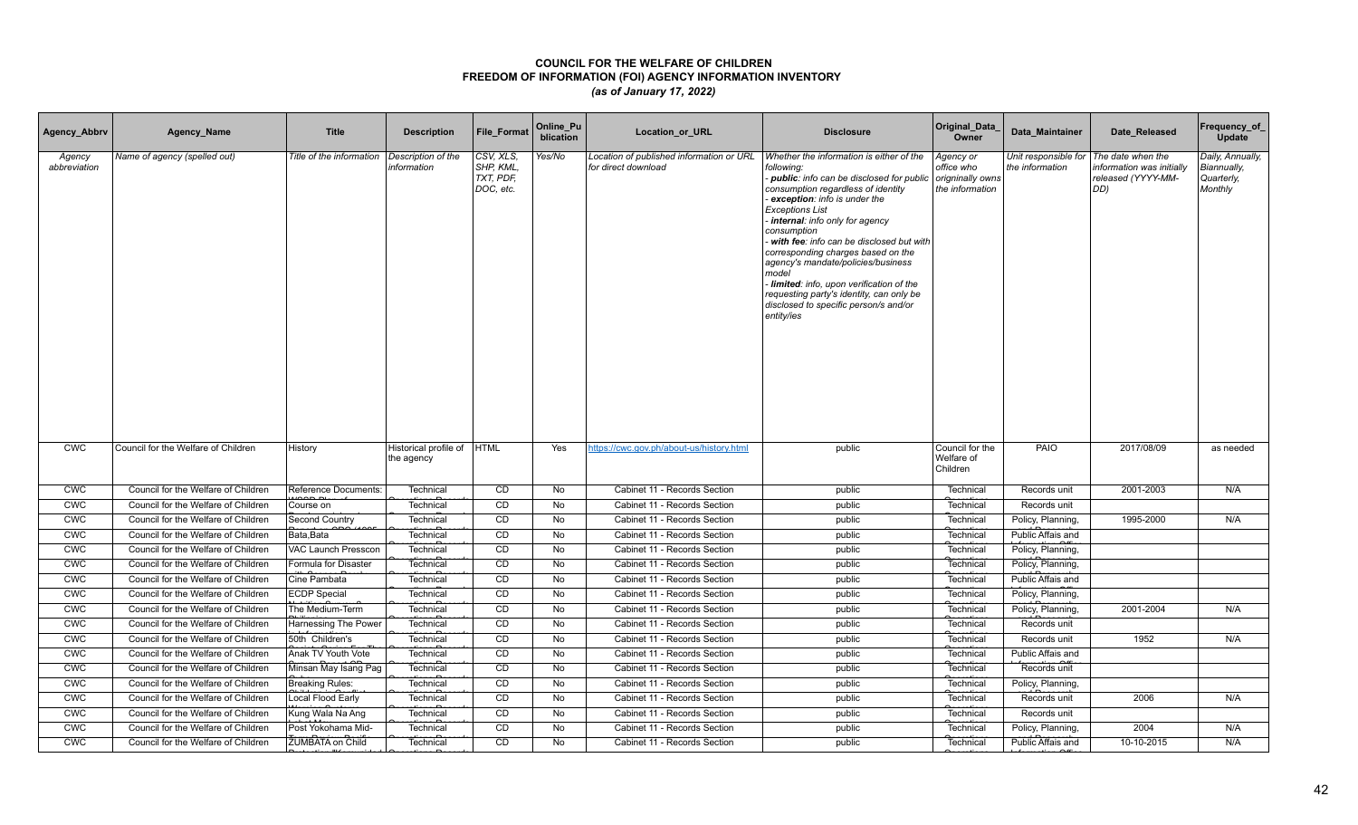| Agency_Abbrv           | Agency_Name                         | <b>Title</b>             | <b>Description</b>                  | <b>File Format</b>                              | Online_Pu<br>blication | Location_or_URL                                                 | <b>Disclosure</b>                                                                                                                                                                                                                                                                                                                                                                                                                                                                                                                    | Original_Data<br>Owner                                         | Data Maintainer                         | Date Released                                                               | Frequency_of_<br>Update                                  |
|------------------------|-------------------------------------|--------------------------|-------------------------------------|-------------------------------------------------|------------------------|-----------------------------------------------------------------|--------------------------------------------------------------------------------------------------------------------------------------------------------------------------------------------------------------------------------------------------------------------------------------------------------------------------------------------------------------------------------------------------------------------------------------------------------------------------------------------------------------------------------------|----------------------------------------------------------------|-----------------------------------------|-----------------------------------------------------------------------------|----------------------------------------------------------|
| Agency<br>abbreviation | Name of agency (spelled out)        | Title of the information | Description of the<br>information   | CSV, XLS,<br>SHP, KML<br>TXT, PDF,<br>DOC, etc. | Yes/No                 | Location of published information or URL<br>for direct download | Whether the information is either of the<br>following:<br>- public: info can be disclosed for public<br>consumption regardless of identity<br>exception: info is under the<br><b>Exceptions List</b><br>internal: info only for agency<br>consumption<br>with fee: info can be disclosed but with<br>corresponding charges based on the<br>agency's mandate/policies/business<br>model<br>Iimited: info, upon verification of the<br>requesting party's identity, can only be<br>disclosed to specific person/s and/or<br>entity/ies | Agency or<br>office who<br>origninally owns<br>the information | Unit responsible for<br>the information | The date when the<br>information was initially<br>released (YYYY-MM-<br>DD) | Daily, Annually,<br>Biannually,<br>Quarterly,<br>Monthly |
| <b>CWC</b>             | Council for the Welfare of Children | History                  | Historical profile of<br>the agency | <b>HTML</b>                                     | Yes                    | https://cwc.gov.ph/about-us/history.html                        | public                                                                                                                                                                                                                                                                                                                                                                                                                                                                                                                               | Council for the<br>Welfare of<br>Children                      | PAIO                                    | 2017/08/09                                                                  | as needed                                                |
| <b>CWC</b>             | Council for the Welfare of Children | Reference Documents:     | Technical                           | CD                                              | No                     | Cabinet 11 - Records Section                                    | public                                                                                                                                                                                                                                                                                                                                                                                                                                                                                                                               | Technical                                                      | Records unit                            | 2001-2003                                                                   | N/A                                                      |
| <b>CWC</b>             | Council for the Welfare of Children | Course on                | Technical                           | CD                                              | No                     | Cabinet 11 - Records Section                                    | public                                                                                                                                                                                                                                                                                                                                                                                                                                                                                                                               | Technical                                                      | Records unit                            |                                                                             |                                                          |
| CWC                    | Council for the Welfare of Children | Second Country           | Technical                           | CD                                              | No                     | Cabinet 11 - Records Section                                    | public                                                                                                                                                                                                                                                                                                                                                                                                                                                                                                                               | Technical                                                      | Policy, Planning,                       | 1995-2000                                                                   | N/A                                                      |
| <b>CWC</b>             | Council for the Welfare of Children | Bata.Bata                | Technical                           | CD                                              | <b>No</b>              | Cabinet 11 - Records Section                                    | public                                                                                                                                                                                                                                                                                                                                                                                                                                                                                                                               | Technical                                                      | Public Affais and                       |                                                                             |                                                          |
| <b>CWC</b>             | Council for the Welfare of Children | VAC Launch Presscon      | Technical                           | CD                                              | No                     | Cabinet 11 - Records Section                                    | public                                                                                                                                                                                                                                                                                                                                                                                                                                                                                                                               | Technical                                                      | Policy, Planning,                       |                                                                             |                                                          |
| <b>CWC</b>             | Council for the Welfare of Children | Formula for Disaster     | Technical                           | CD                                              | No                     | Cabinet 11 - Records Section                                    | public                                                                                                                                                                                                                                                                                                                                                                                                                                                                                                                               | Technical                                                      | Policy, Planning,                       |                                                                             |                                                          |
| <b>CWC</b>             | Council for the Welfare of Children | Cine Pambata             | Technical                           | CD                                              | No                     | Cabinet 11 - Records Section                                    | public                                                                                                                                                                                                                                                                                                                                                                                                                                                                                                                               | Technical                                                      | Public Affais and                       |                                                                             |                                                          |
| <b>CWC</b>             | Council for the Welfare of Children | <b>ECDP</b> Special      | Technical                           | CD                                              | <b>No</b>              | Cabinet 11 - Records Section                                    | public                                                                                                                                                                                                                                                                                                                                                                                                                                                                                                                               | Technical                                                      | Policy, Planning,                       |                                                                             |                                                          |
| <b>CWC</b>             | Council for the Welfare of Children | The Medium-Term          | Technical                           | CD                                              | No                     | Cabinet 11 - Records Section                                    | public                                                                                                                                                                                                                                                                                                                                                                                                                                                                                                                               | Technical                                                      | Policy, Planning,                       | 2001-2004                                                                   | N/A                                                      |
| <b>CWC</b>             | Council for the Welfare of Children | Harnessing The Power     | Technical                           | CD                                              | No                     | Cabinet 11 - Records Section                                    | public                                                                                                                                                                                                                                                                                                                                                                                                                                                                                                                               | Technical                                                      | Records unit                            |                                                                             |                                                          |
| <b>CWC</b>             | Council for the Welfare of Children | 50th Children's          | Technical                           | CD                                              | No                     | Cabinet 11 - Records Section                                    | public                                                                                                                                                                                                                                                                                                                                                                                                                                                                                                                               | Technical                                                      | Records unit                            | 1952                                                                        | N/A                                                      |
| <b>CWC</b>             | Council for the Welfare of Children | Anak TV Youth Vote       | Technical                           | CD                                              | No                     | Cabinet 11 - Records Section                                    | public                                                                                                                                                                                                                                                                                                                                                                                                                                                                                                                               | Technical                                                      | Public Affais and                       |                                                                             |                                                          |
| <b>CMC</b>             | Council for the Welfare of Children | Minsan May Isang Pag     | Technical                           | CD                                              | No                     | Cabinet 11 - Records Section                                    | public                                                                                                                                                                                                                                                                                                                                                                                                                                                                                                                               | Technical                                                      | Records unit                            |                                                                             |                                                          |
| CWC                    | Council for the Welfare of Children | <b>Breaking Rules:</b>   | Technical                           | CD                                              | No                     | Cabinet 11 - Records Section                                    | public                                                                                                                                                                                                                                                                                                                                                                                                                                                                                                                               | Technical                                                      | Policy, Planning,                       |                                                                             |                                                          |
| <b>CWC</b>             | Council for the Welfare of Children | Local Flood Early        | Technical                           | CD                                              | <b>No</b>              | Cabinet 11 - Records Section                                    | public                                                                                                                                                                                                                                                                                                                                                                                                                                                                                                                               | Technical                                                      | Records unit                            | 2006                                                                        | N/A                                                      |
| <b>CWC</b>             | Council for the Welfare of Children | Kung Wala Na Ang         | Technical                           | CD                                              | No                     | Cabinet 11 - Records Section                                    | public                                                                                                                                                                                                                                                                                                                                                                                                                                                                                                                               | Technical                                                      | Records unit                            |                                                                             |                                                          |
| <b>CWC</b>             | Council for the Welfare of Children | Post Yokohama Mid-       | Technical                           | CD                                              | No                     | Cabinet 11 - Records Section                                    | public                                                                                                                                                                                                                                                                                                                                                                                                                                                                                                                               | Technical                                                      | Policy, Planning,                       | 2004                                                                        | N/A                                                      |
| <b>CWC</b>             | Council for the Welfare of Children | <b>ZUMBATA on Child</b>  | Technical                           | CD                                              | <b>No</b>              | Cabinet 11 - Records Section                                    | public                                                                                                                                                                                                                                                                                                                                                                                                                                                                                                                               | Technical                                                      | Public Affais and                       | 10-10-2015                                                                  | N/A                                                      |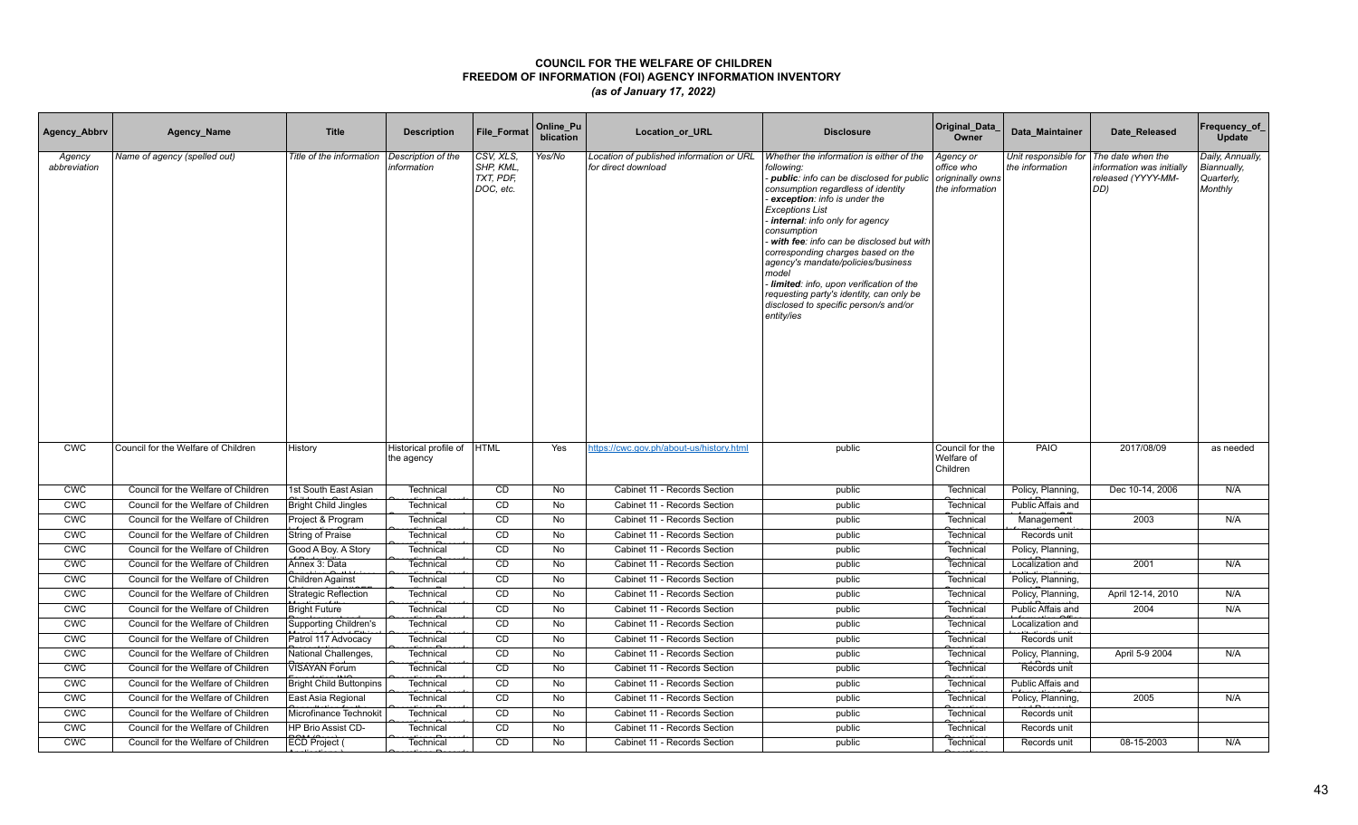| Agency_Abbrv           | Agency_Name                         | <b>Title</b>                   | <b>Description</b>                  | <b>File Format</b>                               | Online_Pu<br>blication | Location_or_URL                                                 | <b>Disclosure</b>                                                                                                                                                                                                                                                                                                                                                                                                                                                                                                                    | Original_Data<br>Owner                                         | Data Maintainer                         | Date Released                                                               | Frequency_of_<br>Update                                  |
|------------------------|-------------------------------------|--------------------------------|-------------------------------------|--------------------------------------------------|------------------------|-----------------------------------------------------------------|--------------------------------------------------------------------------------------------------------------------------------------------------------------------------------------------------------------------------------------------------------------------------------------------------------------------------------------------------------------------------------------------------------------------------------------------------------------------------------------------------------------------------------------|----------------------------------------------------------------|-----------------------------------------|-----------------------------------------------------------------------------|----------------------------------------------------------|
| Agency<br>abbreviation | Name of agency (spelled out)        | Title of the information       | Description of the<br>information   | CSV, XLS,<br>SHP, KML,<br>TXT, PDF,<br>DOC, etc. | Yes/No                 | Location of published information or URL<br>for direct download | Whether the information is either of the<br>following:<br>- public: info can be disclosed for public<br>consumption regardless of identity<br>exception: info is under the<br><b>Exceptions List</b><br>internal: info only for agency<br>consumption<br>with fee: info can be disclosed but with<br>corresponding charges based on the<br>agency's mandate/policies/business<br>model<br>Iimited: info, upon verification of the<br>requesting party's identity, can only be<br>disclosed to specific person/s and/or<br>entity/ies | Agency or<br>office who<br>origninally owns<br>the information | Unit responsible for<br>the information | The date when the<br>information was initially<br>released (YYYY-MM-<br>DD) | Daily, Annually,<br>Biannually,<br>Quarterly,<br>Monthly |
| <b>CWC</b>             | Council for the Welfare of Children | History                        | Historical profile of<br>the agency | <b>HTML</b>                                      | Yes                    | https://cwc.gov.ph/about-us/history.html                        | public                                                                                                                                                                                                                                                                                                                                                                                                                                                                                                                               | Council for the<br>Welfare of<br>Children                      | PAIO                                    | 2017/08/09                                                                  | as needed                                                |
| <b>CWC</b>             | Council for the Welfare of Children | 1st South East Asian           | Technical                           | CD                                               | No                     | Cabinet 11 - Records Section                                    | public                                                                                                                                                                                                                                                                                                                                                                                                                                                                                                                               | Technical                                                      | Policy, Planning,                       | Dec 10-14, 2006                                                             | N/A                                                      |
| <b>CWC</b>             | Council for the Welfare of Children | <b>Bright Child Jingles</b>    | Technical                           | CD                                               | No                     | Cabinet 11 - Records Section                                    | public                                                                                                                                                                                                                                                                                                                                                                                                                                                                                                                               | Technical                                                      | Public Affais and                       |                                                                             |                                                          |
| CWC                    | Council for the Welfare of Children | Project & Program              | Technical                           | CD                                               | No                     | Cabinet 11 - Records Section                                    | public                                                                                                                                                                                                                                                                                                                                                                                                                                                                                                                               | Technical                                                      | Management                              | 2003                                                                        | N/A                                                      |
| <b>CWC</b>             | Council for the Welfare of Children | String of Praise               | Technical                           | CD                                               | <b>No</b>              | Cabinet 11 - Records Section                                    | public                                                                                                                                                                                                                                                                                                                                                                                                                                                                                                                               | Technical                                                      | Records unit                            |                                                                             |                                                          |
| <b>CWC</b>             | Council for the Welfare of Children | Good A Boy. A Story            | Technical                           | <b>CD</b>                                        | No                     | Cabinet 11 - Records Section                                    | public                                                                                                                                                                                                                                                                                                                                                                                                                                                                                                                               | Technical                                                      | Policy, Planning,                       |                                                                             |                                                          |
| <b>CWC</b>             | Council for the Welfare of Children | Annex 3: Data                  | Technical                           | CD                                               | No                     | Cabinet 11 - Records Section                                    | public                                                                                                                                                                                                                                                                                                                                                                                                                                                                                                                               | Technical                                                      | Localization and                        | 2001                                                                        | N/A                                                      |
| <b>CWC</b>             | Council for the Welfare of Children | <b>Children Against</b>        | Technical                           | CD                                               | No                     | Cabinet 11 - Records Section                                    | public                                                                                                                                                                                                                                                                                                                                                                                                                                                                                                                               | Technical                                                      | Policy, Planning,                       |                                                                             |                                                          |
| <b>CWC</b>             | Council for the Welfare of Children | <b>Strategic Reflection</b>    | Technical                           | CD                                               | No                     | Cabinet 11 - Records Section                                    | public                                                                                                                                                                                                                                                                                                                                                                                                                                                                                                                               | Technical                                                      | Policy, Planning,                       | April 12-14, 2010                                                           | N/A                                                      |
| <b>CWC</b>             | Council for the Welfare of Children | <b>Bright Future</b>           | Technical                           | CD                                               | No                     | Cabinet 11 - Records Section                                    | public                                                                                                                                                                                                                                                                                                                                                                                                                                                                                                                               | Technical                                                      | Public Affais and                       | 2004                                                                        | N/A                                                      |
| <b>CWC</b>             | Council for the Welfare of Children | <b>Supporting Children's</b>   | Technical                           | CD                                               | No                     | Cabinet 11 - Records Section                                    | public                                                                                                                                                                                                                                                                                                                                                                                                                                                                                                                               | Technical                                                      | Localization and                        |                                                                             |                                                          |
| <b>CWC</b>             | Council for the Welfare of Children | Patrol 117 Advocacy            | Technical                           | CD                                               | No                     | Cabinet 11 - Records Section                                    | public                                                                                                                                                                                                                                                                                                                                                                                                                                                                                                                               | Technical                                                      | Records unit                            |                                                                             |                                                          |
| <b>CWC</b>             | Council for the Welfare of Children | <b>National Challenges</b>     | Technical                           | CD                                               | No                     | Cabinet 11 - Records Section                                    | public                                                                                                                                                                                                                                                                                                                                                                                                                                                                                                                               | Technical                                                      | Policy, Planning,                       | April 5-9 2004                                                              | N/A                                                      |
| <b>CMC</b>             | Council for the Welfare of Children | <b>VISAYAN Forum</b>           | Technical                           | CD                                               | No                     | Cabinet 11 - Records Section                                    | public                                                                                                                                                                                                                                                                                                                                                                                                                                                                                                                               | Technical                                                      | Records unit                            |                                                                             |                                                          |
| CWC                    | Council for the Welfare of Children | <b>Bright Child Buttonpins</b> | Technical                           | CD                                               | No                     | Cabinet 11 - Records Section                                    | public                                                                                                                                                                                                                                                                                                                                                                                                                                                                                                                               | Technical                                                      | Public Affais and                       |                                                                             |                                                          |
| <b>CWC</b>             | Council for the Welfare of Children | East Asia Regional             | Technical                           | CD                                               | <b>No</b>              | Cabinet 11 - Records Section                                    | public                                                                                                                                                                                                                                                                                                                                                                                                                                                                                                                               | Technical                                                      | Policy, Planning,                       | 2005                                                                        | N/A                                                      |
| <b>CWC</b>             | Council for the Welfare of Children | Microfinance Technoki          | Technical                           | CD                                               | No                     | Cabinet 11 - Records Section                                    | public                                                                                                                                                                                                                                                                                                                                                                                                                                                                                                                               | Technical                                                      | Records unit                            |                                                                             |                                                          |
| <b>CWC</b>             | Council for the Welfare of Children | HP Brio Assist CD-             | Technical                           | CD                                               | No                     | Cabinet 11 - Records Section                                    | public                                                                                                                                                                                                                                                                                                                                                                                                                                                                                                                               | Technical                                                      | Records unit                            |                                                                             |                                                          |
| <b>CWC</b>             | Council for the Welfare of Children | ECD Project (                  | Technical                           | CD                                               | <b>No</b>              | Cabinet 11 - Records Section                                    | public                                                                                                                                                                                                                                                                                                                                                                                                                                                                                                                               | Technical                                                      | Records unit                            | 08-15-2003                                                                  | N/A                                                      |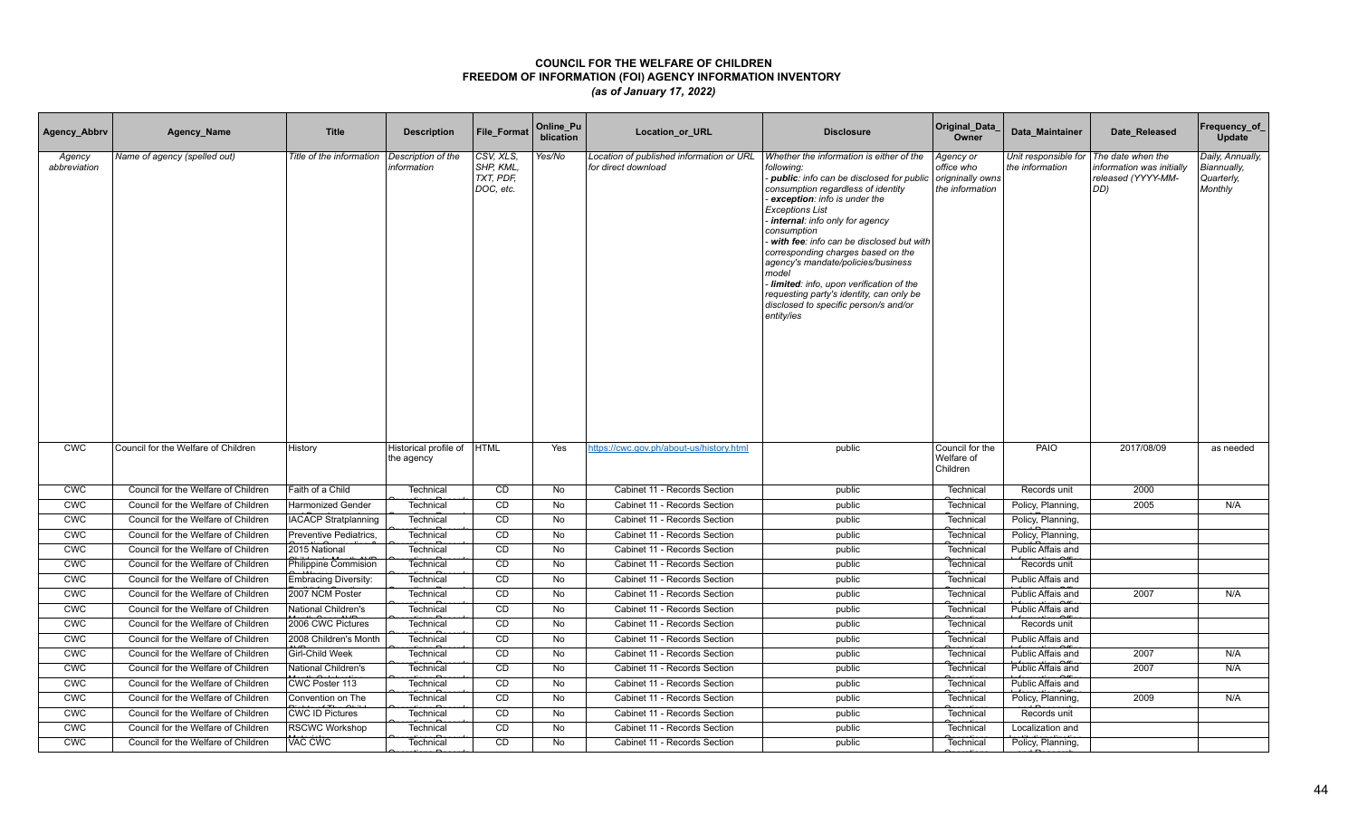| Agency_Abbrv           | Agency_Name                         | <b>Title</b>                | <b>Description</b>                        | <b>File Format</b>                               | Online_Pu<br>blication | Location_or_URL                                                 | <b>Disclosure</b>                                                                                                                                                                                                                                                                                                                                                                                                                                                                                                                    | Original_Data<br>Owner                                         | Data Maintainer                         | Date Released                                                               | Frequency_of_<br>Update                                  |
|------------------------|-------------------------------------|-----------------------------|-------------------------------------------|--------------------------------------------------|------------------------|-----------------------------------------------------------------|--------------------------------------------------------------------------------------------------------------------------------------------------------------------------------------------------------------------------------------------------------------------------------------------------------------------------------------------------------------------------------------------------------------------------------------------------------------------------------------------------------------------------------------|----------------------------------------------------------------|-----------------------------------------|-----------------------------------------------------------------------------|----------------------------------------------------------|
| Agency<br>abbreviation | Name of agency (spelled out)        | Title of the information    | Description of the<br>information         | CSV, XLS,<br>SHP, KML,<br>TXT, PDF,<br>DOC, etc. | Yes/No                 | Location of published information or URL<br>for direct download | Whether the information is either of the<br>following:<br>- public: info can be disclosed for public<br>consumption regardless of identity<br>exception: info is under the<br><b>Exceptions List</b><br>internal: info only for agency<br>consumption<br>with fee: info can be disclosed but with<br>corresponding charges based on the<br>agency's mandate/policies/business<br>model<br>Iimited: info, upon verification of the<br>requesting party's identity, can only be<br>disclosed to specific person/s and/or<br>entity/ies | Agency or<br>office who<br>origninally owns<br>the information | Unit responsible for<br>the information | The date when the<br>information was initially<br>released (YYYY-MM-<br>DD) | Daily, Annually,<br>Biannually,<br>Quarterly,<br>Monthly |
| <b>CWC</b>             | Council for the Welfare of Children | History                     | Historical profile of  HTML<br>the agency |                                                  | Yes                    | https://cwc.gov.ph/about-us/history.html                        | public                                                                                                                                                                                                                                                                                                                                                                                                                                                                                                                               | Council for the<br>Welfare of<br>Children                      | PAIO                                    | 2017/08/09                                                                  | as needed                                                |
| <b>CWC</b>             | Council for the Welfare of Children | Faith of a Child            | Technical                                 | CD                                               | No                     | Cabinet 11 - Records Section                                    | public                                                                                                                                                                                                                                                                                                                                                                                                                                                                                                                               | Technical                                                      | Records unit                            | 2000                                                                        |                                                          |
| <b>CWC</b>             | Council for the Welfare of Children | <b>Harmonized Gender</b>    | Technical                                 | CD                                               | No                     | Cabinet 11 - Records Section                                    | public                                                                                                                                                                                                                                                                                                                                                                                                                                                                                                                               | Technical                                                      | Policy, Planning,                       | 2005                                                                        | N/A                                                      |
| CWC                    | Council for the Welfare of Children | <b>IACACP Stratplanning</b> | Technical                                 | CD                                               | No                     | Cabinet 11 - Records Section                                    | public                                                                                                                                                                                                                                                                                                                                                                                                                                                                                                                               | Technical                                                      | Policy, Planning,                       |                                                                             |                                                          |
| <b>CWC</b>             | Council for the Welfare of Children | Preventive Pediatrics,      | Technical                                 | CD                                               | <b>No</b>              | Cabinet 11 - Records Section                                    | public                                                                                                                                                                                                                                                                                                                                                                                                                                                                                                                               | Technical                                                      | Policy, Planning,                       |                                                                             |                                                          |
| <b>CWC</b>             | Council for the Welfare of Children | 2015 National               | Technical                                 | <b>CD</b>                                        | No                     | Cabinet 11 - Records Section                                    | public                                                                                                                                                                                                                                                                                                                                                                                                                                                                                                                               | Technical                                                      | Public Affais and                       |                                                                             |                                                          |
| <b>CWC</b>             | Council for the Welfare of Children | Philippine Commision        | Technical                                 | CD                                               | No                     | Cabinet 11 - Records Section                                    | public                                                                                                                                                                                                                                                                                                                                                                                                                                                                                                                               | Technical                                                      | Records unit                            |                                                                             |                                                          |
| <b>CWC</b>             | Council for the Welfare of Children | <b>Embracing Diversity:</b> | Technical                                 | CD                                               | No                     | Cabinet 11 - Records Section                                    | public                                                                                                                                                                                                                                                                                                                                                                                                                                                                                                                               | Technical                                                      | Public Affais and                       |                                                                             |                                                          |
| <b>CWC</b>             | Council for the Welfare of Children | 2007 NCM Poster             | Technical                                 | CD                                               | <b>No</b>              | Cabinet 11 - Records Section                                    | public                                                                                                                                                                                                                                                                                                                                                                                                                                                                                                                               | Technical                                                      | Public Affais and                       | 2007                                                                        | N/A                                                      |
| <b>CWC</b>             | Council for the Welfare of Children | National Children's         | Technical                                 | CD                                               | No                     | Cabinet 11 - Records Section                                    | public                                                                                                                                                                                                                                                                                                                                                                                                                                                                                                                               | Technical                                                      | Public Affais and                       |                                                                             |                                                          |
| <b>CWC</b>             | Council for the Welfare of Children | 2006 CWC Pictures           | Technical                                 | CD                                               | No                     | Cabinet 11 - Records Section                                    | public                                                                                                                                                                                                                                                                                                                                                                                                                                                                                                                               | Technical                                                      | Records unit                            |                                                                             |                                                          |
| <b>CWC</b>             | Council for the Welfare of Children | 2008 Children's Month       | Technical                                 | CD                                               | No                     | Cabinet 11 - Records Section                                    | public                                                                                                                                                                                                                                                                                                                                                                                                                                                                                                                               | Technical                                                      | Public Affais and                       |                                                                             |                                                          |
| <b>CWC</b>             | Council for the Welfare of Children | <b>Girl-Child Week</b>      | Technical                                 | CD                                               | No                     | Cabinet 11 - Records Section                                    | public                                                                                                                                                                                                                                                                                                                                                                                                                                                                                                                               | Technical                                                      | Public Affais and                       | 2007                                                                        | N/A                                                      |
| <b>CMC</b>             | Council for the Welfare of Children | National Children's         | Technical                                 | CD                                               | No                     | Cabinet 11 - Records Section                                    | public                                                                                                                                                                                                                                                                                                                                                                                                                                                                                                                               | Technical                                                      | Public Affais and                       | 2007                                                                        | N/A                                                      |
| CWC                    | Council for the Welfare of Children | CWC Poster 113              | Technical                                 | CD                                               | No                     | Cabinet 11 - Records Section                                    | public                                                                                                                                                                                                                                                                                                                                                                                                                                                                                                                               | Technical                                                      | Public Affais and                       |                                                                             |                                                          |
| <b>CWC</b>             | Council for the Welfare of Children | Convention on The           | Technical                                 | CD                                               | <b>No</b>              | Cabinet 11 - Records Section                                    | public                                                                                                                                                                                                                                                                                                                                                                                                                                                                                                                               | Technical                                                      | Policy, Planning,                       | 2009                                                                        | N/A                                                      |
| <b>CWC</b>             | Council for the Welfare of Children | <b>CWC ID Pictures</b>      | Technical                                 | CD                                               | No                     | Cabinet 11 - Records Section                                    | public                                                                                                                                                                                                                                                                                                                                                                                                                                                                                                                               | Technical                                                      | Records unit                            |                                                                             |                                                          |
| <b>CWC</b>             | Council for the Welfare of Children | <b>RSCWC Workshop</b>       | Technical                                 | CD                                               | No                     | Cabinet 11 - Records Section                                    | public                                                                                                                                                                                                                                                                                                                                                                                                                                                                                                                               | Technical                                                      | Localization and                        |                                                                             |                                                          |
| <b>CWC</b>             | Council for the Welfare of Children | VAC CWC                     | Technical                                 | CD                                               | <b>No</b>              | Cabinet 11 - Records Section                                    | public                                                                                                                                                                                                                                                                                                                                                                                                                                                                                                                               | Technical                                                      | Policy, Planning,                       |                                                                             |                                                          |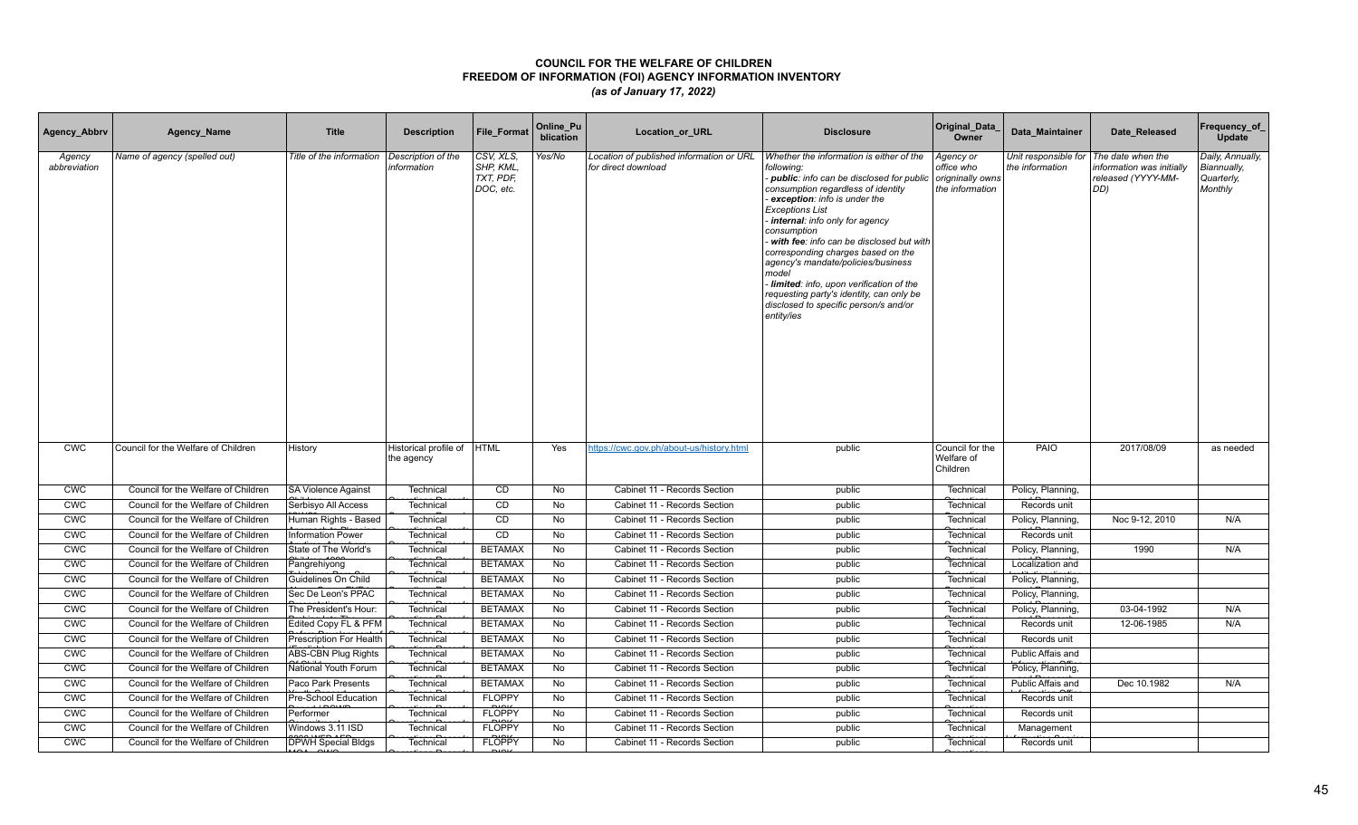| Agency_Abbrv           | Agency_Name                         | <b>Title</b>               | <b>Description</b>                  | <b>File Format</b>                               | Online_Pu<br>blication | Location_or_URL                                                 | <b>Disclosure</b>                                                                                                                                                                                                                                                                                                                                                                                                                                                                                                                    | Original_Data<br>Owner                                         | Data Maintainer                         | Date Released                                                               | Frequency_of_<br>Update                                  |
|------------------------|-------------------------------------|----------------------------|-------------------------------------|--------------------------------------------------|------------------------|-----------------------------------------------------------------|--------------------------------------------------------------------------------------------------------------------------------------------------------------------------------------------------------------------------------------------------------------------------------------------------------------------------------------------------------------------------------------------------------------------------------------------------------------------------------------------------------------------------------------|----------------------------------------------------------------|-----------------------------------------|-----------------------------------------------------------------------------|----------------------------------------------------------|
| Agency<br>abbreviation | Name of agency (spelled out)        | Title of the information   | Description of the<br>information   | CSV, XLS,<br>SHP, KML,<br>TXT, PDF,<br>DOC, etc. | Yes/No                 | Location of published information or URL<br>for direct download | Whether the information is either of the<br>following:<br>- public: info can be disclosed for public<br>consumption regardless of identity<br>exception: info is under the<br><b>Exceptions List</b><br>internal: info only for agency<br>consumption<br>with fee: info can be disclosed but with<br>corresponding charges based on the<br>agency's mandate/policies/business<br>model<br>Iimited: info, upon verification of the<br>requesting party's identity, can only be<br>disclosed to specific person/s and/or<br>entity/ies | Agency or<br>office who<br>origninally owns<br>the information | Unit responsible for<br>the information | The date when the<br>information was initially<br>released (YYYY-MM-<br>DD) | Daily, Annually,<br>Biannually,<br>Quarterly,<br>Monthly |
| <b>CWC</b>             | Council for the Welfare of Children | History                    | Historical profile of<br>the agency | <b>HTML</b>                                      | Yes                    | https://cwc.gov.ph/about-us/history.html                        | public                                                                                                                                                                                                                                                                                                                                                                                                                                                                                                                               | Council for the<br>Welfare of<br>Children                      | PAIO                                    | 2017/08/09                                                                  | as needed                                                |
| <b>CWC</b>             | Council for the Welfare of Children | <b>SA Violence Against</b> | Technical                           | CD                                               | No                     | Cabinet 11 - Records Section                                    | public                                                                                                                                                                                                                                                                                                                                                                                                                                                                                                                               | Technical                                                      | Policy, Planning,                       |                                                                             |                                                          |
| <b>CWC</b>             | Council for the Welfare of Children | Serbisyo All Access        | Technical                           | CD                                               | No                     | Cabinet 11 - Records Section                                    | public                                                                                                                                                                                                                                                                                                                                                                                                                                                                                                                               | Technical                                                      | Records unit                            |                                                                             |                                                          |
| CWC                    | Council for the Welfare of Children | Human Rights - Based       | Technical                           | CD                                               | No                     | Cabinet 11 - Records Section                                    | public                                                                                                                                                                                                                                                                                                                                                                                                                                                                                                                               | Technical                                                      | Policy, Planning,                       | Noc 9-12, 2010                                                              | N/A                                                      |
| <b>CWC</b>             | Council for the Welfare of Children | <b>Information Power</b>   | Technical                           | CD                                               | <b>No</b>              | Cabinet 11 - Records Section                                    | public                                                                                                                                                                                                                                                                                                                                                                                                                                                                                                                               | Technical                                                      | Records unit                            |                                                                             |                                                          |
| <b>CWC</b>             | Council for the Welfare of Children | State of The World's       | Technical                           | <b>BETAMAX</b>                                   | No                     | Cabinet 11 - Records Section                                    | public                                                                                                                                                                                                                                                                                                                                                                                                                                                                                                                               | Technical                                                      | Policy, Planning,                       | 1990                                                                        | N/A                                                      |
| <b>CWC</b>             | Council for the Welfare of Children | Pangrehiyong               | Technical                           | <b>BETAMAX</b>                                   | No                     | Cabinet 11 - Records Section                                    | public                                                                                                                                                                                                                                                                                                                                                                                                                                                                                                                               | Technical                                                      | Localization and                        |                                                                             |                                                          |
| <b>CWC</b>             | Council for the Welfare of Children | Guidelines On Child        | Technical                           | <b>BETAMAX</b>                                   | No                     | Cabinet 11 - Records Section                                    | public                                                                                                                                                                                                                                                                                                                                                                                                                                                                                                                               | Technical                                                      | Policy, Planning,                       |                                                                             |                                                          |
| <b>CWC</b>             | Council for the Welfare of Children | Sec De Leon's PPAC         | Technical                           | <b>BETAMAX</b>                                   | <b>No</b>              | Cabinet 11 - Records Section                                    | public                                                                                                                                                                                                                                                                                                                                                                                                                                                                                                                               | Technical                                                      | Policy, Planning,                       |                                                                             |                                                          |
| <b>CWC</b>             | Council for the Welfare of Children | The President's Hour:      | Technical                           | <b>BETAMAX</b>                                   | No                     | Cabinet 11 - Records Section                                    | public                                                                                                                                                                                                                                                                                                                                                                                                                                                                                                                               | Technical                                                      | Policy, Planning,                       | 03-04-1992                                                                  | N/A                                                      |
| <b>CWC</b>             | Council for the Welfare of Children | Edited Copy FL & PFM       | Technical                           | <b>BETAMAX</b>                                   | No                     | Cabinet 11 - Records Section                                    | public                                                                                                                                                                                                                                                                                                                                                                                                                                                                                                                               | Technical                                                      | Records unit                            | 12-06-1985                                                                  | N/A                                                      |
| <b>CWC</b>             | Council for the Welfare of Children | Prescription For Health    | Technical                           | <b>BETAMAX</b>                                   | No                     | Cabinet 11 - Records Section                                    | public                                                                                                                                                                                                                                                                                                                                                                                                                                                                                                                               | Technical                                                      | Records unit                            |                                                                             |                                                          |
| <b>CWC</b>             | Council for the Welfare of Children | ABS-CBN Plug Rights        | Technical                           | <b>BETAMAX</b>                                   | No                     | Cabinet 11 - Records Section                                    | public                                                                                                                                                                                                                                                                                                                                                                                                                                                                                                                               | Technical                                                      | Public Affais and                       |                                                                             |                                                          |
| <b>CWC</b>             | Council for the Welfare of Children | National Youth Forum       | Technical                           | <b>BETAMAX</b>                                   | No                     | Cabinet 11 - Records Section                                    | public                                                                                                                                                                                                                                                                                                                                                                                                                                                                                                                               | Technical                                                      | Policy, Planning,                       |                                                                             |                                                          |
| CWC                    | Council for the Welfare of Children | Paco Park Presents         | Technical                           | <b>BETAMAX</b>                                   | No                     | Cabinet 11 - Records Section                                    | public                                                                                                                                                                                                                                                                                                                                                                                                                                                                                                                               | Technical                                                      | Public Affais and                       | Dec 10.1982                                                                 | N/A                                                      |
| <b>CWC</b>             | Council for the Welfare of Children | Pre-School Education       | Technical                           | <b>FLOPPY</b>                                    | No                     | Cabinet 11 - Records Section                                    | public                                                                                                                                                                                                                                                                                                                                                                                                                                                                                                                               | Technical                                                      | Records unit                            |                                                                             |                                                          |
| <b>CWC</b>             | Council for the Welfare of Children | Performer                  | Technical                           | <b>FLOPPY</b>                                    | No                     | Cabinet 11 - Records Section                                    | public                                                                                                                                                                                                                                                                                                                                                                                                                                                                                                                               | Technical                                                      | Records unit                            |                                                                             |                                                          |
| <b>CWC</b>             | Council for the Welfare of Children | Windows 3.11 ISD           | Technical                           | <b>FLOPPY</b>                                    | <b>No</b>              | Cabinet 11 - Records Section                                    | public                                                                                                                                                                                                                                                                                                                                                                                                                                                                                                                               | Technical                                                      | Management                              |                                                                             |                                                          |
| <b>CWC</b>             | Council for the Welfare of Children | <b>DPWH Special Bldgs</b>  | Technical                           | <b>FLOPPY</b>                                    | No                     | Cabinet 11 - Records Section                                    | public                                                                                                                                                                                                                                                                                                                                                                                                                                                                                                                               | Technical                                                      | Records unit                            |                                                                             |                                                          |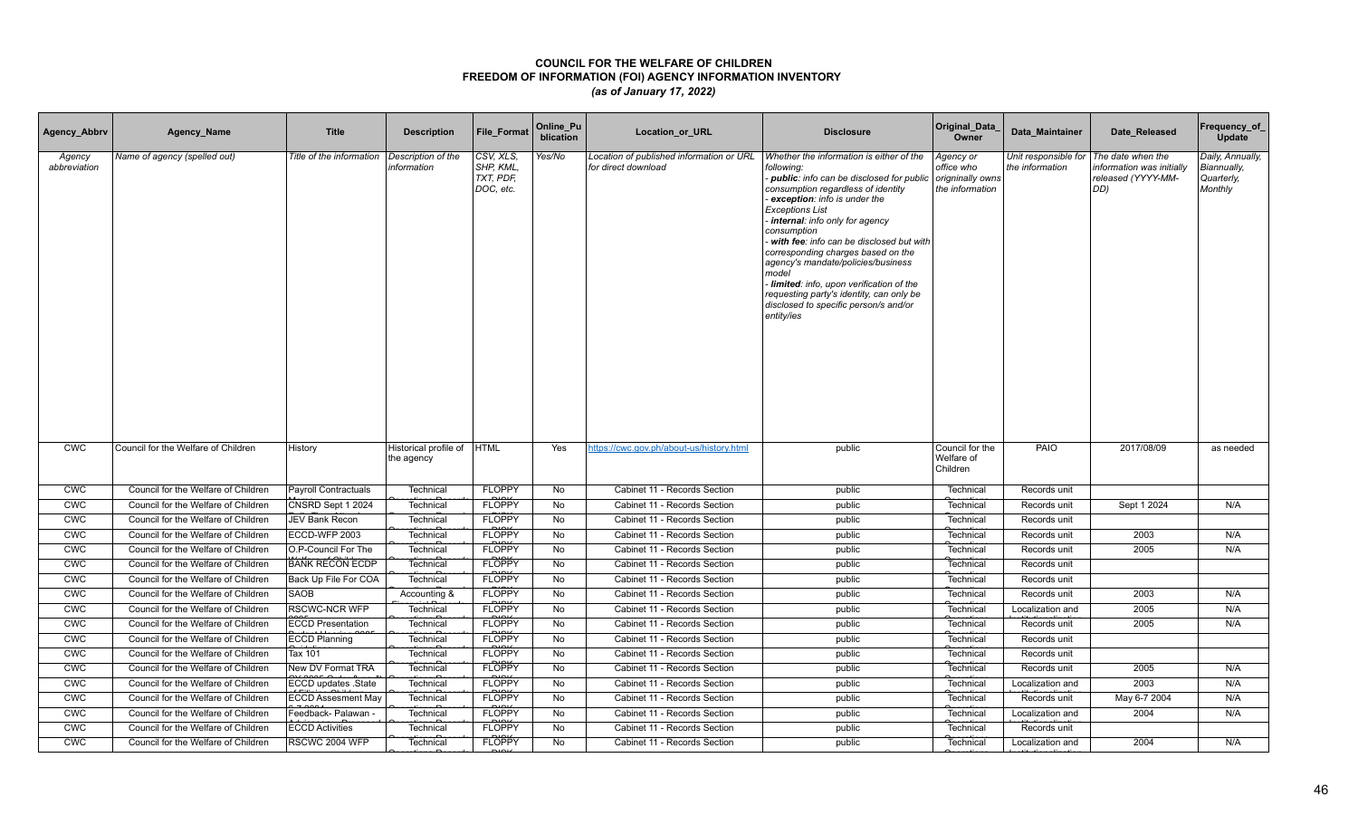| Agency_Abbrv           | Agency_Name                         | <b>Title</b>                | <b>Description</b>                  | <b>File Format</b>                               | Online_Pu<br>blication | Location_or_URL                                                 | <b>Disclosure</b>                                                                                                                                                                                                                                                                                                                                                                                                                                                                                                                    | Original_Data<br>Owner                                         | Data Maintainer                         | Date Released                                                               | Frequency_of_<br>Update                                  |
|------------------------|-------------------------------------|-----------------------------|-------------------------------------|--------------------------------------------------|------------------------|-----------------------------------------------------------------|--------------------------------------------------------------------------------------------------------------------------------------------------------------------------------------------------------------------------------------------------------------------------------------------------------------------------------------------------------------------------------------------------------------------------------------------------------------------------------------------------------------------------------------|----------------------------------------------------------------|-----------------------------------------|-----------------------------------------------------------------------------|----------------------------------------------------------|
| Agency<br>abbreviation | Name of agency (spelled out)        | Title of the information    | Description of the<br>information   | CSV, XLS,<br>SHP, KML,<br>TXT, PDF,<br>DOC, etc. | Yes/No                 | Location of published information or URL<br>for direct download | Whether the information is either of the<br>following:<br>- public: info can be disclosed for public<br>consumption regardless of identity<br>exception: info is under the<br><b>Exceptions List</b><br>internal: info only for agency<br>consumption<br>with fee: info can be disclosed but with<br>corresponding charges based on the<br>agency's mandate/policies/business<br>model<br>Iimited: info, upon verification of the<br>requesting party's identity, can only be<br>disclosed to specific person/s and/or<br>entity/ies | Agency or<br>office who<br>origninally owns<br>the information | Unit responsible for<br>the information | The date when the<br>information was initially<br>released (YYYY-MM-<br>DD) | Daily, Annually,<br>Biannually,<br>Quarterly,<br>Monthly |
| <b>CWC</b>             | Council for the Welfare of Children | History                     | Historical profile of<br>the agency | <b>HTML</b>                                      | Yes                    | https://cwc.gov.ph/about-us/history.html                        | public                                                                                                                                                                                                                                                                                                                                                                                                                                                                                                                               | Council for the<br>Welfare of<br>Children                      | PAIO                                    | 2017/08/09                                                                  | as needed                                                |
| <b>CWC</b>             | Council for the Welfare of Children | <b>Payroll Contractuals</b> | Technical                           | <b>FLOPPY</b>                                    | No                     | Cabinet 11 - Records Section                                    | public                                                                                                                                                                                                                                                                                                                                                                                                                                                                                                                               | Technical                                                      | Records unit                            |                                                                             |                                                          |
| <b>CWC</b>             | Council for the Welfare of Children | CNSRD Sept 1 2024           | Technical                           | <b>FLOPPY</b>                                    | No                     | Cabinet 11 - Records Section                                    | public                                                                                                                                                                                                                                                                                                                                                                                                                                                                                                                               | Technical                                                      | Records unit                            | Sept 1 2024                                                                 | N/A                                                      |
| CWC                    | Council for the Welfare of Children | <b>JEV Bank Recon</b>       | Technical                           | <b>FLOPPY</b>                                    | No                     | Cabinet 11 - Records Section                                    | public                                                                                                                                                                                                                                                                                                                                                                                                                                                                                                                               | Technical                                                      | Records unit                            |                                                                             |                                                          |
| <b>CWC</b>             | Council for the Welfare of Children | ECCD-WFP 2003               | Technical                           | <b>FLOPPY</b>                                    | <b>No</b>              | Cabinet 11 - Records Section                                    | public                                                                                                                                                                                                                                                                                                                                                                                                                                                                                                                               | Technical                                                      | Records unit                            | 2003                                                                        | N/A                                                      |
| <b>CWC</b>             | Council for the Welfare of Children | O.P-Council For The         | Technical                           | <b>FLOPPY</b>                                    | No                     | Cabinet 11 - Records Section                                    | public                                                                                                                                                                                                                                                                                                                                                                                                                                                                                                                               | Technical                                                      | Records unit                            | 2005                                                                        | N/A                                                      |
| <b>CWC</b>             | Council for the Welfare of Children | <b>BANK RECON ECDP</b>      | Technical                           | <b>FLOPPY</b>                                    | No                     | Cabinet 11 - Records Section                                    | public                                                                                                                                                                                                                                                                                                                                                                                                                                                                                                                               | Technical                                                      | Records unit                            |                                                                             |                                                          |
| <b>CWC</b>             | Council for the Welfare of Children | Back Up File For COA        | Technical                           | <b>FLOPPY</b>                                    | No                     | Cabinet 11 - Records Section                                    | public                                                                                                                                                                                                                                                                                                                                                                                                                                                                                                                               | Technical                                                      | Records unit                            |                                                                             |                                                          |
| <b>CWC</b>             | Council for the Welfare of Children | <b>SAOB</b>                 | Accounting &                        | <b>FLOPPY</b>                                    | <b>No</b>              | Cabinet 11 - Records Section                                    | public                                                                                                                                                                                                                                                                                                                                                                                                                                                                                                                               | Technical                                                      | Records unit                            | 2003                                                                        | N/A                                                      |
| <b>CWC</b>             | Council for the Welfare of Children | <b>RSCWC-NCR WFP</b>        | Technical                           | <b>FLOPPY</b>                                    | No                     | Cabinet 11 - Records Section                                    | public                                                                                                                                                                                                                                                                                                                                                                                                                                                                                                                               | Technical                                                      | Localization and                        | 2005                                                                        | N/A                                                      |
| <b>CWC</b>             | Council for the Welfare of Children | <b>ECCD Presentation</b>    | Technical                           | <b>FLOPPY</b>                                    | No                     | Cabinet 11 - Records Section                                    | public                                                                                                                                                                                                                                                                                                                                                                                                                                                                                                                               | Technical                                                      | Records unit                            | 2005                                                                        | N/A                                                      |
| <b>CWC</b>             | Council for the Welfare of Children | <b>ECCD Planning</b>        | Technical                           | <b>FLOPPY</b>                                    | No                     | Cabinet 11 - Records Section                                    | public                                                                                                                                                                                                                                                                                                                                                                                                                                                                                                                               | Technical                                                      | Records unit                            |                                                                             |                                                          |
| <b>CWC</b>             | Council for the Welfare of Children | Tax 101                     | Technical                           | <b>FLOPPY</b>                                    | No                     | Cabinet 11 - Records Section                                    | public                                                                                                                                                                                                                                                                                                                                                                                                                                                                                                                               | Technical                                                      | Records unit                            |                                                                             |                                                          |
| <b>CWC</b>             | Council for the Welfare of Children | New DV Format TRA           | Technical                           | <b>FLOPPY</b>                                    | <b>No</b>              | Cabinet 11 - Records Section                                    | public                                                                                                                                                                                                                                                                                                                                                                                                                                                                                                                               | Technical                                                      | Records unit                            | 2005                                                                        | N/A                                                      |
| CWC                    | Council for the Welfare of Children | ECCD updates .State         | Technical                           | <b>FLOPPY</b>                                    | No                     | Cabinet 11 - Records Section                                    | public                                                                                                                                                                                                                                                                                                                                                                                                                                                                                                                               | Technical                                                      | Localization and                        | 2003                                                                        | N/A                                                      |
| <b>CWC</b>             | Council for the Welfare of Children | <b>ECCD Assesment May</b>   | Technical                           | <b>FLOPPY</b>                                    | No                     | Cabinet 11 - Records Section                                    | public                                                                                                                                                                                                                                                                                                                                                                                                                                                                                                                               | Technical                                                      | Records unit                            | May 6-7 2004                                                                | N/A                                                      |
| <b>CWC</b>             | Council for the Welfare of Children | Feedback- Palawan           | Technical                           | <b>FLOPPY</b>                                    | No                     | Cabinet 11 - Records Section                                    | public                                                                                                                                                                                                                                                                                                                                                                                                                                                                                                                               | Technical                                                      | Localization and                        | 2004                                                                        | N/A                                                      |
| <b>CWC</b>             | Council for the Welfare of Children | <b>ECCD Activities</b>      | Technical                           | <b>FLOPPY</b>                                    | <b>No</b>              | Cabinet 11 - Records Section                                    | public                                                                                                                                                                                                                                                                                                                                                                                                                                                                                                                               | Technical                                                      | Records unit                            |                                                                             |                                                          |
| <b>CWC</b>             | Council for the Welfare of Children | RSCWC 2004 WFP              | Technical                           | <b>FLOPPY</b>                                    | No                     | Cabinet 11 - Records Section                                    | public                                                                                                                                                                                                                                                                                                                                                                                                                                                                                                                               | Technical                                                      | Localization and                        | 2004                                                                        | N/A                                                      |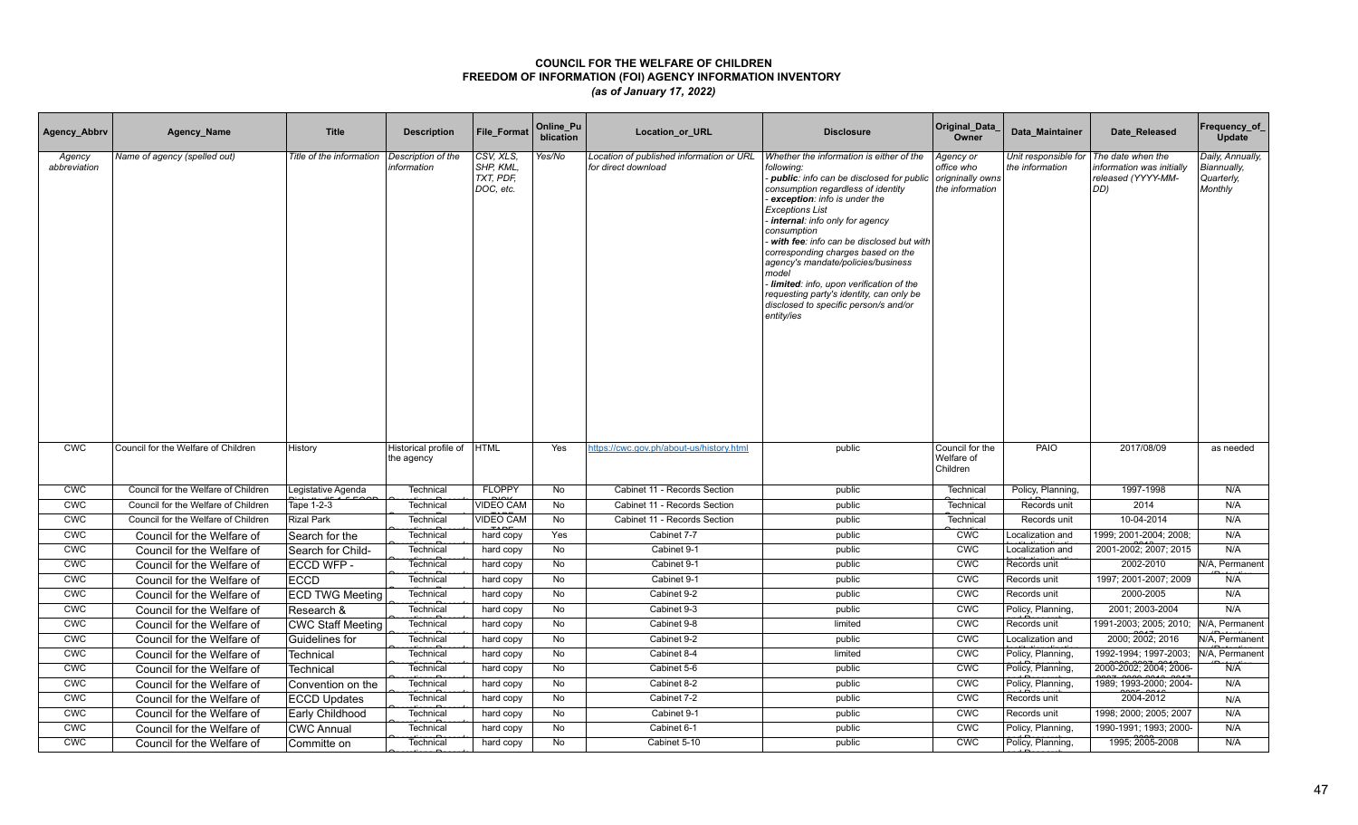| Agency_Abbrv           | Agency_Name                         | <b>Title</b>             | <b>Description</b>                  | File_Format                                      | Online_Pu<br>blication | Location_or_URL                                                 | <b>Disclosure</b>                                                                                                                                                                                                                                                                                                                                                                                                                                                                                                                  | Original_Data<br>Owner                                         | Data Maintainer                         | Date Released                                                              | Frequency_of<br>Update                                   |
|------------------------|-------------------------------------|--------------------------|-------------------------------------|--------------------------------------------------|------------------------|-----------------------------------------------------------------|------------------------------------------------------------------------------------------------------------------------------------------------------------------------------------------------------------------------------------------------------------------------------------------------------------------------------------------------------------------------------------------------------------------------------------------------------------------------------------------------------------------------------------|----------------------------------------------------------------|-----------------------------------------|----------------------------------------------------------------------------|----------------------------------------------------------|
| Agency<br>abbreviation | Name of agency (spelled out)        | Title of the information | Description of the<br>information   | CSV, XLS,<br>SHP, KML,<br>TXT, PDF,<br>DOC, etc. | Yes/No                 | Location of published information or URL<br>for direct download | Whether the information is either of the<br>following:<br>public: info can be disclosed for public<br>consumption regardless of identity<br>exception: info is under the<br><b>Exceptions List</b><br>internal: info only for agency<br>consumption<br>with fee: info can be disclosed but with<br>corresponding charges based on the<br>agency's mandate/policies/business<br>model<br>Iimited: info, upon verification of the<br>requesting party's identity, can only be<br>disclosed to specific person/s and/or<br>entity/ies | Agency or<br>office who<br>origninally owns<br>the information | Unit responsible for<br>the information | The date when the<br>nformation was initially<br>released (YYYY-MM-<br>DD) | Daily, Annually,<br>Biannually,<br>Quarterly,<br>Monthly |
| <b>CWC</b>             | Council for the Welfare of Children | History                  | Historical profile of<br>the agency | <b>HTML</b>                                      | Yes                    | ttps://cwc.gov.ph/about-us/history.html                         | public                                                                                                                                                                                                                                                                                                                                                                                                                                                                                                                             | Council for the<br>Welfare of<br>Children                      | PAIO                                    | 2017/08/09                                                                 | as needed                                                |
| <b>CWC</b>             | Council for the Welfare of Children | Legistative Agenda       | Technical                           | <b>FLOPPY</b>                                    | No                     | Cabinet 11 - Records Section                                    | public                                                                                                                                                                                                                                                                                                                                                                                                                                                                                                                             | Technical                                                      | Policy, Planning,                       | 1997-1998                                                                  | N/A                                                      |
| <b>CWC</b>             | Council for the Welfare of Children | Tape 1-2-3               | Technical                           | <b>VIDEO CAM</b>                                 | <b>No</b>              | Cabinet 11 - Records Section                                    | public                                                                                                                                                                                                                                                                                                                                                                                                                                                                                                                             | Technical                                                      | Records unit                            | 2014                                                                       | N/A                                                      |
| <b>CWC</b>             | Council for the Welfare of Children | <b>Rizal Park</b>        | Technical                           | <b>VIDEO CAM</b>                                 | No                     | Cabinet 11 - Records Section                                    | public                                                                                                                                                                                                                                                                                                                                                                                                                                                                                                                             | Technical                                                      | Records unit                            | 10-04-2014                                                                 | N/A                                                      |
| <b>CWC</b>             | Council for the Welfare of          | Search for the           | Technical                           | hard copy                                        | Yes                    | Cabinet 7-7                                                     | public                                                                                                                                                                                                                                                                                                                                                                                                                                                                                                                             | <b>CWC</b>                                                     | Localization and                        | 1999; 2001-2004; 2008;                                                     | N/A                                                      |
| <b>CWC</b>             | Council for the Welfare of          | Search for Child-        | Technical                           | hard copy                                        | No                     | Cabinet 9-1                                                     | public                                                                                                                                                                                                                                                                                                                                                                                                                                                                                                                             | <b>CMC</b>                                                     | Localization and                        | 2001-2002; 2007; 2015                                                      | N/A                                                      |
| <b>CWC</b>             | Council for the Welfare of          | ECCD WFP -               | Technical                           | hard copy                                        | No                     | Cabinet 9-1                                                     | public                                                                                                                                                                                                                                                                                                                                                                                                                                                                                                                             | <b>CWC</b>                                                     | Records unit                            | 2002-2010                                                                  | N/A, Permanent                                           |
| <b>CWC</b>             | Council for the Welfare of          | <b>ECCD</b>              | Technical                           | hard copy                                        | No                     | Cabinet 9-1                                                     | public                                                                                                                                                                                                                                                                                                                                                                                                                                                                                                                             | <b>CWC</b>                                                     | Records unit                            | 1997; 2001-2007; 2009                                                      | N/A                                                      |
| CWC                    | Council for the Welfare of          | <b>ECD TWG Meeting</b>   | Technica                            | hard copy                                        | No                     | Cabinet 9-2                                                     | public                                                                                                                                                                                                                                                                                                                                                                                                                                                                                                                             | <b>CWC</b>                                                     | Records unit                            | 2000-2005                                                                  | N/A                                                      |
| <b>CWC</b>             | Council for the Welfare of          | Research &               | Technical                           | hard copy                                        | No                     | Cabinet 9-3                                                     | public                                                                                                                                                                                                                                                                                                                                                                                                                                                                                                                             | <b>CWC</b>                                                     | Policy, Planning,                       | 2001; 2003-2004                                                            | N/A                                                      |
| CWC                    | Council for the Welfare of          | <b>CWC Staff Meeting</b> | Technical                           | hard copy                                        | No                     | Cabinet 9-8                                                     | limited                                                                                                                                                                                                                                                                                                                                                                                                                                                                                                                            | <b>CMC</b>                                                     | Records unit                            | 1991-2003; 2005; 2010;                                                     | N/A, Permanent                                           |
| CWC                    | Council for the Welfare of          | Guidelines for           | Technical                           | hard copy                                        | No                     | Cabinet 9-2                                                     | public                                                                                                                                                                                                                                                                                                                                                                                                                                                                                                                             | CWC                                                            | Localization and                        | 2000; 2002; 2016                                                           | N/A, Permanent                                           |
| CWC                    | Council for the Welfare of          | Technical                | Technical                           | hard copy                                        | No                     | Cabinet 8-4                                                     | limited                                                                                                                                                                                                                                                                                                                                                                                                                                                                                                                            | CWC                                                            | Policy, Planning,                       | 1992-1994; 1997-2003;                                                      | N/A, Permanent                                           |
| CWC                    | Council for the Welfare of          | Technical                | Technical                           | hard copy                                        | No                     | Cabinet 5-6                                                     | public                                                                                                                                                                                                                                                                                                                                                                                                                                                                                                                             | CWC                                                            | Policy, Planning,                       | 2000-2002; 2004; 2006-                                                     | N/A                                                      |
| <b>CWC</b>             | Council for the Welfare of          | Convention on the        | Technical                           | hard copy                                        | No                     | Cabinet 8-2                                                     | public                                                                                                                                                                                                                                                                                                                                                                                                                                                                                                                             | CWC                                                            | Policy, Planning,                       | 1989; 1993-2000; 2004-                                                     | N/A                                                      |
| CWC                    | Council for the Welfare of          | <b>ECCD Updates</b>      | Technica                            | hard copy                                        | <b>No</b>              | Cabinet 7-2                                                     | public                                                                                                                                                                                                                                                                                                                                                                                                                                                                                                                             | <b>CWC</b>                                                     | Records unit                            | 2004-2012                                                                  | N/A                                                      |
| <b>CWC</b>             | Council for the Welfare of          | Early Childhood          | Technica                            | hard copy                                        | No                     | Cabinet 9-1                                                     | public                                                                                                                                                                                                                                                                                                                                                                                                                                                                                                                             | CWC                                                            | Records unit                            | 1998: 2000: 2005: 2007                                                     | N/A                                                      |
| <b>CWC</b>             | Council for the Welfare of          | <b>CWC Annual</b>        | Technical                           | hard copy                                        | <b>No</b>              | Cabinet 6-1                                                     | public                                                                                                                                                                                                                                                                                                                                                                                                                                                                                                                             | <b>CWC</b>                                                     | Policy, Planning,                       | 1990-1991; 1993; 2000-                                                     | N/A                                                      |
| <b>CWC</b>             | Council for the Welfare of          | Committe on              | Technical                           | hard copy                                        | No                     | Cabinet 5-10                                                    | public                                                                                                                                                                                                                                                                                                                                                                                                                                                                                                                             | <b>CWC</b>                                                     | Policy, Planning,                       | 1995; 2005-2008                                                            | N/A                                                      |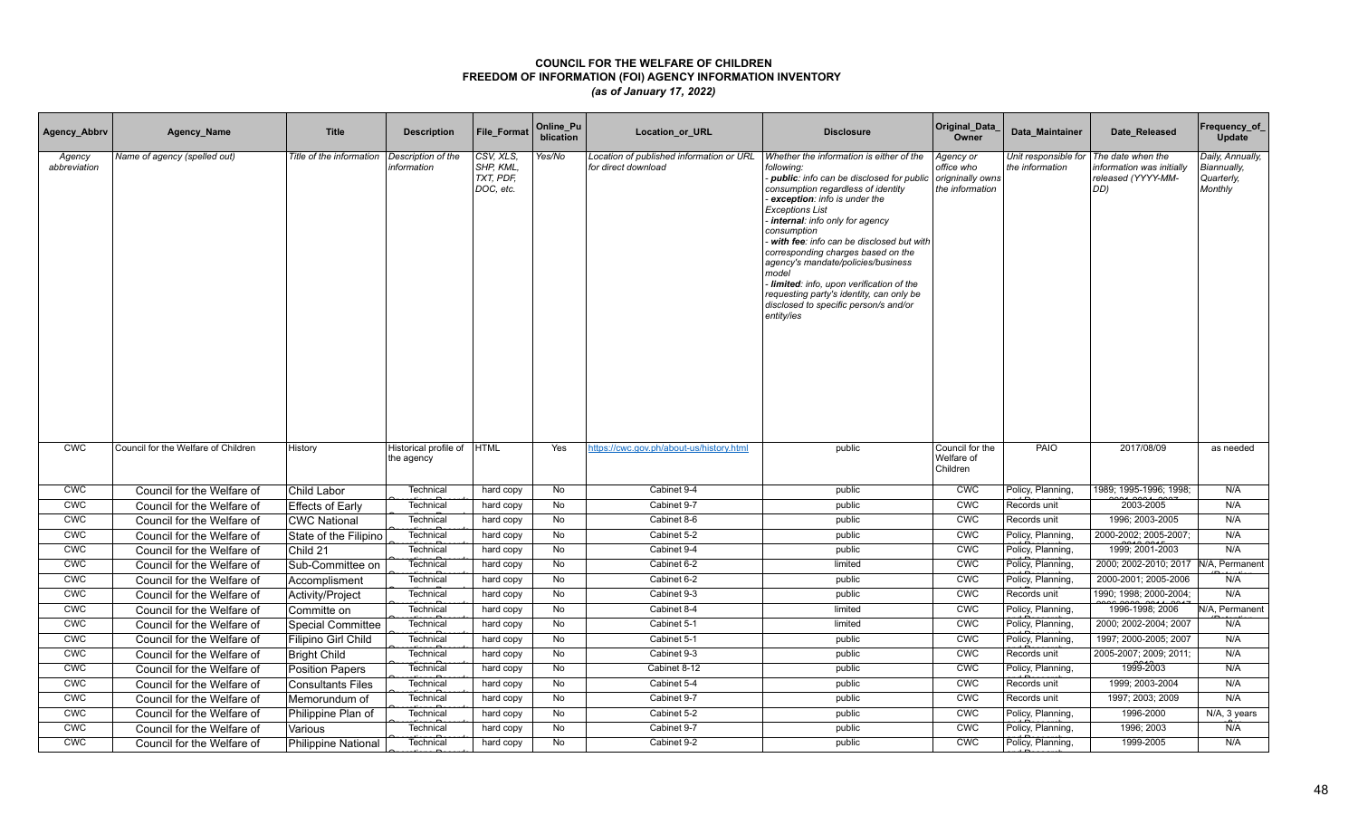| Agency_Abbrv           | Agency_Name                         | <b>Title</b>               | <b>Description</b>                  | File_Format                                      | Online_Pu<br>blication | Location_or_URL                                                 | <b>Disclosure</b>                                                                                                                                                                                                                                                                                                                                                                                                                                                                                                                  | Original_Data<br>Owner                                         | Data Maintainer                         | Date Released                                                              | Frequency_of<br>Update                                   |
|------------------------|-------------------------------------|----------------------------|-------------------------------------|--------------------------------------------------|------------------------|-----------------------------------------------------------------|------------------------------------------------------------------------------------------------------------------------------------------------------------------------------------------------------------------------------------------------------------------------------------------------------------------------------------------------------------------------------------------------------------------------------------------------------------------------------------------------------------------------------------|----------------------------------------------------------------|-----------------------------------------|----------------------------------------------------------------------------|----------------------------------------------------------|
| Agency<br>abbreviation | Name of agency (spelled out)        | Title of the information   | Description of the<br>information   | CSV, XLS,<br>SHP, KML,<br>TXT, PDF,<br>DOC, etc. | Yes/No                 | Location of published information or URL<br>for direct download | Whether the information is either of the<br>following:<br>public: info can be disclosed for public<br>consumption regardless of identity<br>exception: info is under the<br><b>Exceptions List</b><br>internal: info only for agency<br>consumption<br>with fee: info can be disclosed but with<br>corresponding charges based on the<br>agency's mandate/policies/business<br>model<br>Iimited: info, upon verification of the<br>requesting party's identity, can only be<br>disclosed to specific person/s and/or<br>entity/ies | Agency or<br>office who<br>origninally owns<br>the information | Unit responsible for<br>the information | The date when the<br>nformation was initially<br>released (YYYY-MM-<br>DD) | Daily, Annually,<br>Biannually,<br>Quarterly,<br>Monthly |
| <b>CWC</b>             | Council for the Welfare of Children | History                    | Historical profile of<br>the agency | <b>HTML</b>                                      | Yes                    | https://cwc.gov.ph/about-us/history.html                        | public                                                                                                                                                                                                                                                                                                                                                                                                                                                                                                                             | Council for the<br>Welfare of<br>Children                      | PAIO                                    | 2017/08/09                                                                 | as needed                                                |
| <b>CWC</b>             | Council for the Welfare of          | Child Labor                | Technical                           | hard copy                                        | No                     | Cabinet 9-4                                                     | public                                                                                                                                                                                                                                                                                                                                                                                                                                                                                                                             | <b>CWC</b>                                                     | Policy, Planning,                       | 1989; 1995-1996; 1998;                                                     | N/A                                                      |
| <b>CWC</b>             | Council for the Welfare of          | <b>Effects of Early</b>    | Technical                           | hard copy                                        | No                     | Cabinet 9-7                                                     | public                                                                                                                                                                                                                                                                                                                                                                                                                                                                                                                             | <b>CWC</b>                                                     | Records unit                            | 2003-2005                                                                  | N/A                                                      |
| <b>CWC</b>             | Council for the Welfare of          | <b>CWC National</b>        | Technical                           | hard copy                                        | No                     | Cabinet 8-6                                                     | public                                                                                                                                                                                                                                                                                                                                                                                                                                                                                                                             | <b>CWC</b>                                                     | Records unit                            | 1996; 2003-2005                                                            | N/A                                                      |
| <b>CWC</b>             | Council for the Welfare of          | State of the Filipino      | Technical                           | hard copy                                        | No                     | Cabinet 5-2                                                     | public                                                                                                                                                                                                                                                                                                                                                                                                                                                                                                                             | <b>CWC</b>                                                     | Policy, Planning,                       | 2000-2002; 2005-2007;                                                      | N/A                                                      |
| CWC                    | Council for the Welfare of          | Child 21                   | Technical                           | hard copy                                        | No                     | Cabinet 9-4                                                     | public                                                                                                                                                                                                                                                                                                                                                                                                                                                                                                                             | <b>CMC</b>                                                     | Policy, Planning,                       | 1999; 2001-2003                                                            | N/A                                                      |
| <b>CWC</b>             | Council for the Welfare of          | Sub-Committee on           | Technical                           | hard copy                                        | No                     | Cabinet 6-2                                                     | limited                                                                                                                                                                                                                                                                                                                                                                                                                                                                                                                            | <b>CWC</b>                                                     | Policy, Planning,                       | 2000; 2002-2010; 2017   N/A, Permanent                                     |                                                          |
| <b>CWC</b>             | Council for the Welfare of          | Accomplisment              | Technical                           | hard copy                                        | No                     | Cabinet 6-2                                                     | public                                                                                                                                                                                                                                                                                                                                                                                                                                                                                                                             | <b>CWC</b>                                                     | Policy, Planning,                       | 2000-2001; 2005-2006                                                       | N/A                                                      |
| CWC                    | Council for the Welfare of          | Activity/Project           | Technica                            | hard copy                                        | No                     | Cabinet 9-3                                                     | public                                                                                                                                                                                                                                                                                                                                                                                                                                                                                                                             | <b>CWC</b>                                                     | Records unit                            | 1990; 1998; 2000-2004;                                                     | N/A                                                      |
| <b>CWC</b>             | Council for the Welfare of          | Committe on                | Technica                            | hard copy                                        | No                     | Cabinet 8-4                                                     | limited                                                                                                                                                                                                                                                                                                                                                                                                                                                                                                                            | <b>CWC</b>                                                     | Policy, Planning,                       | 1996-1998; 2006                                                            | N/A, Permanent                                           |
| CWC                    | Council for the Welfare of          | <b>Special Committee</b>   | Technical                           | hard copy                                        | No                     | Cabinet 5-1                                                     | limited                                                                                                                                                                                                                                                                                                                                                                                                                                                                                                                            | <b>CMC</b>                                                     | Policy, Planning,                       | 2000; 2002-2004; 2007                                                      | N/A                                                      |
| CWC                    | Council for the Welfare of          | Filipino Girl Child        | Technical                           | hard copy                                        | No                     | Cabinet 5-1                                                     | public                                                                                                                                                                                                                                                                                                                                                                                                                                                                                                                             | CWC                                                            | Policy, Planning,                       | 1997; 2000-2005; 2007                                                      | N/A                                                      |
| CWC                    | Council for the Welfare of          | <b>Bright Child</b>        | Technical                           | hard copy                                        | No                     | Cabinet 9-3                                                     | public                                                                                                                                                                                                                                                                                                                                                                                                                                                                                                                             | CWC                                                            | Records unit                            | 2005-2007; 2009; 2011;                                                     | N/A                                                      |
| CWC                    | Council for the Welfare of          | <b>Position Papers</b>     | Technical                           | hard copy                                        | <b>No</b>              | Cabinet 8-12                                                    | public                                                                                                                                                                                                                                                                                                                                                                                                                                                                                                                             | <b>CMC</b>                                                     | Policy, Planning,                       | 1999-2003                                                                  | N/A                                                      |
| <b>CWC</b>             | Council for the Welfare of          | <b>Consultants Files</b>   | Technical                           | hard copy                                        | No                     | Cabinet 5-4                                                     | public                                                                                                                                                                                                                                                                                                                                                                                                                                                                                                                             | CWC                                                            | Records unit                            | 1999: 2003-2004                                                            | N/A                                                      |
| CWC                    | Council for the Welfare of          | Memorundum of              | Technica                            | hard copy                                        | <b>No</b>              | Cabinet 9-7                                                     | public                                                                                                                                                                                                                                                                                                                                                                                                                                                                                                                             | <b>CWC</b>                                                     | Records unit                            | 1997; 2003; 2009                                                           | N/A                                                      |
| CWC                    | Council for the Welfare of          | Philippine Plan of         | Technica                            | hard copy                                        | No                     | Cabinet 5-2                                                     | public                                                                                                                                                                                                                                                                                                                                                                                                                                                                                                                             | CWC                                                            | Policy, Planning,                       | 1996-2000                                                                  | N/A, 3 years                                             |
| <b>CWC</b>             | Council for the Welfare of          | Various                    | Technical                           | hard copy                                        | <b>No</b>              | Cabinet 9-7                                                     | public                                                                                                                                                                                                                                                                                                                                                                                                                                                                                                                             | <b>CWC</b>                                                     | Policy, Planning,                       | 1996; 2003                                                                 | N/A                                                      |
| <b>CWC</b>             | Council for the Welfare of          | <b>Philippine National</b> | Technical                           | hard copy                                        | No                     | Cabinet 9-2                                                     | public                                                                                                                                                                                                                                                                                                                                                                                                                                                                                                                             | <b>CWC</b>                                                     | Policy, Planning,                       | 1999-2005                                                                  | N/A                                                      |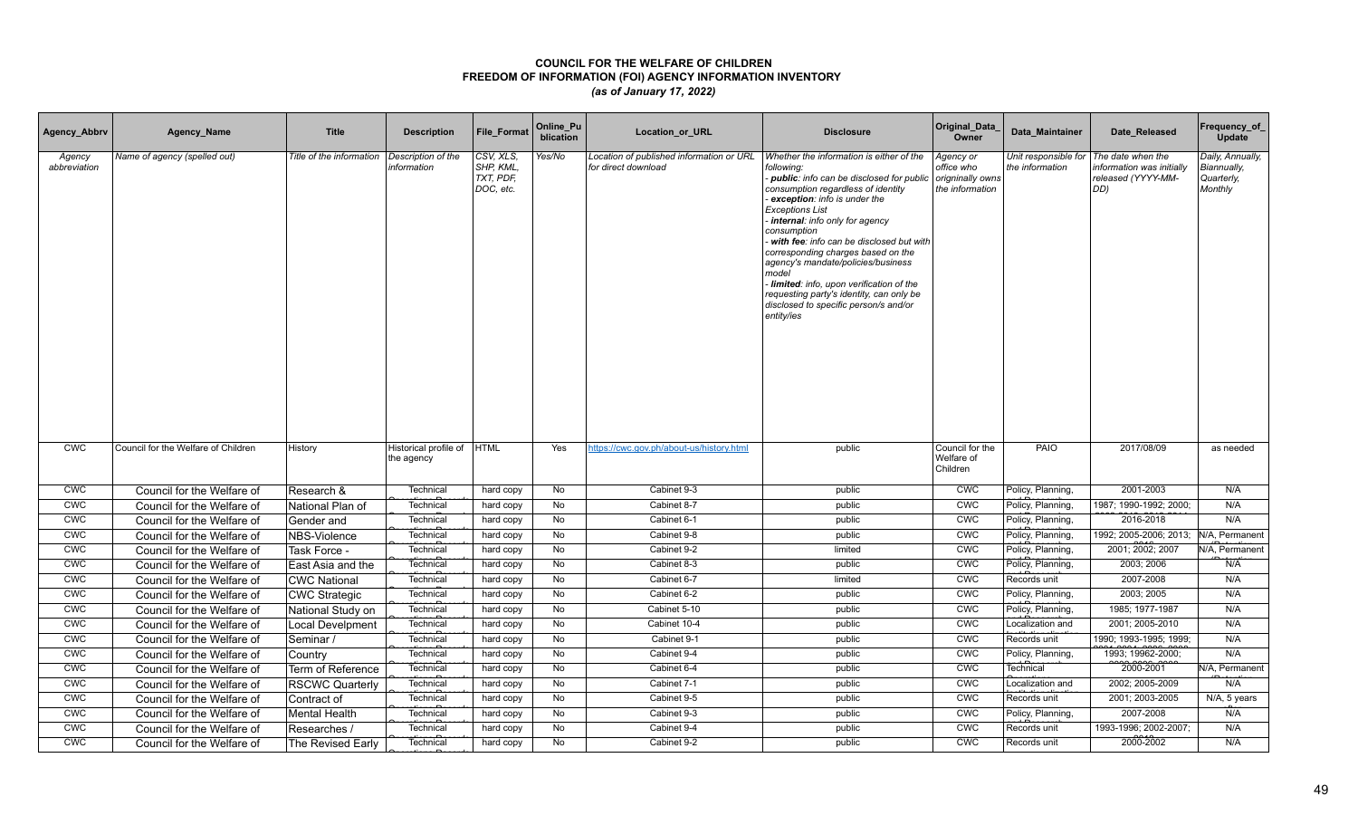| Agency_Abbrv           | Agency_Name                         | <b>Title</b>             | <b>Description</b>                  | File_Format                                      | Online_Pu<br>blication | Location_or_URL                                                 | <b>Disclosure</b>                                                                                                                                                                                                                                                                                                                                                                                                                                                                                                                    | Original_Data<br>Owner                                         | Data Maintainer                         | Date Released                                                              | Frequency_of<br>Update                                   |
|------------------------|-------------------------------------|--------------------------|-------------------------------------|--------------------------------------------------|------------------------|-----------------------------------------------------------------|--------------------------------------------------------------------------------------------------------------------------------------------------------------------------------------------------------------------------------------------------------------------------------------------------------------------------------------------------------------------------------------------------------------------------------------------------------------------------------------------------------------------------------------|----------------------------------------------------------------|-----------------------------------------|----------------------------------------------------------------------------|----------------------------------------------------------|
| Agency<br>abbreviation | Name of agency (spelled out)        | Title of the information | Description of the<br>information   | CSV, XLS,<br>SHP, KML,<br>TXT, PDF,<br>DOC, etc. | Yes/No                 | Location of published information or URL<br>for direct download | Whether the information is either of the<br>following:<br>- public: info can be disclosed for public<br>consumption regardless of identity<br>exception: info is under the<br><b>Exceptions List</b><br>internal: info only for agency<br>consumption<br>with fee: info can be disclosed but with<br>corresponding charges based on the<br>agency's mandate/policies/business<br>model<br>Iimited: info, upon verification of the<br>requesting party's identity, can only be<br>disclosed to specific person/s and/or<br>entity/ies | Agency or<br>office who<br>origninally owns<br>the information | Unit responsible for<br>the information | The date when the<br>nformation was initially<br>released (YYYY-MM-<br>DD) | Daily, Annually,<br>Biannually,<br>Quarterly,<br>Monthly |
| <b>CWC</b>             | Council for the Welfare of Children | History                  | Historical profile of<br>the agency | <b>HTML</b>                                      | Yes                    | https://cwc.gov.ph/about-us/history.html                        | public                                                                                                                                                                                                                                                                                                                                                                                                                                                                                                                               | Council for the<br>Welfare of<br>Children                      | PAIO                                    | 2017/08/09                                                                 | as needed                                                |
| <b>CWC</b>             | Council for the Welfare of          | Research &               | Technical                           | hard copy                                        | No                     | Cabinet 9-3                                                     | public                                                                                                                                                                                                                                                                                                                                                                                                                                                                                                                               | <b>CWC</b>                                                     | Policy, Planning,                       | 2001-2003                                                                  | N/A                                                      |
| <b>CWC</b>             | Council for the Welfare of          | National Plan of         | Technical                           | hard copy                                        | No                     | Cabinet 8-7                                                     | public                                                                                                                                                                                                                                                                                                                                                                                                                                                                                                                               | <b>CWC</b>                                                     | Policy, Planning,                       | 1987; 1990-1992; 2000;                                                     | N/A                                                      |
| <b>CWC</b>             | Council for the Welfare of          | Gender and               | Technical                           | hard copy                                        | No                     | Cabinet 6-1                                                     | public                                                                                                                                                                                                                                                                                                                                                                                                                                                                                                                               | <b>CWC</b>                                                     | Policy, Planning,                       | 2016-2018                                                                  | N/A                                                      |
| <b>CWC</b>             | Council for the Welfare of          | NBS-Violence             | Technical                           | hard copy                                        | No                     | Cabinet 9-8                                                     | public                                                                                                                                                                                                                                                                                                                                                                                                                                                                                                                               | <b>CWC</b>                                                     | Policy, Planning,                       | 1992; 2005-2006; 2013;                                                     | N/A, Permanent                                           |
| CWC                    | Council for the Welfare of          | Task Force -             | Technical                           | hard copy                                        | No                     | Cabinet 9-2                                                     | limited                                                                                                                                                                                                                                                                                                                                                                                                                                                                                                                              | <b>CMC</b>                                                     | Policy, Planning,                       | 2001; 2002; 2007                                                           | N/A, Permanent                                           |
| <b>CWC</b>             | Council for the Welfare of          | East Asia and the        | Technical                           | hard copy                                        | No                     | Cabinet 8-3                                                     | public                                                                                                                                                                                                                                                                                                                                                                                                                                                                                                                               | CWC                                                            | Policy, Planning,                       | 2003; 2006                                                                 | N/A                                                      |
| <b>CWC</b>             | Council for the Welfare of          | CWC National             | Technica                            | hard copy                                        | No                     | Cabinet 6-7                                                     | limited                                                                                                                                                                                                                                                                                                                                                                                                                                                                                                                              | CWC                                                            | Records unit                            | 2007-2008                                                                  | N/A                                                      |
| CWC                    | Council for the Welfare of          | CWC Strategic            | Technica                            | hard copy                                        | No                     | Cabinet 6-2                                                     | public                                                                                                                                                                                                                                                                                                                                                                                                                                                                                                                               | <b>CWC</b>                                                     | Policy, Planning,                       | 2003; 2005                                                                 | N/A                                                      |
| <b>CWC</b>             | Council for the Welfare of          | National Study on        | Technica                            | hard copy                                        | No                     | Cabinet 5-10                                                    | public                                                                                                                                                                                                                                                                                                                                                                                                                                                                                                                               | <b>CWC</b>                                                     | Policy, Planning,                       | 1985; 1977-1987                                                            | N/A                                                      |
| CWC                    | Council for the Welfare of          | <b>Local Develpment</b>  | Technical                           | hard copy                                        | No                     | Cabinet 10-4                                                    | public                                                                                                                                                                                                                                                                                                                                                                                                                                                                                                                               | <b>CMC</b>                                                     | Localization and                        | 2001; 2005-2010                                                            | N/A                                                      |
| CWC                    | Council for the Welfare of          | Seminar /                | Technical                           | hard copy                                        | No                     | Cabinet 9-1                                                     | public                                                                                                                                                                                                                                                                                                                                                                                                                                                                                                                               | CWC                                                            | Records unit                            | 1990; 1993-1995; 1999;                                                     | N/A                                                      |
| CWC                    | Council for the Welfare of          | Country                  | Technical                           | hard copy                                        | No                     | Cabinet 9-4                                                     | public                                                                                                                                                                                                                                                                                                                                                                                                                                                                                                                               | CWC                                                            | Policy, Planning,                       | 1993; 19962-2000;                                                          | N/A                                                      |
| CWC                    | Council for the Welfare of          | Term of Reference        | Technical                           | hard copy                                        | No                     | Cabinet 6-4                                                     | public                                                                                                                                                                                                                                                                                                                                                                                                                                                                                                                               | CWC                                                            | Technical                               | 2000-2001                                                                  | N/A, Permanent                                           |
| <b>CWC</b>             | Council for the Welfare of          | <b>RSCWC Quarterly</b>   | Technical                           | hard copy                                        | No                     | Cabinet 7-1                                                     | public                                                                                                                                                                                                                                                                                                                                                                                                                                                                                                                               | CWC                                                            | Localization and                        | 2002: 2005-2009                                                            | N/A                                                      |
| CWC                    | Council for the Welfare of          | Contract of              | Technica                            | hard copy                                        | <b>No</b>              | Cabinet 9-5                                                     | public                                                                                                                                                                                                                                                                                                                                                                                                                                                                                                                               | CWC                                                            | Records unit                            | 2001; 2003-2005                                                            | N/A, 5 years                                             |
| CWC                    | Council for the Welfare of          | <b>Mental Health</b>     | Technica                            | hard copy                                        | No                     | Cabinet 9-3                                                     | public                                                                                                                                                                                                                                                                                                                                                                                                                                                                                                                               | CWC                                                            | Policy, Planning,                       | 2007-2008                                                                  | N/A                                                      |
| <b>CWC</b>             | Council for the Welfare of          | Researches /             | Technical                           | hard copy                                        | <b>No</b>              | Cabinet 9-4                                                     | public                                                                                                                                                                                                                                                                                                                                                                                                                                                                                                                               | <b>CWC</b>                                                     | Records unit                            | 1993-1996; 2002-2007;                                                      | N/A                                                      |
| <b>CWC</b>             | Council for the Welfare of          | The Revised Early        | Technical                           | hard copy                                        | No                     | Cabinet 9-2                                                     | public                                                                                                                                                                                                                                                                                                                                                                                                                                                                                                                               | <b>CWC</b>                                                     | Records unit                            | 2000-2002                                                                  | N/A                                                      |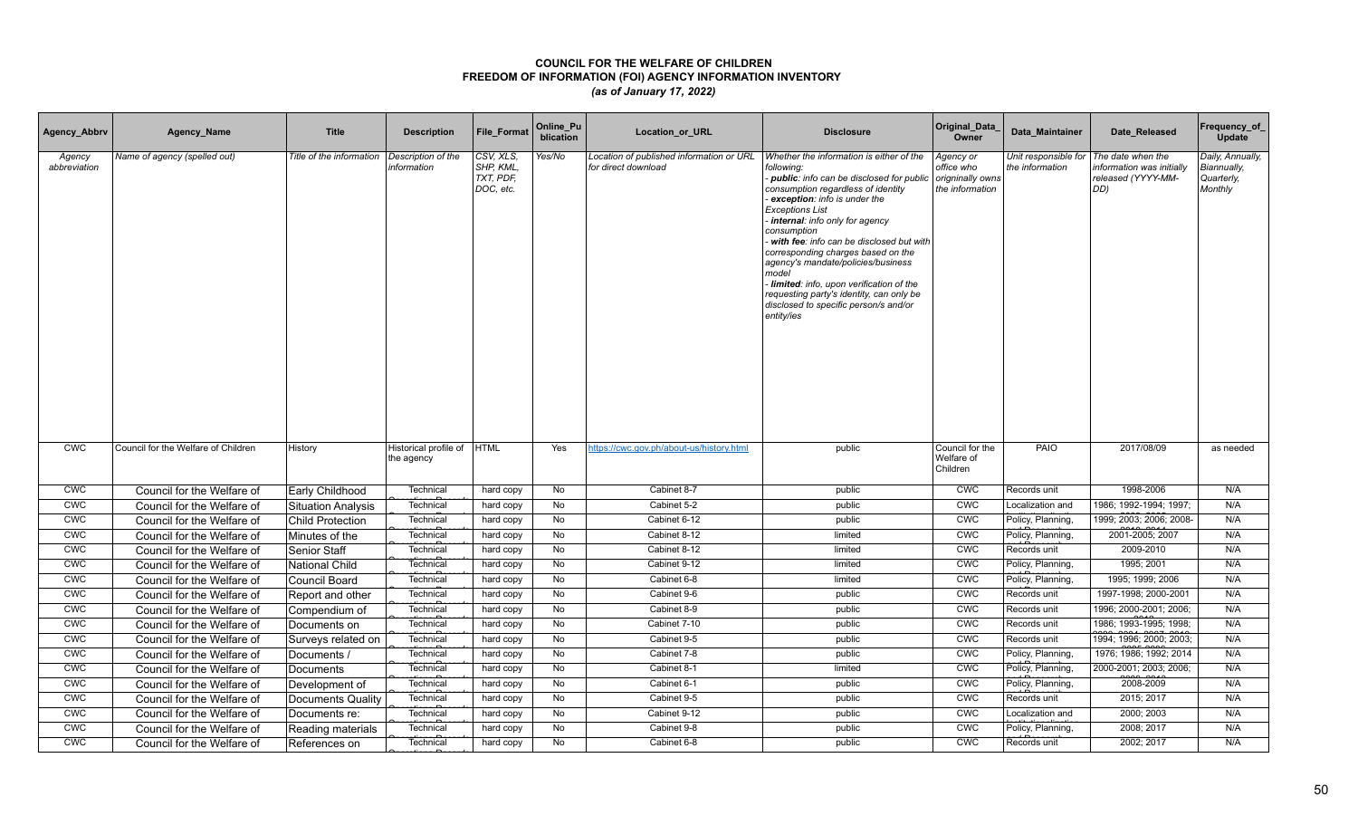| Agency_Abbrv           | Agency_Name                         | <b>Title</b>              | <b>Description</b>                  | File_Format                                      | Online_Pu<br>blication | Location_or_URL                                                 | <b>Disclosure</b>                                                                                                                                                                                                                                                                                                                                                                                                                                                                                                                  | Original_Data<br>Owner                                         | Data Maintainer                         | Date Released                                                              | Frequency_of<br>Update                                   |
|------------------------|-------------------------------------|---------------------------|-------------------------------------|--------------------------------------------------|------------------------|-----------------------------------------------------------------|------------------------------------------------------------------------------------------------------------------------------------------------------------------------------------------------------------------------------------------------------------------------------------------------------------------------------------------------------------------------------------------------------------------------------------------------------------------------------------------------------------------------------------|----------------------------------------------------------------|-----------------------------------------|----------------------------------------------------------------------------|----------------------------------------------------------|
| Agency<br>abbreviation | Name of agency (spelled out)        | Title of the information  | Description of the<br>information   | CSV, XLS,<br>SHP, KML,<br>TXT, PDF,<br>DOC, etc. | Yes/No                 | Location of published information or URL<br>for direct download | Whether the information is either of the<br>following:<br>public: info can be disclosed for public<br>consumption regardless of identity<br>exception: info is under the<br><b>Exceptions List</b><br>internal: info only for agency<br>consumption<br>with fee: info can be disclosed but with<br>corresponding charges based on the<br>agency's mandate/policies/business<br>model<br>Iimited: info, upon verification of the<br>requesting party's identity, can only be<br>disclosed to specific person/s and/or<br>entity/ies | Agency or<br>office who<br>origninally owns<br>the information | Unit responsible for<br>the information | The date when the<br>nformation was initially<br>released (YYYY-MM-<br>DD) | Daily, Annually,<br>Biannually,<br>Quarterly,<br>Monthly |
| <b>CWC</b>             | Council for the Welfare of Children | History                   | Historical profile of<br>the agency | <b>HTML</b>                                      | Yes                    | https://cwc.gov.ph/about-us/history.html                        | public                                                                                                                                                                                                                                                                                                                                                                                                                                                                                                                             | Council for the<br>Welfare of<br>Children                      | PAIO                                    | 2017/08/09                                                                 | as needed                                                |
| <b>CWC</b>             | Council for the Welfare of          | Early Childhood           | Technical                           | hard copy                                        | No                     | Cabinet 8-7                                                     | public                                                                                                                                                                                                                                                                                                                                                                                                                                                                                                                             | <b>CWC</b>                                                     | Records unit                            | 1998-2006                                                                  | N/A                                                      |
| <b>CWC</b>             | Council for the Welfare of          | <b>Situation Analysis</b> | Technical                           | hard copy                                        | No                     | Cabinet 5-2                                                     | public                                                                                                                                                                                                                                                                                                                                                                                                                                                                                                                             | <b>CWC</b>                                                     | Localization and                        | 1986; 1992-1994; 1997;                                                     | N/A                                                      |
| <b>CWC</b>             | Council for the Welfare of          | <b>Child Protection</b>   | Technical                           | hard copy                                        | No                     | Cabinet 6-12                                                    | public                                                                                                                                                                                                                                                                                                                                                                                                                                                                                                                             | <b>CWC</b>                                                     | Policy, Planning,                       | 1999; 2003; 2006; 2008                                                     | N/A                                                      |
| <b>CWC</b>             | Council for the Welfare of          | Minutes of the            | Technical                           | hard copy                                        | No                     | Cabinet 8-12                                                    | limited                                                                                                                                                                                                                                                                                                                                                                                                                                                                                                                            | <b>CWC</b>                                                     | Policy, Planning,                       | 2001-2005; 2007                                                            | N/A                                                      |
| <b>CWC</b>             | Council for the Welfare of          | <b>Senior Staff</b>       | Technical                           | hard copy                                        | No                     | Cabinet 8-12                                                    | limited                                                                                                                                                                                                                                                                                                                                                                                                                                                                                                                            | <b>CMC</b>                                                     | Records unit                            | 2009-2010                                                                  | N/A                                                      |
| <b>CWC</b>             | Council for the Welfare of          | National Child            | Technical                           | hard copy                                        | No                     | Cabinet 9-12                                                    | limited                                                                                                                                                                                                                                                                                                                                                                                                                                                                                                                            | <b>CWC</b>                                                     | Policy, Planning,                       | 1995; 2001                                                                 | N/A                                                      |
| <b>CWC</b>             | Council for the Welfare of          | Council Board             | Technica                            | hard copy                                        | No                     | Cabinet 6-8                                                     | limited                                                                                                                                                                                                                                                                                                                                                                                                                                                                                                                            | <b>CWC</b>                                                     | Policy, Planning,                       | 1995; 1999; 2006                                                           | N/A                                                      |
| CWC                    | Council for the Welfare of          | Report and other          | Technica                            | hard copy                                        | No                     | Cabinet 9-6                                                     | public                                                                                                                                                                                                                                                                                                                                                                                                                                                                                                                             | <b>CWC</b>                                                     | Records unit                            | 1997-1998; 2000-2001                                                       | N/A                                                      |
| <b>CWC</b>             | Council for the Welfare of          | Compendium of             | Technica                            | hard copy                                        | No                     | Cabinet 8-9                                                     | public                                                                                                                                                                                                                                                                                                                                                                                                                                                                                                                             | <b>CWC</b>                                                     | Records unit                            | 1996; 2000-2001; 2006;                                                     | N/A                                                      |
| CWC                    | Council for the Welfare of          | Documents on              | Technical                           | hard copy                                        | No                     | Cabinet 7-10                                                    | public                                                                                                                                                                                                                                                                                                                                                                                                                                                                                                                             | <b>CMC</b>                                                     | Records unit                            | 1986; 1993-1995; 1998;                                                     | N/A                                                      |
| CWC                    | Council for the Welfare of          | Surveys related on        | Technical                           | hard copy                                        | No                     | Cabinet 9-5                                                     | public                                                                                                                                                                                                                                                                                                                                                                                                                                                                                                                             | CWC                                                            | Records unit                            | 1994; 1996; 2000; 2003;                                                    | N/A                                                      |
| CWC                    | Council for the Welfare of          | Documents                 | Technical                           | hard copy                                        | No                     | Cabinet 7-8                                                     | public                                                                                                                                                                                                                                                                                                                                                                                                                                                                                                                             | CWC                                                            | Policy, Planning,                       | 1976; 1986; 1992; 2014                                                     | N/A                                                      |
| CWC                    | Council for the Welfare of          | Documents                 | Technical                           | hard copy                                        | No                     | Cabinet 8-1                                                     | limited                                                                                                                                                                                                                                                                                                                                                                                                                                                                                                                            | CWC                                                            | Policy, Planning,                       | 2000-2001; 2003; 2006;                                                     | N/A                                                      |
| <b>CWC</b>             | Council for the Welfare of          | Development of            | Technical                           | hard copy                                        | No                     | Cabinet 6-1                                                     | public                                                                                                                                                                                                                                                                                                                                                                                                                                                                                                                             | CWC                                                            | Policy, Planning,                       | 2008-2009                                                                  | N/A                                                      |
| CWC                    | Council for the Welfare of          | Documents Quality         | Technica                            | hard copy                                        | <b>No</b>              | Cabinet 9-5                                                     | public                                                                                                                                                                                                                                                                                                                                                                                                                                                                                                                             | <b>CWC</b>                                                     | Records unit                            | 2015; 2017                                                                 | N/A                                                      |
| <b>CWC</b>             | Council for the Welfare of          | Documents re:             | Technica                            | hard copy                                        | No                     | Cabinet 9-12                                                    | public                                                                                                                                                                                                                                                                                                                                                                                                                                                                                                                             | CWC                                                            | Localization and                        | 2000; 2003                                                                 | N/A                                                      |
| <b>CWC</b>             | Council for the Welfare of          | Reading materials         | Technical                           | hard copy                                        | No                     | Cabinet 9-8                                                     | public                                                                                                                                                                                                                                                                                                                                                                                                                                                                                                                             | <b>CWC</b>                                                     | Policy, Planning,                       | 2008; 2017                                                                 | N/A                                                      |
| <b>CWC</b>             | Council for the Welfare of          | References on             | Technical                           | hard copy                                        | No                     | Cabinet 6-8                                                     | public                                                                                                                                                                                                                                                                                                                                                                                                                                                                                                                             | <b>CWC</b>                                                     | Records unit                            | 2002; 2017                                                                 | N/A                                                      |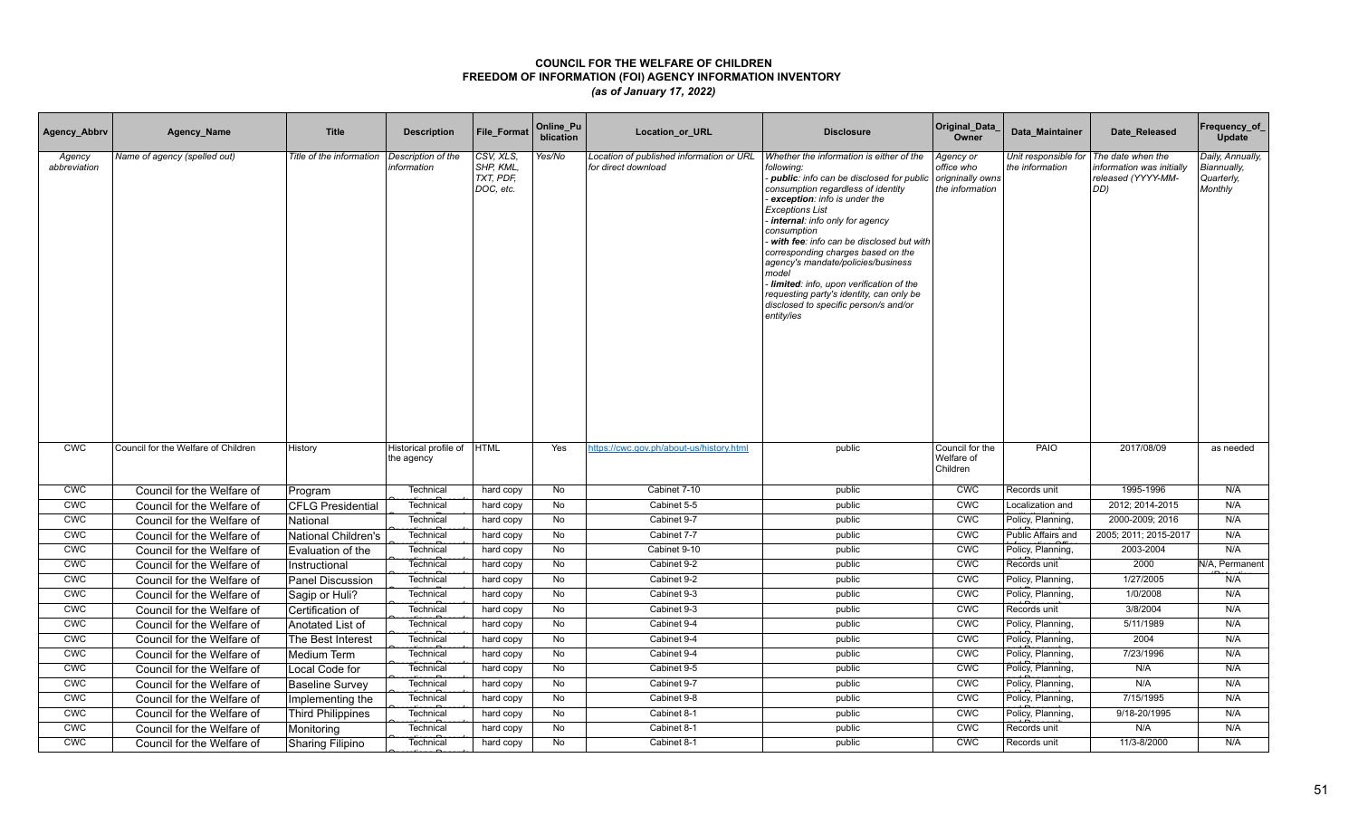| Agency_Abbrv           | Agency_Name                         | <b>Title</b>             | <b>Description</b>                  | File_Format                                      | Online_Pu<br>blication | Location_or_URL                                                 | <b>Disclosure</b>                                                                                                                                                                                                                                                                                                                                                                                                                                                                                                                  | Original_Data<br>Owner                                         | Data Maintainer                         | Date Released                                                              | Frequency_of<br>Update                                   |
|------------------------|-------------------------------------|--------------------------|-------------------------------------|--------------------------------------------------|------------------------|-----------------------------------------------------------------|------------------------------------------------------------------------------------------------------------------------------------------------------------------------------------------------------------------------------------------------------------------------------------------------------------------------------------------------------------------------------------------------------------------------------------------------------------------------------------------------------------------------------------|----------------------------------------------------------------|-----------------------------------------|----------------------------------------------------------------------------|----------------------------------------------------------|
| Agency<br>abbreviation | Name of agency (spelled out)        | Title of the information | Description of the<br>information   | CSV, XLS,<br>SHP, KML,<br>TXT, PDF,<br>DOC, etc. | Yes/No                 | Location of published information or URL<br>for direct download | Whether the information is either of the<br>following:<br>public: info can be disclosed for public<br>consumption regardless of identity<br>exception: info is under the<br><b>Exceptions List</b><br>internal: info only for agency<br>consumption<br>with fee: info can be disclosed but with<br>corresponding charges based on the<br>agency's mandate/policies/business<br>model<br>Iimited: info, upon verification of the<br>requesting party's identity, can only be<br>disclosed to specific person/s and/or<br>entity/ies | Agency or<br>office who<br>origninally owns<br>the information | Unit responsible for<br>the information | The date when the<br>nformation was initially<br>released (YYYY-MM-<br>DD) | Daily, Annually,<br>Biannually,<br>Quarterly,<br>Monthly |
| <b>CWC</b>             | Council for the Welfare of Children | History                  | Historical profile of<br>the agency | <b>HTML</b>                                      | Yes                    | https://cwc.gov.ph/about-us/history.html                        | public                                                                                                                                                                                                                                                                                                                                                                                                                                                                                                                             | Council for the<br>Welfare of<br>Children                      | PAIO                                    | 2017/08/09                                                                 | as needed                                                |
| <b>CWC</b>             | Council for the Welfare of          | Program                  | Technical                           | hard copy                                        | No                     | Cabinet 7-10                                                    | public                                                                                                                                                                                                                                                                                                                                                                                                                                                                                                                             | <b>CWC</b>                                                     | Records unit                            | 1995-1996                                                                  | N/A                                                      |
| <b>CWC</b>             | Council for the Welfare of          | <b>CFLG Presidential</b> | Technical                           | hard copy                                        | No                     | Cabinet 5-5                                                     | public                                                                                                                                                                                                                                                                                                                                                                                                                                                                                                                             | CWC                                                            | Localization and                        | 2012; 2014-2015                                                            | N/A                                                      |
| <b>CWC</b>             | Council for the Welfare of          | National                 | Technical                           | hard copy                                        | No                     | Cabinet 9-7                                                     | public                                                                                                                                                                                                                                                                                                                                                                                                                                                                                                                             | <b>CWC</b>                                                     | Policy, Planning,                       | 2000-2009; 2016                                                            | N/A                                                      |
| <b>CWC</b>             | Council for the Welfare of          | National Children's      | Technical                           | hard copy                                        | No                     | Cabinet 7-7                                                     | public                                                                                                                                                                                                                                                                                                                                                                                                                                                                                                                             | <b>CWC</b>                                                     | Public Affairs and                      | 2005; 2011; 2015-2017                                                      | N/A                                                      |
| CWC                    | Council for the Welfare of          | Evaluation of the        | Technical                           | hard copy                                        | No                     | Cabinet 9-10                                                    | public                                                                                                                                                                                                                                                                                                                                                                                                                                                                                                                             | <b>CMC</b>                                                     | Policy, Planning,                       | 2003-2004                                                                  | N/A                                                      |
| <b>CWC</b>             | Council for the Welfare of          | Instructional            | Technical                           | hard copy                                        | No                     | Cabinet 9-2                                                     | public                                                                                                                                                                                                                                                                                                                                                                                                                                                                                                                             | <b>CWC</b>                                                     | Records unit                            | 2000                                                                       | N/A, Permanent                                           |
| <b>CWC</b>             | Council for the Welfare of          | Panel Discussion         | Technica                            | hard copy                                        | No                     | Cabinet 9-2                                                     | public                                                                                                                                                                                                                                                                                                                                                                                                                                                                                                                             | <b>CWC</b>                                                     | Policy, Planning,                       | 1/27/2005                                                                  | N/A                                                      |
| CWC                    | Council for the Welfare of          | Sagip or Huli?           | Technica                            | hard copy                                        | No                     | Cabinet 9-3                                                     | public                                                                                                                                                                                                                                                                                                                                                                                                                                                                                                                             | <b>CWC</b>                                                     | Policy, Planning,                       | 1/0/2008                                                                   | N/A                                                      |
| <b>CWC</b>             | Council for the Welfare of          | Certification of         | Technica                            | hard copy                                        | No                     | Cabinet 9-3                                                     | public                                                                                                                                                                                                                                                                                                                                                                                                                                                                                                                             | <b>CWC</b>                                                     | Records unit                            | 3/8/2004                                                                   | N/A                                                      |
| CWC                    | Council for the Welfare of          | Anotated List of         | Technical                           | hard copy                                        | No                     | Cabinet 9-4                                                     | public                                                                                                                                                                                                                                                                                                                                                                                                                                                                                                                             | CWC                                                            | Policy, Planning,                       | 5/11/1989                                                                  | N/A                                                      |
| CWC                    | Council for the Welfare of          | The Best Interest        | Technical                           | hard copy                                        | No                     | Cabinet 9-4                                                     | public                                                                                                                                                                                                                                                                                                                                                                                                                                                                                                                             | CWC                                                            | Policy, Planning,                       | 2004                                                                       | N/A                                                      |
| CWC                    | Council for the Welfare of          | Medium Term              | Technical                           | hard copy                                        | No                     | Cabinet 9-4                                                     | public                                                                                                                                                                                                                                                                                                                                                                                                                                                                                                                             | CWC                                                            | Policy, Planning,                       | 7/23/1996                                                                  | N/A                                                      |
| CWC                    | Council for the Welfare of          | Local Code for           | Technical                           | hard copy                                        | No                     | Cabinet 9-5                                                     | public                                                                                                                                                                                                                                                                                                                                                                                                                                                                                                                             | CWC                                                            | Policy, Planning,                       | N/A                                                                        | N/A                                                      |
| <b>CWC</b>             | Council for the Welfare of          | <b>Baseline Survey</b>   | Technical                           | hard copy                                        | No                     | Cabinet 9-7                                                     | public                                                                                                                                                                                                                                                                                                                                                                                                                                                                                                                             | CWC                                                            | Policy, Planning,                       | N/A                                                                        | N/A                                                      |
| CWC                    | Council for the Welfare of          | Implementing the         | Technica                            | hard copy                                        | <b>No</b>              | Cabinet 9-8                                                     | public                                                                                                                                                                                                                                                                                                                                                                                                                                                                                                                             | <b>CWC</b>                                                     | Policy, Planning,                       | 7/15/1995                                                                  | N/A                                                      |
| CWC                    | Council for the Welfare of          | <b>Third Philippines</b> | Technica                            | hard copy                                        | No                     | Cabinet 8-1                                                     | public                                                                                                                                                                                                                                                                                                                                                                                                                                                                                                                             | CWC                                                            | Policy, Planning,                       | 9/18-20/1995                                                               | N/A                                                      |
| <b>CWC</b>             | Council for the Welfare of          | Monitoring               | Technical                           | hard copy                                        | No                     | Cabinet 8-1                                                     | public                                                                                                                                                                                                                                                                                                                                                                                                                                                                                                                             | <b>CWC</b>                                                     | Records unit                            | N/A                                                                        | N/A                                                      |
| <b>CWC</b>             | Council for the Welfare of          | Sharing Filipino         | Technical                           | hard copy                                        | No                     | Cabinet 8-1                                                     | public                                                                                                                                                                                                                                                                                                                                                                                                                                                                                                                             | <b>CWC</b>                                                     | Records unit                            | 11/3-8/2000                                                                | N/A                                                      |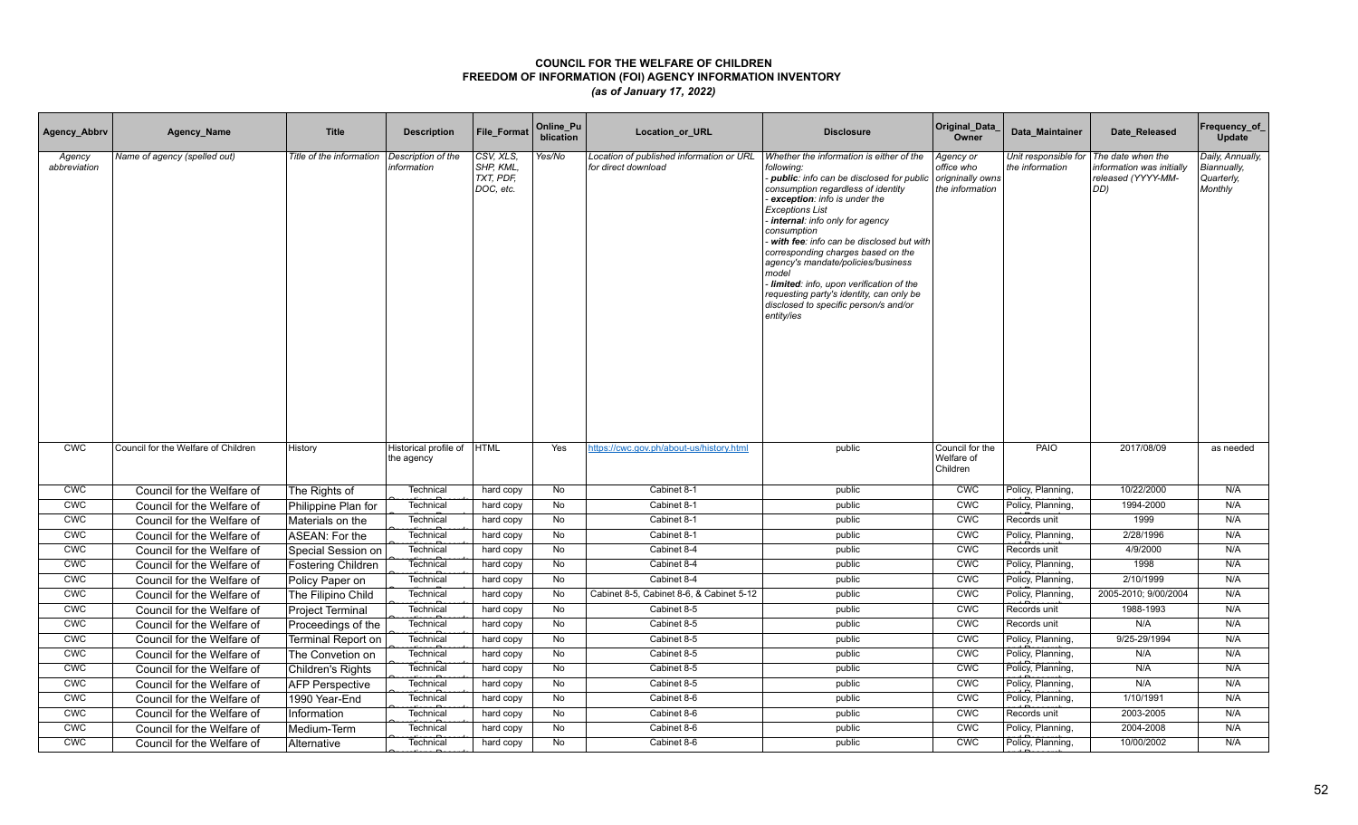| Agency_Abbrv           | Agency_Name                         | <b>Title</b>              | <b>Description</b>                  | File_Format                                      | Online_Pu<br>blication | Location_or_URL                                                 | <b>Disclosure</b>                                                                                                                                                                                                                                                                                                                                                                                                                                                                                                                  | Original_Data<br>Owner                                         | Data Maintainer                         | Date Released                                                              | Frequency_of<br>Update                                   |
|------------------------|-------------------------------------|---------------------------|-------------------------------------|--------------------------------------------------|------------------------|-----------------------------------------------------------------|------------------------------------------------------------------------------------------------------------------------------------------------------------------------------------------------------------------------------------------------------------------------------------------------------------------------------------------------------------------------------------------------------------------------------------------------------------------------------------------------------------------------------------|----------------------------------------------------------------|-----------------------------------------|----------------------------------------------------------------------------|----------------------------------------------------------|
| Agency<br>abbreviation | Name of agency (spelled out)        | Title of the information  | Description of the<br>information   | CSV, XLS,<br>SHP, KML,<br>TXT, PDF,<br>DOC, etc. | Yes/No                 | Location of published information or URL<br>for direct download | Whether the information is either of the<br>following:<br>public: info can be disclosed for public<br>consumption regardless of identity<br>exception: info is under the<br><b>Exceptions List</b><br>internal: info only for agency<br>consumption<br>with fee: info can be disclosed but with<br>corresponding charges based on the<br>agency's mandate/policies/business<br>model<br>Iimited: info, upon verification of the<br>requesting party's identity, can only be<br>disclosed to specific person/s and/or<br>entity/ies | Agency or<br>office who<br>origninally owns<br>the information | Unit responsible for<br>the information | The date when the<br>nformation was initially<br>released (YYYY-MM-<br>DD) | Daily, Annually,<br>Biannually,<br>Quarterly,<br>Monthly |
| <b>CWC</b>             | Council for the Welfare of Children | History                   | Historical profile of<br>the agency | <b>HTML</b>                                      | Yes                    | https://cwc.gov.ph/about-us/history.html                        | public                                                                                                                                                                                                                                                                                                                                                                                                                                                                                                                             | Council for the<br>Welfare of<br>Children                      | PAIO                                    | 2017/08/09                                                                 | as needed                                                |
| <b>CWC</b>             | Council for the Welfare of          | The Rights of             | Technical                           | hard copy                                        | No                     | Cabinet 8-1                                                     | public                                                                                                                                                                                                                                                                                                                                                                                                                                                                                                                             | <b>CWC</b>                                                     | Policy, Planning,                       | 10/22/2000                                                                 | N/A                                                      |
| <b>CWC</b>             | Council for the Welfare of          | Philippine Plan for       | Technical                           | hard copy                                        | No                     | Cabinet 8-1                                                     | public                                                                                                                                                                                                                                                                                                                                                                                                                                                                                                                             | <b>CWC</b>                                                     | Policy, Planning,                       | 1994-2000                                                                  | N/A                                                      |
| <b>CWC</b>             | Council for the Welfare of          | Materials on the          | Technical                           | hard copy                                        | No                     | Cabinet 8-1                                                     | public                                                                                                                                                                                                                                                                                                                                                                                                                                                                                                                             | <b>CWC</b>                                                     | Records unit                            | 1999                                                                       | N/A                                                      |
| <b>CWC</b>             | Council for the Welfare of          | ASEAN: For the            | Technical                           | hard copy                                        | No                     | Cabinet 8-1                                                     | public                                                                                                                                                                                                                                                                                                                                                                                                                                                                                                                             | <b>CWC</b>                                                     | Policy, Planning,                       | 2/28/1996                                                                  | N/A                                                      |
| CWC                    | Council for the Welfare of          | Special Session on        | Technical                           | hard copy                                        | No                     | Cabinet 8-4                                                     | public                                                                                                                                                                                                                                                                                                                                                                                                                                                                                                                             | <b>CMC</b>                                                     | Records unit                            | 4/9/2000                                                                   | N/A                                                      |
| <b>CWC</b>             | Council for the Welfare of          | Fostering Children        | Technical                           | hard copy                                        | No                     | Cabinet 8-4                                                     | public                                                                                                                                                                                                                                                                                                                                                                                                                                                                                                                             | CWC                                                            | Policy, Planning,                       | 1998                                                                       | N/A                                                      |
| <b>CWC</b>             | Council for the Welfare of          | Policy Paper on           | Technical                           | hard copy                                        | No                     | Cabinet 8-4                                                     | public                                                                                                                                                                                                                                                                                                                                                                                                                                                                                                                             | <b>CWC</b>                                                     | Policy, Planning,                       | 2/10/1999                                                                  | N/A                                                      |
| CWC                    | Council for the Welfare of          | The Filipino Child        | Technica                            | hard copy                                        | No                     | Cabinet 8-5, Cabinet 8-6, & Cabinet 5-12                        | public                                                                                                                                                                                                                                                                                                                                                                                                                                                                                                                             | <b>CWC</b>                                                     | Policy, Planning,                       | 2005-2010; 9/00/2004                                                       | N/A                                                      |
| <b>CWC</b>             | Council for the Welfare of          | <b>Project Terminal</b>   | Technical                           | hard copy                                        | No                     | Cabinet 8-5                                                     | public                                                                                                                                                                                                                                                                                                                                                                                                                                                                                                                             | <b>CWC</b>                                                     | Records unit                            | 1988-1993                                                                  | N/A                                                      |
| CWC                    | Council for the Welfare of          | Proceedings of the        | Technical                           | hard copy                                        | No                     | Cabinet 8-5                                                     | public                                                                                                                                                                                                                                                                                                                                                                                                                                                                                                                             | <b>CMC</b>                                                     | Records unit                            | N/A                                                                        | N/A                                                      |
| CWC                    | Council for the Welfare of          | <b>Terminal Report on</b> | Technical                           | hard copy                                        | No                     | Cabinet 8-5                                                     | public                                                                                                                                                                                                                                                                                                                                                                                                                                                                                                                             | CWC                                                            | Policy, Planning,                       | 9/25-29/1994                                                               | N/A                                                      |
| CWC                    | Council for the Welfare of          | The Convetion on          | Technical                           | hard copy                                        | No                     | Cabinet 8-5                                                     | public                                                                                                                                                                                                                                                                                                                                                                                                                                                                                                                             | CWC                                                            | Policy, Planning,                       | N/A                                                                        | N/A                                                      |
| CWC                    | Council for the Welfare of          | Children's Rights         | Technical                           | hard copy                                        | No                     | Cabinet 8-5                                                     | public                                                                                                                                                                                                                                                                                                                                                                                                                                                                                                                             | CWC                                                            | Policy, Planning,                       | N/A                                                                        | N/A                                                      |
| <b>CWC</b>             | Council for the Welfare of          | <b>AFP Perspective</b>    | Technical                           | hard copy                                        | No                     | Cabinet 8-5                                                     | public                                                                                                                                                                                                                                                                                                                                                                                                                                                                                                                             | CWC                                                            | Policy, Planning,                       | N/A                                                                        | N/A                                                      |
| CWC                    | Council for the Welfare of          | 1990 Year-End             | Technica                            | hard copy                                        | <b>No</b>              | Cabinet 8-6                                                     | public                                                                                                                                                                                                                                                                                                                                                                                                                                                                                                                             | <b>CWC</b>                                                     | Policy, Planning,                       | 1/10/1991                                                                  | N/A                                                      |
| CWC                    | Council for the Welfare of          | Information               | Technica                            | hard copy                                        | No                     | Cabinet 8-6                                                     | public                                                                                                                                                                                                                                                                                                                                                                                                                                                                                                                             | CWC                                                            | Records unit                            | 2003-2005                                                                  | N/A                                                      |
| <b>CWC</b>             | Council for the Welfare of          | Medium-Term               | Technical                           | hard copy                                        | No                     | Cabinet 8-6                                                     | public                                                                                                                                                                                                                                                                                                                                                                                                                                                                                                                             | <b>CWC</b>                                                     | Policy, Planning,                       | 2004-2008                                                                  | N/A                                                      |
| <b>CWC</b>             | Council for the Welfare of          | Alternative               | Technical                           | hard copy                                        | No                     | Cabinet 8-6                                                     | public                                                                                                                                                                                                                                                                                                                                                                                                                                                                                                                             | <b>CWC</b>                                                     | Policy, Planning,                       | 10/00/2002                                                                 | N/A                                                      |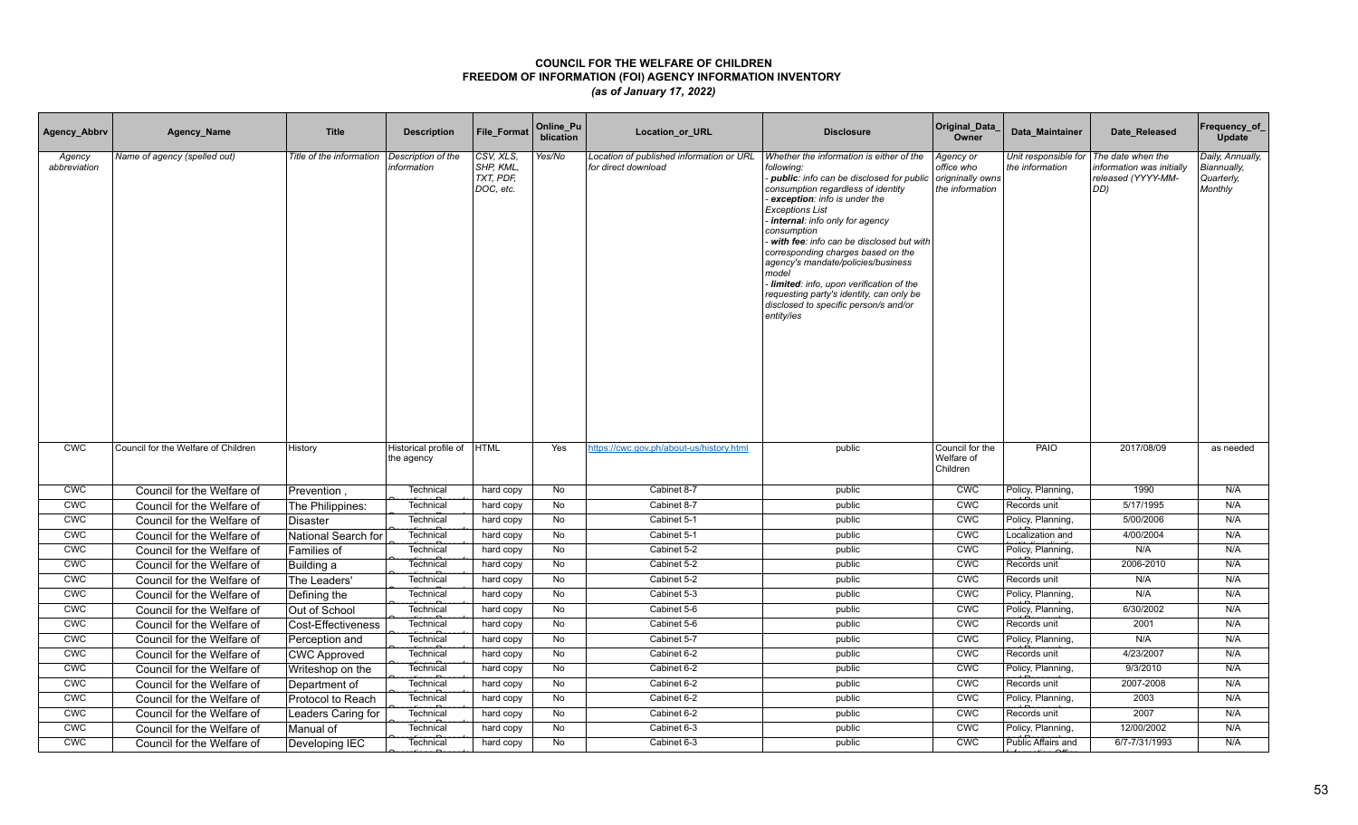| Agency_Abbrv           | Agency_Name                         | <b>Title</b>             | <b>Description</b>                  | File_Format                                      | Online_Pu<br>blication | Location_or_URL                                                 | <b>Disclosure</b>                                                                                                                                                                                                                                                                                                                                                                                                                                                                                                                  | Original_Data<br>Owner                                         | Data Maintainer                         | Date Released                                                              | Frequency_of<br>Update                                   |
|------------------------|-------------------------------------|--------------------------|-------------------------------------|--------------------------------------------------|------------------------|-----------------------------------------------------------------|------------------------------------------------------------------------------------------------------------------------------------------------------------------------------------------------------------------------------------------------------------------------------------------------------------------------------------------------------------------------------------------------------------------------------------------------------------------------------------------------------------------------------------|----------------------------------------------------------------|-----------------------------------------|----------------------------------------------------------------------------|----------------------------------------------------------|
| Agency<br>abbreviation | Name of agency (spelled out)        | Title of the information | Description of the<br>information   | CSV, XLS,<br>SHP, KML,<br>TXT, PDF,<br>DOC, etc. | Yes/No                 | Location of published information or URL<br>for direct download | Whether the information is either of the<br>following:<br>public: info can be disclosed for public<br>consumption regardless of identity<br>exception: info is under the<br><b>Exceptions List</b><br>internal: info only for agency<br>consumption<br>with fee: info can be disclosed but with<br>corresponding charges based on the<br>agency's mandate/policies/business<br>model<br>Iimited: info, upon verification of the<br>requesting party's identity, can only be<br>disclosed to specific person/s and/or<br>entity/ies | Agency or<br>office who<br>origninally owns<br>the information | Unit responsible for<br>the information | The date when the<br>nformation was initially<br>released (YYYY-MM-<br>DD) | Daily, Annually,<br>Biannually,<br>Quarterly,<br>Monthly |
| <b>CWC</b>             | Council for the Welfare of Children | History                  | Historical profile of<br>the agency | <b>HTML</b>                                      | Yes                    | https://cwc.gov.ph/about-us/history.html                        | public                                                                                                                                                                                                                                                                                                                                                                                                                                                                                                                             | Council for the<br>Welfare of<br>Children                      | PAIO                                    | 2017/08/09                                                                 | as needed                                                |
| <b>CWC</b>             | Council for the Welfare of          | Prevention               | Technical                           | hard copy                                        | No                     | Cabinet 8-7                                                     | public                                                                                                                                                                                                                                                                                                                                                                                                                                                                                                                             | <b>CWC</b>                                                     | Policy, Planning,                       | 1990                                                                       | N/A                                                      |
| <b>CWC</b>             | Council for the Welfare of          | The Philippines:         | Technical                           | hard copy                                        | No                     | Cabinet 8-7                                                     | public                                                                                                                                                                                                                                                                                                                                                                                                                                                                                                                             | CWC                                                            | Records unit                            | 5/17/1995                                                                  | N/A                                                      |
| <b>CWC</b>             | Council for the Welfare of          | Disaster                 | Technical                           | hard copy                                        | No                     | Cabinet 5-1                                                     | public                                                                                                                                                                                                                                                                                                                                                                                                                                                                                                                             | <b>CWC</b>                                                     | Policy, Planning,                       | 5/00/2006                                                                  | N/A                                                      |
| <b>CWC</b>             | Council for the Welfare of          | National Search for      | Technical                           | hard copy                                        | No                     | Cabinet 5-1                                                     | public                                                                                                                                                                                                                                                                                                                                                                                                                                                                                                                             | <b>CWC</b>                                                     | Localization and                        | 4/00/2004                                                                  | N/A                                                      |
| CWC                    | Council for the Welfare of          | Families of              | Technical                           | hard copy                                        | No                     | Cabinet 5-2                                                     | public                                                                                                                                                                                                                                                                                                                                                                                                                                                                                                                             | <b>CMC</b>                                                     | Policy, Planning,                       | N/A                                                                        | N/A                                                      |
| <b>CWC</b>             | Council for the Welfare of          | Building a               | Technical                           | hard copy                                        | No                     | Cabinet 5-2                                                     | public                                                                                                                                                                                                                                                                                                                                                                                                                                                                                                                             | <b>CWC</b>                                                     | Records unit                            | 2006-2010                                                                  | N/A                                                      |
| <b>CWC</b>             | Council for the Welfare of          | The Leaders'             | Technica                            | hard copy                                        | No                     | Cabinet 5-2                                                     | public                                                                                                                                                                                                                                                                                                                                                                                                                                                                                                                             | CWC                                                            | Records unit                            | N/A                                                                        | N/A                                                      |
| CWC                    | Council for the Welfare of          | Defining the             | Technica                            | hard copy                                        | No                     | Cabinet 5-3                                                     | public                                                                                                                                                                                                                                                                                                                                                                                                                                                                                                                             | <b>CWC</b>                                                     | Policy, Planning,                       | N/A                                                                        | N/A                                                      |
| <b>CWC</b>             | Council for the Welfare of          | Out of School            | Technica                            | hard copy                                        | No                     | Cabinet 5-6                                                     | public                                                                                                                                                                                                                                                                                                                                                                                                                                                                                                                             | <b>CWC</b>                                                     | Policy, Planning,                       | 6/30/2002                                                                  | N/A                                                      |
| CWC                    | Council for the Welfare of          | Cost-Effectiveness       | Technical                           | hard copy                                        | No                     | Cabinet 5-6                                                     | public                                                                                                                                                                                                                                                                                                                                                                                                                                                                                                                             | <b>CMC</b>                                                     | Records unit                            | 2001                                                                       | N/A                                                      |
| CWC                    | Council for the Welfare of          | Perception and           | Technical                           | hard copy                                        | No                     | Cabinet 5-7                                                     | public                                                                                                                                                                                                                                                                                                                                                                                                                                                                                                                             | CWC                                                            | Policy, Planning,                       | N/A                                                                        | N/A                                                      |
| CWC                    | Council for the Welfare of          | <b>CWC Approved</b>      | Technical                           | hard copy                                        | No                     | Cabinet 6-2                                                     | public                                                                                                                                                                                                                                                                                                                                                                                                                                                                                                                             | CWC                                                            | Records unit                            | 4/23/2007                                                                  | N/A                                                      |
| CWC                    | Council for the Welfare of          | Writeshop on the         | Technical                           | hard copy                                        | No                     | Cabinet 6-2                                                     | public                                                                                                                                                                                                                                                                                                                                                                                                                                                                                                                             | CWC                                                            | Policy, Planning,                       | 9/3/2010                                                                   | N/A                                                      |
| <b>CWC</b>             | Council for the Welfare of          | Department of            | Technical                           | hard copy                                        | No                     | Cabinet 6-2                                                     | public                                                                                                                                                                                                                                                                                                                                                                                                                                                                                                                             | CWC                                                            | Records unit                            | 2007-2008                                                                  | N/A                                                      |
| CWC                    | Council for the Welfare of          | Protocol to Reach        | Technica                            | hard copy                                        | <b>No</b>              | Cabinet 6-2                                                     | public                                                                                                                                                                                                                                                                                                                                                                                                                                                                                                                             | CWC                                                            | Policy, Planning,                       | 2003                                                                       | N/A                                                      |
| CWC                    | Council for the Welfare of          | Leaders Caring for       | Technical                           | hard copy                                        | No                     | Cabinet 6-2                                                     | public                                                                                                                                                                                                                                                                                                                                                                                                                                                                                                                             | CWC                                                            | Records unit                            | 2007                                                                       | N/A                                                      |
| <b>CWC</b>             | Council for the Welfare of          | Manual of                | Technical                           | hard copy                                        | No                     | Cabinet 6-3                                                     | public                                                                                                                                                                                                                                                                                                                                                                                                                                                                                                                             | <b>CWC</b>                                                     | Policy, Planning,                       | 12/00/2002                                                                 | N/A                                                      |
| <b>CWC</b>             | Council for the Welfare of          | Developing IEC           | Technical                           | hard copy                                        | No                     | Cabinet 6-3                                                     | public                                                                                                                                                                                                                                                                                                                                                                                                                                                                                                                             | <b>CWC</b>                                                     | Public Affairs and                      | 6/7-7/31/1993                                                              | N/A                                                      |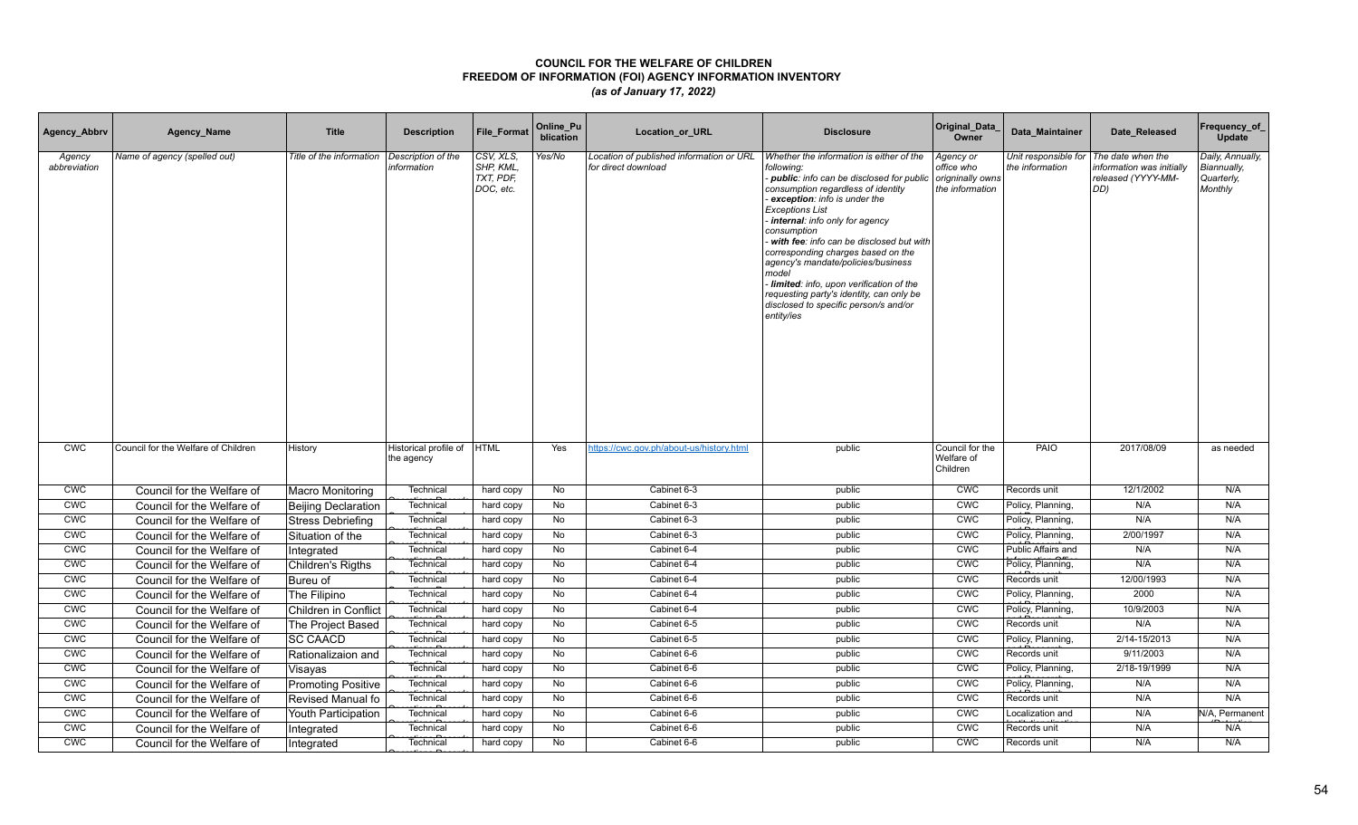| Agency_Abbrv           | Agency_Name                         | <b>Title</b>               | <b>Description</b>                  | File_Format                                      | Online_Pu<br>blication | Location_or_URL                                                 | <b>Disclosure</b>                                                                                                                                                                                                                                                                                                                                                                                                                                                                                                                  | Original_Data<br>Owner                                         | Data Maintainer                         | Date Released                                                              | Frequency_of<br>Update                                   |
|------------------------|-------------------------------------|----------------------------|-------------------------------------|--------------------------------------------------|------------------------|-----------------------------------------------------------------|------------------------------------------------------------------------------------------------------------------------------------------------------------------------------------------------------------------------------------------------------------------------------------------------------------------------------------------------------------------------------------------------------------------------------------------------------------------------------------------------------------------------------------|----------------------------------------------------------------|-----------------------------------------|----------------------------------------------------------------------------|----------------------------------------------------------|
| Agency<br>abbreviation | Name of agency (spelled out)        | Title of the information   | Description of the<br>information   | CSV, XLS,<br>SHP, KML,<br>TXT, PDF,<br>DOC, etc. | Yes/No                 | Location of published information or URL<br>for direct download | Whether the information is either of the<br>following:<br>public: info can be disclosed for public<br>consumption regardless of identity<br>exception: info is under the<br><b>Exceptions List</b><br>internal: info only for agency<br>consumption<br>with fee: info can be disclosed but with<br>corresponding charges based on the<br>agency's mandate/policies/business<br>model<br>Iimited: info, upon verification of the<br>requesting party's identity, can only be<br>disclosed to specific person/s and/or<br>entity/ies | Agency or<br>office who<br>origninally owns<br>the information | Unit responsible for<br>the information | The date when the<br>nformation was initially<br>released (YYYY-MM-<br>DD) | Daily, Annually,<br>Biannually,<br>Quarterly,<br>Monthly |
| <b>CWC</b>             | Council for the Welfare of Children | History                    | Historical profile of<br>the agency | <b>HTML</b>                                      | Yes                    | https://cwc.gov.ph/about-us/history.html                        | public                                                                                                                                                                                                                                                                                                                                                                                                                                                                                                                             | Council for the<br>Welfare of<br>Children                      | PAIO                                    | 2017/08/09                                                                 | as needed                                                |
| <b>CWC</b>             | Council for the Welfare of          | <b>Macro Monitoring</b>    | Technical                           | hard copy                                        | No                     | Cabinet 6-3                                                     | public                                                                                                                                                                                                                                                                                                                                                                                                                                                                                                                             | <b>CWC</b>                                                     | Records unit                            | 12/1/2002                                                                  | N/A                                                      |
| <b>CWC</b>             | Council for the Welfare of          | <b>Beijing Declaration</b> | Technical                           | hard copy                                        | No                     | Cabinet 6-3                                                     | public                                                                                                                                                                                                                                                                                                                                                                                                                                                                                                                             | <b>CWC</b>                                                     | Policy, Planning,                       | N/A                                                                        | N/A                                                      |
| <b>CWC</b>             | Council for the Welfare of          | Stress Debriefing          | Technical                           | hard copy                                        | No                     | Cabinet 6-3                                                     | public                                                                                                                                                                                                                                                                                                                                                                                                                                                                                                                             | <b>CWC</b>                                                     | Policy, Planning,                       | N/A                                                                        | N/A                                                      |
| <b>CWC</b>             | Council for the Welfare of          | Situation of the           | Technical                           | hard copy                                        | No                     | Cabinet 6-3                                                     | public                                                                                                                                                                                                                                                                                                                                                                                                                                                                                                                             | <b>CWC</b>                                                     | Policy, Planning,                       | 2/00/1997                                                                  | N/A                                                      |
| CWC                    | Council for the Welfare of          | Integrated                 | Technical                           | hard copy                                        | No                     | Cabinet 6-4                                                     | public                                                                                                                                                                                                                                                                                                                                                                                                                                                                                                                             | <b>CMC</b>                                                     | Public Affairs and                      | N/A                                                                        | N/A                                                      |
| <b>CWC</b>             | Council for the Welfare of          | <b>Children's Rigths</b>   | Technical                           | hard copy                                        | No                     | Cabinet 6-4                                                     | public                                                                                                                                                                                                                                                                                                                                                                                                                                                                                                                             | CWC                                                            | Policy, Planning,                       | N/A                                                                        | N/A                                                      |
| <b>CWC</b>             | Council for the Welfare of          | Bureu of                   | Technical                           | hard copy                                        | No                     | Cabinet 6-4                                                     | public                                                                                                                                                                                                                                                                                                                                                                                                                                                                                                                             | CWC                                                            | Records unit                            | 12/00/1993                                                                 | N/A                                                      |
| <b>CMC</b>             | Council for the Welfare of          | The Filipino               | Technica                            | hard copy                                        | No                     | Cabinet 6-4                                                     | public                                                                                                                                                                                                                                                                                                                                                                                                                                                                                                                             | <b>CWC</b>                                                     | Policy, Planning,                       | 2000                                                                       | N/A                                                      |
| <b>CWC</b>             | Council for the Welfare of          | Children in Conflict       | Technical                           | hard copy                                        | No                     | Cabinet 6-4                                                     | public                                                                                                                                                                                                                                                                                                                                                                                                                                                                                                                             | <b>CWC</b>                                                     | Policy, Planning,                       | 10/9/2003                                                                  | N/A                                                      |
| CWC                    | Council for the Welfare of          | The Project Based          | Technical                           | hard copy                                        | No                     | Cabinet 6-5                                                     | public                                                                                                                                                                                                                                                                                                                                                                                                                                                                                                                             | <b>CMC</b>                                                     | Records unit                            | N/A                                                                        | N/A                                                      |
| CWC                    | Council for the Welfare of          | <b>SC CAACD</b>            | Technical                           | hard copy                                        | No                     | Cabinet 6-5                                                     | public                                                                                                                                                                                                                                                                                                                                                                                                                                                                                                                             | CWC                                                            | Policy, Planning,                       | 2/14-15/2013                                                               | N/A                                                      |
| CWC                    | Council for the Welfare of          | Rationalizaion and         | Technical                           | hard copy                                        | No                     | Cabinet 6-6                                                     | public                                                                                                                                                                                                                                                                                                                                                                                                                                                                                                                             | CWC                                                            | Records unit                            | 9/11/2003                                                                  | N/A                                                      |
| CWC                    | Council for the Welfare of          | Visayas                    | Technical                           | hard copy                                        | No                     | Cabinet 6-6                                                     | public                                                                                                                                                                                                                                                                                                                                                                                                                                                                                                                             | CWC                                                            | Policy, Planning,                       | 2/18-19/1999                                                               | N/A                                                      |
| <b>CWC</b>             | Council for the Welfare of          | <b>Promoting Positive</b>  | Technical                           | hard copy                                        | No                     | Cabinet 6-6                                                     | public                                                                                                                                                                                                                                                                                                                                                                                                                                                                                                                             | CWC                                                            | Policy, Planning,                       | N/A                                                                        | N/A                                                      |
| CWC                    | Council for the Welfare of          | Revised Manual fo          | Technical                           | hard copy                                        | <b>No</b>              | Cabinet 6-6                                                     | public                                                                                                                                                                                                                                                                                                                                                                                                                                                                                                                             | <b>CWC</b>                                                     | Records unit                            | N/A                                                                        | N/A                                                      |
| CWC                    | Council for the Welfare of          | Youth Participation        | Technica                            | hard copy                                        | No                     | Cabinet 6-6                                                     | public                                                                                                                                                                                                                                                                                                                                                                                                                                                                                                                             | CWC                                                            | Localization and                        | N/A                                                                        | N/A. Permanent                                           |
| <b>CWC</b>             | Council for the Welfare of          | Integrated                 | Technical                           | hard copy                                        | No                     | Cabinet 6-6                                                     | public                                                                                                                                                                                                                                                                                                                                                                                                                                                                                                                             | <b>CMC</b>                                                     | Records unit                            | N/A                                                                        | N/A                                                      |
| <b>CWC</b>             | Council for the Welfare of          | Integrated                 | Technical                           | hard copy                                        | No                     | Cabinet 6-6                                                     | public                                                                                                                                                                                                                                                                                                                                                                                                                                                                                                                             | <b>CWC</b>                                                     | Records unit                            | N/A                                                                        | N/A                                                      |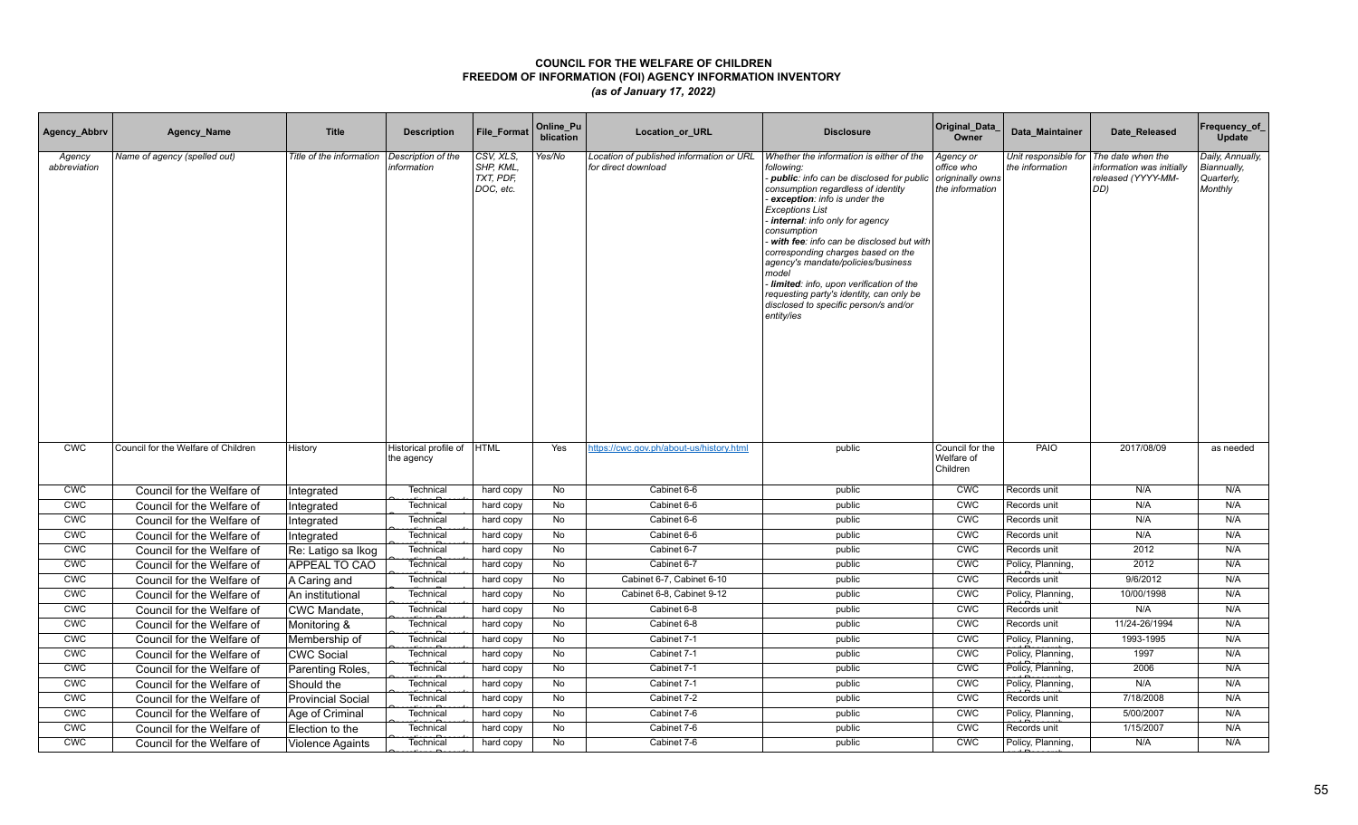| Agency_Abbrv           | Agency_Name                         | <b>Title</b>             | <b>Description</b>                  | File_Format                                      | Online_Pu<br>blication | Location_or_URL                                                 | <b>Disclosure</b>                                                                                                                                                                                                                                                                                                                                                                                                                                                                                                                    | Original_Data<br>Owner                                         | Data Maintainer                         | Date Released                                                              | Frequency_of<br>Update                                   |
|------------------------|-------------------------------------|--------------------------|-------------------------------------|--------------------------------------------------|------------------------|-----------------------------------------------------------------|--------------------------------------------------------------------------------------------------------------------------------------------------------------------------------------------------------------------------------------------------------------------------------------------------------------------------------------------------------------------------------------------------------------------------------------------------------------------------------------------------------------------------------------|----------------------------------------------------------------|-----------------------------------------|----------------------------------------------------------------------------|----------------------------------------------------------|
| Agency<br>abbreviation | Name of agency (spelled out)        | Title of the information | Description of the<br>information   | CSV, XLS,<br>SHP, KML,<br>TXT, PDF,<br>DOC, etc. | Yes/No                 | Location of published information or URL<br>for direct download | Whether the information is either of the<br>following:<br>- public: info can be disclosed for public<br>consumption regardless of identity<br>exception: info is under the<br><b>Exceptions List</b><br>internal: info only for agency<br>consumption<br>with fee: info can be disclosed but with<br>corresponding charges based on the<br>agency's mandate/policies/business<br>model<br>Iimited: info, upon verification of the<br>requesting party's identity, can only be<br>disclosed to specific person/s and/or<br>entity/ies | Agency or<br>office who<br>origninally owns<br>the information | Unit responsible for<br>the information | The date when the<br>nformation was initially<br>released (YYYY-MM-<br>DD) | Daily, Annually,<br>Biannually,<br>Quarterly,<br>Monthly |
| <b>CWC</b>             | Council for the Welfare of Children | History                  | Historical profile of<br>the agency | <b>HTML</b>                                      | Yes                    | https://cwc.gov.ph/about-us/history.html                        | public                                                                                                                                                                                                                                                                                                                                                                                                                                                                                                                               | Council for the<br>Welfare of<br>Children                      | PAIO                                    | 2017/08/09                                                                 | as needed                                                |
| <b>CWC</b>             | Council for the Welfare of          | Integrated               | Technical                           | hard copy                                        | No                     | Cabinet 6-6                                                     | public                                                                                                                                                                                                                                                                                                                                                                                                                                                                                                                               | <b>CWC</b>                                                     | Records unit                            | N/A                                                                        | N/A                                                      |
| <b>CWC</b>             | Council for the Welfare of          | Integrated               | Technical                           | hard copy                                        | No                     | Cabinet 6-6                                                     | public                                                                                                                                                                                                                                                                                                                                                                                                                                                                                                                               | <b>CWC</b>                                                     | Records unit                            | N/A                                                                        | N/A                                                      |
| <b>CWC</b>             | Council for the Welfare of          | Integrated               | Technical                           | hard copy                                        | No                     | Cabinet 6-6                                                     | public                                                                                                                                                                                                                                                                                                                                                                                                                                                                                                                               | <b>CWC</b>                                                     | Records unit                            | N/A                                                                        | N/A                                                      |
| <b>CWC</b>             | Council for the Welfare of          | Integrated               | Technical                           | hard copy                                        | No                     | Cabinet 6-6                                                     | public                                                                                                                                                                                                                                                                                                                                                                                                                                                                                                                               | <b>CWC</b>                                                     | Records unit                            | N/A                                                                        | N/A                                                      |
| CWC                    | Council for the Welfare of          | Re: Latigo sa Ikog       | Technical                           | hard copy                                        | No                     | Cabinet 6-7                                                     | public                                                                                                                                                                                                                                                                                                                                                                                                                                                                                                                               | <b>CMC</b>                                                     | Records unit                            | 2012                                                                       | N/A                                                      |
| <b>CWC</b>             | Council for the Welfare of          | <b>APPEAL TO CAO</b>     | Technical                           | hard copy                                        | No                     | Cabinet 6-7                                                     | public                                                                                                                                                                                                                                                                                                                                                                                                                                                                                                                               | <b>CWC</b>                                                     | Policy, Planning,                       | 2012                                                                       | N/A                                                      |
| <b>CWC</b>             | Council for the Welfare of          | A Caring and             | Technical                           | hard copy                                        | No                     | Cabinet 6-7, Cabinet 6-10                                       | public                                                                                                                                                                                                                                                                                                                                                                                                                                                                                                                               | CWC                                                            | Records unit                            | 9/6/2012                                                                   | N/A                                                      |
| CWC                    | Council for the Welfare of          | An institutional         | Technica                            | hard copy                                        | No                     | Cabinet 6-8, Cabinet 9-12                                       | public                                                                                                                                                                                                                                                                                                                                                                                                                                                                                                                               | <b>CMC</b>                                                     | Policy, Planning,                       | 10/00/1998                                                                 | N/A                                                      |
| <b>CWC</b>             | Council for the Welfare of          | CWC Mandate,             | Technica                            | hard copy                                        | No                     | Cabinet 6-8                                                     | public                                                                                                                                                                                                                                                                                                                                                                                                                                                                                                                               | <b>CWC</b>                                                     | Records unit                            | N/A                                                                        | N/A                                                      |
| CWC                    | Council for the Welfare of          | Monitoring &             | Technical                           | hard copy                                        | No                     | Cabinet 6-8                                                     | public                                                                                                                                                                                                                                                                                                                                                                                                                                                                                                                               | <b>CMC</b>                                                     | Records unit                            | 11/24-26/1994                                                              | N/A                                                      |
| CWC                    | Council for the Welfare of          | Membership of            | Technical                           | hard copy                                        | No                     | Cabinet 7-1                                                     | public                                                                                                                                                                                                                                                                                                                                                                                                                                                                                                                               | CWC                                                            | Policy, Planning,                       | 1993-1995                                                                  | N/A                                                      |
| CWC                    | Council for the Welfare of          | <b>CWC Social</b>        | Technical                           | hard copy                                        | No                     | Cabinet 7-1                                                     | public                                                                                                                                                                                                                                                                                                                                                                                                                                                                                                                               | CWC                                                            | Policy, Planning,                       | 1997                                                                       | N/A                                                      |
| CWC                    | Council for the Welfare of          | Parenting Roles,         | Technical                           | hard copy                                        | No                     | Cabinet 7-1                                                     | public                                                                                                                                                                                                                                                                                                                                                                                                                                                                                                                               | CWC                                                            | Policy, Planning,                       | 2006                                                                       | N/A                                                      |
| <b>CWC</b>             | Council for the Welfare of          | Should the               | Technical                           | hard copy                                        | No                     | Cabinet 7-1                                                     | public                                                                                                                                                                                                                                                                                                                                                                                                                                                                                                                               | CWC                                                            | Policy, Planning,                       | N/A                                                                        | N/A                                                      |
| CWC                    | Council for the Welfare of          | <b>Provincial Social</b> | Technica                            | hard copy                                        | <b>No</b>              | Cabinet 7-2                                                     | public                                                                                                                                                                                                                                                                                                                                                                                                                                                                                                                               | <b>CWC</b>                                                     | Records unit                            | 7/18/2008                                                                  | N/A                                                      |
| CWC                    | Council for the Welfare of          | Age of Criminal          | Technica                            | hard copy                                        | No                     | Cabinet 7-6                                                     | public                                                                                                                                                                                                                                                                                                                                                                                                                                                                                                                               | CWC                                                            | Policy, Planning,                       | 5/00/2007                                                                  | N/A                                                      |
| <b>CWC</b>             | Council for the Welfare of          | Election to the          | Technical                           | hard copy                                        | No                     | Cabinet 7-6                                                     | public                                                                                                                                                                                                                                                                                                                                                                                                                                                                                                                               | CWC                                                            | Records unit                            | 1/15/2007                                                                  | N/A                                                      |
| <b>CWC</b>             | Council for the Welfare of          | <b>Violence Againts</b>  | Technical                           | hard copy                                        | No                     | Cabinet 7-6                                                     | public                                                                                                                                                                                                                                                                                                                                                                                                                                                                                                                               | <b>CWC</b>                                                     | Policy, Planning,                       | N/A                                                                        | N/A                                                      |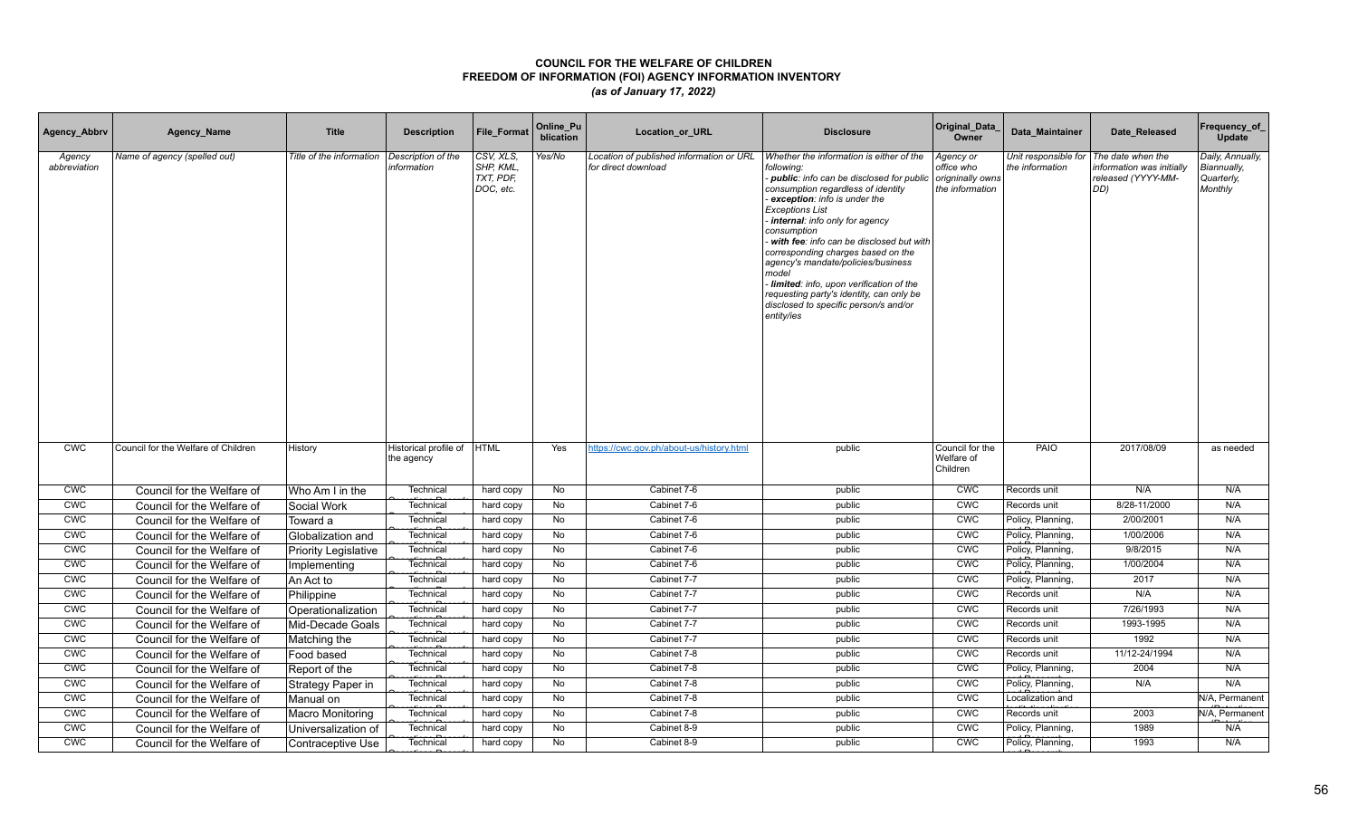| Agency_Abbrv           | Agency_Name                         | <b>Title</b>                | <b>Description</b>                  | File_Format                                      | Online_Pu<br>blication | Location_or_URL                                                 | <b>Disclosure</b>                                                                                                                                                                                                                                                                                                                                                                                                                                                                                                                  | Original_Data<br>Owner                                         | Data Maintainer                         | Date Released                                                              | Frequency_of<br>Update                                   |
|------------------------|-------------------------------------|-----------------------------|-------------------------------------|--------------------------------------------------|------------------------|-----------------------------------------------------------------|------------------------------------------------------------------------------------------------------------------------------------------------------------------------------------------------------------------------------------------------------------------------------------------------------------------------------------------------------------------------------------------------------------------------------------------------------------------------------------------------------------------------------------|----------------------------------------------------------------|-----------------------------------------|----------------------------------------------------------------------------|----------------------------------------------------------|
| Agency<br>abbreviation | Name of agency (spelled out)        | Title of the information    | Description of the<br>information   | CSV, XLS,<br>SHP, KML,<br>TXT, PDF,<br>DOC, etc. | Yes/No                 | Location of published information or URL<br>for direct download | Whether the information is either of the<br>following:<br>public: info can be disclosed for public<br>consumption regardless of identity<br>exception: info is under the<br><b>Exceptions List</b><br>internal: info only for agency<br>consumption<br>with fee: info can be disclosed but with<br>corresponding charges based on the<br>agency's mandate/policies/business<br>model<br>Iimited: info, upon verification of the<br>requesting party's identity, can only be<br>disclosed to specific person/s and/or<br>entity/ies | Agency or<br>office who<br>origninally owns<br>the information | Unit responsible for<br>the information | The date when the<br>nformation was initially<br>released (YYYY-MM-<br>DD) | Daily, Annually,<br>Biannually,<br>Quarterly,<br>Monthly |
| <b>CWC</b>             | Council for the Welfare of Children | History                     | Historical profile of<br>the agency | <b>HTML</b>                                      | Yes                    | https://cwc.gov.ph/about-us/history.html                        | public                                                                                                                                                                                                                                                                                                                                                                                                                                                                                                                             | Council for the<br>Welfare of<br>Children                      | PAIO                                    | 2017/08/09                                                                 | as needed                                                |
| <b>CWC</b>             | Council for the Welfare of          | Who Am I in the             | Technical                           | hard copy                                        | No                     | Cabinet 7-6                                                     | public                                                                                                                                                                                                                                                                                                                                                                                                                                                                                                                             | <b>CWC</b>                                                     | Records unit                            | N/A                                                                        | N/A                                                      |
| <b>CWC</b>             | Council for the Welfare of          | Social Work                 | Technical                           | hard copy                                        | No                     | Cabinet 7-6                                                     | public                                                                                                                                                                                                                                                                                                                                                                                                                                                                                                                             | <b>CWC</b>                                                     | Records unit                            | 8/28-11/2000                                                               | N/A                                                      |
| <b>CWC</b>             | Council for the Welfare of          | Toward a                    | Technical                           | hard copy                                        | No                     | Cabinet 7-6                                                     | public                                                                                                                                                                                                                                                                                                                                                                                                                                                                                                                             | <b>CWC</b>                                                     | Policy, Planning,                       | 2/00/2001                                                                  | N/A                                                      |
| <b>CWC</b>             | Council for the Welfare of          | Globalization and           | Technical                           | hard copy                                        | No                     | Cabinet 7-6                                                     | public                                                                                                                                                                                                                                                                                                                                                                                                                                                                                                                             | <b>CWC</b>                                                     | Policy, Planning,                       | 1/00/2006                                                                  | N/A                                                      |
| CWC                    | Council for the Welfare of          | <b>Priority Legislative</b> | Technical                           | hard copy                                        | No                     | Cabinet 7-6                                                     | public                                                                                                                                                                                                                                                                                                                                                                                                                                                                                                                             | <b>CMC</b>                                                     | Policy, Planning,                       | 9/8/2015                                                                   | N/A                                                      |
| <b>CWC</b>             | Council for the Welfare of          | Implementing                | Technical                           | hard copy                                        | No                     | Cabinet 7-6                                                     | public                                                                                                                                                                                                                                                                                                                                                                                                                                                                                                                             | CWC                                                            | Policy, Planning,                       | 1/00/2004                                                                  | N/A                                                      |
| <b>CWC</b>             | Council for the Welfare of          | An Act to                   | Technica                            | hard copy                                        | No                     | Cabinet 7-7                                                     | public                                                                                                                                                                                                                                                                                                                                                                                                                                                                                                                             | <b>CWC</b>                                                     | Policy, Planning,                       | 2017                                                                       | N/A                                                      |
| CWC                    | Council for the Welfare of          | Philippine                  | Technica                            | hard copy                                        | No                     | Cabinet 7-7                                                     | public                                                                                                                                                                                                                                                                                                                                                                                                                                                                                                                             | <b>CWC</b>                                                     | Records unit                            | N/A                                                                        | N/A                                                      |
| <b>CWC</b>             | Council for the Welfare of          | Operationalization          | Technica                            | hard copy                                        | No                     | Cabinet 7-7                                                     | public                                                                                                                                                                                                                                                                                                                                                                                                                                                                                                                             | <b>CWC</b>                                                     | Records unit                            | 7/26/1993                                                                  | N/A                                                      |
| CWC                    | Council for the Welfare of          | Mid-Decade Goals            | Technical                           | hard copy                                        | No                     | Cabinet 7-7                                                     | public                                                                                                                                                                                                                                                                                                                                                                                                                                                                                                                             | <b>CMC</b>                                                     | Records unit                            | 1993-1995                                                                  | N/A                                                      |
| CWC                    | Council for the Welfare of          | Matching the                | Technical                           | hard copy                                        | No                     | Cabinet 7-7                                                     | public                                                                                                                                                                                                                                                                                                                                                                                                                                                                                                                             | CWC                                                            | Records unit                            | 1992                                                                       | N/A                                                      |
| CWC                    | Council for the Welfare of          | Food based                  | Technical                           | hard copy                                        | No                     | Cabinet 7-8                                                     | public                                                                                                                                                                                                                                                                                                                                                                                                                                                                                                                             | CWC                                                            | Records unit                            | 11/12-24/1994                                                              | N/A                                                      |
| CWC                    | Council for the Welfare of          | Report of the               | Technical                           | hard copy                                        | No                     | Cabinet 7-8                                                     | public                                                                                                                                                                                                                                                                                                                                                                                                                                                                                                                             | CWC                                                            | Policy, Planning,                       | 2004                                                                       | N/A                                                      |
| <b>CWC</b>             | Council for the Welfare of          | Strategy Paper in           | Technical                           | hard copy                                        | No                     | Cabinet 7-8                                                     | public                                                                                                                                                                                                                                                                                                                                                                                                                                                                                                                             | CWC                                                            | Policy, Planning,                       | N/A                                                                        | N/A                                                      |
| CWC                    | Council for the Welfare of          | Manual on                   | Technica                            | hard copy                                        | <b>No</b>              | Cabinet 7-8                                                     | public                                                                                                                                                                                                                                                                                                                                                                                                                                                                                                                             | CWC                                                            | Localization and                        |                                                                            | N/A. Permanent                                           |
| CWC                    | Council for the Welfare of          | <b>Macro Monitoring</b>     | Technical                           | hard copy                                        | No                     | Cabinet 7-8                                                     | public                                                                                                                                                                                                                                                                                                                                                                                                                                                                                                                             | CWC                                                            | Records unit                            | 2003                                                                       | N/A. Permanent                                           |
| <b>CWC</b>             | Council for the Welfare of          | Universalization of         | Technical                           | hard copy                                        | No                     | Cabinet 8-9                                                     | public                                                                                                                                                                                                                                                                                                                                                                                                                                                                                                                             | <b>CWC</b>                                                     | Policy, Planning,                       | 1989                                                                       | N/A                                                      |
| <b>CWC</b>             | Council for the Welfare of          | Contraceptive Use           | Technical                           | hard copy                                        | No                     | Cabinet 8-9                                                     | public                                                                                                                                                                                                                                                                                                                                                                                                                                                                                                                             | <b>CWC</b>                                                     | Policy, Planning,                       | 1993                                                                       | N/A                                                      |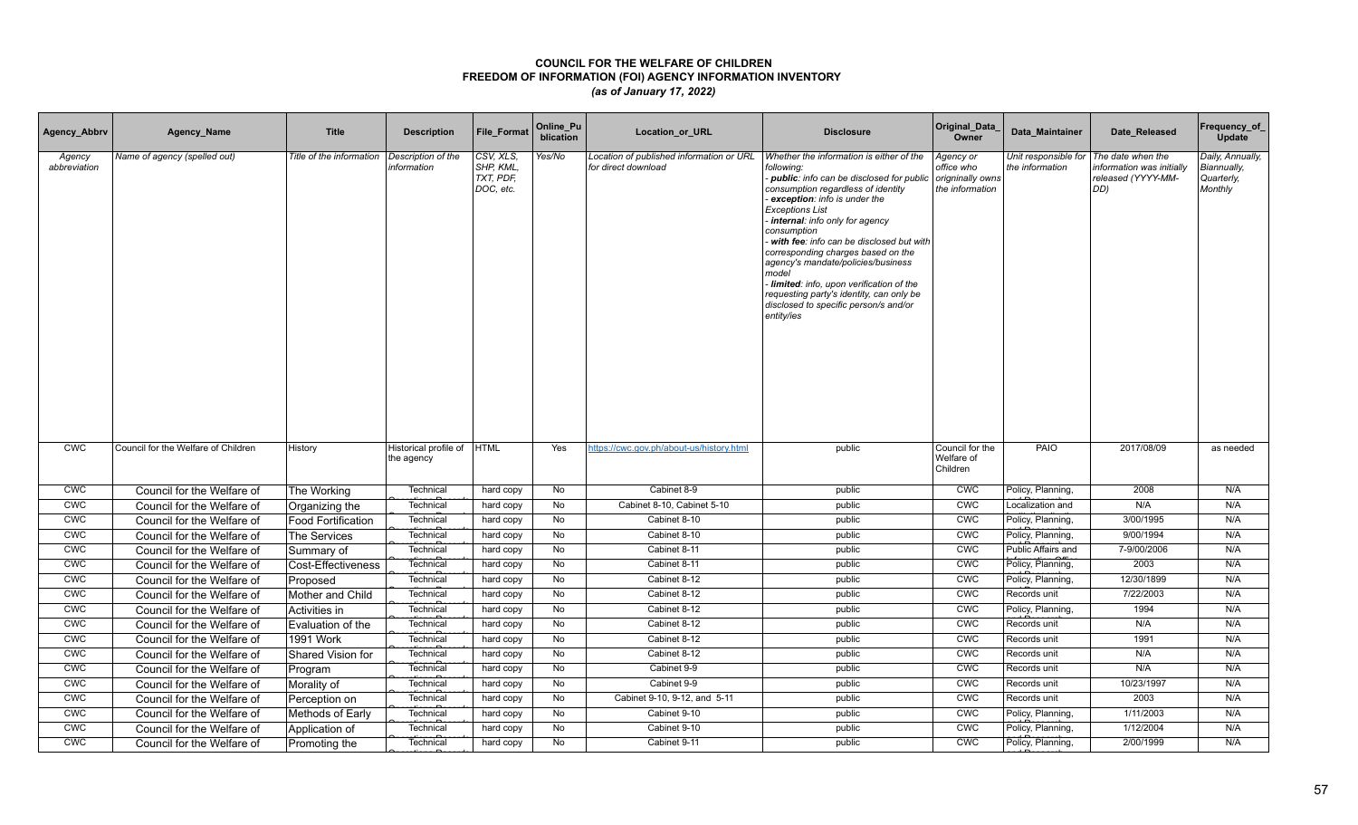| Agency_Abbrv           | Agency_Name                         | <b>Title</b>              | <b>Description</b>                  | File_Format                                      | Online_Pu<br>blication | Location_or_URL                                                 | <b>Disclosure</b>                                                                                                                                                                                                                                                                                                                                                                                                                                                                                                                  | Original_Data<br>Owner                                         | Data Maintainer                         | Date Released                                                              | Frequency_of<br>Update                                   |
|------------------------|-------------------------------------|---------------------------|-------------------------------------|--------------------------------------------------|------------------------|-----------------------------------------------------------------|------------------------------------------------------------------------------------------------------------------------------------------------------------------------------------------------------------------------------------------------------------------------------------------------------------------------------------------------------------------------------------------------------------------------------------------------------------------------------------------------------------------------------------|----------------------------------------------------------------|-----------------------------------------|----------------------------------------------------------------------------|----------------------------------------------------------|
| Agency<br>abbreviation | Name of agency (spelled out)        | Title of the information  | Description of the<br>information   | CSV, XLS,<br>SHP, KML,<br>TXT, PDF,<br>DOC, etc. | Yes/No                 | Location of published information or URL<br>for direct download | Whether the information is either of the<br>following:<br>public: info can be disclosed for public<br>consumption regardless of identity<br>exception: info is under the<br><b>Exceptions List</b><br>internal: info only for agency<br>consumption<br>with fee: info can be disclosed but with<br>corresponding charges based on the<br>agency's mandate/policies/business<br>model<br>Iimited: info, upon verification of the<br>requesting party's identity, can only be<br>disclosed to specific person/s and/or<br>entity/ies | Agency or<br>office who<br>origninally owns<br>the information | Unit responsible for<br>the information | The date when the<br>nformation was initially<br>released (YYYY-MM-<br>DD) | Daily, Annually,<br>Biannually,<br>Quarterly,<br>Monthly |
| <b>CWC</b>             | Council for the Welfare of Children | History                   | Historical profile of<br>the agency | <b>HTML</b>                                      | Yes                    | https://cwc.gov.ph/about-us/history.html                        | public                                                                                                                                                                                                                                                                                                                                                                                                                                                                                                                             | Council for the<br>Welfare of<br>Children                      | PAIO                                    | 2017/08/09                                                                 | as needed                                                |
| <b>CWC</b>             | Council for the Welfare of          | The Working               | Technical                           | hard copy                                        | No                     | Cabinet 8-9                                                     | public                                                                                                                                                                                                                                                                                                                                                                                                                                                                                                                             | <b>CWC</b>                                                     | Policy, Planning,                       | 2008                                                                       | N/A                                                      |
| <b>CWC</b>             | Council for the Welfare of          | Organizing the            | Technical                           | hard copy                                        | No                     | Cabinet 8-10, Cabinet 5-10                                      | public                                                                                                                                                                                                                                                                                                                                                                                                                                                                                                                             | CWC                                                            | Localization and                        | N/A                                                                        | N/A                                                      |
| <b>CWC</b>             | Council for the Welfare of          | <b>Food Fortification</b> | Technical                           | hard copy                                        | No                     | Cabinet 8-10                                                    | public                                                                                                                                                                                                                                                                                                                                                                                                                                                                                                                             | <b>CWC</b>                                                     | Policy, Planning,                       | 3/00/1995                                                                  | N/A                                                      |
| <b>CWC</b>             | Council for the Welfare of          | The Services              | Technical                           | hard copy                                        | No                     | Cabinet 8-10                                                    | public                                                                                                                                                                                                                                                                                                                                                                                                                                                                                                                             | <b>CWC</b>                                                     | Policy, Planning,                       | 9/00/1994                                                                  | N/A                                                      |
| CWC                    | Council for the Welfare of          | Summary of                | Technical                           | hard copy                                        | No                     | Cabinet 8-11                                                    | public                                                                                                                                                                                                                                                                                                                                                                                                                                                                                                                             | <b>CMC</b>                                                     | Public Affairs and                      | 7-9/00/2006                                                                | N/A                                                      |
| <b>CWC</b>             | Council for the Welfare of          | Cost-Effectiveness        | Technical                           | hard copy                                        | No                     | Cabinet 8-11                                                    | public                                                                                                                                                                                                                                                                                                                                                                                                                                                                                                                             | <b>CWC</b>                                                     | Policy, Planning,                       | 2003                                                                       | N/A                                                      |
| <b>CWC</b>             | Council for the Welfare of          | Proposed                  | Technical                           | hard copy                                        | No                     | Cabinet 8-12                                                    | public                                                                                                                                                                                                                                                                                                                                                                                                                                                                                                                             | <b>CWC</b>                                                     | Policy, Planning,                       | 12/30/1899                                                                 | N/A                                                      |
| CWC                    | Council for the Welfare of          | Mother and Child          | Technica                            | hard copy                                        | No                     | Cabinet 8-12                                                    | public                                                                                                                                                                                                                                                                                                                                                                                                                                                                                                                             | <b>CWC</b>                                                     | Records unit                            | 7/22/2003                                                                  | N/A                                                      |
| <b>CWC</b>             | Council for the Welfare of          | Activities in             | Technica                            | hard copy                                        | No                     | Cabinet 8-12                                                    | public                                                                                                                                                                                                                                                                                                                                                                                                                                                                                                                             | <b>CWC</b>                                                     | Policy, Planning,                       | 1994                                                                       | N/A                                                      |
| CWC                    | Council for the Welfare of          | Evaluation of the         | Technical                           | hard copy                                        | No                     | Cabinet 8-12                                                    | public                                                                                                                                                                                                                                                                                                                                                                                                                                                                                                                             | <b>CMC</b>                                                     | Records unit                            | N/A                                                                        | N/A                                                      |
| CWC                    | Council for the Welfare of          | <b>1991 Work</b>          | Technical                           | hard copy                                        | No                     | Cabinet 8-12                                                    | public                                                                                                                                                                                                                                                                                                                                                                                                                                                                                                                             | CWC                                                            | Records unit                            | 1991                                                                       | N/A                                                      |
| CWC                    | Council for the Welfare of          | Shared Vision for         | Technical                           | hard copy                                        | No                     | Cabinet 8-12                                                    | public                                                                                                                                                                                                                                                                                                                                                                                                                                                                                                                             | CWC                                                            | Records unit                            | N/A                                                                        | N/A                                                      |
| CWC                    | Council for the Welfare of          | Program                   | Technical                           | hard copy                                        | No                     | Cabinet 9-9                                                     | public                                                                                                                                                                                                                                                                                                                                                                                                                                                                                                                             | CWC                                                            | Records unit                            | N/A                                                                        | N/A                                                      |
| <b>CWC</b>             | Council for the Welfare of          | Morality of               | Technical                           | hard copy                                        | No                     | Cabinet 9-9                                                     | public                                                                                                                                                                                                                                                                                                                                                                                                                                                                                                                             | CWC                                                            | Records unit                            | 10/23/1997                                                                 | N/A                                                      |
| CWC                    | Council for the Welfare of          | Perception on             | Technical                           | hard copy                                        | <b>No</b>              | Cabinet 9-10, 9-12, and 5-11                                    | public                                                                                                                                                                                                                                                                                                                                                                                                                                                                                                                             | CWC                                                            | Records unit                            | 2003                                                                       | N/A                                                      |
| CWC                    | Council for the Welfare of          | Methods of Early          | Technical                           | hard copy                                        | No                     | Cabinet 9-10                                                    | public                                                                                                                                                                                                                                                                                                                                                                                                                                                                                                                             | CWC                                                            | Policy, Planning,                       | 1/11/2003                                                                  | N/A                                                      |
| <b>CWC</b>             | Council for the Welfare of          | Application of            | Technical                           | hard copy                                        | No                     | Cabinet 9-10                                                    | public                                                                                                                                                                                                                                                                                                                                                                                                                                                                                                                             | <b>CWC</b>                                                     | Policy, Planning,                       | 1/12/2004                                                                  | N/A                                                      |
| <b>CWC</b>             | Council for the Welfare of          | Promoting the             | Technical                           | hard copy                                        | No                     | Cabinet 9-11                                                    | public                                                                                                                                                                                                                                                                                                                                                                                                                                                                                                                             | <b>CWC</b>                                                     | Policy, Planning,                       | 2/00/1999                                                                  | N/A                                                      |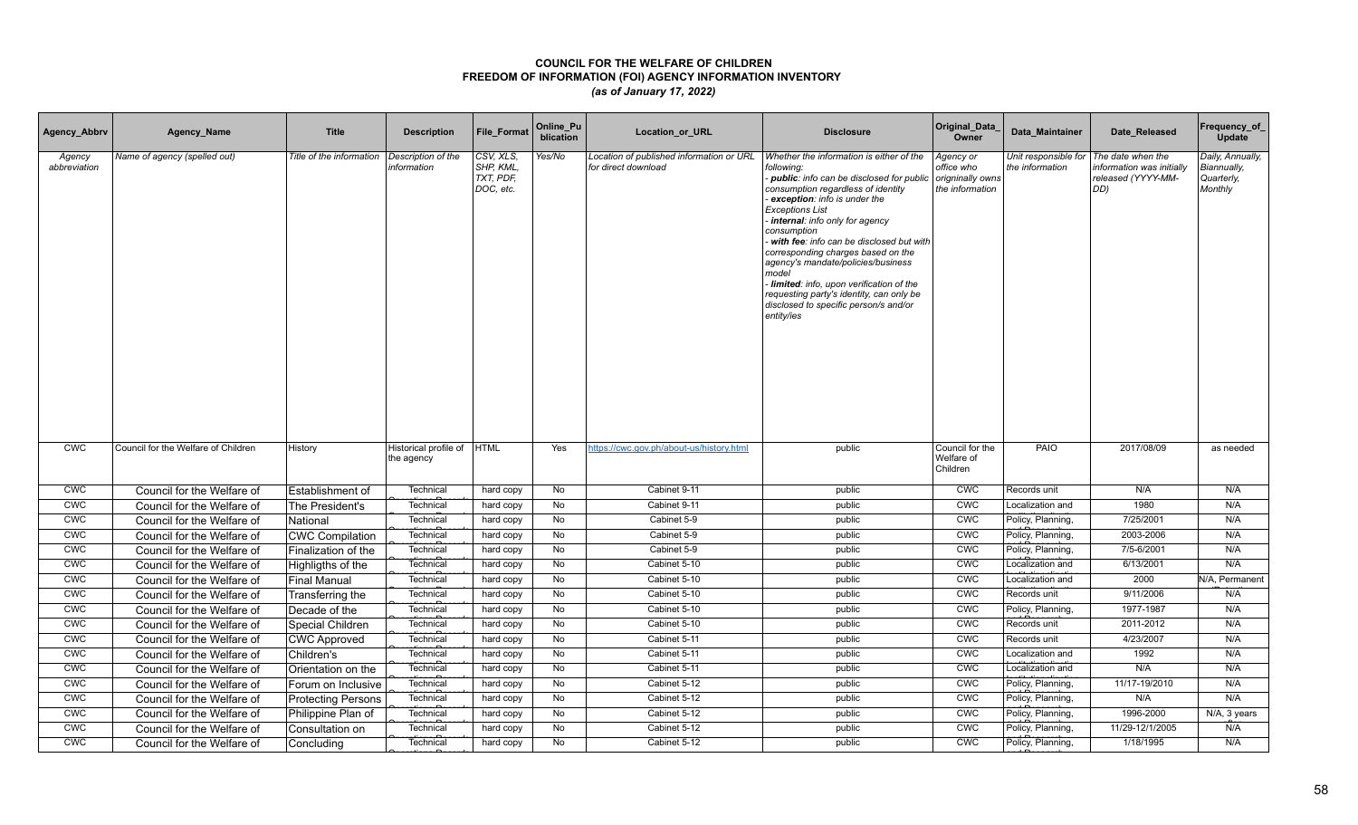| Agency_Abbrv           | Agency_Name                         | <b>Title</b>              | <b>Description</b>                  | File_Format                                      | Online_Pu<br>blication | Location_or_URL                                                 | <b>Disclosure</b>                                                                                                                                                                                                                                                                                                                                                                                                                                                                                                                  | Original_Data<br>Owner                                         | Data Maintainer                         | Date Released                                                              | Frequency_of<br>Update                                   |
|------------------------|-------------------------------------|---------------------------|-------------------------------------|--------------------------------------------------|------------------------|-----------------------------------------------------------------|------------------------------------------------------------------------------------------------------------------------------------------------------------------------------------------------------------------------------------------------------------------------------------------------------------------------------------------------------------------------------------------------------------------------------------------------------------------------------------------------------------------------------------|----------------------------------------------------------------|-----------------------------------------|----------------------------------------------------------------------------|----------------------------------------------------------|
| Agency<br>abbreviation | Name of agency (spelled out)        | Title of the information  | Description of the<br>information   | CSV, XLS,<br>SHP, KML,<br>TXT, PDF,<br>DOC, etc. | Yes/No                 | Location of published information or URL<br>for direct download | Whether the information is either of the<br>following:<br>public: info can be disclosed for public<br>consumption regardless of identity<br>exception: info is under the<br><b>Exceptions List</b><br>internal: info only for agency<br>consumption<br>with fee: info can be disclosed but with<br>corresponding charges based on the<br>agency's mandate/policies/business<br>model<br>Iimited: info, upon verification of the<br>requesting party's identity, can only be<br>disclosed to specific person/s and/or<br>entity/ies | Agency or<br>office who<br>origninally owns<br>the information | Unit responsible for<br>the information | The date when the<br>nformation was initially<br>released (YYYY-MM-<br>DD) | Daily, Annually,<br>Biannually,<br>Quarterly,<br>Monthly |
| <b>CWC</b>             | Council for the Welfare of Children | History                   | Historical profile of<br>the agency | <b>HTML</b>                                      | Yes                    | https://cwc.gov.ph/about-us/history.html                        | public                                                                                                                                                                                                                                                                                                                                                                                                                                                                                                                             | Council for the<br>Welfare of<br>Children                      | PAIO                                    | 2017/08/09                                                                 | as needed                                                |
| <b>CWC</b>             | Council for the Welfare of          | Establishment of          | Technical                           | hard copy                                        | No                     | Cabinet 9-11                                                    | public                                                                                                                                                                                                                                                                                                                                                                                                                                                                                                                             | <b>CWC</b>                                                     | Records unit                            | N/A                                                                        | N/A                                                      |
| <b>CWC</b>             | Council for the Welfare of          | The President's           | Technical                           | hard copy                                        | No                     | Cabinet 9-11                                                    | public                                                                                                                                                                                                                                                                                                                                                                                                                                                                                                                             | CWC                                                            | Localization and                        | 1980                                                                       | N/A                                                      |
| <b>CWC</b>             | Council for the Welfare of          | National                  | Technical                           | hard copy                                        | No                     | Cabinet 5-9                                                     | public                                                                                                                                                                                                                                                                                                                                                                                                                                                                                                                             | <b>CWC</b>                                                     | Policy, Planning,                       | 7/25/2001                                                                  | N/A                                                      |
| <b>CWC</b>             | Council for the Welfare of          | <b>CWC Compilation</b>    | Technical                           | hard copy                                        | No                     | Cabinet 5-9                                                     | public                                                                                                                                                                                                                                                                                                                                                                                                                                                                                                                             | <b>CWC</b>                                                     | Policy, Planning,                       | 2003-2006                                                                  | N/A                                                      |
| CWC                    | Council for the Welfare of          | Finalization of the       | Technical                           | hard copy                                        | No                     | Cabinet 5-9                                                     | public                                                                                                                                                                                                                                                                                                                                                                                                                                                                                                                             | <b>CMC</b>                                                     | Policy, Planning,                       | 7/5-6/2001                                                                 | N/A                                                      |
| <b>CWC</b>             | Council for the Welfare of          | Highligths of the         | Technical                           | hard copy                                        | No                     | Cabinet 5-10                                                    | public                                                                                                                                                                                                                                                                                                                                                                                                                                                                                                                             | <b>CWC</b>                                                     | Localization and                        | 6/13/2001                                                                  | N/A                                                      |
| <b>CWC</b>             | Council for the Welfare of          | <b>Final Manual</b>       | Technica                            | hard copy                                        | No                     | Cabinet 5-10                                                    | public                                                                                                                                                                                                                                                                                                                                                                                                                                                                                                                             | CWC                                                            | Localization and                        | 2000                                                                       | N/A, Permanent                                           |
| <b>CMC</b>             | Council for the Welfare of          | Transferring the          | Technica                            | hard copy                                        | No                     | Cabinet 5-10                                                    | public                                                                                                                                                                                                                                                                                                                                                                                                                                                                                                                             | <b>CWC</b>                                                     | Records unit                            | 9/11/2006                                                                  | N/A                                                      |
| <b>CWC</b>             | Council for the Welfare of          | Decade of the             | Technica                            | hard copy                                        | No                     | Cabinet 5-10                                                    | public                                                                                                                                                                                                                                                                                                                                                                                                                                                                                                                             | <b>CWC</b>                                                     | Policy, Planning,                       | 1977-1987                                                                  | N/A                                                      |
| CWC                    | Council for the Welfare of          | Special Children          | Technical                           | hard copy                                        | No                     | Cabinet 5-10                                                    | public                                                                                                                                                                                                                                                                                                                                                                                                                                                                                                                             | <b>CMC</b>                                                     | Records unit                            | 2011-2012                                                                  | N/A                                                      |
| CWC                    | Council for the Welfare of          | <b>CWC Approved</b>       | Technical                           | hard copy                                        | No                     | Cabinet 5-11                                                    | public                                                                                                                                                                                                                                                                                                                                                                                                                                                                                                                             | CWC                                                            | Records unit                            | 4/23/2007                                                                  | N/A                                                      |
| CWC                    | Council for the Welfare of          | Children's                | Technical                           | hard copy                                        | No                     | Cabinet 5-11                                                    | public                                                                                                                                                                                                                                                                                                                                                                                                                                                                                                                             | CWC                                                            | Localization and                        | 1992                                                                       | N/A                                                      |
| CWC                    | Council for the Welfare of          | Orientation on the        | Technical                           | hard copy                                        | <b>No</b>              | Cabinet 5-11                                                    | public                                                                                                                                                                                                                                                                                                                                                                                                                                                                                                                             | CWC                                                            | Localization and                        | N/A                                                                        | N/A                                                      |
| <b>CWC</b>             | Council for the Welfare of          | Forum on Inclusive        | Technical                           | hard copy                                        | No                     | Cabinet 5-12                                                    | public                                                                                                                                                                                                                                                                                                                                                                                                                                                                                                                             | CWC                                                            | Policy, Planning,                       | 11/17-19/2010                                                              | N/A                                                      |
| CWC                    | Council for the Welfare of          | <b>Protecting Persons</b> | Technica                            | hard copy                                        | <b>No</b>              | Cabinet 5-12                                                    | public                                                                                                                                                                                                                                                                                                                                                                                                                                                                                                                             | CWC                                                            | Policy, Planning,                       | N/A                                                                        | N/A                                                      |
| CWC                    | Council for the Welfare of          | Philippine Plan of        | Technical                           | hard copy                                        | No                     | Cabinet 5-12                                                    | public                                                                                                                                                                                                                                                                                                                                                                                                                                                                                                                             | CWC                                                            | Policy, Planning,                       | 1996-2000                                                                  | N/A, 3 years                                             |
| <b>CWC</b>             | Council for the Welfare of          | Consultation on           | Technical                           | hard copy                                        | No                     | Cabinet 5-12                                                    | public                                                                                                                                                                                                                                                                                                                                                                                                                                                                                                                             | <b>CWC</b>                                                     | Policy, Planning,                       | 11/29-12/1/2005                                                            | N/A                                                      |
| <b>CWC</b>             | Council for the Welfare of          | Concluding                | Technical                           | hard copy                                        | No                     | Cabinet 5-12                                                    | public                                                                                                                                                                                                                                                                                                                                                                                                                                                                                                                             | <b>CWC</b>                                                     | Policy, Planning,                       | 1/18/1995                                                                  | N/A                                                      |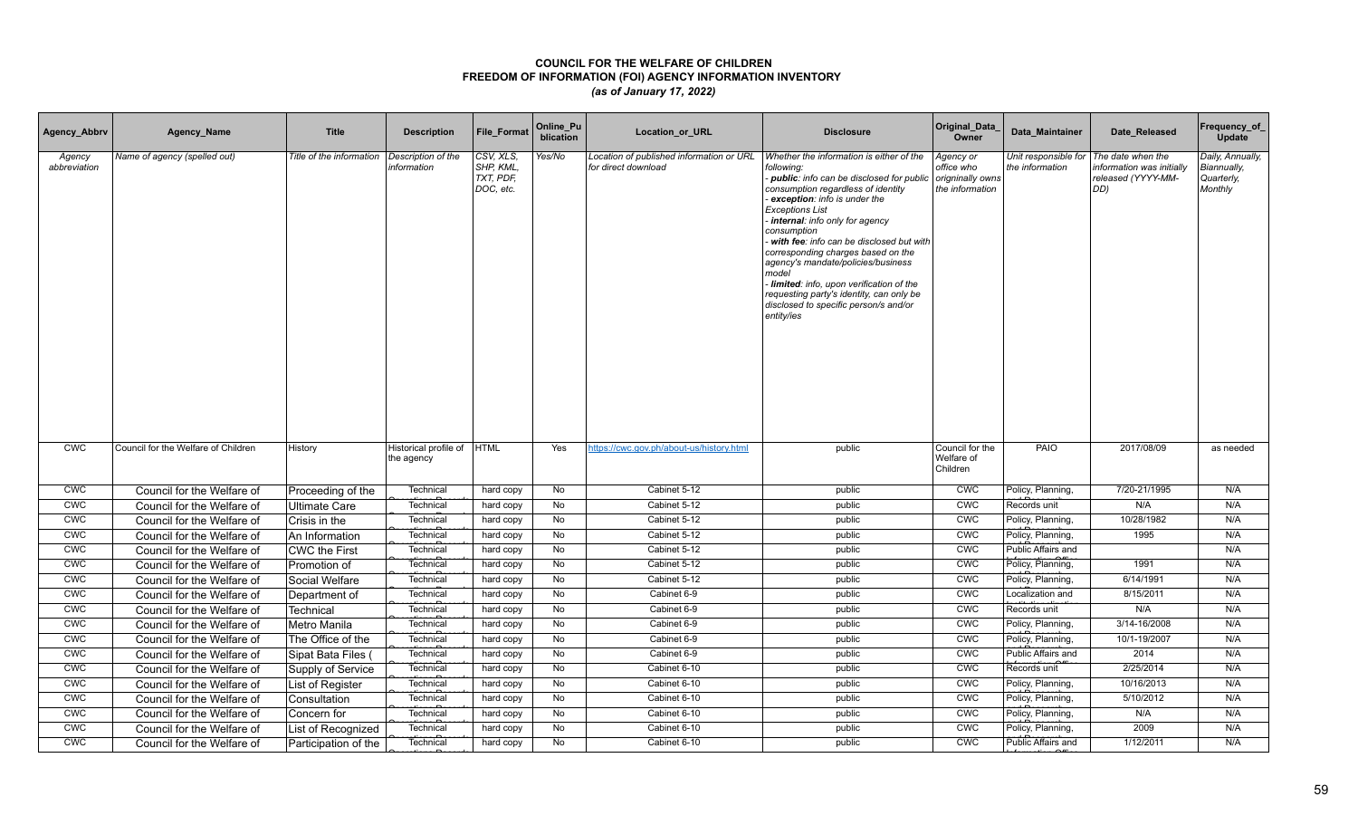| Agency_Abbrv           | Agency_Name                         | <b>Title</b>             | <b>Description</b>                  | File_Format                                      | Online_Pu<br>blication | Location_or_URL                                                 | <b>Disclosure</b>                                                                                                                                                                                                                                                                                                                                                                                                                                                                                                                  | Original_Data<br>Owner                                         | Data Maintainer                         | Date Released                                                              | Frequency_of<br>Update                                   |
|------------------------|-------------------------------------|--------------------------|-------------------------------------|--------------------------------------------------|------------------------|-----------------------------------------------------------------|------------------------------------------------------------------------------------------------------------------------------------------------------------------------------------------------------------------------------------------------------------------------------------------------------------------------------------------------------------------------------------------------------------------------------------------------------------------------------------------------------------------------------------|----------------------------------------------------------------|-----------------------------------------|----------------------------------------------------------------------------|----------------------------------------------------------|
| Agency<br>abbreviation | Name of agency (spelled out)        | Title of the information | Description of the<br>information   | CSV, XLS,<br>SHP, KML,<br>TXT, PDF,<br>DOC, etc. | Yes/No                 | Location of published information or URL<br>for direct download | Whether the information is either of the<br>following:<br>public: info can be disclosed for public<br>consumption regardless of identity<br>exception: info is under the<br><b>Exceptions List</b><br>internal: info only for agency<br>consumption<br>with fee: info can be disclosed but with<br>corresponding charges based on the<br>agency's mandate/policies/business<br>model<br>Iimited: info, upon verification of the<br>requesting party's identity, can only be<br>disclosed to specific person/s and/or<br>entity/ies | Agency or<br>office who<br>origninally owns<br>the information | Unit responsible for<br>the information | The date when the<br>nformation was initially<br>released (YYYY-MM-<br>DD) | Daily, Annually,<br>Biannually,<br>Quarterly,<br>Monthly |
| <b>CWC</b>             | Council for the Welfare of Children | History                  | Historical profile of<br>the agency | <b>HTML</b>                                      | Yes                    | https://cwc.gov.ph/about-us/history.html                        | public                                                                                                                                                                                                                                                                                                                                                                                                                                                                                                                             | Council for the<br>Welfare of<br>Children                      | PAIO                                    | 2017/08/09                                                                 | as needed                                                |
| <b>CWC</b>             | Council for the Welfare of          | Proceeding of the        | Technical                           | hard copy                                        | No                     | Cabinet 5-12                                                    | public                                                                                                                                                                                                                                                                                                                                                                                                                                                                                                                             | <b>CWC</b>                                                     | Policy, Planning,                       | 7/20-21/1995                                                               | N/A                                                      |
| <b>CWC</b>             | Council for the Welfare of          | <b>Ultimate Care</b>     | Technical                           | hard copy                                        | No                     | Cabinet 5-12                                                    | public                                                                                                                                                                                                                                                                                                                                                                                                                                                                                                                             | CWC                                                            | Records unit                            | N/A                                                                        | N/A                                                      |
| <b>CWC</b>             | Council for the Welfare of          | Crisis in the            | Technical                           | hard copy                                        | No                     | Cabinet 5-12                                                    | public                                                                                                                                                                                                                                                                                                                                                                                                                                                                                                                             | <b>CWC</b>                                                     | Policy, Planning,                       | 10/28/1982                                                                 | N/A                                                      |
| <b>CWC</b>             | Council for the Welfare of          | An Information           | Technical                           | hard copy                                        | No                     | Cabinet 5-12                                                    | public                                                                                                                                                                                                                                                                                                                                                                                                                                                                                                                             | <b>CWC</b>                                                     | Policy, Planning,                       | 1995                                                                       | N/A                                                      |
| CWC                    | Council for the Welfare of          | CWC the First            | Technical                           | hard copy                                        | No                     | Cabinet 5-12                                                    | public                                                                                                                                                                                                                                                                                                                                                                                                                                                                                                                             | <b>CMC</b>                                                     | Public Affairs and                      |                                                                            | N/A                                                      |
| <b>CWC</b>             | Council for the Welfare of          | Promotion of             | Technical                           | hard copy                                        | No                     | Cabinet 5-12                                                    | public                                                                                                                                                                                                                                                                                                                                                                                                                                                                                                                             | CWC                                                            | Policy, Planning,                       | 1991                                                                       | N/A                                                      |
| <b>CWC</b>             | Council for the Welfare of          | Social Welfare           | Technica                            | hard copy                                        | No                     | Cabinet 5-12                                                    | public                                                                                                                                                                                                                                                                                                                                                                                                                                                                                                                             | <b>CWC</b>                                                     | Policy, Planning,                       | 6/14/1991                                                                  | N/A                                                      |
| <b>CMC</b>             | Council for the Welfare of          | Department of            | Technica                            | hard copy                                        | No                     | Cabinet 6-9                                                     | public                                                                                                                                                                                                                                                                                                                                                                                                                                                                                                                             | <b>CWC</b>                                                     | Localization and                        | 8/15/2011                                                                  | N/A                                                      |
| <b>CWC</b>             | Council for the Welfare of          | <b>Technical</b>         | Technica                            | hard copy                                        | No                     | Cabinet 6-9                                                     | public                                                                                                                                                                                                                                                                                                                                                                                                                                                                                                                             | <b>CWC</b>                                                     | Records unit                            | N/A                                                                        | N/A                                                      |
| CWC                    | Council for the Welfare of          | Metro Manila             | Technical                           | hard copy                                        | No                     | Cabinet 6-9                                                     | public                                                                                                                                                                                                                                                                                                                                                                                                                                                                                                                             | <b>CMC</b>                                                     | Policy, Planning,                       | 3/14-16/2008                                                               | N/A                                                      |
| CWC                    | Council for the Welfare of          | The Office of the        | Technical                           | hard copy                                        | No                     | Cabinet 6-9                                                     | public                                                                                                                                                                                                                                                                                                                                                                                                                                                                                                                             | CWC                                                            | Policy, Planning,                       | 10/1-19/2007                                                               | N/A                                                      |
| CWC                    | Council for the Welfare of          | Sipat Bata Files (       | Technical                           | hard copy                                        | No                     | Cabinet 6-9                                                     | public                                                                                                                                                                                                                                                                                                                                                                                                                                                                                                                             | CWC                                                            | Public Affairs and                      | 2014                                                                       | N/A                                                      |
| CWC                    | Council for the Welfare of          | Supply of Service        | Technical                           | hard copy                                        | No                     | Cabinet 6-10                                                    | public                                                                                                                                                                                                                                                                                                                                                                                                                                                                                                                             | CWC                                                            | Records unit                            | 2/25/2014                                                                  | N/A                                                      |
| <b>CWC</b>             | Council for the Welfare of          | List of Register         | Technical                           | hard copy                                        | No                     | Cabinet 6-10                                                    | public                                                                                                                                                                                                                                                                                                                                                                                                                                                                                                                             | CWC                                                            | Policy, Planning,                       | 10/16/2013                                                                 | N/A                                                      |
| CWC                    | Council for the Welfare of          | Consultation             | Technica                            | hard copy                                        | <b>No</b>              | Cabinet 6-10                                                    | public                                                                                                                                                                                                                                                                                                                                                                                                                                                                                                                             | CWC                                                            | Policy, Planning,                       | 5/10/2012                                                                  | N/A                                                      |
| CWC                    | Council for the Welfare of          | Concern for              | Technical                           | hard copy                                        | No                     | Cabinet 6-10                                                    | public                                                                                                                                                                                                                                                                                                                                                                                                                                                                                                                             | CWC                                                            | Policy, Planning,                       | N/A                                                                        | N/A                                                      |
| <b>CWC</b>             | Council for the Welfare of          | List of Recognized       | Technical                           | hard copy                                        | No                     | Cabinet 6-10                                                    | public                                                                                                                                                                                                                                                                                                                                                                                                                                                                                                                             | <b>CWC</b>                                                     | Policy, Planning,                       | 2009                                                                       | N/A                                                      |
| <b>CWC</b>             | Council for the Welfare of          | Participation of the     | Technical                           | hard copy                                        | No                     | Cabinet 6-10                                                    | public                                                                                                                                                                                                                                                                                                                                                                                                                                                                                                                             | <b>CWC</b>                                                     | Public Affairs and                      | 1/12/2011                                                                  | N/A                                                      |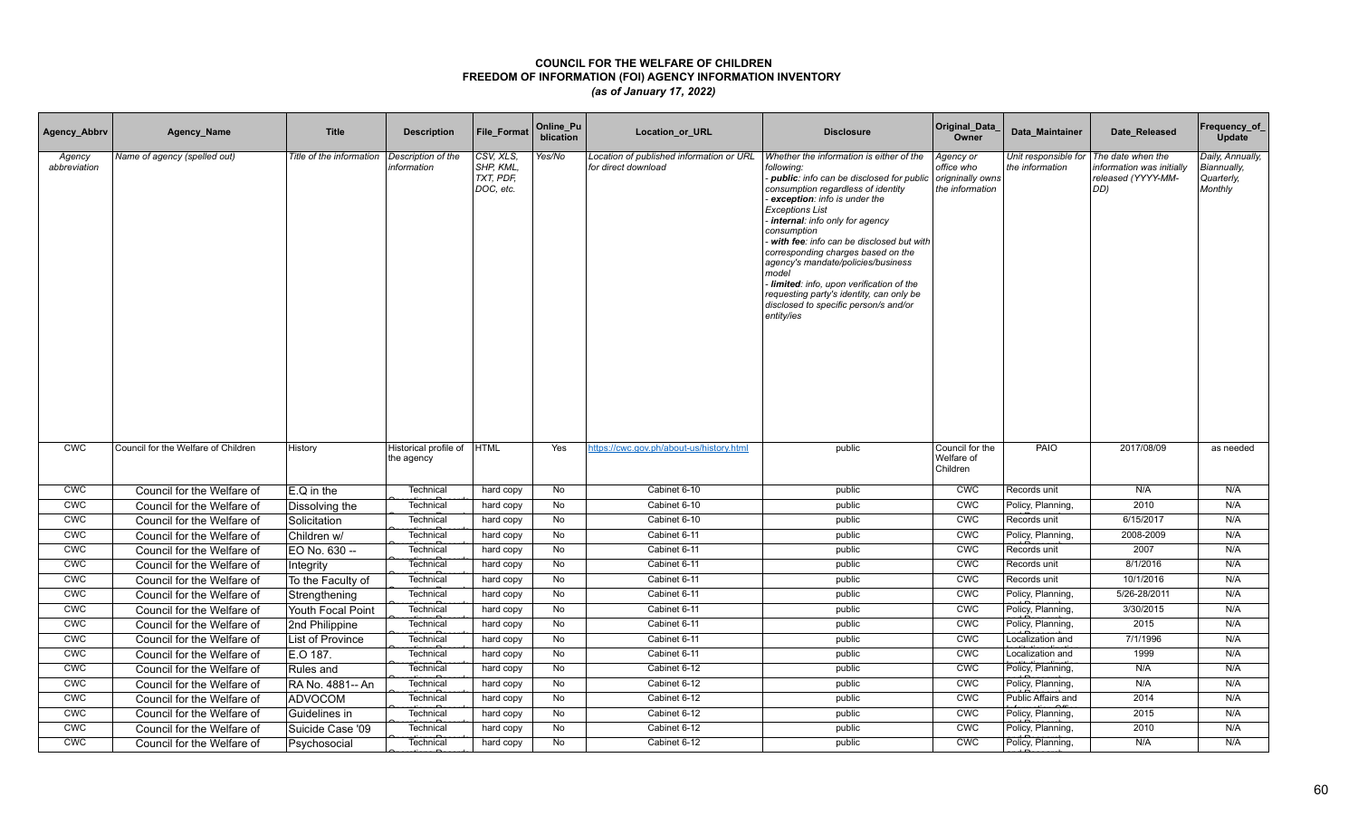| Agency_Abbrv           | Agency_Name                         | <b>Title</b>             | <b>Description</b>                  | File_Format                                      | Online_Pu<br>blication | Location_or_URL                                                 | <b>Disclosure</b>                                                                                                                                                                                                                                                                                                                                                                                                                                                                                                                    | Original_Data<br>Owner                                         | Data Maintainer                         | Date Released                                                              | Frequency_of<br>Update                                   |
|------------------------|-------------------------------------|--------------------------|-------------------------------------|--------------------------------------------------|------------------------|-----------------------------------------------------------------|--------------------------------------------------------------------------------------------------------------------------------------------------------------------------------------------------------------------------------------------------------------------------------------------------------------------------------------------------------------------------------------------------------------------------------------------------------------------------------------------------------------------------------------|----------------------------------------------------------------|-----------------------------------------|----------------------------------------------------------------------------|----------------------------------------------------------|
| Agency<br>abbreviation | Name of agency (spelled out)        | Title of the information | Description of the<br>information   | CSV, XLS,<br>SHP, KML,<br>TXT, PDF,<br>DOC, etc. | Yes/No                 | Location of published information or URL<br>for direct download | Whether the information is either of the<br>following:<br>- public: info can be disclosed for public<br>consumption regardless of identity<br>exception: info is under the<br><b>Exceptions List</b><br>internal: info only for agency<br>consumption<br>with fee: info can be disclosed but with<br>corresponding charges based on the<br>agency's mandate/policies/business<br>model<br>Iimited: info, upon verification of the<br>requesting party's identity, can only be<br>disclosed to specific person/s and/or<br>entity/ies | Agency or<br>office who<br>origninally owns<br>the information | Unit responsible for<br>the information | The date when the<br>nformation was initially<br>released (YYYY-MM-<br>DD) | Daily, Annually,<br>Biannually,<br>Quarterly,<br>Monthly |
| <b>CWC</b>             | Council for the Welfare of Children | History                  | Historical profile of<br>the agency | <b>HTML</b>                                      | Yes                    | https://cwc.gov.ph/about-us/history.html                        | public                                                                                                                                                                                                                                                                                                                                                                                                                                                                                                                               | Council for the<br>Welfare of<br>Children                      | PAIO                                    | 2017/08/09                                                                 | as needed                                                |
| <b>CWC</b>             | Council for the Welfare of          | $E.Q$ in the             | Technical                           | hard copy                                        | No                     | Cabinet 6-10                                                    | public                                                                                                                                                                                                                                                                                                                                                                                                                                                                                                                               | <b>CWC</b>                                                     | Records unit                            | N/A                                                                        | N/A                                                      |
| <b>CWC</b>             | Council for the Welfare of          | Dissolving the           | Technical                           | hard copy                                        | No                     | Cabinet 6-10                                                    | public                                                                                                                                                                                                                                                                                                                                                                                                                                                                                                                               | <b>CWC</b>                                                     | Policy, Planning,                       | 2010                                                                       | N/A                                                      |
| <b>CWC</b>             | Council for the Welfare of          | Solicitation             | Technical                           | hard copy                                        | No                     | Cabinet 6-10                                                    | public                                                                                                                                                                                                                                                                                                                                                                                                                                                                                                                               | <b>CWC</b>                                                     | Records unit                            | 6/15/2017                                                                  | N/A                                                      |
| <b>CWC</b>             | Council for the Welfare of          | Children w/              | Technical                           | hard copy                                        | No                     | Cabinet 6-11                                                    | public                                                                                                                                                                                                                                                                                                                                                                                                                                                                                                                               | <b>CWC</b>                                                     | Policy, Planning,                       | 2008-2009                                                                  | N/A                                                      |
| CWC                    | Council for the Welfare of          | EO No. 630 --            | Technical                           | hard copy                                        | No                     | Cabinet 6-11                                                    | public                                                                                                                                                                                                                                                                                                                                                                                                                                                                                                                               | <b>CMC</b>                                                     | Records unit                            | 2007                                                                       | N/A                                                      |
| <b>CWC</b>             | Council for the Welfare of          | Integrity                | Technical                           | hard copy                                        | No                     | Cabinet 6-11                                                    | public                                                                                                                                                                                                                                                                                                                                                                                                                                                                                                                               | <b>CWC</b>                                                     | Records unit                            | 8/1/2016                                                                   | N/A                                                      |
| <b>CWC</b>             | Council for the Welfare of          | To the Faculty of        | Technical                           | hard copy                                        | No                     | Cabinet 6-11                                                    | public                                                                                                                                                                                                                                                                                                                                                                                                                                                                                                                               | <b>CWC</b>                                                     | Records unit                            | 10/1/2016                                                                  | N/A                                                      |
| CWC                    | Council for the Welfare of          | Strengthening            | Technica                            | hard copy                                        | No                     | Cabinet 6-11                                                    | public                                                                                                                                                                                                                                                                                                                                                                                                                                                                                                                               | <b>CWC</b>                                                     | Policy, Planning,                       | 5/26-28/2011                                                               | N/A                                                      |
| <b>CWC</b>             | Council for the Welfare of          | Youth Focal Point        | Technical                           | hard copy                                        | No                     | Cabinet 6-11                                                    | public                                                                                                                                                                                                                                                                                                                                                                                                                                                                                                                               | <b>CWC</b>                                                     | Policy, Planning,                       | 3/30/2015                                                                  | N/A                                                      |
| CWC                    | Council for the Welfare of          | 2nd Philippine           | Technical                           | hard copy                                        | No                     | Cabinet 6-11                                                    | public                                                                                                                                                                                                                                                                                                                                                                                                                                                                                                                               | CWC                                                            | Policy, Planning,                       | 2015                                                                       | N/A                                                      |
| CWC                    | Council for the Welfare of          | List of Province         | Technical                           | hard copy                                        | No                     | Cabinet 6-11                                                    | public                                                                                                                                                                                                                                                                                                                                                                                                                                                                                                                               | CWC                                                            | Localization and                        | 7/1/1996                                                                   | N/A                                                      |
| CWC                    | Council for the Welfare of          | E.O 187.                 | Technical                           | hard copy                                        | No                     | Cabinet 6-11                                                    | public                                                                                                                                                                                                                                                                                                                                                                                                                                                                                                                               | CWC                                                            | Localization and                        | 1999                                                                       | N/A                                                      |
| CWC                    | Council for the Welfare of          | Rules and                | Technical                           | hard copy                                        | <b>No</b>              | Cabinet 6-12                                                    | public                                                                                                                                                                                                                                                                                                                                                                                                                                                                                                                               | CWC                                                            | Policy, Planning,                       | N/A                                                                        | N/A                                                      |
| <b>CWC</b>             | Council for the Welfare of          | RA No. 4881-- An         | Technical                           | hard copy                                        | No                     | Cabinet 6-12                                                    | public                                                                                                                                                                                                                                                                                                                                                                                                                                                                                                                               | CWC                                                            | Policy, Planning,                       | N/A                                                                        | N/A                                                      |
| CWC                    | Council for the Welfare of          | ADVOCOM                  | Technical                           | hard copy                                        | <b>No</b>              | Cabinet 6-12                                                    | public                                                                                                                                                                                                                                                                                                                                                                                                                                                                                                                               | <b>CWC</b>                                                     | Public Affairs and                      | 2014                                                                       | N/A                                                      |
| CWC                    | Council for the Welfare of          | Guidelines in            | Technica                            | hard copy                                        | No                     | Cabinet 6-12                                                    | public                                                                                                                                                                                                                                                                                                                                                                                                                                                                                                                               | CWC                                                            | Policy, Planning,                       | 2015                                                                       | N/A                                                      |
| <b>CWC</b>             | Council for the Welfare of          | Suicide Case '09         | Technical                           | hard copy                                        | No                     | Cabinet 6-12                                                    | public                                                                                                                                                                                                                                                                                                                                                                                                                                                                                                                               | <b>CWC</b>                                                     | Policy, Planning,                       | 2010                                                                       | N/A                                                      |
| <b>CWC</b>             | Council for the Welfare of          | Psychosocial             | Technical                           | hard copy                                        | No                     | Cabinet 6-12                                                    | public                                                                                                                                                                                                                                                                                                                                                                                                                                                                                                                               | <b>CWC</b>                                                     | Policy, Planning,                       | N/A                                                                        | N/A                                                      |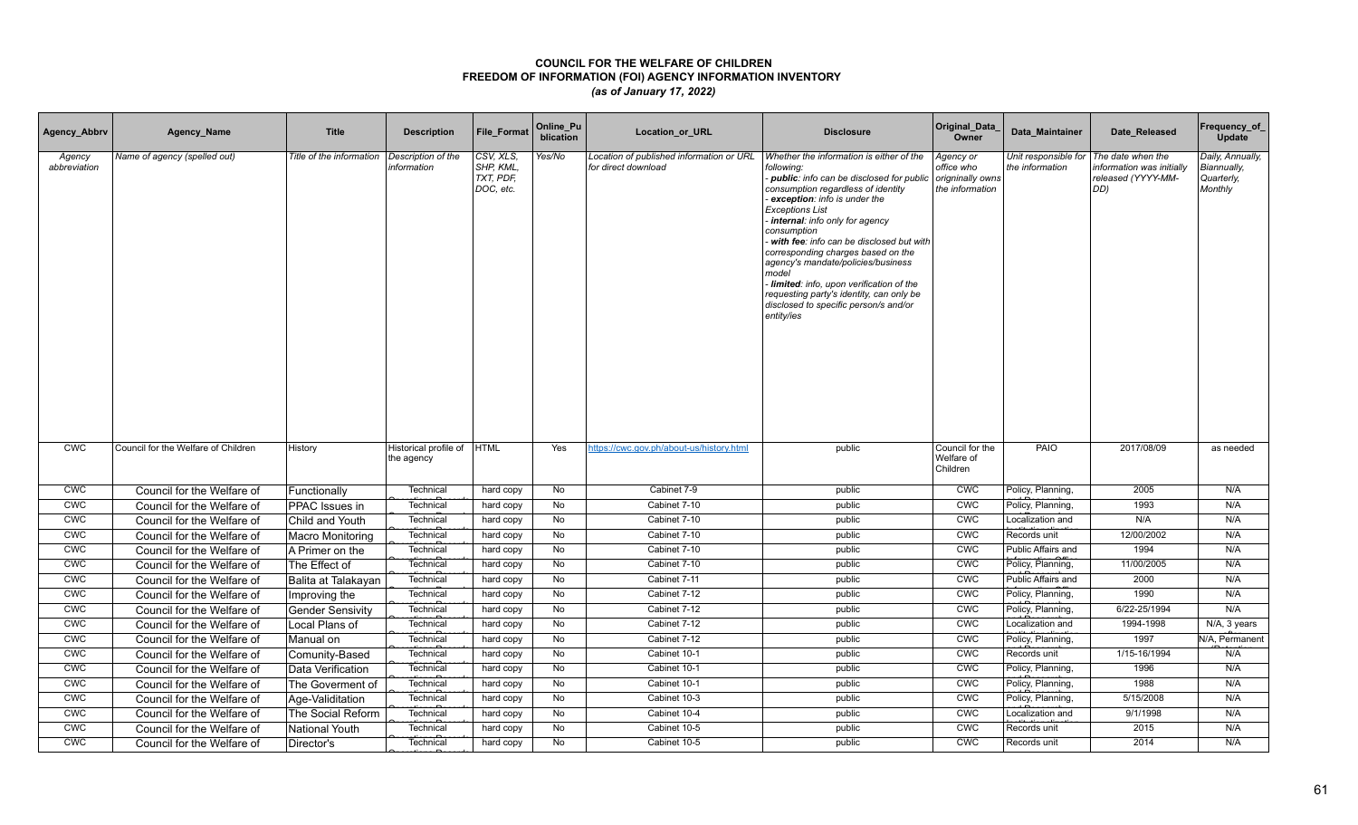| Agency_Abbrv           | Agency_Name                         | <b>Title</b>             | <b>Description</b>                  | File_Format                                      | Online_Pu<br>blication | Location_or_URL                                                 | <b>Disclosure</b>                                                                                                                                                                                                                                                                                                                                                                                                                                                                                                                  | Original_Data<br>Owner                                         | Data Maintainer                         | Date Released                                                              | Frequency_of<br>Update                                   |
|------------------------|-------------------------------------|--------------------------|-------------------------------------|--------------------------------------------------|------------------------|-----------------------------------------------------------------|------------------------------------------------------------------------------------------------------------------------------------------------------------------------------------------------------------------------------------------------------------------------------------------------------------------------------------------------------------------------------------------------------------------------------------------------------------------------------------------------------------------------------------|----------------------------------------------------------------|-----------------------------------------|----------------------------------------------------------------------------|----------------------------------------------------------|
| Agency<br>abbreviation | Name of agency (spelled out)        | Title of the information | Description of the<br>information   | CSV, XLS,<br>SHP, KML,<br>TXT, PDF,<br>DOC, etc. | Yes/No                 | Location of published information or URL<br>for direct download | Whether the information is either of the<br>following:<br>public: info can be disclosed for public<br>consumption regardless of identity<br>exception: info is under the<br><b>Exceptions List</b><br>internal: info only for agency<br>consumption<br>with fee: info can be disclosed but with<br>corresponding charges based on the<br>agency's mandate/policies/business<br>model<br>Iimited: info, upon verification of the<br>requesting party's identity, can only be<br>disclosed to specific person/s and/or<br>entity/ies | Agency or<br>office who<br>origninally owns<br>the information | Unit responsible for<br>the information | The date when the<br>nformation was initially<br>released (YYYY-MM-<br>DD) | Daily, Annually,<br>Biannually,<br>Quarterly,<br>Monthly |
| <b>CWC</b>             | Council for the Welfare of Children | History                  | Historical profile of<br>the agency | <b>HTML</b>                                      | Yes                    | https://cwc.gov.ph/about-us/history.html                        | public                                                                                                                                                                                                                                                                                                                                                                                                                                                                                                                             | Council for the<br>Welfare of<br>Children                      | PAIO                                    | 2017/08/09                                                                 | as needed                                                |
| <b>CWC</b>             | Council for the Welfare of          | Functionally             | Technical                           | hard copy                                        | No                     | Cabinet 7-9                                                     | public                                                                                                                                                                                                                                                                                                                                                                                                                                                                                                                             | <b>CWC</b>                                                     | Policy, Planning,                       | 2005                                                                       | N/A                                                      |
| <b>CWC</b>             | Council for the Welfare of          | PPAC Issues in           | Technical                           | hard copy                                        | No                     | Cabinet 7-10                                                    | public                                                                                                                                                                                                                                                                                                                                                                                                                                                                                                                             | <b>CWC</b>                                                     | Policy, Planning,                       | 1993                                                                       | N/A                                                      |
| <b>CWC</b>             | Council for the Welfare of          | Child and Youth          | Technical                           | hard copy                                        | No                     | Cabinet 7-10                                                    | public                                                                                                                                                                                                                                                                                                                                                                                                                                                                                                                             | <b>CWC</b>                                                     | Localization and                        | N/A                                                                        | N/A                                                      |
| <b>CWC</b>             | Council for the Welfare of          | Macro Monitoring         | Technical                           | hard copy                                        | No                     | Cabinet 7-10                                                    | public                                                                                                                                                                                                                                                                                                                                                                                                                                                                                                                             | <b>CWC</b>                                                     | Records unit                            | 12/00/2002                                                                 | N/A                                                      |
| CWC                    | Council for the Welfare of          | A Primer on the          | Technical                           | hard copy                                        | No                     | Cabinet 7-10                                                    | public                                                                                                                                                                                                                                                                                                                                                                                                                                                                                                                             | <b>CMC</b>                                                     | Public Affairs and                      | 1994                                                                       | N/A                                                      |
| <b>CWC</b>             | Council for the Welfare of          | The Effect of            | Technical                           | hard copy                                        | No                     | Cabinet 7-10                                                    | public                                                                                                                                                                                                                                                                                                                                                                                                                                                                                                                             | CWC                                                            | Policy, Planning,                       | 11/00/2005                                                                 | N/A                                                      |
| <b>CWC</b>             | Council for the Welfare of          | Balita at Talakayan      | Technical                           | hard copy                                        | No                     | Cabinet 7-11                                                    | public                                                                                                                                                                                                                                                                                                                                                                                                                                                                                                                             | CWC                                                            | Public Affairs and                      | 2000                                                                       | N/A                                                      |
| <b>CMC</b>             | Council for the Welfare of          | Improving the            | Technica                            | hard copy                                        | No                     | Cabinet 7-12                                                    | public                                                                                                                                                                                                                                                                                                                                                                                                                                                                                                                             | <b>CWC</b>                                                     | Policy, Planning,                       | 1990                                                                       | N/A                                                      |
| <b>CWC</b>             | Council for the Welfare of          | <b>Gender Sensivity</b>  | Technical                           | hard copy                                        | No                     | Cabinet 7-12                                                    | public                                                                                                                                                                                                                                                                                                                                                                                                                                                                                                                             | <b>CWC</b>                                                     | Policy, Planning,                       | 6/22-25/1994                                                               | N/A                                                      |
| CWC                    | Council for the Welfare of          | Local Plans of           | Technical                           | hard copy                                        | No                     | Cabinet 7-12                                                    | public                                                                                                                                                                                                                                                                                                                                                                                                                                                                                                                             | <b>CMC</b>                                                     | Localization and                        | 1994-1998                                                                  | N/A, 3 years                                             |
| CWC                    | Council for the Welfare of          | Manual on                | Technical                           | hard copy                                        | No                     | Cabinet 7-12                                                    | public                                                                                                                                                                                                                                                                                                                                                                                                                                                                                                                             | CWC                                                            | Policy, Planning,                       | 1997                                                                       | N/A, Permanent                                           |
| CWC                    | Council for the Welfare of          | Comunity-Based           | Technical                           | hard copy                                        | No                     | Cabinet 10-1                                                    | public                                                                                                                                                                                                                                                                                                                                                                                                                                                                                                                             | CWC                                                            | Records unit                            | 1/15-16/1994                                                               | N/A                                                      |
| CWC                    | Council for the Welfare of          | Data Verification        | Technical                           | hard copy                                        | <b>No</b>              | Cabinet 10-1                                                    | public                                                                                                                                                                                                                                                                                                                                                                                                                                                                                                                             | CWC                                                            | Policy, Planning,                       | 1996                                                                       | N/A                                                      |
| <b>CWC</b>             | Council for the Welfare of          | The Goverment of         | Technical                           | hard copy                                        | No                     | Cabinet 10-1                                                    | public                                                                                                                                                                                                                                                                                                                                                                                                                                                                                                                             | CWC                                                            | Policy, Planning,                       | 1988                                                                       | N/A                                                      |
| CWC                    | Council for the Welfare of          | Age-Validitation         | Technical                           | hard copy                                        | <b>No</b>              | Cabinet 10-3                                                    | public                                                                                                                                                                                                                                                                                                                                                                                                                                                                                                                             | <b>CWC</b>                                                     | Policy, Planning,                       | 5/15/2008                                                                  | N/A                                                      |
| CWC                    | Council for the Welfare of          | The Social Reform        | Technica                            | hard copy                                        | No                     | Cabinet 10-4                                                    | public                                                                                                                                                                                                                                                                                                                                                                                                                                                                                                                             | CWC                                                            | Localization and                        | 9/1/1998                                                                   | N/A                                                      |
| <b>CWC</b>             | Council for the Welfare of          | National Youth           | Technical                           | hard copy                                        | No                     | Cabinet 10-5                                                    | public                                                                                                                                                                                                                                                                                                                                                                                                                                                                                                                             | <b>CMC</b>                                                     | Records unit                            | 2015                                                                       | N/A                                                      |
| <b>CWC</b>             | Council for the Welfare of          | Director's               | Technical                           | hard copy                                        | No                     | Cabinet 10-5                                                    | public                                                                                                                                                                                                                                                                                                                                                                                                                                                                                                                             | <b>CWC</b>                                                     | Records unit                            | 2014                                                                       | N/A                                                      |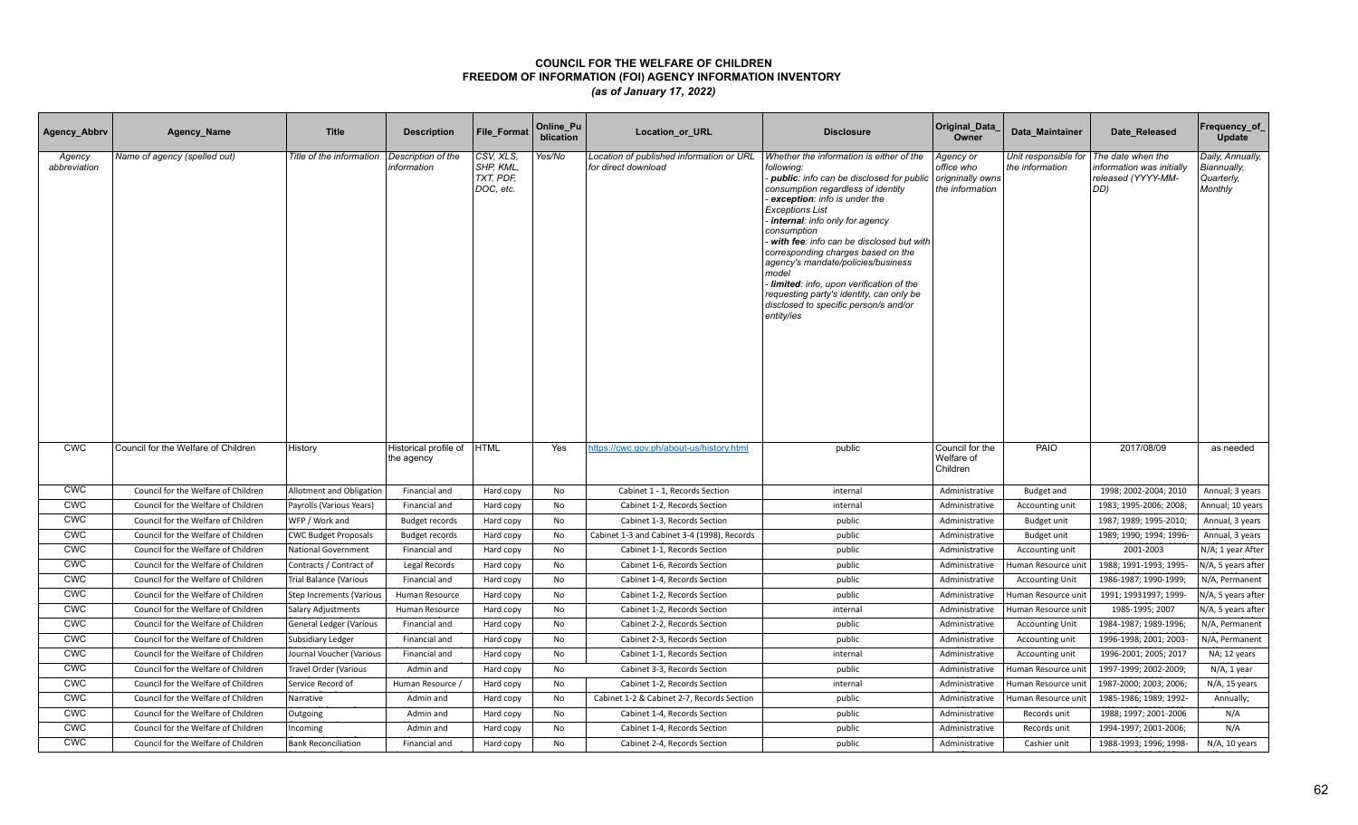| Agency_Abbrv           | Agency_Name                         | <b>Title</b>                | <b>Description</b>                  | <b>File Format</b>                               | Online_Pu<br>blication | <b>Location or URL</b>                                          | <b>Disclosure</b>                                                                                                                                                                                                                                                                                                                                                                                                                                                                                                                  | Original_Data<br>Owner                                         | Data Maintainer                         | Date Released                                                              | Frequency_of<br>Update                                   |
|------------------------|-------------------------------------|-----------------------------|-------------------------------------|--------------------------------------------------|------------------------|-----------------------------------------------------------------|------------------------------------------------------------------------------------------------------------------------------------------------------------------------------------------------------------------------------------------------------------------------------------------------------------------------------------------------------------------------------------------------------------------------------------------------------------------------------------------------------------------------------------|----------------------------------------------------------------|-----------------------------------------|----------------------------------------------------------------------------|----------------------------------------------------------|
| Agency<br>abbreviation | Name of agency (spelled out)        | Title of the information    | Description of the<br>information   | CSV, XLS,<br>SHP, KML,<br>TXT, PDF,<br>DOC, etc. | Yes/No                 | Location of published information or URL<br>for direct download | Whether the information is either of the<br>following:<br>public: info can be disclosed for public<br>consumption regardless of identity<br>exception: info is under the<br><b>Exceptions List</b><br>internal: info only for agency<br>consumption<br>with fee: info can be disclosed but with<br>corresponding charges based on the<br>agency's mandate/policies/business<br>model<br>limited: info, upon verification of the<br>requesting party's identity, can only be<br>disclosed to specific person/s and/or<br>entity/ies | Agency or<br>office who<br>origninally owns<br>the information | Unit responsible for<br>the information | The date when the<br>nformation was initially<br>released (YYYY-MM-<br>DD) | Daily, Annually,<br>Biannually,<br>Quarterly,<br>Monthly |
| <b>CWC</b>             | Council for the Welfare of Children | History                     | Historical profile of<br>the agency | <b>HTML</b>                                      | Yes                    | https://cwc.gov.ph/about-us/history.html                        | public                                                                                                                                                                                                                                                                                                                                                                                                                                                                                                                             | Council for the<br>Welfare of<br>Children                      | PAIO                                    | 2017/08/09                                                                 | as needed                                                |
| <b>CWC</b>             | Council for the Welfare of Children | Allotment and Obligation    | Financial and                       | Hard copy                                        | No                     | Cabinet 1 - 1, Records Section                                  | internal                                                                                                                                                                                                                                                                                                                                                                                                                                                                                                                           | Administrative                                                 | <b>Budget and</b>                       | 1998; 2002-2004; 2010                                                      | Annual; 3 years                                          |
| <b>CWC</b>             | Council for the Welfare of Children | Payrolls (Various Years)    | Financial and                       | Hard copy                                        | No                     | Cabinet 1-2, Records Section                                    | internal                                                                                                                                                                                                                                                                                                                                                                                                                                                                                                                           | Administrative                                                 | Accounting unit                         | 1983; 1995-2006; 2008;                                                     | Annual; 10 years                                         |
| <b>CWC</b>             | Council for the Welfare of Children | WFP / Work and              | <b>Budget records</b>               | Hard copy                                        | No                     | Cabinet 1-3, Records Section                                    | public                                                                                                                                                                                                                                                                                                                                                                                                                                                                                                                             | Administrative                                                 | <b>Budget unit</b>                      | 1987; 1989; 1995-2010;                                                     | Annual, 3 years                                          |
| <b>CWC</b>             | Council for the Welfare of Children | <b>CWC Budget Proposals</b> | <b>Budget records</b>               | Hard copy                                        | <b>No</b>              | Cabinet 1-3 and Cabinet 3-4 (1998), Records                     | public                                                                                                                                                                                                                                                                                                                                                                                                                                                                                                                             | Administrative                                                 | Budget unit                             | 1989; 1990; 1994; 1996-                                                    | Annual, 3 years                                          |
| <b>CWC</b>             | Council for the Welfare of Children | <b>National Government</b>  | Financial and                       | Hard copy                                        | No                     | Cabinet 1-1, Records Section                                    | public                                                                                                                                                                                                                                                                                                                                                                                                                                                                                                                             | Administrative                                                 | Accounting unit                         | 2001-2003                                                                  | N/A; 1 year After                                        |
| <b>CWC</b>             | Council for the Welfare of Children | Contracts / Contract of     | Legal Records                       | Hard copy                                        | No                     | Cabinet 1-6, Records Section                                    | public                                                                                                                                                                                                                                                                                                                                                                                                                                                                                                                             | Administrative                                                 | Human Resource uni <sup>.</sup>         | 1988; 1991-1993; 1995-                                                     | N/A, 5 years after                                       |
| <b>CWC</b>             | Council for the Welfare of Children | Trial Balance (Various      | Financial and                       | Hard copy                                        | No                     | Cabinet 1-4, Records Section                                    | public                                                                                                                                                                                                                                                                                                                                                                                                                                                                                                                             | Administrative                                                 | <b>Accounting Unit</b>                  | 1986-1987; 1990-1999;                                                      | N/A, Permanent                                           |
| <b>CWC</b>             | Council for the Welfare of Children | Step Increments (Various    | Human Resource                      | Hard copy                                        | No                     | Cabinet 1-2, Records Section                                    | public                                                                                                                                                                                                                                                                                                                                                                                                                                                                                                                             | Administrative                                                 | Human Resource unit                     | 1991; 19931997; 1999-                                                      | N/A, 5 years after                                       |
| <b>CWC</b>             | Council for the Welfare of Children | Salary Adjustments          | Human Resource                      | Hard copy                                        | No                     | Cabinet 1-2, Records Section                                    | internal                                                                                                                                                                                                                                                                                                                                                                                                                                                                                                                           | Administrative                                                 | Human Resource unit                     | 1985-1995; 2007                                                            | N/A, 5 years after                                       |
| <b>CWC</b>             | Council for the Welfare of Children | General Ledger (Various     | Financial and                       | Hard copy                                        | No                     | Cabinet 2-2, Records Section                                    | public                                                                                                                                                                                                                                                                                                                                                                                                                                                                                                                             | Administrative                                                 | <b>Accounting Unit</b>                  | 1984-1987; 1989-1996;                                                      | N/A, Permanent                                           |
| <b>CWC</b>             | Council for the Welfare of Children | Subsidiary Ledger           | Financial and                       | Hard copy                                        | No                     | Cabinet 2-3, Records Section                                    | public                                                                                                                                                                                                                                                                                                                                                                                                                                                                                                                             | Administrative                                                 | Accounting unit                         | 1996-1998; 2001; 2003-                                                     | N/A, Permanent                                           |
| <b>CWC</b>             | Council for the Welfare of Children | Journal Voucher (Various    | Financial and                       | Hard copy                                        | No                     | Cabinet 1-1, Records Section                                    | internal                                                                                                                                                                                                                                                                                                                                                                                                                                                                                                                           | Administrative                                                 | Accounting unit                         | 1996-2001; 2005; 2017                                                      | NA; 12 years                                             |
| <b>CWC</b>             | Council for the Welfare of Children | Travel Order (Various       | Admin and                           | Hard copy                                        | No                     | Cabinet 3-3, Records Section                                    | public                                                                                                                                                                                                                                                                                                                                                                                                                                                                                                                             | Administrative                                                 | Human Resource uni                      | 1997-1999; 2002-2009;                                                      | N/A, 1 year                                              |
| <b>CWC</b>             | Council for the Welfare of Children | Service Record of           | Human Resource /                    | Hard copy                                        | No                     | Cabinet 1-2, Records Section                                    | internal                                                                                                                                                                                                                                                                                                                                                                                                                                                                                                                           | Administrative                                                 | Human Resource unit                     | 1987-2000; 2003; 2006;                                                     | $N/A$ , 15 years                                         |
| <b>CWC</b>             | Council for the Welfare of Children | Narrative                   | Admin and                           | Hard copy                                        | No                     | Cabinet 1-2 & Cabinet 2-7, Records Section                      | public                                                                                                                                                                                                                                                                                                                                                                                                                                                                                                                             | Administrative                                                 | Human Resource unit                     | 1985-1986; 1989; 1992-                                                     | Annually;                                                |
| <b>CWC</b>             | Council for the Welfare of Children | Outgoing                    | Admin and                           | Hard copy                                        | No                     | Cabinet 1-4, Records Section                                    | public                                                                                                                                                                                                                                                                                                                                                                                                                                                                                                                             | Administrative                                                 | Records unit                            | 1988; 1997; 2001-2006                                                      | N/A                                                      |
| <b>CWC</b>             | Council for the Welfare of Children | Incoming                    | Admin and                           | Hard copy                                        | No                     | Cabinet 1-4, Records Section                                    | public                                                                                                                                                                                                                                                                                                                                                                                                                                                                                                                             | Administrative                                                 | Records unit                            | 1994-1997; 2001-2006;                                                      | N/A                                                      |
| <b>CWC</b>             | Council for the Welfare of Children | <b>Bank Reconciliation</b>  | Financial and                       | Hard copy                                        | No                     | Cabinet 2-4, Records Section                                    | public                                                                                                                                                                                                                                                                                                                                                                                                                                                                                                                             | Administrative                                                 | Cashier unit                            | 1988-1993; 1996; 1998-                                                     | N/A, 10 years                                            |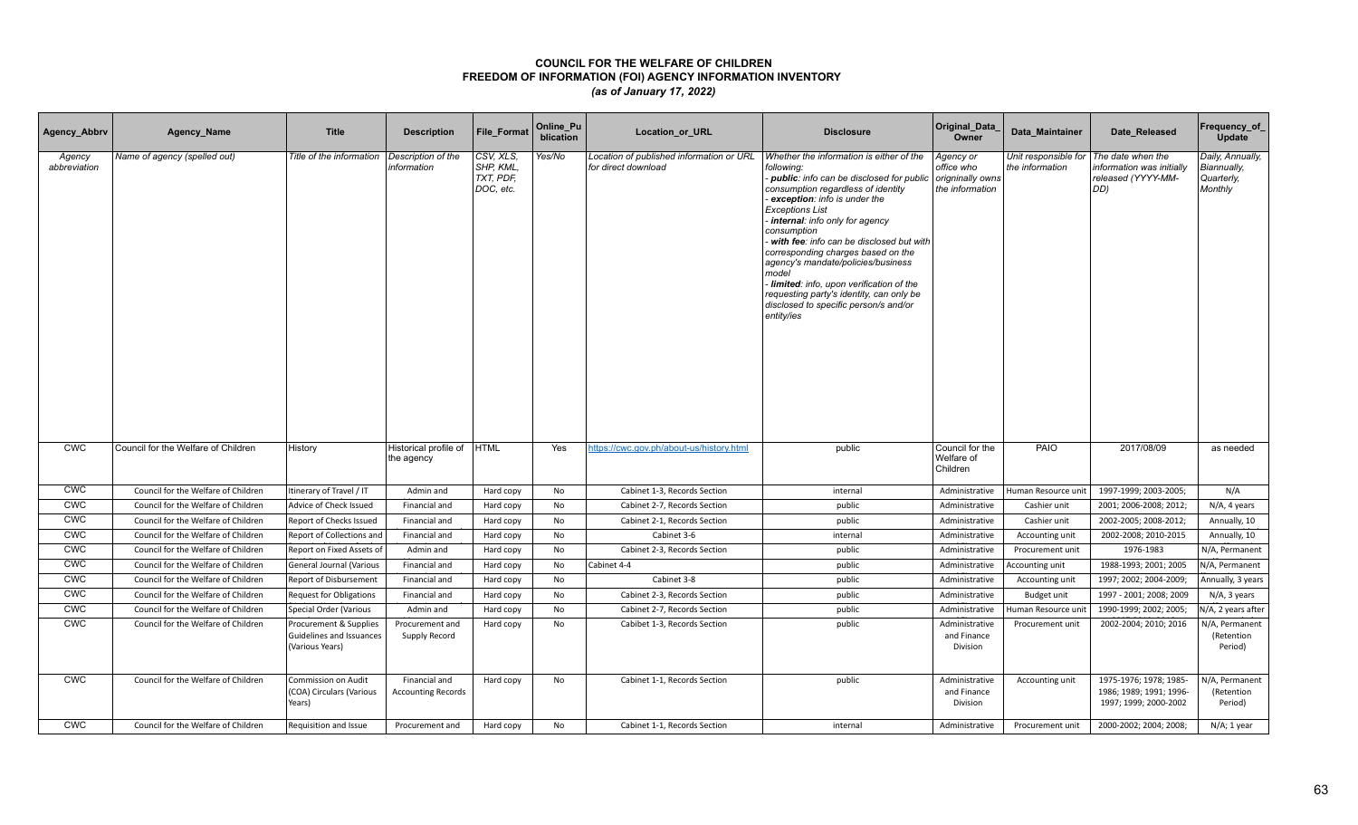| Agency_Abbrv           | Agency_Name                         | <b>Title</b>                                                          | <b>Description</b>                         | <b>File Format</b>                              | Online_Pu<br>blication | Location_or_URL                                                 | <b>Disclosure</b>                                                                                                                                                                                                                                                                                                                                                                                                                                                                                                                          | Original_Data<br>Owner                                         | Data Maintainer                         | Date Released                                                               | Frequency_of_<br>Update                                  |
|------------------------|-------------------------------------|-----------------------------------------------------------------------|--------------------------------------------|-------------------------------------------------|------------------------|-----------------------------------------------------------------|--------------------------------------------------------------------------------------------------------------------------------------------------------------------------------------------------------------------------------------------------------------------------------------------------------------------------------------------------------------------------------------------------------------------------------------------------------------------------------------------------------------------------------------------|----------------------------------------------------------------|-----------------------------------------|-----------------------------------------------------------------------------|----------------------------------------------------------|
| Agency<br>abbreviation | Name of agency (spelled out)        | Title of the information                                              | Description of the<br>information          | CSV, XLS,<br>SHP, KML<br>TXT, PDF,<br>DOC, etc. | Yes/No                 | Location of published information or URL<br>for direct download | Whether the information is either of the<br>following:<br><b>public</b> : info can be disclosed for public<br>consumption regardless of identity<br>exception: info is under the<br><b>Exceptions List</b><br>internal: info only for agency<br>consumption<br>with fee: info can be disclosed but with<br>corresponding charges based on the<br>agency's mandate/policies/business<br>model<br>Iimited: info, upon verification of the<br>requesting party's identity, can only be<br>disclosed to specific person/s and/or<br>entity/ies | Agency or<br>office who<br>origninally owns<br>the information | Unit responsible for<br>the information | The date when the<br>information was initially<br>released (YYYY-MM-<br>DD) | Daily, Annually,<br>Biannually,<br>Quarterly,<br>Monthly |
| <b>CWC</b>             | Council for the Welfare of Children | History                                                               | Historical profile of<br>the agency        | <b>HTML</b>                                     | Yes                    | https://cwc.gov.ph/about-us/history.html                        | public                                                                                                                                                                                                                                                                                                                                                                                                                                                                                                                                     | Council for the<br>Welfare of<br>Children                      | PAIO                                    | 2017/08/09                                                                  | as needed                                                |
| <b>CWC</b>             | Council for the Welfare of Children | Itinerary of Travel / IT                                              | Admin and                                  | Hard copy                                       | No                     | Cabinet 1-3, Records Section                                    | internal                                                                                                                                                                                                                                                                                                                                                                                                                                                                                                                                   | Administrative                                                 | Human Resource unit                     | 1997-1999; 2003-2005;                                                       | N/A                                                      |
| <b>CWC</b>             | Council for the Welfare of Children | Advice of Check Issued                                                | Financial and                              | Hard copy                                       | No                     | Cabinet 2-7, Records Section                                    | public                                                                                                                                                                                                                                                                                                                                                                                                                                                                                                                                     | Administrative                                                 | Cashier unit                            | 2001; 2006-2008; 2012;                                                      | N/A, 4 years                                             |
| <b>CWC</b>             | Council for the Welfare of Children | Report of Checks Issued                                               | Financial and                              | Hard copy                                       | No                     | Cabinet 2-1, Records Section                                    | public                                                                                                                                                                                                                                                                                                                                                                                                                                                                                                                                     | Administrative                                                 | Cashier unit                            | 2002-2005; 2008-2012;                                                       | Annually, 10                                             |
| CWC                    | Council for the Welfare of Children | Report of Collections and                                             | Financial and                              | Hard copy                                       | No                     | Cabinet 3-6                                                     | internal                                                                                                                                                                                                                                                                                                                                                                                                                                                                                                                                   | Administrative                                                 | Accounting unit                         | 2002-2008; 2010-2015                                                        | Annually, 10                                             |
| CWC                    | Council for the Welfare of Children | Report on Fixed Assets of                                             | Admin and                                  | Hard copy                                       | <b>No</b>              | Cabinet 2-3, Records Section                                    | public                                                                                                                                                                                                                                                                                                                                                                                                                                                                                                                                     | Administrative                                                 | Procurement unit                        | 1976-1983                                                                   | N/A, Permanent                                           |
| <b>CWC</b>             | Council for the Welfare of Children | General Journal (Various                                              | Financial and                              | Hard copy                                       | No                     | Cabinet 4-4                                                     | public                                                                                                                                                                                                                                                                                                                                                                                                                                                                                                                                     | Administrative                                                 | Accounting unit                         | 1988-1993; 2001; 2005                                                       | N/A, Permanent                                           |
| <b>CWC</b>             | Council for the Welfare of Children | Report of Disbursement                                                | Financial and                              | Hard copy                                       | No                     | Cabinet 3-8                                                     | public                                                                                                                                                                                                                                                                                                                                                                                                                                                                                                                                     | Administrative                                                 | Accounting unit                         | 1997; 2002; 2004-2009;                                                      | Annually, 3 years                                        |
| <b>CWC</b>             | Council for the Welfare of Children | <b>Request for Obligations</b>                                        | Financial and                              | Hard copy                                       | No                     | Cabinet 2-3, Records Section                                    | public                                                                                                                                                                                                                                                                                                                                                                                                                                                                                                                                     | Administrative                                                 | Budget unit                             | 1997 - 2001; 2008; 2009                                                     | N/A, 3 years                                             |
| <b>CWC</b>             | Council for the Welfare of Children | Special Order (Various                                                | Admin and                                  | Hard copy                                       | No                     | Cabinet 2-7, Records Section                                    | public                                                                                                                                                                                                                                                                                                                                                                                                                                                                                                                                     | Administrative                                                 | Human Resource unit                     | 1990-1999; 2002; 2005;                                                      | N/A, 2 years after                                       |
| <b>CWC</b>             | Council for the Welfare of Children | Procurement & Supplies<br>Guidelines and Issuances<br>(Various Years) | Procurement and<br>Supply Record           | Hard copy                                       | No                     | Cabibet 1-3, Records Section                                    | public                                                                                                                                                                                                                                                                                                                                                                                                                                                                                                                                     | Administrative<br>and Finance<br>Division                      | Procurement unit                        | 2002-2004; 2010; 2016                                                       | N/A, Permanent<br>(Retention<br>Period)                  |
| <b>CWC</b>             | Council for the Welfare of Children | <b>Commission on Audit</b><br>(COA) Circulars (Various<br>Years)      | Financial and<br><b>Accounting Records</b> | Hard copy                                       | No                     | Cabinet 1-1, Records Section                                    | public                                                                                                                                                                                                                                                                                                                                                                                                                                                                                                                                     | Administrative<br>and Finance<br>Division                      | Accounting unit                         | 1975-1976; 1978; 1985-<br>1986; 1989; 1991; 1996-<br>1997; 1999; 2000-2002  | N/A, Permanent<br>(Retention<br>Period)                  |
| <b>CWC</b>             | Council for the Welfare of Children | Requisition and Issue                                                 | Procurement and                            | Hard copy                                       | No                     | Cabinet 1-1, Records Section                                    | internal                                                                                                                                                                                                                                                                                                                                                                                                                                                                                                                                   | Administrative                                                 | Procurement unit                        | 2000-2002; 2004; 2008;                                                      | $N/A$ ; 1 year                                           |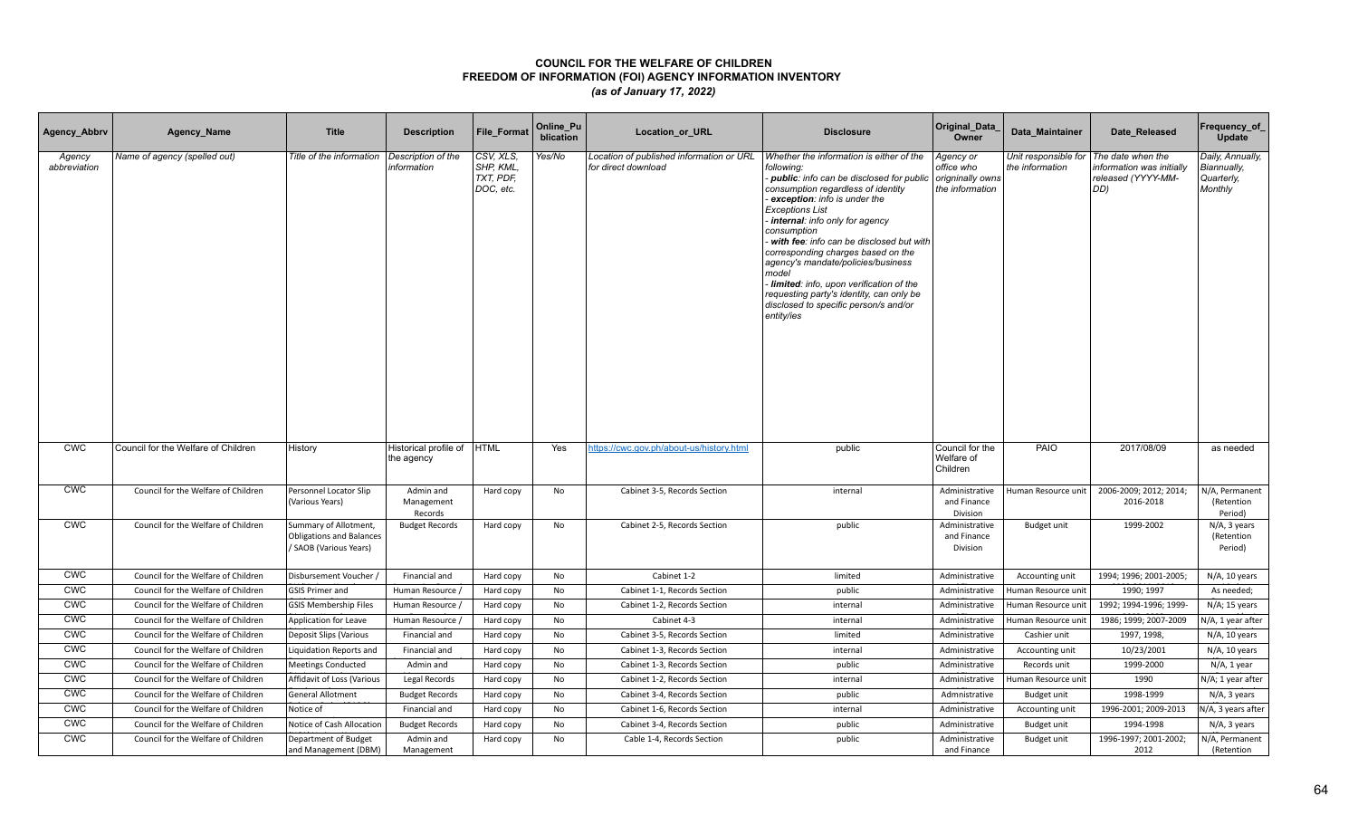| Agency_Abbrv           | Agency_Name                         | <b>Title</b>                                                                       | <b>Description</b>                  | File_Format                                      | Online_Pu<br>blication | Location_or_URL                                                 | <b>Disclosure</b>                                                                                                                                                                                                                                                                                                                                                                                                                                                                                                                    | Original_Data<br>Owner                                         | Data Maintainer                         | Date Released                                                               | Frequency_of<br>Update                                   |
|------------------------|-------------------------------------|------------------------------------------------------------------------------------|-------------------------------------|--------------------------------------------------|------------------------|-----------------------------------------------------------------|--------------------------------------------------------------------------------------------------------------------------------------------------------------------------------------------------------------------------------------------------------------------------------------------------------------------------------------------------------------------------------------------------------------------------------------------------------------------------------------------------------------------------------------|----------------------------------------------------------------|-----------------------------------------|-----------------------------------------------------------------------------|----------------------------------------------------------|
| Agency<br>abbreviation | Name of agency (spelled out)        | Title of the information                                                           | Description of the<br>information   | CSV, XLS,<br>SHP, KML,<br>TXT, PDF,<br>DOC, etc. | Yes/No                 | Location of published information or URL<br>for direct download | Whether the information is either of the<br>following:<br>- public: info can be disclosed for public<br>consumption regardless of identity<br>exception: info is under the<br><b>Exceptions List</b><br>internal: info only for agency<br>consumption<br>with fee: info can be disclosed but with<br>corresponding charges based on the<br>agency's mandate/policies/business<br>model<br>Iimited: info, upon verification of the<br>requesting party's identity, can only be<br>disclosed to specific person/s and/or<br>entity/ies | Agency or<br>office who<br>origninally owns<br>the information | Unit responsible for<br>the information | The date when the<br>information was initially<br>released (YYYY-MM-<br>DD) | Daily, Annually,<br>Biannually,<br>Quarterly,<br>Monthly |
| <b>CWC</b>             | Council for the Welfare of Children | History                                                                            | Historical profile of<br>the agency | <b>HTML</b>                                      | Yes                    | https://cwc.gov.ph/about-us/history.html                        | public                                                                                                                                                                                                                                                                                                                                                                                                                                                                                                                               | Council for the<br>Welfare of<br>Children                      | PAIO                                    | 2017/08/09                                                                  | as needed                                                |
| <b>CWC</b>             | Council for the Welfare of Children | Personnel Locator Slip<br>(Various Years)                                          | Admin and<br>Management<br>Records  | Hard copy                                        | No                     | Cabinet 3-5, Records Section                                    | internal                                                                                                                                                                                                                                                                                                                                                                                                                                                                                                                             | Administrative<br>and Finance<br>Division                      | Human Resource unit                     | 2006-2009; 2012; 2014;<br>2016-2018                                         | N/A, Permanent<br>(Retention<br>Period)                  |
| <b>CWC</b>             | Council for the Welfare of Children | Summary of Allotment,<br><b>Obligations and Balances</b><br>/ SAOB (Various Years) | <b>Budget Records</b>               | Hard copy                                        | No                     | Cabinet 2-5, Records Section                                    | public                                                                                                                                                                                                                                                                                                                                                                                                                                                                                                                               | Administrative<br>and Finance<br>Division                      | Budget unit                             | 1999-2002                                                                   | N/A, 3 years<br>(Retention<br>Period)                    |
| <b>CWC</b>             | Council for the Welfare of Children | Disbursement Voucher                                                               | Financial and                       | Hard copy                                        | No                     | Cabinet 1-2                                                     | limited                                                                                                                                                                                                                                                                                                                                                                                                                                                                                                                              | Administrative                                                 | Accounting unit                         | 1994; 1996; 2001-2005;                                                      | N/A, 10 years                                            |
| <b>CWC</b>             | Council for the Welfare of Children | <b>GSIS Primer and</b>                                                             | Human Resource /                    | Hard copy                                        | No                     | Cabinet 1-1, Records Section                                    | public                                                                                                                                                                                                                                                                                                                                                                                                                                                                                                                               | Administrative                                                 | Human Resource unit                     | 1990; 1997                                                                  | As needed;                                               |
| <b>CWC</b>             | Council for the Welfare of Children | <b>GSIS Membership Files</b>                                                       | Human Resource /                    | Hard copy                                        | No                     | Cabinet 1-2, Records Section                                    | internal                                                                                                                                                                                                                                                                                                                                                                                                                                                                                                                             | Administrative                                                 | Human Resource unit                     | 1992; 1994-1996; 1999-                                                      | $N/A$ ; 15 years                                         |
| <b>CWC</b>             | Council for the Welfare of Children | Application for Leave                                                              | Human Resource /                    | Hard copy                                        | No                     | Cabinet 4-3                                                     | internal                                                                                                                                                                                                                                                                                                                                                                                                                                                                                                                             | Administrative                                                 | Human Resource unit                     | 1986; 1999; 2007-2009                                                       | N/A, 1 year after                                        |
| <b>CWC</b>             | Council for the Welfare of Children | Deposit Slips (Various                                                             | Financial and                       | Hard copy                                        | No                     | Cabinet 3-5, Records Section                                    | limited                                                                                                                                                                                                                                                                                                                                                                                                                                                                                                                              | Administrative                                                 | Cashier unit                            | 1997, 1998,                                                                 | N/A, 10 years                                            |
| <b>CWC</b>             | Council for the Welfare of Children | Liquidation Reports and                                                            | Financial and                       | Hard copy                                        | No                     | Cabinet 1-3, Records Section                                    | internal                                                                                                                                                                                                                                                                                                                                                                                                                                                                                                                             | Administrative                                                 | Accounting unit                         | 10/23/2001                                                                  | N/A, 10 years                                            |
| <b>CWC</b>             | Council for the Welfare of Children | <b>Meetings Conducted</b>                                                          | Admin and                           | Hard copy                                        | No                     | Cabinet 1-3, Records Section                                    | public                                                                                                                                                                                                                                                                                                                                                                                                                                                                                                                               | Administrative                                                 | Records unit                            | 1999-2000                                                                   | N/A, 1 year                                              |
| <b>CWC</b>             | Council for the Welfare of Children | Affidavit of Loss (Various                                                         | Legal Records                       | Hard copy                                        | No                     | Cabinet 1-2, Records Section                                    | internal                                                                                                                                                                                                                                                                                                                                                                                                                                                                                                                             | Administrative                                                 | Human Resource unit                     | 1990                                                                        | N/A; 1 year after                                        |
| <b>CWC</b>             | Council for the Welfare of Children | <b>General Allotment</b>                                                           | <b>Budget Records</b>               | Hard copy                                        | No                     | Cabinet 3-4, Records Section                                    | public                                                                                                                                                                                                                                                                                                                                                                                                                                                                                                                               | Admnistrative                                                  | Budget unit                             | 1998-1999                                                                   | N/A, 3 years                                             |
| <b>CWC</b>             | Council for the Welfare of Children | Notice of                                                                          | Financial and                       | Hard copy                                        | No                     | Cabinet 1-6, Records Section                                    | internal                                                                                                                                                                                                                                                                                                                                                                                                                                                                                                                             | Administrative                                                 | Accounting unit                         | 1996-2001; 2009-2013                                                        | N/A, 3 years after                                       |
| CWC                    | Council for the Welfare of Children | Notice of Cash Allocation                                                          | <b>Budget Records</b>               | Hard copy                                        | No                     | Cabinet 3-4, Records Section                                    | public                                                                                                                                                                                                                                                                                                                                                                                                                                                                                                                               | Administrative                                                 | Budget unit                             | 1994-1998                                                                   | N/A, 3 years                                             |
| <b>CWC</b>             | Council for the Welfare of Children | Department of Budget<br>and Management (DBM)                                       | Admin and<br>Management             | Hard copy                                        | No                     | Cable 1-4, Records Section                                      | public                                                                                                                                                                                                                                                                                                                                                                                                                                                                                                                               | Administrative<br>and Finance                                  | Budget unit                             | 1996-1997; 2001-2002;<br>2012                                               | N/A, Permanent<br>(Retention                             |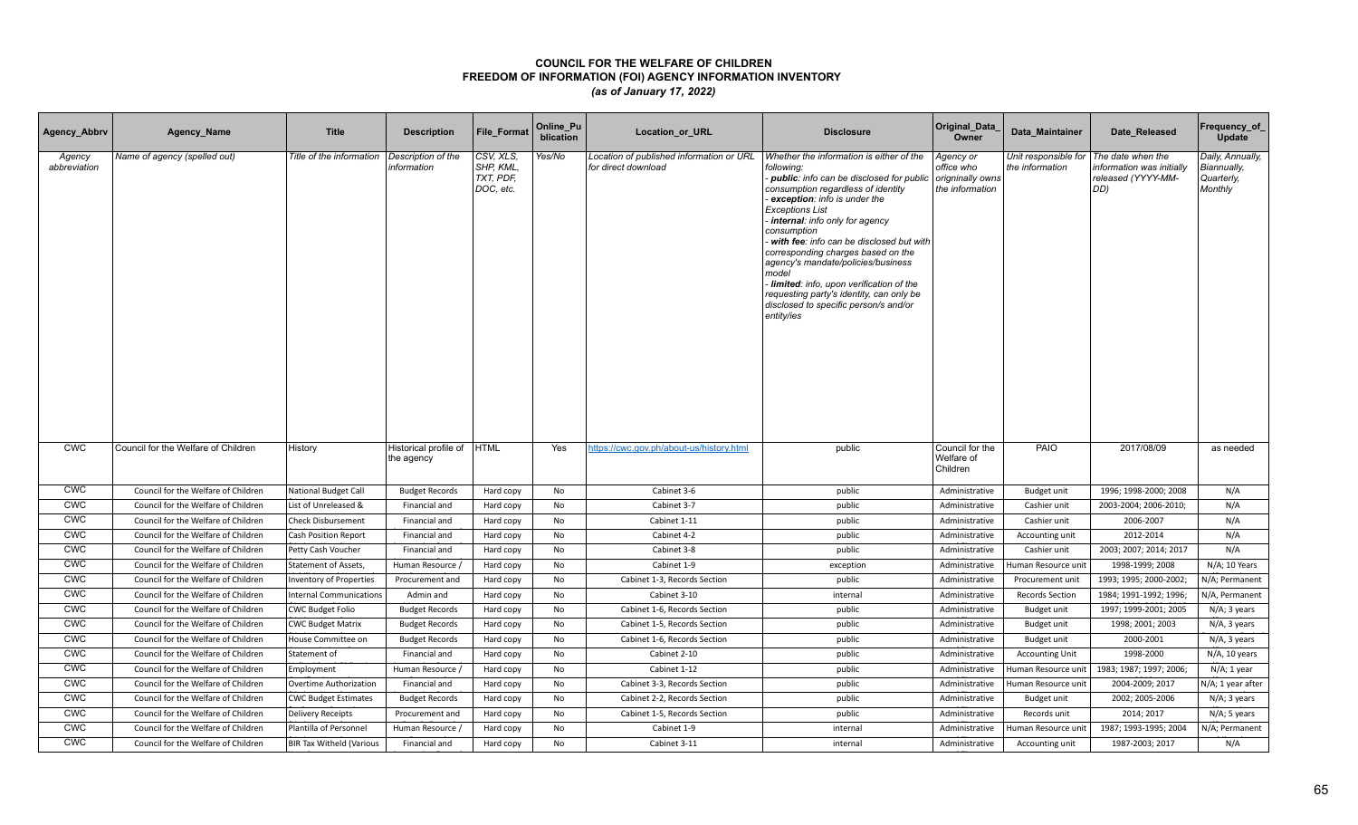| Agency_Abbrv           | Agency_Name                         | <b>Title</b>                    | <b>Description</b>                  | <b>File Format</b>                               | Online_Pu<br>blication | <b>Location or URL</b>                                          | <b>Disclosure</b>                                                                                                                                                                                                                                                                                                                                                                                                                                                                                                                    | Original_Data<br>Owner                                         | Data Maintainer                         | Date Released                                                               | Frequency_of<br>Update                                   |
|------------------------|-------------------------------------|---------------------------------|-------------------------------------|--------------------------------------------------|------------------------|-----------------------------------------------------------------|--------------------------------------------------------------------------------------------------------------------------------------------------------------------------------------------------------------------------------------------------------------------------------------------------------------------------------------------------------------------------------------------------------------------------------------------------------------------------------------------------------------------------------------|----------------------------------------------------------------|-----------------------------------------|-----------------------------------------------------------------------------|----------------------------------------------------------|
| Agency<br>abbreviation | Name of agency (spelled out)        | Title of the information        | Description of the<br>information   | CSV, XLS,<br>SHP, KML,<br>TXT, PDF,<br>DOC, etc. | Yes/No                 | Location of published information or URL<br>for direct download | Whether the information is either of the<br>following:<br>- public: info can be disclosed for public<br>consumption regardless of identity<br>exception: info is under the<br><b>Exceptions List</b><br>internal: info only for agency<br>consumption<br>with fee: info can be disclosed but with<br>corresponding charges based on the<br>agency's mandate/policies/business<br>model<br>Iimited: info, upon verification of the<br>requesting party's identity, can only be<br>disclosed to specific person/s and/or<br>entity/ies | Agency or<br>office who<br>origninally owns<br>the information | Unit responsible for<br>the information | The date when the<br>information was initially<br>released (YYYY-MM-<br>DD) | Daily, Annually,<br>Biannually,<br>Quarterly,<br>Monthly |
| <b>CWC</b>             | Council for the Welfare of Children | History                         | Historical profile of<br>the agency | <b>HTML</b>                                      | Yes                    | https://cwc.gov.ph/about-us/history.html                        | public                                                                                                                                                                                                                                                                                                                                                                                                                                                                                                                               | Council for the<br>Welfare of<br>Children                      | PAIO                                    | 2017/08/09                                                                  | as needed                                                |
| <b>CWC</b>             | Council for the Welfare of Children | <b>National Budget Call</b>     | <b>Budget Records</b>               | Hard copy                                        | No                     | Cabinet 3-6                                                     | public                                                                                                                                                                                                                                                                                                                                                                                                                                                                                                                               | Administrative                                                 | Budget unit                             | 1996; 1998-2000; 2008                                                       | N/A                                                      |
| <b>CWC</b>             | Council for the Welfare of Children | List of Unreleased &            | Financial and                       | Hard copy                                        | No                     | Cabinet 3-7                                                     | public                                                                                                                                                                                                                                                                                                                                                                                                                                                                                                                               | Administrative                                                 | Cashier unit                            | 2003-2004; 2006-2010;                                                       | N/A                                                      |
| <b>CWC</b>             | Council for the Welfare of Children | <b>Check Disbursement</b>       | Financial and                       | Hard copy                                        | No                     | Cabinet 1-11                                                    | public                                                                                                                                                                                                                                                                                                                                                                                                                                                                                                                               | Administrative                                                 | Cashier unit                            | 2006-2007                                                                   | N/A                                                      |
| <b>CWC</b>             | Council for the Welfare of Children | Cash Position Report            | Financial and                       | Hard copy                                        | <b>No</b>              | Cabinet 4-2                                                     | public                                                                                                                                                                                                                                                                                                                                                                                                                                                                                                                               | Administrative                                                 | Accounting unit                         | 2012-2014                                                                   | N/A                                                      |
| <b>CWC</b>             | Council for the Welfare of Children | Petty Cash Voucher              | Financial and                       | Hard copy                                        | No                     | Cabinet 3-8                                                     | public                                                                                                                                                                                                                                                                                                                                                                                                                                                                                                                               | Administrative                                                 | Cashier unit                            | 2003; 2007; 2014; 2017                                                      | N/A                                                      |
| <b>CWC</b>             | Council for the Welfare of Children | <b>Statement of Assets,</b>     | Human Resource /                    | Hard copy                                        | No                     | Cabinet 1-9                                                     | exception                                                                                                                                                                                                                                                                                                                                                                                                                                                                                                                            | Administrative                                                 | Human Resource unit                     | 1998-1999; 2008                                                             | N/A; 10 Years                                            |
| <b>CWC</b>             | Council for the Welfare of Children | Inventory of Properties         | Procurement and                     | Hard copy                                        | No                     | Cabinet 1-3, Records Section                                    | public                                                                                                                                                                                                                                                                                                                                                                                                                                                                                                                               | Administrative                                                 | Procurement unit                        | 1993; 1995; 2000-2002;                                                      | N/A; Permanent                                           |
| CWC                    | Council for the Welfare of Children | <b>Internal Communications</b>  | Admin and                           | Hard copy                                        | No                     | Cabinet 3-10                                                    | internal                                                                                                                                                                                                                                                                                                                                                                                                                                                                                                                             | Administrative                                                 | <b>Records Section</b>                  | 1984; 1991-1992; 1996;                                                      | N/A, Permanent                                           |
| <b>CWC</b>             | Council for the Welfare of Children | <b>CWC Budget Folio</b>         | <b>Budget Records</b>               | Hard copy                                        | No                     | Cabinet 1-6, Records Section                                    | public                                                                                                                                                                                                                                                                                                                                                                                                                                                                                                                               | Administrative                                                 | Budget unit                             | 1997; 1999-2001; 2005                                                       | N/A; 3 years                                             |
| <b>CWC</b>             | Council for the Welfare of Children | <b>CWC Budget Matrix</b>        | <b>Budget Records</b>               | Hard copy                                        | <b>No</b>              | Cabinet 1-5, Records Section                                    | public                                                                                                                                                                                                                                                                                                                                                                                                                                                                                                                               | Administrative                                                 | Budget unit                             | 1998; 2001; 2003                                                            | N/A, 3 years                                             |
| <b>CWC</b>             | Council for the Welfare of Children | House Committee on              | <b>Budget Records</b>               | Hard copy                                        | No                     | Cabinet 1-6, Records Section                                    | public                                                                                                                                                                                                                                                                                                                                                                                                                                                                                                                               | Administrative                                                 | Budget unit                             | 2000-2001                                                                   | N/A, 3 years                                             |
| <b>CWC</b>             | Council for the Welfare of Children | Statement of                    | Financial and                       | Hard copy                                        | No                     | Cabinet 2-10                                                    | public                                                                                                                                                                                                                                                                                                                                                                                                                                                                                                                               | Administrative                                                 | <b>Accounting Unit</b>                  | 1998-2000                                                                   | N/A, 10 years                                            |
| <b>CWC</b>             | Council for the Welfare of Children | Employment                      | Human Resource /                    | Hard copy                                        | No                     | Cabinet 1-12                                                    | public                                                                                                                                                                                                                                                                                                                                                                                                                                                                                                                               | Administrative                                                 | Human Resource unit                     | 1983; 1987; 1997; 2006;                                                     | N/A; 1 year                                              |
| <b>CWC</b>             | Council for the Welfare of Children | Overtime Authorization          | Financial and                       | Hard copy                                        | No                     | Cabinet 3-3, Records Section                                    | public                                                                                                                                                                                                                                                                                                                                                                                                                                                                                                                               | Administrative                                                 | Human Resource unit                     | 2004-2009; 2017                                                             | N/A; 1 year after                                        |
| <b>CWC</b>             | Council for the Welfare of Children | <b>CWC Budget Estimates</b>     | <b>Budget Records</b>               | Hard copy                                        | <b>No</b>              | Cabinet 2-2, Records Section                                    | public                                                                                                                                                                                                                                                                                                                                                                                                                                                                                                                               | Administrative                                                 | <b>Budget unit</b>                      | 2002; 2005-2006                                                             | N/A; 3 years                                             |
| <b>CWC</b>             | Council for the Welfare of Children | Delivery Receipts               | Procurement and                     | Hard copy                                        | No                     | Cabinet 1-5, Records Section                                    | public                                                                                                                                                                                                                                                                                                                                                                                                                                                                                                                               | Administrative                                                 | Records unit                            | 2014; 2017                                                                  | N/A; 5 years                                             |
| <b>CWC</b>             | Council for the Welfare of Children | Plantilla of Personnel          | Human Resource /                    | Hard copy                                        | No                     | Cabinet 1-9                                                     | internal                                                                                                                                                                                                                                                                                                                                                                                                                                                                                                                             | Administrative                                                 | Human Resource uni                      | 1987; 1993-1995; 2004                                                       | N/A; Permanent                                           |
| <b>CWC</b>             | Council for the Welfare of Children | <b>BIR Tax Witheld (Various</b> | Financial and                       | Hard copy                                        | No                     | Cabinet 3-11                                                    | internal                                                                                                                                                                                                                                                                                                                                                                                                                                                                                                                             | Administrative                                                 | Accounting unit                         | 1987-2003; 2017                                                             | N/A                                                      |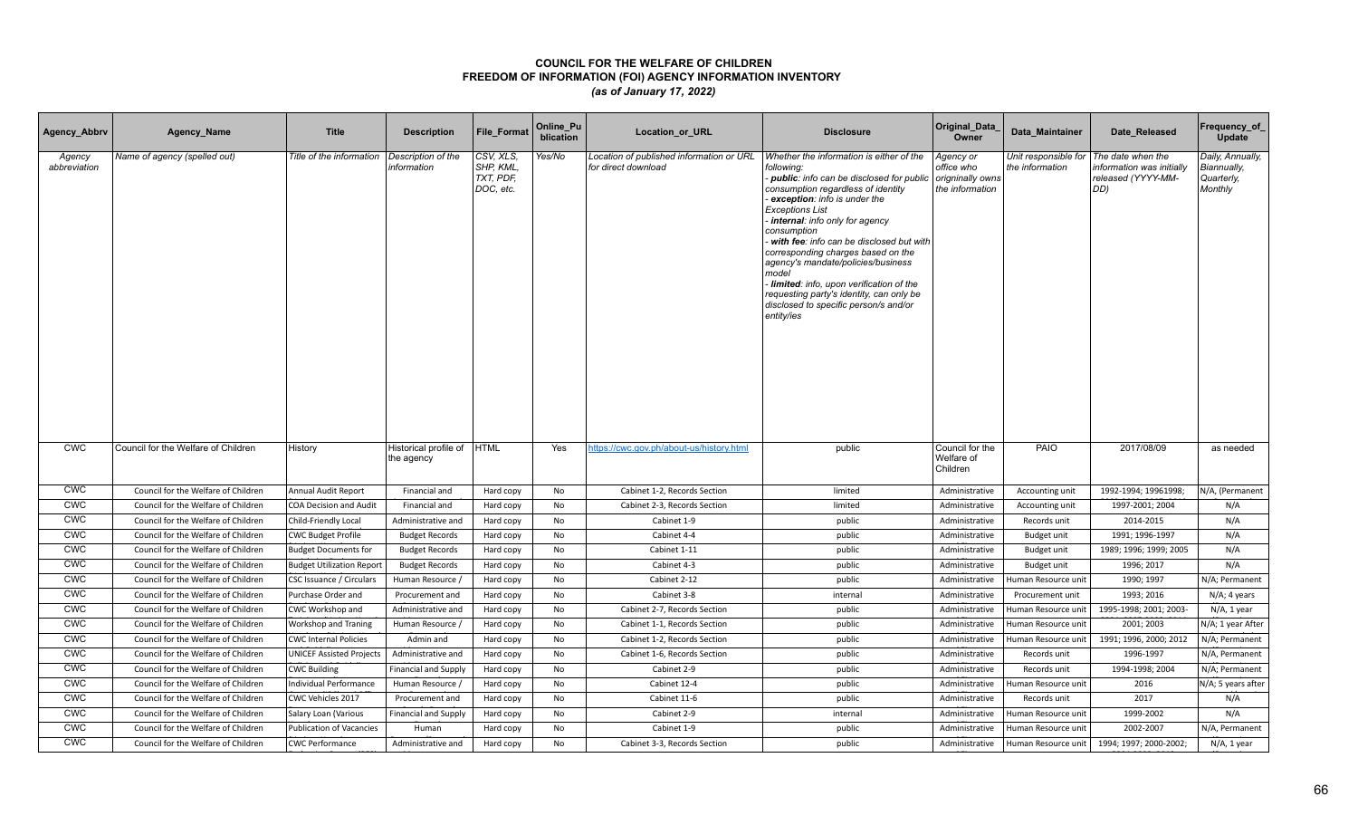| Agency_Abbrv           | Agency_Name                         | <b>Title</b>                     | <b>Description</b>                  | <b>File Format</b>                               | Online_Pu<br>blication | <b>Location or URL</b>                                          | <b>Disclosure</b>                                                                                                                                                                                                                                                                                                                                                                                                                                                                                                                    | Original_Data<br>Owner                                         | Data Maintainer                         | Date Released                                                              | Frequency_of<br>Update                                   |
|------------------------|-------------------------------------|----------------------------------|-------------------------------------|--------------------------------------------------|------------------------|-----------------------------------------------------------------|--------------------------------------------------------------------------------------------------------------------------------------------------------------------------------------------------------------------------------------------------------------------------------------------------------------------------------------------------------------------------------------------------------------------------------------------------------------------------------------------------------------------------------------|----------------------------------------------------------------|-----------------------------------------|----------------------------------------------------------------------------|----------------------------------------------------------|
| Agency<br>abbreviation | Name of agency (spelled out)        | Title of the information         | Description of the<br>information   | CSV, XLS,<br>SHP, KML,<br>TXT, PDF,<br>DOC, etc. | Yes/No                 | Location of published information or URL<br>for direct download | Whether the information is either of the<br>following:<br>- public: info can be disclosed for public<br>consumption regardless of identity<br>exception: info is under the<br><b>Exceptions List</b><br>internal: info only for agency<br>consumption<br>with fee: info can be disclosed but with<br>corresponding charges based on the<br>agency's mandate/policies/business<br>model<br>Iimited: info, upon verification of the<br>requesting party's identity, can only be<br>disclosed to specific person/s and/or<br>entity/ies | Agency or<br>office who<br>origninally owns<br>the information | Unit responsible for<br>the information | The date when the<br>nformation was initially<br>released (YYYY-MM-<br>DD) | Daily, Annually,<br>Biannually,<br>Quarterly,<br>Monthly |
| <b>CWC</b>             | Council for the Welfare of Children | History                          | Historical profile of<br>the agency | <b>HTML</b>                                      | Yes                    | https://cwc.gov.ph/about-us/history.html                        | public                                                                                                                                                                                                                                                                                                                                                                                                                                                                                                                               | Council for the<br>Welfare of<br>Children                      | PAIO                                    | 2017/08/09                                                                 | as needed                                                |
| <b>CWC</b>             | Council for the Welfare of Children | Annual Audit Report              | Financial and                       | Hard copy                                        | No                     | Cabinet 1-2, Records Section                                    | limited                                                                                                                                                                                                                                                                                                                                                                                                                                                                                                                              | Administrative                                                 | Accounting unit                         | 1992-1994; 19961998;                                                       | N/A, (Permanent                                          |
| <b>CWC</b>             | Council for the Welfare of Children | <b>COA Decision and Audit</b>    | Financial and                       | Hard copy                                        | No                     | Cabinet 2-3, Records Section                                    | limited                                                                                                                                                                                                                                                                                                                                                                                                                                                                                                                              | Administrative                                                 | Accounting unit                         | 1997-2001; 2004                                                            | N/A                                                      |
| <b>CWC</b>             | Council for the Welfare of Children | Child-Friendly Local             | Administrative and                  | Hard copy                                        | No                     | Cabinet 1-9                                                     | public                                                                                                                                                                                                                                                                                                                                                                                                                                                                                                                               | Administrative                                                 | Records unit                            | 2014-2015                                                                  | N/A                                                      |
| <b>CWC</b>             | Council for the Welfare of Children | <b>CWC Budget Profile</b>        | <b>Budget Records</b>               | Hard copy                                        | <b>No</b>              | Cabinet 4-4                                                     | public                                                                                                                                                                                                                                                                                                                                                                                                                                                                                                                               | Administrative                                                 | Budget unit                             | 1991; 1996-1997                                                            | N/A                                                      |
| <b>CWC</b>             | Council for the Welfare of Children | <b>Budget Documents for</b>      | <b>Budget Records</b>               | Hard copy                                        | No                     | Cabinet 1-11                                                    | public                                                                                                                                                                                                                                                                                                                                                                                                                                                                                                                               | Administrative                                                 | Budget unit                             | 1989; 1996; 1999; 2005                                                     | N/A                                                      |
| <b>CWC</b>             | Council for the Welfare of Children | <b>Budget Utilization Report</b> | <b>Budget Records</b>               | Hard copy                                        | No                     | Cabinet 4-3                                                     | public                                                                                                                                                                                                                                                                                                                                                                                                                                                                                                                               | Administrative                                                 | Budget unit                             | 1996; 2017                                                                 | N/A                                                      |
| <b>CWC</b>             | Council for the Welfare of Children | CSC Issuance / Circulars         | Human Resource /                    | Hard copy                                        | No                     | Cabinet 2-12                                                    | public                                                                                                                                                                                                                                                                                                                                                                                                                                                                                                                               | Administrative                                                 | Human Resource unit                     | 1990; 1997                                                                 | N/A; Permanent                                           |
| CWC                    | Council for the Welfare of Children | Purchase Order and               | Procurement and                     | Hard copy                                        | No                     | Cabinet 3-8                                                     | internal                                                                                                                                                                                                                                                                                                                                                                                                                                                                                                                             | Administrative                                                 | Procurement unit                        | 1993; 2016                                                                 | N/A; 4 years                                             |
| <b>CWC</b>             | Council for the Welfare of Children | CWC Workshop and                 | Administrative and                  | Hard copy                                        | No                     | Cabinet 2-7, Records Section                                    | public                                                                                                                                                                                                                                                                                                                                                                                                                                                                                                                               | Administrative                                                 | Human Resource unit                     | 1995-1998; 2001; 2003-                                                     | N/A, 1 year                                              |
| <b>CWC</b>             | Council for the Welfare of Children | <b>Workshop and Traning</b>      | Human Resource /                    | Hard copy                                        | No                     | Cabinet 1-1, Records Section                                    | public                                                                                                                                                                                                                                                                                                                                                                                                                                                                                                                               | Administrative                                                 | Human Resource unit                     | 2001; 2003                                                                 | N/A; 1 year After                                        |
| <b>CWC</b>             | Council for the Welfare of Children | <b>CWC Internal Policies</b>     | Admin and                           | Hard copy                                        | No                     | Cabinet 1-2, Records Section                                    | public                                                                                                                                                                                                                                                                                                                                                                                                                                                                                                                               | Administrative                                                 | Human Resource unit                     | 1991; 1996, 2000; 2012                                                     | N/A; Permanent                                           |
| <b>CWC</b>             | Council for the Welfare of Children | <b>UNICEF Assisted Projects</b>  | Administrative and                  | Hard copy                                        | No                     | Cabinet 1-6, Records Section                                    | public                                                                                                                                                                                                                                                                                                                                                                                                                                                                                                                               | Administrative                                                 | Records unit                            | 1996-1997                                                                  | N/A, Permanent                                           |
| <b>CWC</b>             | Council for the Welfare of Children | <b>CWC Building</b>              | <b>Financial and Supply</b>         | Hard copy                                        | No                     | Cabinet 2-9                                                     | public                                                                                                                                                                                                                                                                                                                                                                                                                                                                                                                               | Administrative                                                 | Records unit                            | 1994-1998; 2004                                                            | N/A; Permanent                                           |
| <b>CWC</b>             | Council for the Welfare of Children | Individual Performance           | Human Resource /                    | Hard copy                                        | No                     | Cabinet 12-4                                                    | public                                                                                                                                                                                                                                                                                                                                                                                                                                                                                                                               | Administrative                                                 | Human Resource unit                     | 2016                                                                       | N/A; 5 years after                                       |
| <b>CWC</b>             | Council for the Welfare of Children | CWC Vehicles 2017                | Procurement and                     | Hard copy                                        | <b>No</b>              | Cabinet 11-6                                                    | public                                                                                                                                                                                                                                                                                                                                                                                                                                                                                                                               | Administrative                                                 | Records unit                            | 2017                                                                       | N/A                                                      |
| <b>CWC</b>             | Council for the Welfare of Children | Salary Loan (Various             | <b>Financial and Supply</b>         | Hard copy                                        | No                     | Cabinet 2-9                                                     | internal                                                                                                                                                                                                                                                                                                                                                                                                                                                                                                                             | Administrative                                                 | Human Resource unit                     | 1999-2002                                                                  | N/A                                                      |
| <b>CWC</b>             | Council for the Welfare of Children | <b>Publication of Vacancies</b>  | Human                               | Hard copy                                        | No                     | Cabinet 1-9                                                     | public                                                                                                                                                                                                                                                                                                                                                                                                                                                                                                                               | Administrative                                                 | Human Resource unit                     | 2002-2007                                                                  | N/A, Permanent                                           |
| <b>CWC</b>             | Council for the Welfare of Children | <b>CWC Performance</b>           | Administrative and                  | Hard copy                                        | No                     | Cabinet 3-3, Records Section                                    | public                                                                                                                                                                                                                                                                                                                                                                                                                                                                                                                               | Administrative                                                 | Human Resource unit                     | 1994; 1997; 2000-2002;                                                     | $N/A$ , 1 year                                           |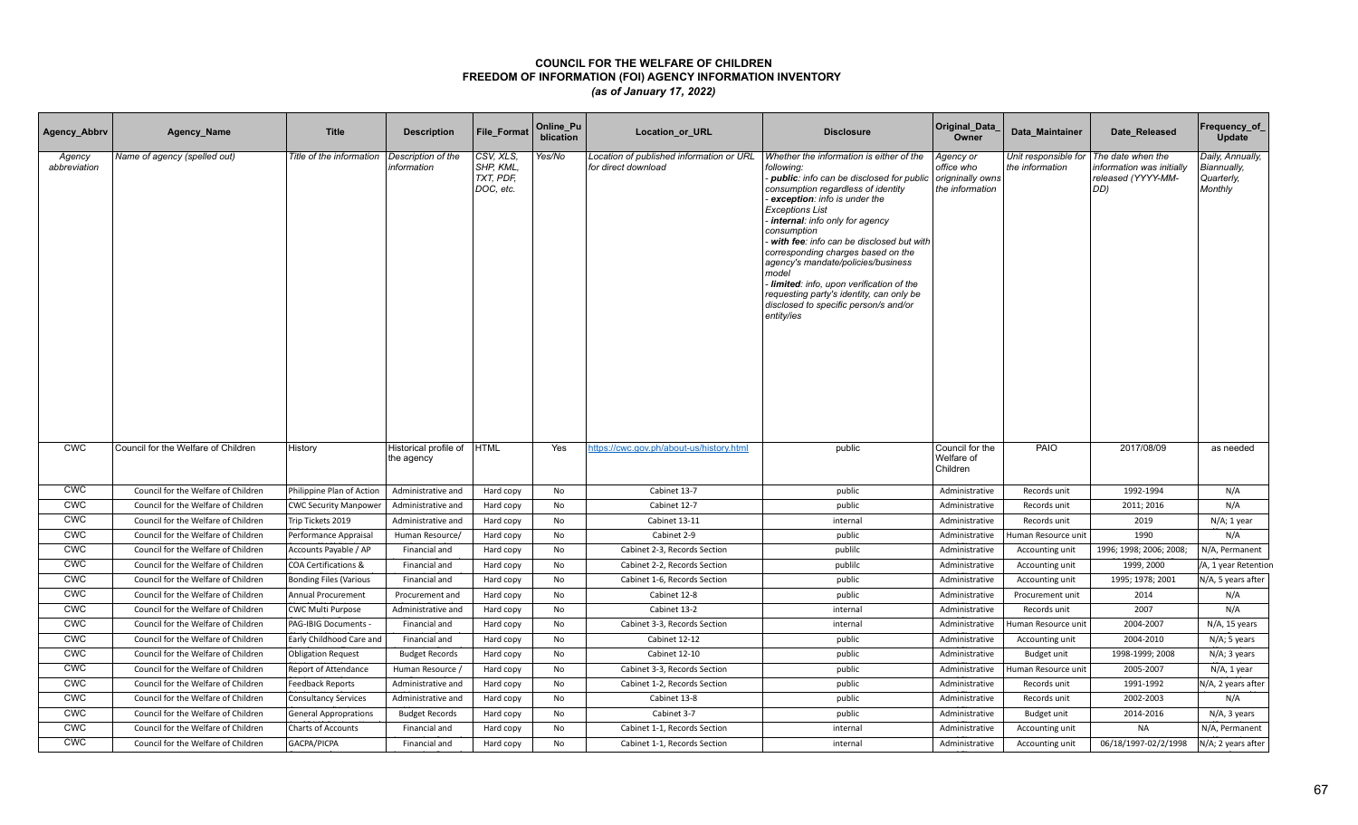| Agency_Abbrv           | Agency_Name                         | <b>Title</b>                  | <b>Description</b>                  | File_Format                                      | Online_Pu<br>blication | Location_or_URL                                                 | <b>Disclosure</b>                                                                                                                                                                                                                                                                                                                                                                                                                                                                                                                                   | Original_Data<br>Owner                     | Data Maintainer                         | Date Released                                                               | Frequency_of_<br>Update                                  |
|------------------------|-------------------------------------|-------------------------------|-------------------------------------|--------------------------------------------------|------------------------|-----------------------------------------------------------------|-----------------------------------------------------------------------------------------------------------------------------------------------------------------------------------------------------------------------------------------------------------------------------------------------------------------------------------------------------------------------------------------------------------------------------------------------------------------------------------------------------------------------------------------------------|--------------------------------------------|-----------------------------------------|-----------------------------------------------------------------------------|----------------------------------------------------------|
| Agency<br>abbreviation | Name of agency (spelled out)        | Title of the information      | Description of the<br>information   | CSV, XLS.<br>SHP, KML.<br>TXT, PDF,<br>DOC, etc. | Yes/No                 | Location of published information or URL<br>for direct download | Whether the information is either of the<br>following:<br>public: info can be disclosed for public origninally owns<br>consumption regardless of identity<br>exception: info is under the<br><b>Exceptions List</b><br>internal: info only for agency<br>consumption<br>with fee: info can be disclosed but with<br>corresponding charges based on the<br>agency's mandate/policies/business<br>model<br>Iimited: info, upon verification of the<br>requesting party's identity, can only be<br>disclosed to specific person/s and/or<br>entity/ies | Agency or<br>office who<br>the information | Unit responsible for<br>the information | The date when the<br>information was initially<br>released (YYYY-MM-<br>DD) | Daily, Annually,<br>Biannually,<br>Quarterly,<br>Monthly |
| <b>CWC</b>             | Council for the Welfare of Children | History                       | Historical profile of<br>the agency | <b>HTML</b>                                      | Yes                    | https://cwc.gov.ph/about-us/history.html                        | public                                                                                                                                                                                                                                                                                                                                                                                                                                                                                                                                              | Council for the<br>Welfare of<br>Children  | PAIO                                    | 2017/08/09                                                                  | as needed                                                |
| <b>CWC</b>             | Council for the Welfare of Children | Philippine Plan of Action     | Administrative and                  | Hard copy                                        | No                     | Cabinet 13-7                                                    | public                                                                                                                                                                                                                                                                                                                                                                                                                                                                                                                                              | Administrative                             | Records unit                            | 1992-1994                                                                   | N/A                                                      |
| <b>CWC</b>             | Council for the Welfare of Children | <b>CWC Security Manpower</b>  | Administrative and                  | Hard copy                                        | No                     | Cabinet 12-7                                                    | public                                                                                                                                                                                                                                                                                                                                                                                                                                                                                                                                              | Administrative                             | Records unit                            | 2011; 2016                                                                  | N/A                                                      |
| <b>CWC</b>             | Council for the Welfare of Children | Trip Tickets 2019             | Administrative and                  | Hard copy                                        | No                     | Cabinet 13-11                                                   | internal                                                                                                                                                                                                                                                                                                                                                                                                                                                                                                                                            | Administrative                             | Records unit                            | 2019                                                                        | N/A; 1 year                                              |
| <b>CWC</b>             | Council for the Welfare of Children | Performance Appraisal         | Human Resource/                     | Hard copy                                        | No                     | Cabinet 2-9                                                     | public                                                                                                                                                                                                                                                                                                                                                                                                                                                                                                                                              | Administrative                             | Human Resource unit                     | 1990                                                                        | N/A                                                      |
| <b>CWC</b>             | Council for the Welfare of Children | Accounts Payable / AP         | Financial and                       | Hard copy                                        | No                     | Cabinet 2-3, Records Section                                    | publilc                                                                                                                                                                                                                                                                                                                                                                                                                                                                                                                                             | Administrative                             | Accounting unit                         | 1996; 1998; 2006; 2008;                                                     | N/A, Permanent                                           |
| <b>CWC</b>             | Council for the Welfare of Children | COA Certifications &          | Financial and                       | Hard copy                                        | No                     | Cabinet 2-2, Records Section                                    | publilc                                                                                                                                                                                                                                                                                                                                                                                                                                                                                                                                             | Administrative                             | Accounting unit                         | 1999, 2000                                                                  | /A, 1 year Retention                                     |
| <b>CWC</b>             | Council for the Welfare of Children | <b>Bonding Files (Various</b> | Financial and                       | Hard copy                                        | No                     | Cabinet 1-6, Records Section                                    | public                                                                                                                                                                                                                                                                                                                                                                                                                                                                                                                                              | Administrative                             | Accounting unit                         | 1995; 1978; 2001                                                            | N/A, 5 years after                                       |
| <b>CWC</b>             | Council for the Welfare of Children | Annual Procurement            | Procurement and                     | Hard copy                                        | No                     | Cabinet 12-8                                                    | public                                                                                                                                                                                                                                                                                                                                                                                                                                                                                                                                              | Administrative                             | Procurement unit                        | 2014                                                                        | N/A                                                      |
| <b>CWC</b>             | Council for the Welfare of Children | <b>CWC Multi Purpose</b>      | Administrative and                  | Hard copy                                        | <b>No</b>              | Cabinet 13-2                                                    | internal                                                                                                                                                                                                                                                                                                                                                                                                                                                                                                                                            | Administrative                             | Records unit                            | 2007                                                                        | N/A                                                      |
| <b>CWC</b>             | Council for the Welfare of Children | PAG-IBIG Documents            | Financial and                       | Hard copy                                        | No                     | Cabinet 3-3, Records Section                                    | internal                                                                                                                                                                                                                                                                                                                                                                                                                                                                                                                                            | Administrative                             | Human Resource unit                     | 2004-2007                                                                   | N/A, 15 years                                            |
| <b>CWC</b>             | Council for the Welfare of Children | Early Childhood Care and      | Financial and                       | Hard copy                                        | No                     | Cabinet 12-12                                                   | public                                                                                                                                                                                                                                                                                                                                                                                                                                                                                                                                              | Administrative                             | Accounting unit                         | 2004-2010                                                                   | N/A; 5 years                                             |
| <b>CWC</b>             | Council for the Welfare of Children | <b>Obligation Request</b>     | <b>Budget Records</b>               | Hard copy                                        | No                     | Cabinet 12-10                                                   | public                                                                                                                                                                                                                                                                                                                                                                                                                                                                                                                                              | Administrative                             | Budget unit                             | 1998-1999; 2008                                                             | N/A; 3 years                                             |
| <b>CWC</b>             | Council for the Welfare of Children | Report of Attendance          | Human Resource,                     | Hard copy                                        | No                     | Cabinet 3-3, Records Section                                    | public                                                                                                                                                                                                                                                                                                                                                                                                                                                                                                                                              | Administrative                             | Human Resource unit                     | 2005-2007                                                                   | $N/A$ , 1 year                                           |
| <b>CWC</b>             | Council for the Welfare of Children | Feedback Reports              | Administrative and                  | Hard copy                                        | No                     | Cabinet 1-2, Records Section                                    | public                                                                                                                                                                                                                                                                                                                                                                                                                                                                                                                                              | Administrative                             | Records unit                            | 1991-1992                                                                   | N/A, 2 years after                                       |
| <b>CWC</b>             | Council for the Welfare of Children | <b>Consultancy Services</b>   | Administrative and                  | Hard copy                                        | No                     | Cabinet 13-8                                                    | public                                                                                                                                                                                                                                                                                                                                                                                                                                                                                                                                              | Administrative                             | Records unit                            | 2002-2003                                                                   | N/A                                                      |
| <b>CWC</b>             | Council for the Welfare of Children | <b>General Approprations</b>  | <b>Budget Records</b>               | Hard copy                                        | No                     | Cabinet 3-7                                                     | public                                                                                                                                                                                                                                                                                                                                                                                                                                                                                                                                              | Administrative                             | Budget unit                             | 2014-2016                                                                   | N/A, 3 years                                             |
| <b>CWC</b>             | Council for the Welfare of Children | <b>Charts of Accounts</b>     | Financial and                       | Hard copy                                        | No                     | Cabinet 1-1, Records Section                                    | internal                                                                                                                                                                                                                                                                                                                                                                                                                                                                                                                                            | Administrative                             | Accounting unit                         | <b>NA</b>                                                                   | N/A, Permanent                                           |
| <b>CWC</b>             | Council for the Welfare of Children | GACPA/PICPA                   | Financial and                       | Hard copy                                        | <b>No</b>              | Cabinet 1-1, Records Section                                    | internal                                                                                                                                                                                                                                                                                                                                                                                                                                                                                                                                            | Administrative                             | Accounting unit                         | 06/18/1997-02/2/1998                                                        | N/A; 2 years after                                       |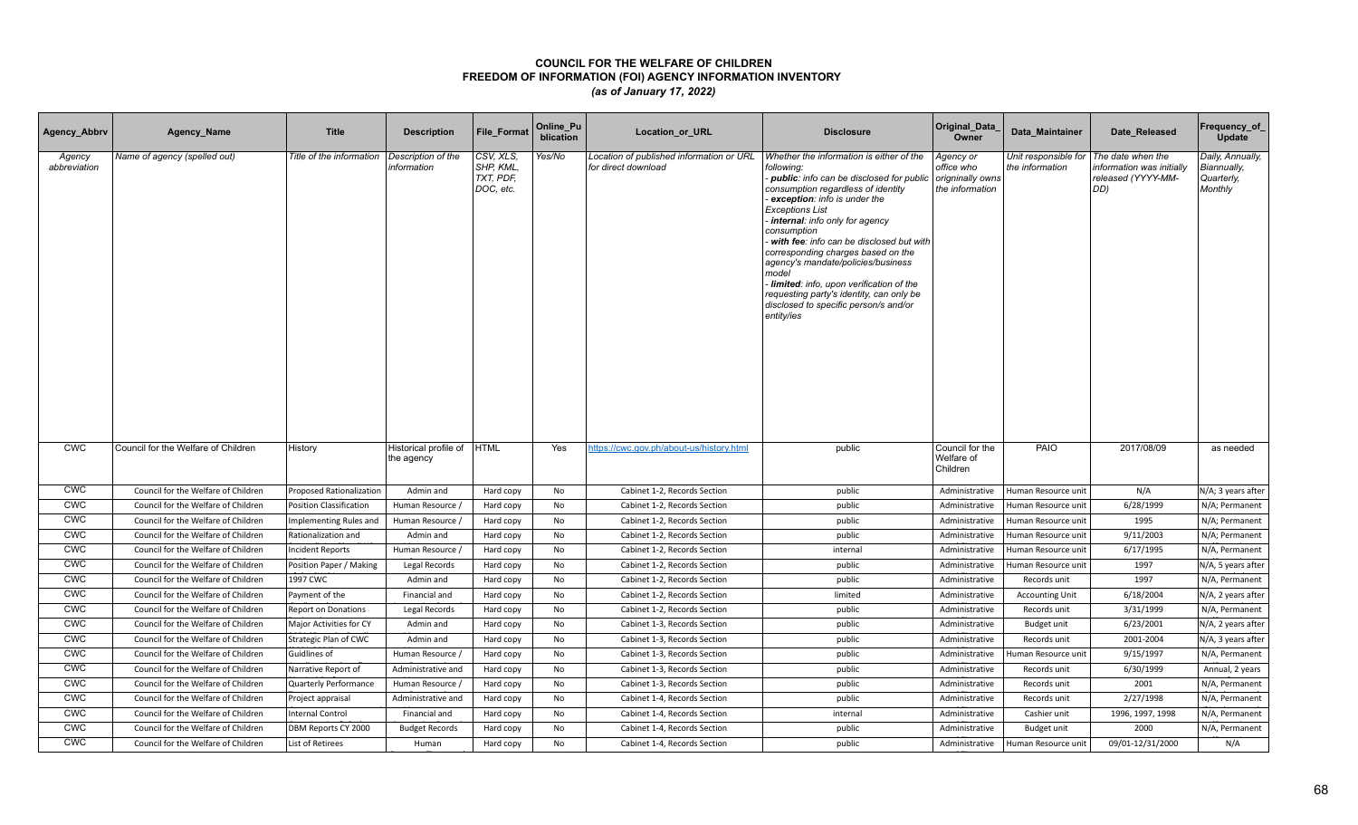| Agency_Abbrv           | Agency_Name                         | <b>Title</b>                    | <b>Description</b>                  | <b>File Format</b>                               | Online_Pu<br>blication | <b>Location or URL</b>                                          | <b>Disclosure</b>                                                                                                                                                                                                                                                                                                                                                                                                                                                                                                                    | Original_Data<br>Owner                                         | Data Maintainer                         | Date Released                                                              | Frequency_of<br><b>Update</b>                            |
|------------------------|-------------------------------------|---------------------------------|-------------------------------------|--------------------------------------------------|------------------------|-----------------------------------------------------------------|--------------------------------------------------------------------------------------------------------------------------------------------------------------------------------------------------------------------------------------------------------------------------------------------------------------------------------------------------------------------------------------------------------------------------------------------------------------------------------------------------------------------------------------|----------------------------------------------------------------|-----------------------------------------|----------------------------------------------------------------------------|----------------------------------------------------------|
| Agency<br>abbreviation | Name of agency (spelled out)        | Title of the information        | Description of the<br>information   | CSV, XLS,<br>SHP, KML,<br>TXT, PDF,<br>DOC, etc. | Yes/No                 | Location of published information or URL<br>for direct download | Whether the information is either of the<br>following:<br>- public: info can be disclosed for public<br>consumption regardless of identity<br>exception: info is under the<br><b>Exceptions List</b><br>internal: info only for agency<br>consumption<br>with fee: info can be disclosed but with<br>corresponding charges based on the<br>agency's mandate/policies/business<br>model<br>Iimited: info, upon verification of the<br>requesting party's identity, can only be<br>disclosed to specific person/s and/or<br>entity/ies | Agency or<br>office who<br>origninally owns<br>the information | Unit responsible for<br>the information | The date when the<br>nformation was initially<br>released (YYYY-MM-<br>DD) | Daily, Annually,<br>Biannually,<br>Quarterly,<br>Monthly |
| <b>CWC</b>             | Council for the Welfare of Children | History                         | Historical profile of<br>the agency | <b>HTML</b>                                      | Yes                    | https://cwc.gov.ph/about-us/history.html                        | public                                                                                                                                                                                                                                                                                                                                                                                                                                                                                                                               | Council for the<br>Welfare of<br>Children                      | PAIO                                    | 2017/08/09                                                                 | as needed                                                |
| <b>CWC</b>             | Council for the Welfare of Children | <b>Proposed Rationalization</b> | Admin and                           | Hard copy                                        | No                     | Cabinet 1-2, Records Section                                    | public                                                                                                                                                                                                                                                                                                                                                                                                                                                                                                                               | Administrative                                                 | Human Resource unit                     | N/A                                                                        | N/A; 3 years after                                       |
| <b>CWC</b>             | Council for the Welfare of Children | <b>Position Classification</b>  | Human Resource /                    | Hard copy                                        | No                     | Cabinet 1-2, Records Section                                    | public                                                                                                                                                                                                                                                                                                                                                                                                                                                                                                                               | Administrative                                                 | Human Resource unit                     | 6/28/1999                                                                  | N/A; Permanent                                           |
| <b>CWC</b>             | Council for the Welfare of Children | Implementing Rules and          | Human Resource /                    | Hard copy                                        | <b>No</b>              | Cabinet 1-2, Records Section                                    | public                                                                                                                                                                                                                                                                                                                                                                                                                                                                                                                               | Administrative                                                 | Human Resource unit                     | 1995                                                                       | N/A; Permanent                                           |
| <b>CWC</b>             | Council for the Welfare of Children | Rationalization and             | Admin and                           | Hard copy                                        | No                     | Cabinet 1-2, Records Section                                    | public                                                                                                                                                                                                                                                                                                                                                                                                                                                                                                                               | Administrative                                                 | Human Resource unit                     | 9/11/2003                                                                  | N/A; Permanent                                           |
| <b>CWC</b>             | Council for the Welfare of Children | <b>Incident Reports</b>         | Human Resource /                    | Hard copy                                        | No                     | Cabinet 1-2, Records Section                                    | internal                                                                                                                                                                                                                                                                                                                                                                                                                                                                                                                             | Administrative                                                 | Human Resource unit                     | 6/17/1995                                                                  | N/A, Permanent                                           |
| <b>CWC</b>             | Council for the Welfare of Children | Position Paper / Making         | Legal Records                       | Hard copy                                        | No                     | Cabinet 1-2, Records Section                                    | public                                                                                                                                                                                                                                                                                                                                                                                                                                                                                                                               | Administrative                                                 | Human Resource unit                     | 1997                                                                       | N/A, 5 years after                                       |
| <b>CWC</b>             | Council for the Welfare of Children | 1997 CWC                        | Admin and                           | Hard copy                                        | No                     | Cabinet 1-2, Records Section                                    | public                                                                                                                                                                                                                                                                                                                                                                                                                                                                                                                               | Administrative                                                 | Records unit                            | 1997                                                                       | N/A, Permanent                                           |
| <b>CWC</b>             | Council for the Welfare of Children | Payment of the                  | Financial and                       | Hard copy                                        | No                     | Cabinet 1-2, Records Section                                    | limited                                                                                                                                                                                                                                                                                                                                                                                                                                                                                                                              | Administrative                                                 | <b>Accounting Unit</b>                  | 6/18/2004                                                                  | N/A, 2 years after                                       |
| <b>CWC</b>             | Council for the Welfare of Children | <b>Report on Donations</b>      | Legal Records                       | Hard copy                                        | No                     | Cabinet 1-2, Records Section                                    | public                                                                                                                                                                                                                                                                                                                                                                                                                                                                                                                               | Administrative                                                 | Records unit                            | 3/31/1999                                                                  | N/A, Permanent                                           |
| <b>CWC</b>             | Council for the Welfare of Children | Major Activities for CY         | Admin and                           | Hard copy                                        | No                     | Cabinet 1-3, Records Section                                    | public                                                                                                                                                                                                                                                                                                                                                                                                                                                                                                                               | Administrative                                                 | Budget unit                             | 6/23/2001                                                                  | N/A, 2 years after                                       |
| <b>CWC</b>             | Council for the Welfare of Children | Strategic Plan of CWC           | Admin and                           | Hard copy                                        | No                     | Cabinet 1-3, Records Section                                    | public                                                                                                                                                                                                                                                                                                                                                                                                                                                                                                                               | Administrative                                                 | Records unit                            | 2001-2004                                                                  | N/A, 3 years after                                       |
| <b>CWC</b>             | Council for the Welfare of Children | Guidlines of                    | Human Resource /                    | Hard copy                                        | No                     | Cabinet 1-3, Records Section                                    | public                                                                                                                                                                                                                                                                                                                                                                                                                                                                                                                               | Administrative                                                 | Human Resource unit                     | 9/15/1997                                                                  | N/A, Permanent                                           |
| <b>CWC</b>             | Council for the Welfare of Children | Narrative Report of             | Administrative and                  | Hard copy                                        | No                     | Cabinet 1-3, Records Section                                    | public                                                                                                                                                                                                                                                                                                                                                                                                                                                                                                                               | Administrative                                                 | Records unit                            | 6/30/1999                                                                  | Annual, 2 years                                          |
| <b>CWC</b>             | Council for the Welfare of Children | Quarterly Performance           | Human Resource /                    | Hard copy                                        | No                     | Cabinet 1-3, Records Section                                    | public                                                                                                                                                                                                                                                                                                                                                                                                                                                                                                                               | Administrative                                                 | Records unit                            | 2001                                                                       | N/A, Permanent                                           |
| <b>CWC</b>             | Council for the Welfare of Children | Project appraisal               | Administrative and                  | Hard copy                                        | <b>No</b>              | Cabinet 1-4, Records Section                                    | public                                                                                                                                                                                                                                                                                                                                                                                                                                                                                                                               | Administrative                                                 | Records unit                            | 2/27/1998                                                                  | N/A, Permanent                                           |
| <b>CWC</b>             | Council for the Welfare of Children | <b>Internal Control</b>         | Financial and                       | Hard copy                                        | No                     | Cabinet 1-4, Records Section                                    | internal                                                                                                                                                                                                                                                                                                                                                                                                                                                                                                                             | Administrative                                                 | Cashier unit                            | 1996, 1997, 1998                                                           | N/A, Permanent                                           |
| <b>CWC</b>             | Council for the Welfare of Children | DBM Reports CY 2000             | <b>Budget Records</b>               | Hard copy                                        | No                     | Cabinet 1-4, Records Section                                    | public                                                                                                                                                                                                                                                                                                                                                                                                                                                                                                                               | Administrative                                                 | Budget unit                             | 2000                                                                       | N/A, Permanent                                           |
| <b>CWC</b>             | Council for the Welfare of Children | List of Retirees                | Human                               | Hard copy                                        | No                     | Cabinet 1-4, Records Section                                    | public                                                                                                                                                                                                                                                                                                                                                                                                                                                                                                                               | Administrative                                                 | Human Resource unit                     | 09/01-12/31/2000                                                           | N/A                                                      |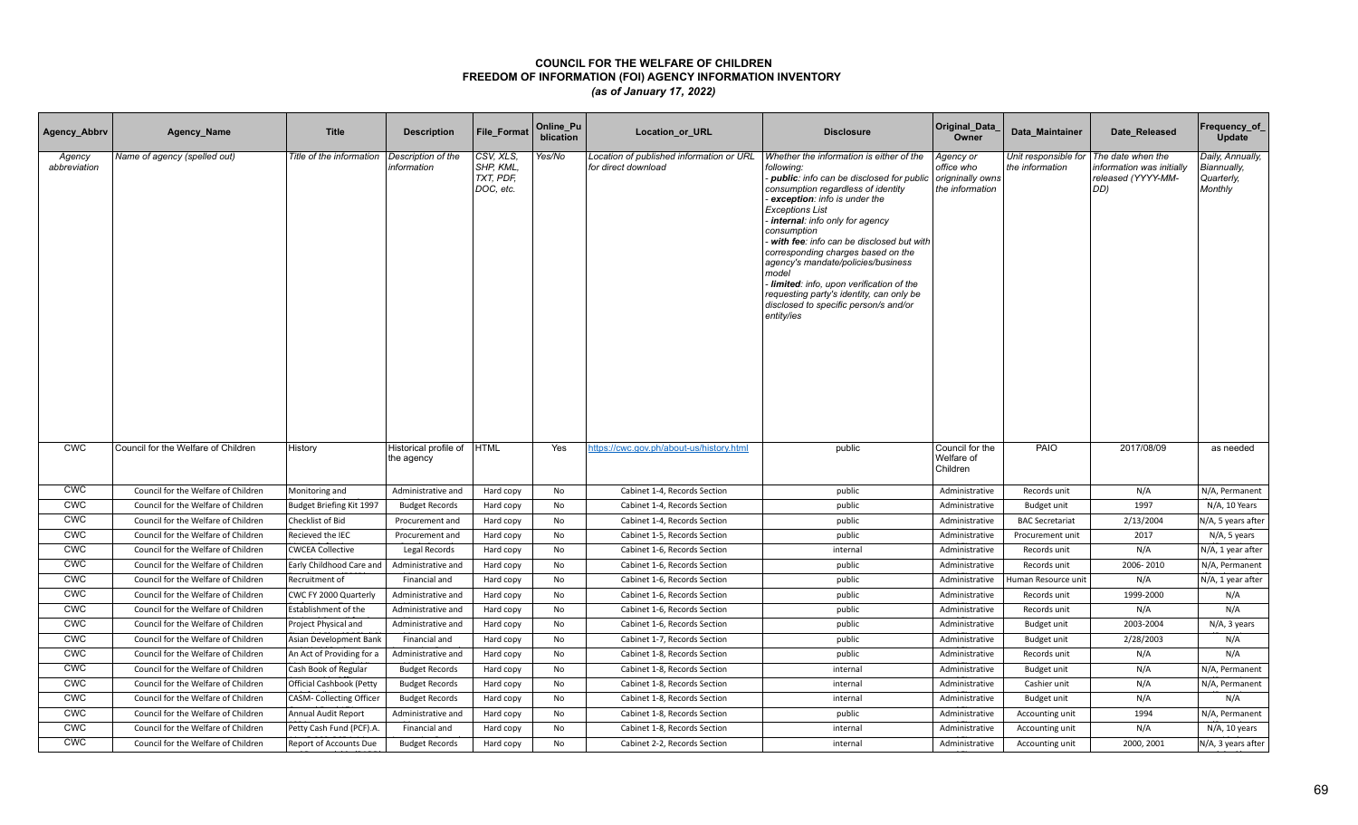| Agency_Abbrv           | Agency_Name                         | <b>Title</b>                    | <b>Description</b>                  | <b>File Format</b>                               | Online_Pu<br>blication | <b>Location or URL</b>                                          | <b>Disclosure</b>                                                                                                                                                                                                                                                                                                                                                                                                                                                                                                                  | Original_Data<br>Owner                                         | Data Maintainer                         | Date Released                                                               | Frequency_of<br><b>Update</b>                            |
|------------------------|-------------------------------------|---------------------------------|-------------------------------------|--------------------------------------------------|------------------------|-----------------------------------------------------------------|------------------------------------------------------------------------------------------------------------------------------------------------------------------------------------------------------------------------------------------------------------------------------------------------------------------------------------------------------------------------------------------------------------------------------------------------------------------------------------------------------------------------------------|----------------------------------------------------------------|-----------------------------------------|-----------------------------------------------------------------------------|----------------------------------------------------------|
| Agency<br>abbreviation | Name of agency (spelled out)        | Title of the information        | Description of the<br>information   | CSV, XLS,<br>SHP, KML,<br>TXT, PDF,<br>DOC, etc. | Yes/No                 | Location of published information or URL<br>for direct download | Whether the information is either of the<br>following:<br>public: info can be disclosed for public<br>consumption regardless of identity<br>exception: info is under the<br><b>Exceptions List</b><br>internal: info only for agency<br>consumption<br>with fee: info can be disclosed but with<br>corresponding charges based on the<br>agency's mandate/policies/business<br>model<br>limited: info, upon verification of the<br>requesting party's identity, can only be<br>disclosed to specific person/s and/or<br>entity/ies | Agency or<br>office who<br>origninally owns<br>the information | Unit responsible for<br>the information | The date when the<br>information was initially<br>released (YYYY-MM-<br>DD) | Daily, Annually,<br>Biannually,<br>Quarterly,<br>Monthly |
| <b>CWC</b>             | Council for the Welfare of Children | History                         | Historical profile of<br>the agency | <b>HTML</b>                                      | Yes                    | https://cwc.gov.ph/about-us/history.html                        | public                                                                                                                                                                                                                                                                                                                                                                                                                                                                                                                             | Council for the<br>Welfare of<br>Children                      | PAIO                                    | 2017/08/09                                                                  | as needed                                                |
| <b>CWC</b>             | Council for the Welfare of Children | Monitoring and                  | Administrative and                  | Hard copy                                        | No                     | Cabinet 1-4, Records Section                                    | public                                                                                                                                                                                                                                                                                                                                                                                                                                                                                                                             | Administrative                                                 | Records unit                            | N/A                                                                         | N/A, Permanent                                           |
| <b>CWC</b>             | Council for the Welfare of Children | Budget Briefing Kit 1997        | <b>Budget Records</b>               | Hard copy                                        | No                     | Cabinet 1-4, Records Section                                    | public                                                                                                                                                                                                                                                                                                                                                                                                                                                                                                                             | Administrative                                                 | <b>Budget unit</b>                      | 1997                                                                        | N/A, 10 Years                                            |
| <b>CWC</b>             | Council for the Welfare of Children | Checklist of Bid                | Procurement and                     | Hard copy                                        | No                     | Cabinet 1-4, Records Section                                    | public                                                                                                                                                                                                                                                                                                                                                                                                                                                                                                                             | Administrative                                                 | <b>BAC Secretariat</b>                  | 2/13/2004                                                                   | N/A, 5 years after                                       |
| <b>CWC</b>             | Council for the Welfare of Children | Recieved the IEC                | Procurement and                     | Hard copy                                        | No                     | Cabinet 1-5, Records Section                                    | public                                                                                                                                                                                                                                                                                                                                                                                                                                                                                                                             | Administrative                                                 | Procurement unit                        | 2017                                                                        | N/A, 5 years                                             |
| <b>CWC</b>             | Council for the Welfare of Children | <b>CWCEA Collective</b>         | Legal Records                       | Hard copy                                        | No                     | Cabinet 1-6, Records Section                                    | internal                                                                                                                                                                                                                                                                                                                                                                                                                                                                                                                           | Administrative                                                 | Records unit                            | N/A                                                                         | N/A, 1 year after                                        |
| <b>CWC</b>             | Council for the Welfare of Children | Early Childhood Care and        | Administrative and                  | Hard copy                                        | No                     | Cabinet 1-6, Records Section                                    | public                                                                                                                                                                                                                                                                                                                                                                                                                                                                                                                             | Administrative                                                 | Records unit                            | 2006-2010                                                                   | N/A, Permanent                                           |
| <b>CWC</b>             | Council for the Welfare of Children | Recruitment of                  | Financial and                       | Hard copy                                        | No                     | Cabinet 1-6, Records Section                                    | public                                                                                                                                                                                                                                                                                                                                                                                                                                                                                                                             | Administrative                                                 | Human Resource unit                     | N/A                                                                         | N/A, 1 year after                                        |
| CWC                    | Council for the Welfare of Children | CWC FY 2000 Quarterly           | Administrative and                  | Hard copy                                        | No                     | Cabinet 1-6, Records Section                                    | public                                                                                                                                                                                                                                                                                                                                                                                                                                                                                                                             | Administrative                                                 | Records unit                            | 1999-2000                                                                   | N/A                                                      |
| <b>CWC</b>             | Council for the Welfare of Children | Establishment of the            | Administrative and                  | Hard copy                                        | No                     | Cabinet 1-6, Records Section                                    | public                                                                                                                                                                                                                                                                                                                                                                                                                                                                                                                             | Administrative                                                 | Records unit                            | N/A                                                                         | N/A                                                      |
| <b>CWC</b>             | Council for the Welfare of Children | Project Physical and            | Administrative and                  | Hard copy                                        | No                     | Cabinet 1-6, Records Section                                    | public                                                                                                                                                                                                                                                                                                                                                                                                                                                                                                                             | Administrative                                                 | Budget unit                             | 2003-2004                                                                   | N/A, 3 years                                             |
| <b>CWC</b>             | Council for the Welfare of Children | Asian Development Bank          | Financial and                       | Hard copy                                        | No                     | Cabinet 1-7, Records Section                                    | public                                                                                                                                                                                                                                                                                                                                                                                                                                                                                                                             | Administrative                                                 | Budget unit                             | 2/28/2003                                                                   | N/A                                                      |
| <b>CWC</b>             | Council for the Welfare of Children | An Act of Providing for a       | Administrative and                  | Hard copy                                        | No                     | Cabinet 1-8, Records Section                                    | public                                                                                                                                                                                                                                                                                                                                                                                                                                                                                                                             | Administrative                                                 | Records unit                            | N/A                                                                         | N/A                                                      |
| <b>CWC</b>             | Council for the Welfare of Children | Cash Book of Regular            | <b>Budget Records</b>               | Hard copy                                        | No                     | Cabinet 1-8, Records Section                                    | internal                                                                                                                                                                                                                                                                                                                                                                                                                                                                                                                           | Administrative                                                 | Budget unit                             | N/A                                                                         | N/A, Permanent                                           |
| <b>CWC</b>             | Council for the Welfare of Children | <b>Official Cashbook (Petty</b> | <b>Budget Records</b>               | Hard copy                                        | No                     | Cabinet 1-8, Records Section                                    | internal                                                                                                                                                                                                                                                                                                                                                                                                                                                                                                                           | Administrative                                                 | Cashier unit                            | N/A                                                                         | N/A, Permanent                                           |
| <b>CWC</b>             | Council for the Welfare of Children | <b>CASM- Collecting Officer</b> | <b>Budget Records</b>               | Hard copy                                        | <b>No</b>              | Cabinet 1-8, Records Section                                    | internal                                                                                                                                                                                                                                                                                                                                                                                                                                                                                                                           | Administrative                                                 | Budget unit                             | N/A                                                                         | N/A                                                      |
| <b>CWC</b>             | Council for the Welfare of Children | Annual Audit Report             | Administrative and                  | Hard copy                                        | No                     | Cabinet 1-8, Records Section                                    | public                                                                                                                                                                                                                                                                                                                                                                                                                                                                                                                             | Administrative                                                 | Accounting unit                         | 1994                                                                        | N/A, Permanent                                           |
| <b>CWC</b>             | Council for the Welfare of Children | Petty Cash Fund (PCF).A.        | Financial and                       | Hard copy                                        | No                     | Cabinet 1-8, Records Section                                    | internal                                                                                                                                                                                                                                                                                                                                                                                                                                                                                                                           | Administrative                                                 | Accounting unit                         | N/A                                                                         | N/A, 10 years                                            |
| <b>CWC</b>             | Council for the Welfare of Children | Report of Accounts Due          | <b>Budget Records</b>               | Hard copy                                        | No                     | Cabinet 2-2, Records Section                                    | internal                                                                                                                                                                                                                                                                                                                                                                                                                                                                                                                           | Administrative                                                 | Accounting unit                         | 2000, 2001                                                                  | N/A, 3 years after                                       |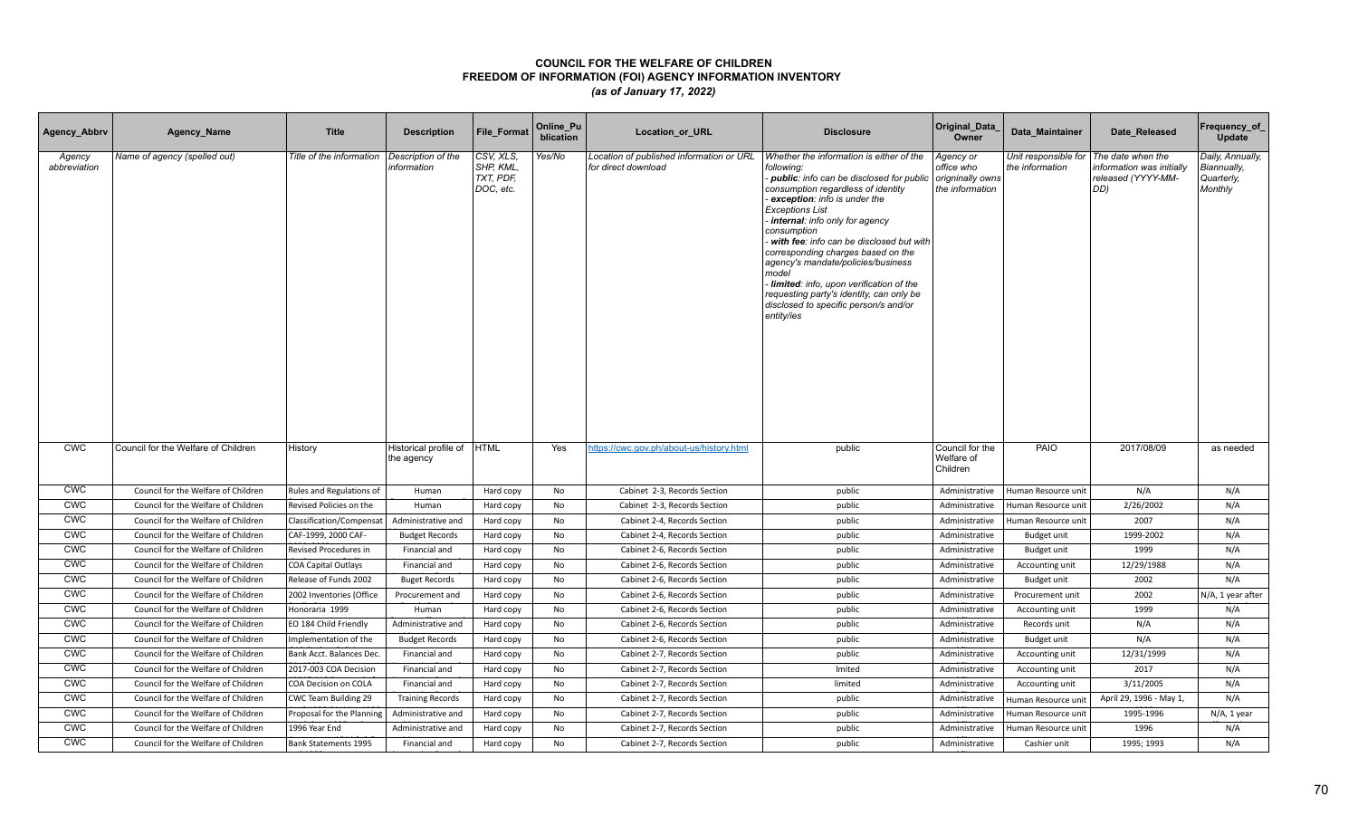| Agency_Abbrv           | Agency_Name                         | <b>Title</b>                | <b>Description</b>                  | <b>File Format</b>                               | Online_Pu<br>blication | <b>Location or URL</b>                                          | <b>Disclosure</b>                                                                                                                                                                                                                                                                                                                                                                                                                                                                                                                    | Original_Data<br>Owner                                         | Data Maintainer                         | Date Released                                                              | Frequency_of<br>Update                                   |
|------------------------|-------------------------------------|-----------------------------|-------------------------------------|--------------------------------------------------|------------------------|-----------------------------------------------------------------|--------------------------------------------------------------------------------------------------------------------------------------------------------------------------------------------------------------------------------------------------------------------------------------------------------------------------------------------------------------------------------------------------------------------------------------------------------------------------------------------------------------------------------------|----------------------------------------------------------------|-----------------------------------------|----------------------------------------------------------------------------|----------------------------------------------------------|
| Agency<br>abbreviation | Name of agency (spelled out)        | Title of the information    | Description of the<br>information   | CSV, XLS,<br>SHP, KML,<br>TXT, PDF,<br>DOC, etc. | Yes/No                 | Location of published information or URL<br>for direct download | Whether the information is either of the<br>following:<br>- public: info can be disclosed for public<br>consumption regardless of identity<br>exception: info is under the<br><b>Exceptions List</b><br>internal: info only for agency<br>consumption<br>with fee: info can be disclosed but with<br>corresponding charges based on the<br>agency's mandate/policies/business<br>model<br>Iimited: info, upon verification of the<br>requesting party's identity, can only be<br>disclosed to specific person/s and/or<br>entity/ies | Agency or<br>office who<br>origninally owns<br>the information | Unit responsible for<br>the information | The date when the<br>nformation was initially<br>released (YYYY-MM-<br>DD) | Daily, Annually,<br>Biannually,<br>Quarterly,<br>Monthly |
| <b>CWC</b>             | Council for the Welfare of Children | History                     | Historical profile of<br>the agency | <b>HTML</b>                                      | Yes                    | https://cwc.gov.ph/about-us/history.html                        | public                                                                                                                                                                                                                                                                                                                                                                                                                                                                                                                               | Council for the<br>Welfare of<br>Children                      | PAIO                                    | 2017/08/09                                                                 | as needed                                                |
| <b>CWC</b>             | Council for the Welfare of Children | Rules and Regulations of    | Human                               | Hard copy                                        | No                     | Cabinet 2-3, Records Section                                    | public                                                                                                                                                                                                                                                                                                                                                                                                                                                                                                                               | Administrative                                                 | Human Resource unit                     | N/A                                                                        | N/A                                                      |
| <b>CWC</b>             | Council for the Welfare of Children | Revised Policies on the     | Human                               | Hard copy                                        | No                     | Cabinet 2-3, Records Section                                    | public                                                                                                                                                                                                                                                                                                                                                                                                                                                                                                                               | Administrative                                                 | Human Resource unit                     | 2/26/2002                                                                  | N/A                                                      |
| <b>CWC</b>             | Council for the Welfare of Children | Classification/Compensat    | Administrative and                  | Hard copy                                        | <b>No</b>              | Cabinet 2-4, Records Section                                    | public                                                                                                                                                                                                                                                                                                                                                                                                                                                                                                                               | Administrative                                                 | Human Resource unit                     | 2007                                                                       | N/A                                                      |
| <b>CWC</b>             | Council for the Welfare of Children | CAF-1999, 2000 CAF-         | <b>Budget Records</b>               | Hard copy                                        | No                     | Cabinet 2-4, Records Section                                    | public                                                                                                                                                                                                                                                                                                                                                                                                                                                                                                                               | Administrative                                                 | Budget unit                             | 1999-2002                                                                  | N/A                                                      |
| <b>CWC</b>             | Council for the Welfare of Children | Revised Procedures in       | Financial and                       | Hard copy                                        | No                     | Cabinet 2-6, Records Section                                    | public                                                                                                                                                                                                                                                                                                                                                                                                                                                                                                                               | Administrative                                                 | Budget unit                             | 1999                                                                       | N/A                                                      |
| <b>CWC</b>             | Council for the Welfare of Children | <b>COA Capital Outlays</b>  | Financial and                       | Hard copy                                        | No                     | Cabinet 2-6, Records Section                                    | public                                                                                                                                                                                                                                                                                                                                                                                                                                                                                                                               | Administrative                                                 | Accounting unit                         | 12/29/1988                                                                 | N/A                                                      |
| <b>CWC</b>             | Council for the Welfare of Children | Release of Funds 2002       | <b>Buget Records</b>                | Hard copy                                        | No                     | Cabinet 2-6, Records Section                                    | public                                                                                                                                                                                                                                                                                                                                                                                                                                                                                                                               | Administrative                                                 | Budget unit                             | 2002                                                                       | N/A                                                      |
| CWC                    | Council for the Welfare of Children | 2002 Inventories (Office    | Procurement and                     | Hard copy                                        | No                     | Cabinet 2-6, Records Section                                    | public                                                                                                                                                                                                                                                                                                                                                                                                                                                                                                                               | Administrative                                                 | Procurement unit                        | 2002                                                                       | N/A, 1 year after                                        |
| <b>CWC</b>             | Council for the Welfare of Children | Honoraria 1999              | Human                               | Hard copy                                        | No                     | Cabinet 2-6, Records Section                                    | public                                                                                                                                                                                                                                                                                                                                                                                                                                                                                                                               | Administrative                                                 | Accounting unit                         | 1999                                                                       | N/A                                                      |
| <b>CWC</b>             | Council for the Welfare of Children | EO 184 Child Friendly       | Administrative and                  | Hard copy                                        | No                     | Cabinet 2-6, Records Section                                    | public                                                                                                                                                                                                                                                                                                                                                                                                                                                                                                                               | Administrative                                                 | Records unit                            | N/A                                                                        | N/A                                                      |
| <b>CWC</b>             | Council for the Welfare of Children | Implementation of the       | <b>Budget Records</b>               | Hard copy                                        | No                     | Cabinet 2-6, Records Section                                    | public                                                                                                                                                                                                                                                                                                                                                                                                                                                                                                                               | Administrative                                                 | Budget unit                             | N/A                                                                        | N/A                                                      |
| <b>CWC</b>             | Council for the Welfare of Children | Bank Acct. Balances Dec.    | Financial and                       | Hard copy                                        | No                     | Cabinet 2-7, Records Section                                    | public                                                                                                                                                                                                                                                                                                                                                                                                                                                                                                                               | Administrative                                                 | Accounting unit                         | 12/31/1999                                                                 | N/A                                                      |
| <b>CWC</b>             | Council for the Welfare of Children | 2017-003 COA Decision       | Financial and                       | Hard copy                                        | No                     | Cabinet 2-7, Records Section                                    | Imited                                                                                                                                                                                                                                                                                                                                                                                                                                                                                                                               | Administrative                                                 | Accounting unit                         | 2017                                                                       | N/A                                                      |
| <b>CWC</b>             | Council for the Welfare of Children | COA Decision on COLA        | Financial and                       | Hard copy                                        | No                     | Cabinet 2-7, Records Section                                    | limited                                                                                                                                                                                                                                                                                                                                                                                                                                                                                                                              | Administrative                                                 | Accounting unit                         | 3/11/2005                                                                  | N/A                                                      |
| <b>CWC</b>             | Council for the Welfare of Children | CWC Team Building 29        | <b>Training Records</b>             | Hard copy                                        | <b>No</b>              | Cabinet 2-7, Records Section                                    | public                                                                                                                                                                                                                                                                                                                                                                                                                                                                                                                               | Administrative                                                 | Human Resource unit                     | April 29, 1996 - May 1,                                                    | N/A                                                      |
| <b>CWC</b>             | Council for the Welfare of Children | Proposal for the Planning   | Administrative and                  | Hard copy                                        | No                     | Cabinet 2-7, Records Section                                    | public                                                                                                                                                                                                                                                                                                                                                                                                                                                                                                                               | Administrative                                                 | Human Resource unit                     | 1995-1996                                                                  | N/A, 1 year                                              |
| <b>CWC</b>             | Council for the Welfare of Children | 1996 Year End               | Administrative and                  | Hard copy                                        | No                     | Cabinet 2-7, Records Section                                    | public                                                                                                                                                                                                                                                                                                                                                                                                                                                                                                                               | Administrative                                                 | Human Resource unit                     | 1996                                                                       | N/A                                                      |
| <b>CWC</b>             | Council for the Welfare of Children | <b>Bank Statements 1995</b> | Financial and                       | Hard copy                                        | No                     | Cabinet 2-7, Records Section                                    | public                                                                                                                                                                                                                                                                                                                                                                                                                                                                                                                               | Administrative                                                 | Cashier unit                            | 1995; 1993                                                                 | N/A                                                      |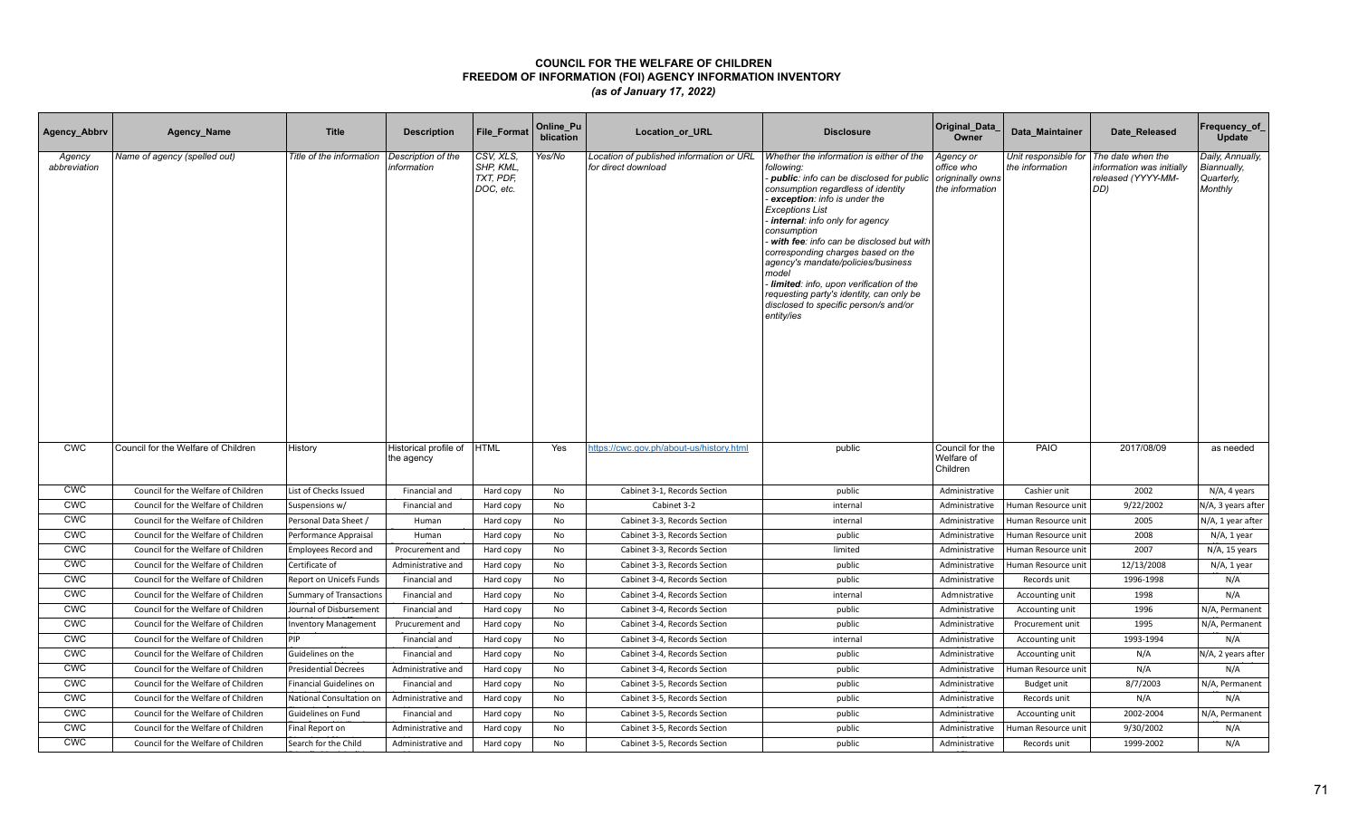| Agency_Abbrv           | Agency_Name                         | <b>Title</b>                | <b>Description</b>                  | <b>File Format</b>                               | Online_Pu<br>blication | <b>Location or URL</b>                                          | <b>Disclosure</b>                                                                                                                                                                                                                                                                                                                                                                                                                                                                                                                    | Original_Data<br>Owner                                         | Data Maintainer                         | Date Released                                                              | Frequency_of<br><b>Update</b>                            |
|------------------------|-------------------------------------|-----------------------------|-------------------------------------|--------------------------------------------------|------------------------|-----------------------------------------------------------------|--------------------------------------------------------------------------------------------------------------------------------------------------------------------------------------------------------------------------------------------------------------------------------------------------------------------------------------------------------------------------------------------------------------------------------------------------------------------------------------------------------------------------------------|----------------------------------------------------------------|-----------------------------------------|----------------------------------------------------------------------------|----------------------------------------------------------|
| Agency<br>abbreviation | Name of agency (spelled out)        | Title of the information    | Description of the<br>information   | CSV, XLS,<br>SHP, KML,<br>TXT, PDF,<br>DOC, etc. | Yes/No                 | Location of published information or URL<br>for direct download | Whether the information is either of the<br>following:<br>- public: info can be disclosed for public<br>consumption regardless of identity<br>exception: info is under the<br><b>Exceptions List</b><br>internal: info only for agency<br>consumption<br>with fee: info can be disclosed but with<br>corresponding charges based on the<br>agency's mandate/policies/business<br>model<br>Iimited: info, upon verification of the<br>requesting party's identity, can only be<br>disclosed to specific person/s and/or<br>entity/ies | Agency or<br>office who<br>origninally owns<br>the information | Unit responsible for<br>the information | The date when the<br>nformation was initially<br>released (YYYY-MM-<br>DD) | Daily, Annually,<br>Biannually,<br>Quarterly,<br>Monthly |
| <b>CWC</b>             | Council for the Welfare of Children | History                     | Historical profile of<br>the agency | <b>HTML</b>                                      | Yes                    | https://cwc.gov.ph/about-us/history.html                        | public                                                                                                                                                                                                                                                                                                                                                                                                                                                                                                                               | Council for the<br>Welfare of<br>Children                      | PAIO                                    | 2017/08/09                                                                 | as needed                                                |
| <b>CWC</b>             | Council for the Welfare of Children | List of Checks Issued       | Financial and                       | Hard copy                                        | No                     | Cabinet 3-1, Records Section                                    | public                                                                                                                                                                                                                                                                                                                                                                                                                                                                                                                               | Administrative                                                 | Cashier unit                            | 2002                                                                       | N/A, 4 years                                             |
| <b>CWC</b>             | Council for the Welfare of Children | Suspensions w/              | Financial and                       | Hard copy                                        | No                     | Cabinet 3-2                                                     | internal                                                                                                                                                                                                                                                                                                                                                                                                                                                                                                                             | Administrative                                                 | Human Resource unit                     | 9/22/2002                                                                  | N/A, 3 years after                                       |
| <b>CWC</b>             | Council for the Welfare of Children | Personal Data Sheet /       | Human                               | Hard copy                                        | No                     | Cabinet 3-3. Records Section                                    | internal                                                                                                                                                                                                                                                                                                                                                                                                                                                                                                                             | Administrative                                                 | Human Resource unit                     | 2005                                                                       | N/A, 1 year after                                        |
| <b>CWC</b>             | Council for the Welfare of Children | Performance Appraisal       | Human                               | Hard copy                                        | No                     | Cabinet 3-3, Records Section                                    | public                                                                                                                                                                                                                                                                                                                                                                                                                                                                                                                               | Administrative                                                 | Human Resource unit                     | 2008                                                                       | $N/A$ , 1 year                                           |
| <b>CWC</b>             | Council for the Welfare of Children | <b>Employees Record and</b> | Procurement and                     | Hard copy                                        | No                     | Cabinet 3-3, Records Section                                    | limited                                                                                                                                                                                                                                                                                                                                                                                                                                                                                                                              | Administrative                                                 | Human Resource unit                     | 2007                                                                       | N/A, 15 years                                            |
| <b>CWC</b>             | Council for the Welfare of Children | Certificate of              | Administrative and                  | Hard copy                                        | No                     | Cabinet 3-3, Records Section                                    | public                                                                                                                                                                                                                                                                                                                                                                                                                                                                                                                               | Administrative                                                 | Human Resource unit                     | 12/13/2008                                                                 | N/A, 1 year                                              |
| <b>CWC</b>             | Council for the Welfare of Children | Report on Unicefs Funds     | Financial and                       | Hard copy                                        | No                     | Cabinet 3-4, Records Section                                    | public                                                                                                                                                                                                                                                                                                                                                                                                                                                                                                                               | Administrative                                                 | Records unit                            | 1996-1998                                                                  | N/A                                                      |
| CWC                    | Council for the Welfare of Children | Summary of Transactions     | Financial and                       | Hard copy                                        | No                     | Cabinet 3-4, Records Section                                    | internal                                                                                                                                                                                                                                                                                                                                                                                                                                                                                                                             | Admnistrative                                                  | Accounting unit                         | 1998                                                                       | N/A                                                      |
| <b>CWC</b>             | Council for the Welfare of Children | Journal of Disbursement     | Financial and                       | Hard copy                                        | No                     | Cabinet 3-4, Records Section                                    | public                                                                                                                                                                                                                                                                                                                                                                                                                                                                                                                               | Administrative                                                 | Accounting unit                         | 1996                                                                       | N/A, Permanent                                           |
| <b>CWC</b>             | Council for the Welfare of Children | <b>Inventory Management</b> | Prucurement and                     | Hard copy                                        | No                     | Cabinet 3-4, Records Section                                    | public                                                                                                                                                                                                                                                                                                                                                                                                                                                                                                                               | Administrative                                                 | Procurement unit                        | 1995                                                                       | N/A, Permanent                                           |
| <b>CWC</b>             | Council for the Welfare of Children | PIP                         | Financial and                       | Hard copy                                        | No                     | Cabinet 3-4, Records Section                                    | internal                                                                                                                                                                                                                                                                                                                                                                                                                                                                                                                             | Administrative                                                 | Accounting unit                         | 1993-1994                                                                  | N/A                                                      |
| <b>CWC</b>             | Council for the Welfare of Children | Guidelines on the           | Financial and                       | Hard copy                                        | No                     | Cabinet 3-4, Records Section                                    | public                                                                                                                                                                                                                                                                                                                                                                                                                                                                                                                               | Administrative                                                 | Accounting unit                         | N/A                                                                        | N/A, 2 years after                                       |
| <b>CWC</b>             | Council for the Welfare of Children | <b>Presidential Decrees</b> | Administrative and                  | Hard copy                                        | No                     | Cabinet 3-4, Records Section                                    | public                                                                                                                                                                                                                                                                                                                                                                                                                                                                                                                               | Administrative                                                 | Human Resource unit                     | N/A                                                                        | N/A                                                      |
| <b>CWC</b>             | Council for the Welfare of Children | Financial Guidelines on     | Financial and                       | Hard copy                                        | No                     | Cabinet 3-5, Records Section                                    | public                                                                                                                                                                                                                                                                                                                                                                                                                                                                                                                               | Administrative                                                 | Budget unit                             | 8/7/2003                                                                   | N/A, Permanent                                           |
| <b>CWC</b>             | Council for the Welfare of Children | National Consultation on    | Administrative and                  | Hard copy                                        | <b>No</b>              | Cabinet 3-5, Records Section                                    | public                                                                                                                                                                                                                                                                                                                                                                                                                                                                                                                               | Administrative                                                 | Records unit                            | N/A                                                                        | N/A                                                      |
| <b>CWC</b>             | Council for the Welfare of Children | Guidelines on Fund          | Financial and                       | Hard copy                                        | No                     | Cabinet 3-5, Records Section                                    | public                                                                                                                                                                                                                                                                                                                                                                                                                                                                                                                               | Administrative                                                 | Accounting unit                         | 2002-2004                                                                  | N/A, Permanent                                           |
| <b>CWC</b>             | Council for the Welfare of Children | Final Report on             | Administrative and                  | Hard copy                                        | No                     | Cabinet 3-5, Records Section                                    | public                                                                                                                                                                                                                                                                                                                                                                                                                                                                                                                               | Administrative                                                 | Human Resource unit                     | 9/30/2002                                                                  | N/A                                                      |
| <b>CWC</b>             | Council for the Welfare of Children | Search for the Child        | Administrative and                  | Hard copy                                        | No                     | Cabinet 3-5, Records Section                                    | public                                                                                                                                                                                                                                                                                                                                                                                                                                                                                                                               | Administrative                                                 | Records unit                            | 1999-2002                                                                  | N/A                                                      |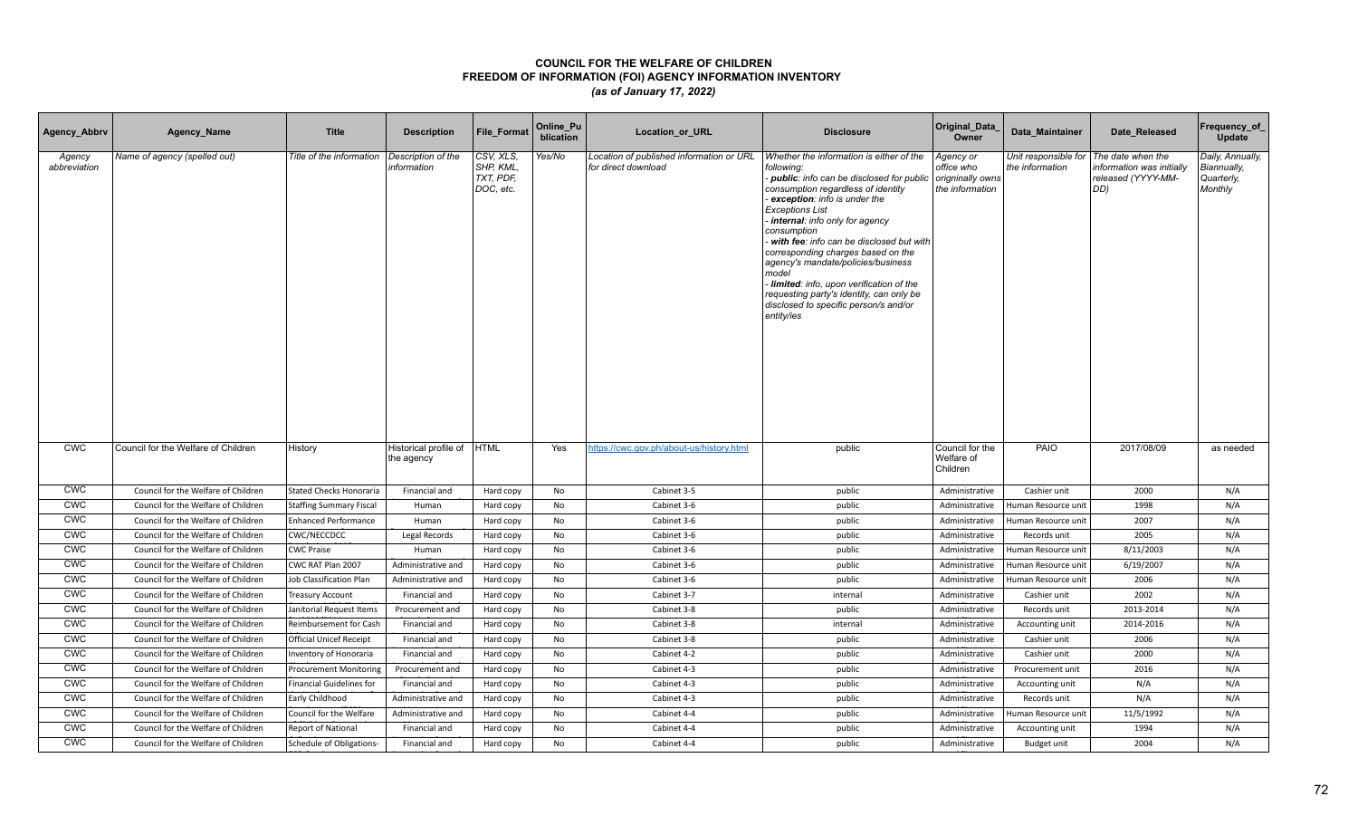| Agency_Abbrv           | Agency_Name                         | <b>Title</b>                    | <b>Description</b>                  | <b>File Format</b>                               | Online_Pu<br>blication | <b>Location or URL</b>                                          | <b>Disclosure</b>                                                                                                                                                                                                                                                                                                                                                                                                                                                                                                                    | Original_Data<br>Owner                                         | Data Maintainer                         | Date Released                                                              | Frequency_of<br><b>Update</b>                            |
|------------------------|-------------------------------------|---------------------------------|-------------------------------------|--------------------------------------------------|------------------------|-----------------------------------------------------------------|--------------------------------------------------------------------------------------------------------------------------------------------------------------------------------------------------------------------------------------------------------------------------------------------------------------------------------------------------------------------------------------------------------------------------------------------------------------------------------------------------------------------------------------|----------------------------------------------------------------|-----------------------------------------|----------------------------------------------------------------------------|----------------------------------------------------------|
| Agency<br>abbreviation | Name of agency (spelled out)        | Title of the information        | Description of the<br>information   | CSV, XLS,<br>SHP, KML,<br>TXT, PDF,<br>DOC, etc. | Yes/No                 | Location of published information or URL<br>for direct download | Whether the information is either of the<br>following:<br>- public: info can be disclosed for public<br>consumption regardless of identity<br>exception: info is under the<br><b>Exceptions List</b><br>internal: info only for agency<br>consumption<br>with fee: info can be disclosed but with<br>corresponding charges based on the<br>agency's mandate/policies/business<br>model<br>Iimited: info, upon verification of the<br>requesting party's identity, can only be<br>disclosed to specific person/s and/or<br>entity/ies | Agency or<br>office who<br>origninally owns<br>the information | Unit responsible for<br>the information | The date when the<br>nformation was initially<br>released (YYYY-MM-<br>DD) | Daily, Annually,<br>Biannually,<br>Quarterly,<br>Monthly |
| <b>CWC</b>             | Council for the Welfare of Children | History                         | Historical profile of<br>the agency | <b>HTML</b>                                      | Yes                    | https://cwc.gov.ph/about-us/history.html                        | public                                                                                                                                                                                                                                                                                                                                                                                                                                                                                                                               | Council for the<br>Welfare of<br>Children                      | PAIO                                    | 2017/08/09                                                                 | as needed                                                |
| <b>CWC</b>             | Council for the Welfare of Children | <b>Stated Checks Honoraria</b>  | Financial and                       | Hard copy                                        | No                     | Cabinet 3-5                                                     | public                                                                                                                                                                                                                                                                                                                                                                                                                                                                                                                               | Administrative                                                 | Cashier unit                            | 2000                                                                       | N/A                                                      |
| <b>CWC</b>             | Council for the Welfare of Children | <b>Staffing Summary Fiscal</b>  | Human                               | Hard copy                                        | No                     | Cabinet 3-6                                                     | public                                                                                                                                                                                                                                                                                                                                                                                                                                                                                                                               | Administrative                                                 | Human Resource unit                     | 1998                                                                       | N/A                                                      |
| <b>CWC</b>             | Council for the Welfare of Children | <b>Enhanced Performance</b>     | Human                               | Hard copy                                        | No                     | Cabinet 3-6                                                     | public                                                                                                                                                                                                                                                                                                                                                                                                                                                                                                                               | Administrative                                                 | Human Resource unit                     | 2007                                                                       | N/A                                                      |
| <b>CWC</b>             | Council for the Welfare of Children | CWC/NECCDCC                     | Legal Records                       | Hard copy                                        | No                     | Cabinet 3-6                                                     | public                                                                                                                                                                                                                                                                                                                                                                                                                                                                                                                               | Administrative                                                 | Records unit                            | 2005                                                                       | N/A                                                      |
| <b>CWC</b>             | Council for the Welfare of Children | <b>CWC Praise</b>               | Human                               | Hard copy                                        | No                     | Cabinet 3-6                                                     | public                                                                                                                                                                                                                                                                                                                                                                                                                                                                                                                               | Administrative                                                 | Human Resource unit                     | 8/11/2003                                                                  | N/A                                                      |
| <b>CWC</b>             | Council for the Welfare of Children | CWC RAT Plan 2007               | Administrative and                  | Hard copy                                        | No                     | Cabinet 3-6                                                     | public                                                                                                                                                                                                                                                                                                                                                                                                                                                                                                                               | Administrative                                                 | Human Resource unit                     | 6/19/2007                                                                  | N/A                                                      |
| <b>CWC</b>             | Council for the Welfare of Children | Job Classification Plan         | Administrative and                  | Hard copy                                        | No                     | Cabinet 3-6                                                     | public                                                                                                                                                                                                                                                                                                                                                                                                                                                                                                                               | Administrative                                                 | Human Resource unit                     | 2006                                                                       | N/A                                                      |
| CWC                    | Council for the Welfare of Children | <b>Treasury Account</b>         | Financial and                       | Hard copy                                        | No                     | Cabinet 3-7                                                     | internal                                                                                                                                                                                                                                                                                                                                                                                                                                                                                                                             | Administrative                                                 | Cashier unit                            | 2002                                                                       | N/A                                                      |
| <b>CWC</b>             | Council for the Welfare of Children | Janitorial Request Items        | Procurement and                     | Hard copy                                        | No                     | Cabinet 3-8                                                     | public                                                                                                                                                                                                                                                                                                                                                                                                                                                                                                                               | Administrative                                                 | Records unit                            | 2013-2014                                                                  | N/A                                                      |
| <b>CWC</b>             | Council for the Welfare of Children | Reimbursement for Cash          | Financial and                       | Hard copy                                        | No                     | Cabinet 3-8                                                     | internal                                                                                                                                                                                                                                                                                                                                                                                                                                                                                                                             | Administrative                                                 | Accounting unit                         | 2014-2016                                                                  | N/A                                                      |
| <b>CWC</b>             | Council for the Welfare of Children | <b>Official Unicef Receipt</b>  | Financial and                       | Hard copy                                        | No                     | Cabinet 3-8                                                     | public                                                                                                                                                                                                                                                                                                                                                                                                                                                                                                                               | Administrative                                                 | Cashier unit                            | 2006                                                                       | N/A                                                      |
| <b>CWC</b>             | Council for the Welfare of Children | Inventory of Honoraria          | Financial and                       | Hard copy                                        | No                     | Cabinet 4-2                                                     | public                                                                                                                                                                                                                                                                                                                                                                                                                                                                                                                               | Administrative                                                 | Cashier unit                            | 2000                                                                       | N/A                                                      |
| <b>CWC</b>             | Council for the Welfare of Children | <b>Procurement Monitoring</b>   | Procurement and                     | Hard copy                                        | No                     | Cabinet 4-3                                                     | public                                                                                                                                                                                                                                                                                                                                                                                                                                                                                                                               | Administrative                                                 | Procurement unit                        | 2016                                                                       | N/A                                                      |
| <b>CWC</b>             | Council for the Welfare of Children | <b>Financial Guidelines for</b> | Financial and                       | Hard copy                                        | No                     | Cabinet 4-3                                                     | public                                                                                                                                                                                                                                                                                                                                                                                                                                                                                                                               | Administrative                                                 | Accounting unit                         | N/A                                                                        | N/A                                                      |
| <b>CWC</b>             | Council for the Welfare of Children | Early Childhood                 | Administrative and                  | Hard copy                                        | <b>No</b>              | Cabinet 4-3                                                     | public                                                                                                                                                                                                                                                                                                                                                                                                                                                                                                                               | Administrative                                                 | Records unit                            | N/A                                                                        | N/A                                                      |
| <b>CWC</b>             | Council for the Welfare of Children | Council for the Welfare         | Administrative and                  | Hard copy                                        | No                     | Cabinet 4-4                                                     | public                                                                                                                                                                                                                                                                                                                                                                                                                                                                                                                               | Administrative                                                 | Human Resource unit                     | 11/5/1992                                                                  | N/A                                                      |
| <b>CWC</b>             | Council for the Welfare of Children | <b>Report of National</b>       | Financial and                       | Hard copy                                        | No                     | Cabinet 4-4                                                     | public                                                                                                                                                                                                                                                                                                                                                                                                                                                                                                                               | Administrative                                                 | Accounting unit                         | 1994                                                                       | N/A                                                      |
| <b>CWC</b>             | Council for the Welfare of Children | Schedule of Obligations-        | Financial and                       | Hard copy                                        | No                     | Cabinet 4-4                                                     | public                                                                                                                                                                                                                                                                                                                                                                                                                                                                                                                               | Administrative                                                 | Budget unit                             | 2004                                                                       | N/A                                                      |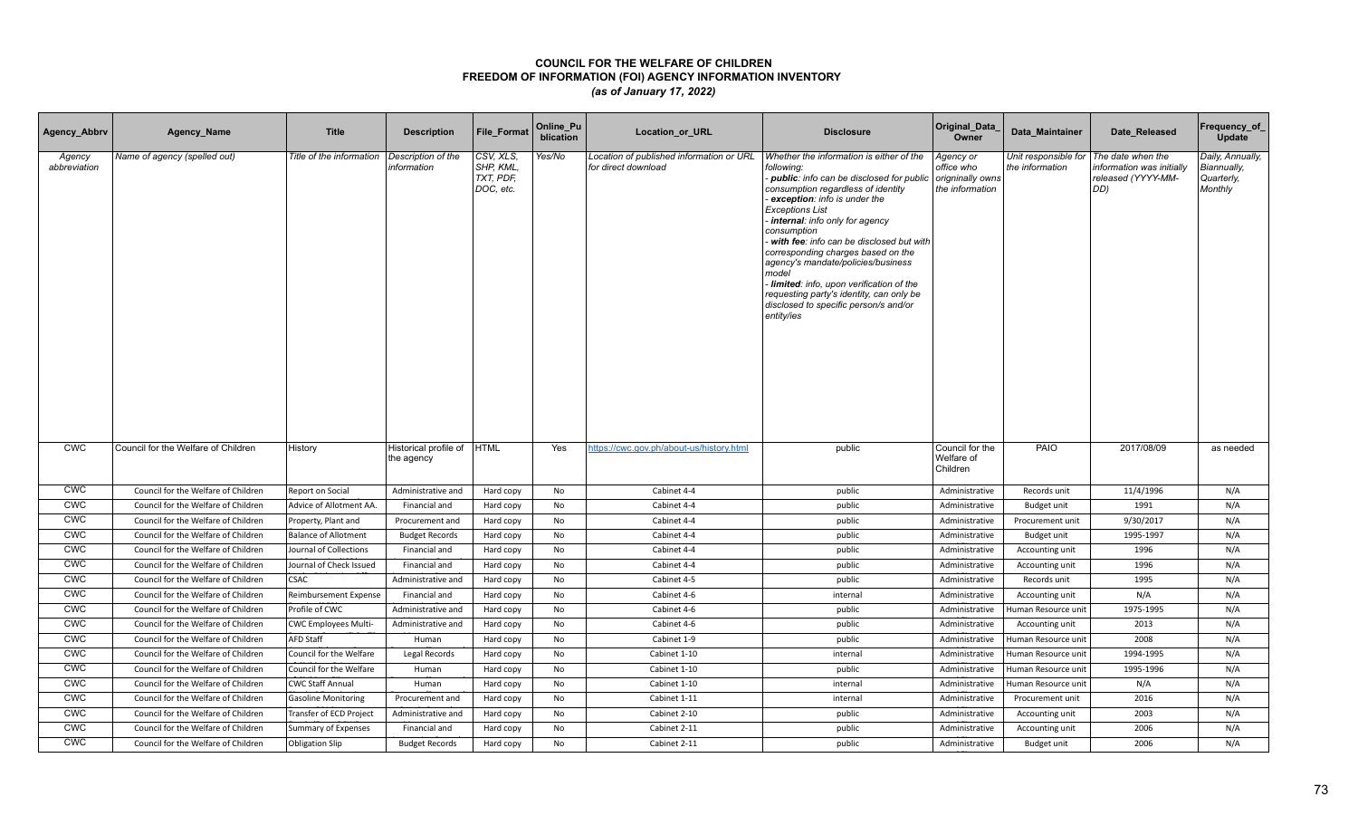| Agency_Abbrv           | Agency_Name                         | <b>Title</b>                | <b>Description</b>                  | <b>File Format</b>                               | Online_Pu<br>blication | Location_or_URL                                                 | <b>Disclosure</b>                                                                                                                                                                                                                                                                                                                                                                                                                                                                                                                    | Original_Data<br>Owner                                         | Data Maintainer                         | Date Released                                                              | Frequency_of<br>Update                                   |
|------------------------|-------------------------------------|-----------------------------|-------------------------------------|--------------------------------------------------|------------------------|-----------------------------------------------------------------|--------------------------------------------------------------------------------------------------------------------------------------------------------------------------------------------------------------------------------------------------------------------------------------------------------------------------------------------------------------------------------------------------------------------------------------------------------------------------------------------------------------------------------------|----------------------------------------------------------------|-----------------------------------------|----------------------------------------------------------------------------|----------------------------------------------------------|
| Agency<br>abbreviation | Name of agency (spelled out)        | Title of the information    | Description of the<br>information   | CSV, XLS,<br>SHP, KML,<br>TXT, PDF,<br>DOC, etc. | Yes/No                 | Location of published information or URL<br>for direct download | Whether the information is either of the<br>following:<br>- public: info can be disclosed for public<br>consumption regardless of identity<br>exception: info is under the<br><b>Exceptions List</b><br>internal: info only for agency<br>consumption<br>with fee: info can be disclosed but with<br>corresponding charges based on the<br>agency's mandate/policies/business<br>model<br>Iimited: info, upon verification of the<br>requesting party's identity, can only be<br>disclosed to specific person/s and/or<br>entity/ies | Agency or<br>office who<br>origninally owns<br>the information | Unit responsible for<br>the information | The date when the<br>nformation was initially<br>released (YYYY-MM-<br>DD) | Daily, Annually,<br>Biannually,<br>Quarterly,<br>Monthly |
| <b>CWC</b>             | Council for the Welfare of Children | History                     | Historical profile of<br>the agency | <b>HTML</b>                                      | Yes                    | https://cwc.gov.ph/about-us/history.html                        | public                                                                                                                                                                                                                                                                                                                                                                                                                                                                                                                               | Council for the<br>Welfare of<br>Children                      | PAIO                                    | 2017/08/09                                                                 | as needed                                                |
| <b>CWC</b>             | Council for the Welfare of Children | Report on Social            | Administrative and                  | Hard copy                                        | No                     | Cabinet 4-4                                                     | public                                                                                                                                                                                                                                                                                                                                                                                                                                                                                                                               | Administrative                                                 | Records unit                            | 11/4/1996                                                                  | N/A                                                      |
| <b>CWC</b>             | Council for the Welfare of Children | Advice of Allotment AA.     | Financial and                       | Hard copy                                        | No                     | Cabinet 4-4                                                     | public                                                                                                                                                                                                                                                                                                                                                                                                                                                                                                                               | Administrative                                                 | Budget unit                             | 1991                                                                       | N/A                                                      |
| <b>CWC</b>             | Council for the Welfare of Children | Property, Plant and         | Procurement and                     | Hard copy                                        | No                     | Cabinet 4-4                                                     | public                                                                                                                                                                                                                                                                                                                                                                                                                                                                                                                               | Administrative                                                 | Procurement unit                        | 9/30/2017                                                                  | N/A                                                      |
| <b>CWC</b>             | Council for the Welfare of Children | <b>Balance of Allotment</b> | <b>Budget Records</b>               | Hard copy                                        | No                     | Cabinet 4-4                                                     | public                                                                                                                                                                                                                                                                                                                                                                                                                                                                                                                               | Administrative                                                 | Budget unit                             | 1995-1997                                                                  | N/A                                                      |
| <b>CWC</b>             | Council for the Welfare of Children | Journal of Collections      | Financial and                       | Hard copy                                        | No                     | Cabinet 4-4                                                     | public                                                                                                                                                                                                                                                                                                                                                                                                                                                                                                                               | Administrative                                                 | Accounting unit                         | 1996                                                                       | N/A                                                      |
| <b>CWC</b>             | Council for the Welfare of Children | Journal of Check Issued     | Financial and                       | Hard copy                                        | No                     | Cabinet 4-4                                                     | public                                                                                                                                                                                                                                                                                                                                                                                                                                                                                                                               | Administrative                                                 | Accounting unit                         | 1996                                                                       | N/A                                                      |
| <b>CWC</b>             | Council for the Welfare of Children | <b>CSAC</b>                 | Administrative and                  | Hard copy                                        | No                     | Cabinet 4-5                                                     | public                                                                                                                                                                                                                                                                                                                                                                                                                                                                                                                               | Administrative                                                 | Records unit                            | 1995                                                                       | N/A                                                      |
| CWC                    | Council for the Welfare of Children | Reimbursement Expense       | Financial and                       | Hard copy                                        | No                     | Cabinet 4-6                                                     | internal                                                                                                                                                                                                                                                                                                                                                                                                                                                                                                                             | Administrative                                                 | Accounting unit                         | N/A                                                                        | N/A                                                      |
| <b>CWC</b>             | Council for the Welfare of Children | Profile of CWC              | Administrative and                  | Hard copy                                        | No                     | Cabinet 4-6                                                     | public                                                                                                                                                                                                                                                                                                                                                                                                                                                                                                                               | Administrative                                                 | Human Resource unit                     | 1975-1995                                                                  | N/A                                                      |
| <b>CWC</b>             | Council for the Welfare of Children | <b>CWC Employees Multi-</b> | Administrative and                  | Hard copy                                        | No                     | Cabinet 4-6                                                     | public                                                                                                                                                                                                                                                                                                                                                                                                                                                                                                                               | Administrative                                                 | Accounting unit                         | 2013                                                                       | N/A                                                      |
| <b>CWC</b>             | Council for the Welfare of Children | <b>AFD Staff</b>            | Human                               | Hard copy                                        | No                     | Cabinet 1-9                                                     | public                                                                                                                                                                                                                                                                                                                                                                                                                                                                                                                               | Administrative                                                 | Human Resource unit                     | 2008                                                                       | N/A                                                      |
| <b>CWC</b>             | Council for the Welfare of Children | Council for the Welfare     | Legal Records                       | Hard copy                                        | No                     | Cabinet 1-10                                                    | internal                                                                                                                                                                                                                                                                                                                                                                                                                                                                                                                             | Administrative                                                 | Human Resource unit                     | 1994-1995                                                                  | N/A                                                      |
| <b>CWC</b>             | Council for the Welfare of Children | Council for the Welfare     | Human                               | Hard copy                                        | No                     | Cabinet 1-10                                                    | public                                                                                                                                                                                                                                                                                                                                                                                                                                                                                                                               | Administrative                                                 | Human Resource unit                     | 1995-1996                                                                  | N/A                                                      |
| <b>CWC</b>             | Council for the Welfare of Children | <b>CWC Staff Annual</b>     | Human                               | Hard copy                                        | No                     | Cabinet 1-10                                                    | internal                                                                                                                                                                                                                                                                                                                                                                                                                                                                                                                             | Administrative                                                 | Human Resource unit                     | N/A                                                                        | N/A                                                      |
| <b>CWC</b>             | Council for the Welfare of Children | <b>Gasoline Monitoring</b>  | Procurement and                     | Hard copy                                        | <b>No</b>              | Cabinet 1-11                                                    | internal                                                                                                                                                                                                                                                                                                                                                                                                                                                                                                                             | Administrative                                                 | Procurement unit                        | 2016                                                                       | N/A                                                      |
| <b>CWC</b>             | Council for the Welfare of Children | Transfer of ECD Project     | Administrative and                  | Hard copy                                        | No                     | Cabinet 2-10                                                    | public                                                                                                                                                                                                                                                                                                                                                                                                                                                                                                                               | Administrative                                                 | Accounting unit                         | 2003                                                                       | N/A                                                      |
| <b>CWC</b>             | Council for the Welfare of Children | Summary of Expenses         | Financial and                       | Hard copy                                        | No                     | Cabinet 2-11                                                    | public                                                                                                                                                                                                                                                                                                                                                                                                                                                                                                                               | Administrative                                                 | Accounting unit                         | 2006                                                                       | N/A                                                      |
| <b>CWC</b>             | Council for the Welfare of Children | <b>Obligation Slip</b>      | <b>Budget Records</b>               | Hard copy                                        | No                     | Cabinet 2-11                                                    | public                                                                                                                                                                                                                                                                                                                                                                                                                                                                                                                               | Administrative                                                 | Budget unit                             | 2006                                                                       | N/A                                                      |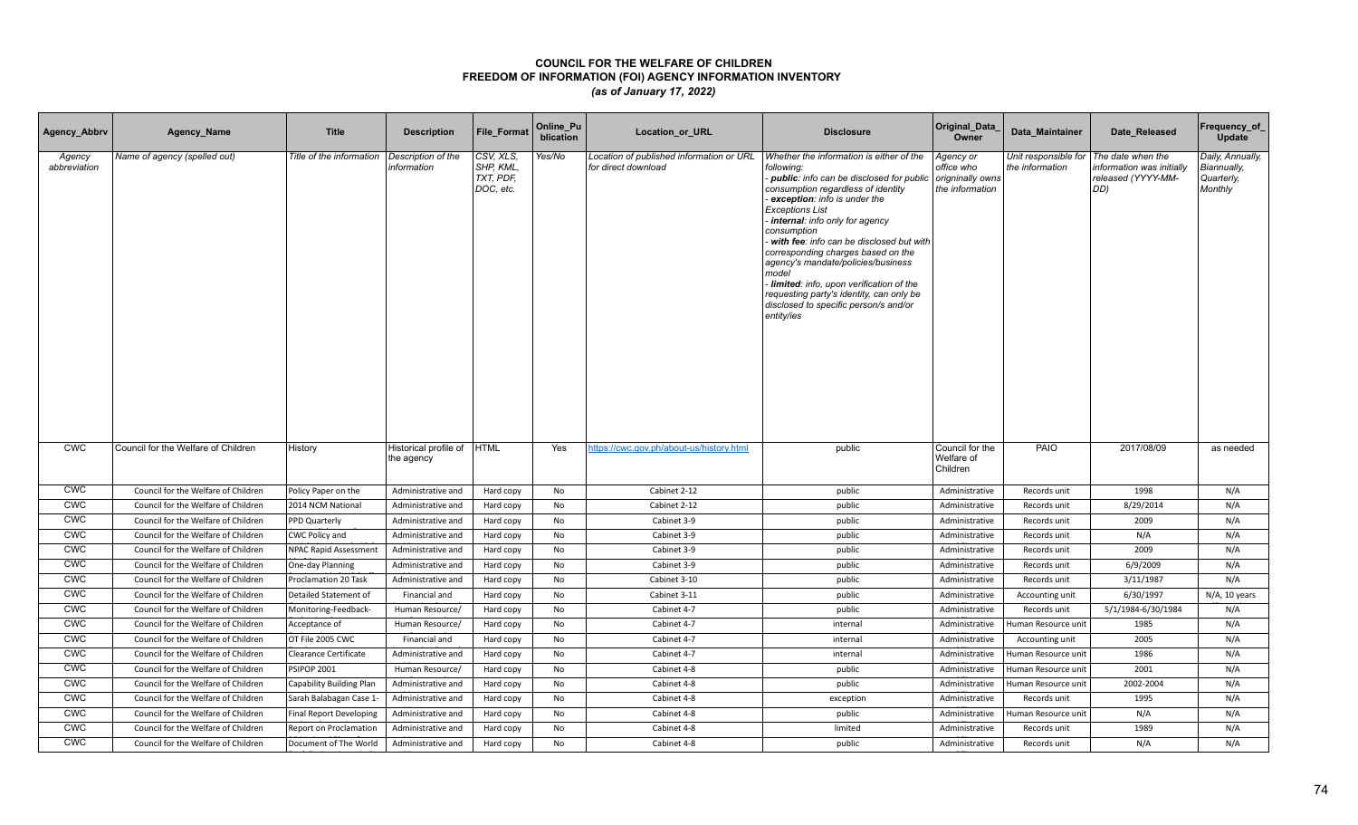| Agency_Abbrv           | Agency_Name                         | <b>Title</b>                 | <b>Description</b>                  | <b>File Format</b>                               | Online_Pu<br>blication | <b>Location or URL</b>                                          | <b>Disclosure</b>                                                                                                                                                                                                                                                                                                                                                                                                                                                                                                                    | Original_Data<br>Owner                                         | Data Maintainer                         | Date Released                                                              | Frequency_of<br>Update                                   |
|------------------------|-------------------------------------|------------------------------|-------------------------------------|--------------------------------------------------|------------------------|-----------------------------------------------------------------|--------------------------------------------------------------------------------------------------------------------------------------------------------------------------------------------------------------------------------------------------------------------------------------------------------------------------------------------------------------------------------------------------------------------------------------------------------------------------------------------------------------------------------------|----------------------------------------------------------------|-----------------------------------------|----------------------------------------------------------------------------|----------------------------------------------------------|
| Agency<br>abbreviation | Name of agency (spelled out)        | Title of the information     | Description of the<br>information   | CSV, XLS,<br>SHP, KML,<br>TXT, PDF,<br>DOC, etc. | Yes/No                 | Location of published information or URL<br>for direct download | Whether the information is either of the<br>following:<br>- public: info can be disclosed for public<br>consumption regardless of identity<br>exception: info is under the<br><b>Exceptions List</b><br>internal: info only for agency<br>consumption<br>with fee: info can be disclosed but with<br>corresponding charges based on the<br>agency's mandate/policies/business<br>model<br>Iimited: info, upon verification of the<br>requesting party's identity, can only be<br>disclosed to specific person/s and/or<br>entity/ies | Agency or<br>office who<br>origninally owns<br>the information | Unit responsible for<br>the information | The date when the<br>nformation was initially<br>released (YYYY-MM-<br>DD) | Daily, Annually,<br>Biannually,<br>Quarterly,<br>Monthly |
| <b>CWC</b>             | Council for the Welfare of Children | History                      | Historical profile of<br>the agency | <b>HTML</b>                                      | Yes                    | https://cwc.gov.ph/about-us/history.html                        | public                                                                                                                                                                                                                                                                                                                                                                                                                                                                                                                               | Council for the<br>Welfare of<br>Children                      | PAIO                                    | 2017/08/09                                                                 | as needed                                                |
| <b>CWC</b>             | Council for the Welfare of Children | Policy Paper on the          | Administrative and                  | Hard copy                                        | No                     | Cabinet 2-12                                                    | public                                                                                                                                                                                                                                                                                                                                                                                                                                                                                                                               | Administrative                                                 | Records unit                            | 1998                                                                       | N/A                                                      |
| <b>CWC</b>             | Council for the Welfare of Children | 2014 NCM National            | Administrative and                  | Hard copy                                        | No                     | Cabinet 2-12                                                    | public                                                                                                                                                                                                                                                                                                                                                                                                                                                                                                                               | Administrative                                                 | Records unit                            | 8/29/2014                                                                  | N/A                                                      |
| <b>CWC</b>             | Council for the Welfare of Children | PPD Quarterly                | Administrative and                  | Hard copy                                        | No                     | Cabinet 3-9                                                     | public                                                                                                                                                                                                                                                                                                                                                                                                                                                                                                                               | Administrative                                                 | Records unit                            | 2009                                                                       | N/A                                                      |
| <b>CWC</b>             | Council for the Welfare of Children | CWC Policy and               | Administrative and                  | Hard copy                                        | No                     | Cabinet 3-9                                                     | public                                                                                                                                                                                                                                                                                                                                                                                                                                                                                                                               | Administrative                                                 | Records unit                            | N/A                                                                        | N/A                                                      |
| <b>CWC</b>             | Council for the Welfare of Children | NPAC Rapid Assessment        | Administrative and                  | Hard copy                                        | No                     | Cabinet 3-9                                                     | public                                                                                                                                                                                                                                                                                                                                                                                                                                                                                                                               | Administrative                                                 | Records unit                            | 2009                                                                       | N/A                                                      |
| <b>CWC</b>             | Council for the Welfare of Children | One-day Planning             | Administrative and                  | Hard copy                                        | No                     | Cabinet 3-9                                                     | public                                                                                                                                                                                                                                                                                                                                                                                                                                                                                                                               | Administrative                                                 | Records unit                            | 6/9/2009                                                                   | N/A                                                      |
| <b>CWC</b>             | Council for the Welfare of Children | Proclamation 20 Task         | Administrative and                  | Hard copy                                        | No                     | Cabinet 3-10                                                    | public                                                                                                                                                                                                                                                                                                                                                                                                                                                                                                                               | Administrative                                                 | Records unit                            | 3/11/1987                                                                  | N/A                                                      |
| CWC                    | Council for the Welfare of Children | Detailed Statement of        | Financial and                       | Hard copy                                        | No                     | Cabinet 3-11                                                    | public                                                                                                                                                                                                                                                                                                                                                                                                                                                                                                                               | Administrative                                                 | Accounting unit                         | 6/30/1997                                                                  | N/A, 10 years                                            |
| <b>CWC</b>             | Council for the Welfare of Children | Monitoring-Feedback-         | Human Resource/                     | Hard copy                                        | No                     | Cabinet 4-7                                                     | public                                                                                                                                                                                                                                                                                                                                                                                                                                                                                                                               | Administrative                                                 | Records unit                            | 5/1/1984-6/30/1984                                                         | N/A                                                      |
| <b>CWC</b>             | Council for the Welfare of Children | Acceptance of                | Human Resource/                     | Hard copy                                        | No                     | Cabinet 4-7                                                     | internal                                                                                                                                                                                                                                                                                                                                                                                                                                                                                                                             | Administrative                                                 | Human Resource unit                     | 1985                                                                       | N/A                                                      |
| <b>CWC</b>             | Council for the Welfare of Children | OT File 2005 CWC             | Financial and                       | Hard copy                                        | No                     | Cabinet 4-7                                                     | internal                                                                                                                                                                                                                                                                                                                                                                                                                                                                                                                             | Administrative                                                 | Accounting unit                         | 2005                                                                       | N/A                                                      |
| <b>CWC</b>             | Council for the Welfare of Children | <b>Clearance Certificate</b> | Administrative and                  | Hard copy                                        | No                     | Cabinet 4-7                                                     | internal                                                                                                                                                                                                                                                                                                                                                                                                                                                                                                                             | Administrative                                                 | Human Resource unit                     | 1986                                                                       | N/A                                                      |
| <b>CWC</b>             | Council for the Welfare of Children | <b>PSIPOP 2001</b>           | Human Resource/                     | Hard copy                                        | No                     | Cabinet 4-8                                                     | public                                                                                                                                                                                                                                                                                                                                                                                                                                                                                                                               | Administrative                                                 | Human Resource unit                     | 2001                                                                       | N/A                                                      |
| <b>CWC</b>             | Council for the Welfare of Children | Capability Building Plan     | Administrative and                  | Hard copy                                        | No                     | Cabinet 4-8                                                     | public                                                                                                                                                                                                                                                                                                                                                                                                                                                                                                                               | Administrative                                                 | Human Resource unit                     | 2002-2004                                                                  | N/A                                                      |
| <b>CWC</b>             | Council for the Welfare of Children | Sarah Balabagan Case 1-      | Administrative and                  | Hard copy                                        | <b>No</b>              | Cabinet 4-8                                                     | exception                                                                                                                                                                                                                                                                                                                                                                                                                                                                                                                            | Administrative                                                 | Records unit                            | 1995                                                                       | N/A                                                      |
| <b>CWC</b>             | Council for the Welfare of Children | Final Report Developing      | Administrative and                  | Hard copy                                        | No                     | Cabinet 4-8                                                     | public                                                                                                                                                                                                                                                                                                                                                                                                                                                                                                                               | Administrative                                                 | Human Resource unit                     | N/A                                                                        | N/A                                                      |
| <b>CWC</b>             | Council for the Welfare of Children | Report on Proclamation       | Administrative and                  | Hard copy                                        | No                     | Cabinet 4-8                                                     | limited                                                                                                                                                                                                                                                                                                                                                                                                                                                                                                                              | Administrative                                                 | Records unit                            | 1989                                                                       | N/A                                                      |
| <b>CWC</b>             | Council for the Welfare of Children | Document of The World        | Administrative and                  | Hard copy                                        | No                     | Cabinet 4-8                                                     | public                                                                                                                                                                                                                                                                                                                                                                                                                                                                                                                               | Administrative                                                 | Records unit                            | N/A                                                                        | N/A                                                      |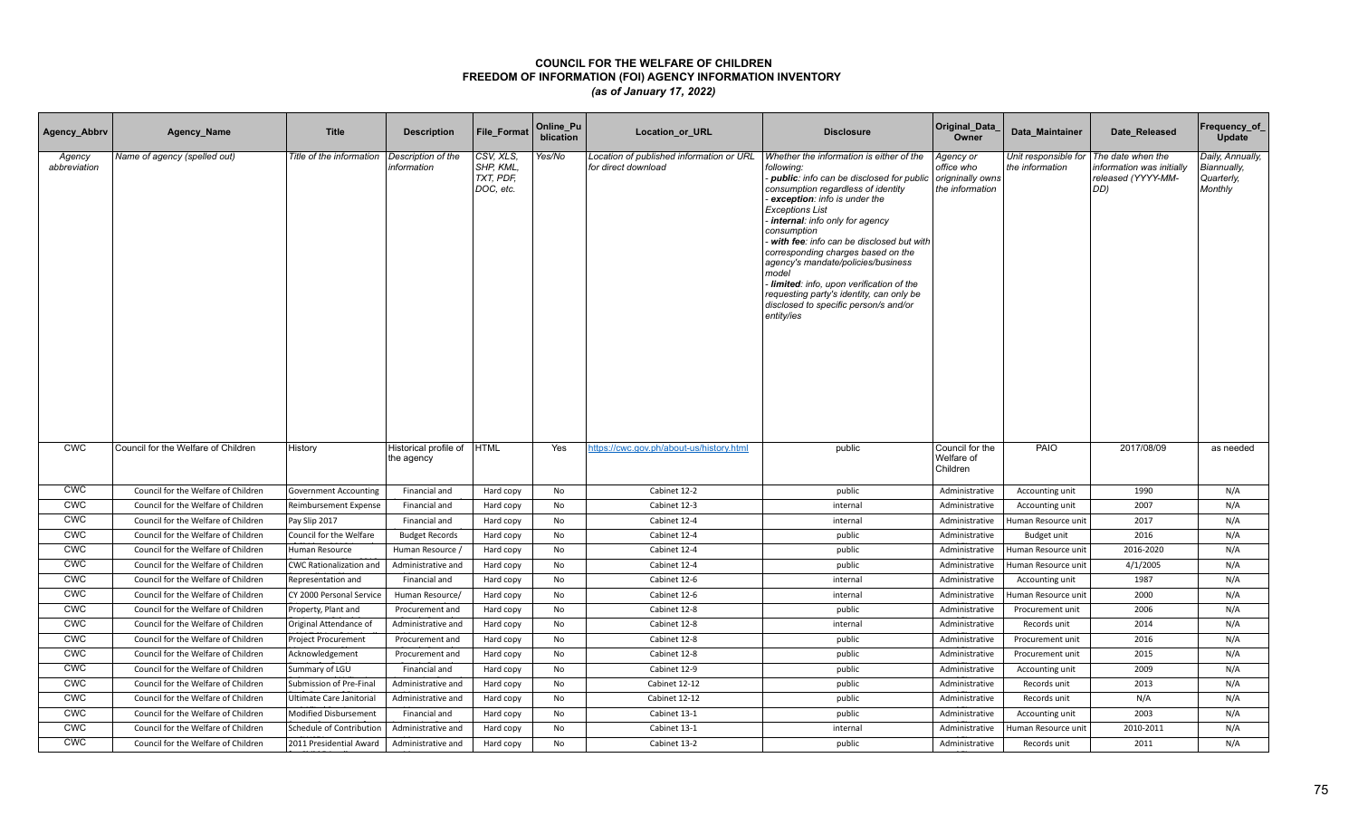| Agency_Abbrv           | Agency_Name                         | <b>Title</b>                   | <b>Description</b>                  | <b>File Format</b>                               | Online_Pu<br>blication | Location_or_URL                                                 | <b>Disclosure</b>                                                                                                                                                                                                                                                                                                                                                                                                                                                                                                                    | Original_Data<br>Owner                                         | Data Maintainer                         | Date Released                                                              | Frequency_of<br>Update                                   |
|------------------------|-------------------------------------|--------------------------------|-------------------------------------|--------------------------------------------------|------------------------|-----------------------------------------------------------------|--------------------------------------------------------------------------------------------------------------------------------------------------------------------------------------------------------------------------------------------------------------------------------------------------------------------------------------------------------------------------------------------------------------------------------------------------------------------------------------------------------------------------------------|----------------------------------------------------------------|-----------------------------------------|----------------------------------------------------------------------------|----------------------------------------------------------|
| Agency<br>abbreviation | Name of agency (spelled out)        | Title of the information       | Description of the<br>information   | CSV, XLS,<br>SHP, KML,<br>TXT, PDF,<br>DOC, etc. | Yes/No                 | Location of published information or URL<br>for direct download | Whether the information is either of the<br>following:<br>- public: info can be disclosed for public<br>consumption regardless of identity<br>exception: info is under the<br><b>Exceptions List</b><br>internal: info only for agency<br>consumption<br>with fee: info can be disclosed but with<br>corresponding charges based on the<br>agency's mandate/policies/business<br>model<br>Iimited: info, upon verification of the<br>requesting party's identity, can only be<br>disclosed to specific person/s and/or<br>entity/ies | Agency or<br>office who<br>origninally owns<br>the information | Unit responsible for<br>the information | The date when the<br>nformation was initially<br>released (YYYY-MM-<br>DD) | Daily, Annually,<br>Biannually,<br>Quarterly,<br>Monthly |
| <b>CWC</b>             | Council for the Welfare of Children | History                        | Historical profile of<br>the agency | <b>HTML</b>                                      | Yes                    | https://cwc.gov.ph/about-us/history.html                        | public                                                                                                                                                                                                                                                                                                                                                                                                                                                                                                                               | Council for the<br>Welfare of<br>Children                      | PAIO                                    | 2017/08/09                                                                 | as needed                                                |
| <b>CWC</b>             | Council for the Welfare of Children | <b>Government Accounting</b>   | Financial and                       | Hard copy                                        | No                     | Cabinet 12-2                                                    | public                                                                                                                                                                                                                                                                                                                                                                                                                                                                                                                               | Administrative                                                 | Accounting unit                         | 1990                                                                       | N/A                                                      |
| <b>CWC</b>             | Council for the Welfare of Children | Reimbursement Expense          | Financial and                       | Hard copy                                        | No                     | Cabinet 12-3                                                    | internal                                                                                                                                                                                                                                                                                                                                                                                                                                                                                                                             | Administrative                                                 | Accounting unit                         | 2007                                                                       | N/A                                                      |
| <b>CWC</b>             | Council for the Welfare of Children | Pay Slip 2017                  | Financial and                       | Hard copy                                        | No                     | Cabinet 12-4                                                    | internal                                                                                                                                                                                                                                                                                                                                                                                                                                                                                                                             | Administrative                                                 | Human Resource unit                     | 2017                                                                       | N/A                                                      |
| <b>CWC</b>             | Council for the Welfare of Children | Council for the Welfare        | <b>Budget Records</b>               | Hard copy                                        | No                     | Cabinet 12-4                                                    | public                                                                                                                                                                                                                                                                                                                                                                                                                                                                                                                               | Administrative                                                 | Budget unit                             | 2016                                                                       | N/A                                                      |
| <b>CWC</b>             | Council for the Welfare of Children | Human Resource                 | Human Resource /                    | Hard copy                                        | No                     | Cabinet 12-4                                                    | public                                                                                                                                                                                                                                                                                                                                                                                                                                                                                                                               | Administrative                                                 | Human Resource unit                     | 2016-2020                                                                  | N/A                                                      |
| <b>CWC</b>             | Council for the Welfare of Children | <b>CWC Rationalization and</b> | Administrative and                  | Hard copy                                        | No                     | Cabinet 12-4                                                    | public                                                                                                                                                                                                                                                                                                                                                                                                                                                                                                                               | Administrative                                                 | Human Resource unit                     | 4/1/2005                                                                   | N/A                                                      |
| <b>CWC</b>             | Council for the Welfare of Children | Representation and             | Financial and                       | Hard copy                                        | No                     | Cabinet 12-6                                                    | internal                                                                                                                                                                                                                                                                                                                                                                                                                                                                                                                             | Administrative                                                 | Accounting unit                         | 1987                                                                       | N/A                                                      |
| CWC                    | Council for the Welfare of Children | CY 2000 Personal Service       | Human Resource/                     | Hard copy                                        | No                     | Cabinet 12-6                                                    | internal                                                                                                                                                                                                                                                                                                                                                                                                                                                                                                                             | Administrative                                                 | Human Resource unit                     | 2000                                                                       | N/A                                                      |
| <b>CWC</b>             | Council for the Welfare of Children | Property, Plant and            | Procurement and                     | Hard copy                                        | No                     | Cabinet 12-8                                                    | public                                                                                                                                                                                                                                                                                                                                                                                                                                                                                                                               | Administrative                                                 | Procurement unit                        | 2006                                                                       | N/A                                                      |
| <b>CWC</b>             | Council for the Welfare of Children | Original Attendance of         | Administrative and                  | Hard copy                                        | No                     | Cabinet 12-8                                                    | internal                                                                                                                                                                                                                                                                                                                                                                                                                                                                                                                             | Administrative                                                 | Records unit                            | 2014                                                                       | N/A                                                      |
| <b>CWC</b>             | Council for the Welfare of Children | Project Procurement            | Procurement and                     | Hard copy                                        | No                     | Cabinet 12-8                                                    | public                                                                                                                                                                                                                                                                                                                                                                                                                                                                                                                               | Administrative                                                 | Procurement unit                        | 2016                                                                       | N/A                                                      |
| <b>CWC</b>             | Council for the Welfare of Children | Acknowledgement                | Procurement and                     | Hard copy                                        | No                     | Cabinet 12-8                                                    | public                                                                                                                                                                                                                                                                                                                                                                                                                                                                                                                               | Administrative                                                 | Procurement unit                        | 2015                                                                       | N/A                                                      |
| <b>CWC</b>             | Council for the Welfare of Children | Summary of LGU                 | Financial and                       | Hard copy                                        | No                     | Cabinet 12-9                                                    | public                                                                                                                                                                                                                                                                                                                                                                                                                                                                                                                               | Administrative                                                 | Accounting unit                         | 2009                                                                       | N/A                                                      |
| <b>CWC</b>             | Council for the Welfare of Children | Submission of Pre-Final        | Administrative and                  | Hard copy                                        | No                     | Cabinet 12-12                                                   | public                                                                                                                                                                                                                                                                                                                                                                                                                                                                                                                               | Administrative                                                 | Records unit                            | 2013                                                                       | N/A                                                      |
| <b>CWC</b>             | Council for the Welfare of Children | Ultimate Care Janitorial       | Administrative and                  | Hard copy                                        | <b>No</b>              | Cabinet 12-12                                                   | public                                                                                                                                                                                                                                                                                                                                                                                                                                                                                                                               | Administrative                                                 | Records unit                            | N/A                                                                        | N/A                                                      |
| <b>CWC</b>             | Council for the Welfare of Children | Modified Disbursement          | Financial and                       | Hard copy                                        | No                     | Cabinet 13-1                                                    | public                                                                                                                                                                                                                                                                                                                                                                                                                                                                                                                               | Administrative                                                 | Accounting unit                         | 2003                                                                       | N/A                                                      |
| <b>CWC</b>             | Council for the Welfare of Children | Schedule of Contribution       | Administrative and                  | Hard copy                                        | No                     | Cabinet 13-1                                                    | internal                                                                                                                                                                                                                                                                                                                                                                                                                                                                                                                             | Administrative                                                 | Human Resource unit                     | 2010-2011                                                                  | N/A                                                      |
| <b>CWC</b>             | Council for the Welfare of Children | 2011 Presidential Award        | Administrative and                  | Hard copy                                        | No                     | Cabinet 13-2                                                    | public                                                                                                                                                                                                                                                                                                                                                                                                                                                                                                                               | Administrative                                                 | Records unit                            | 2011                                                                       | N/A                                                      |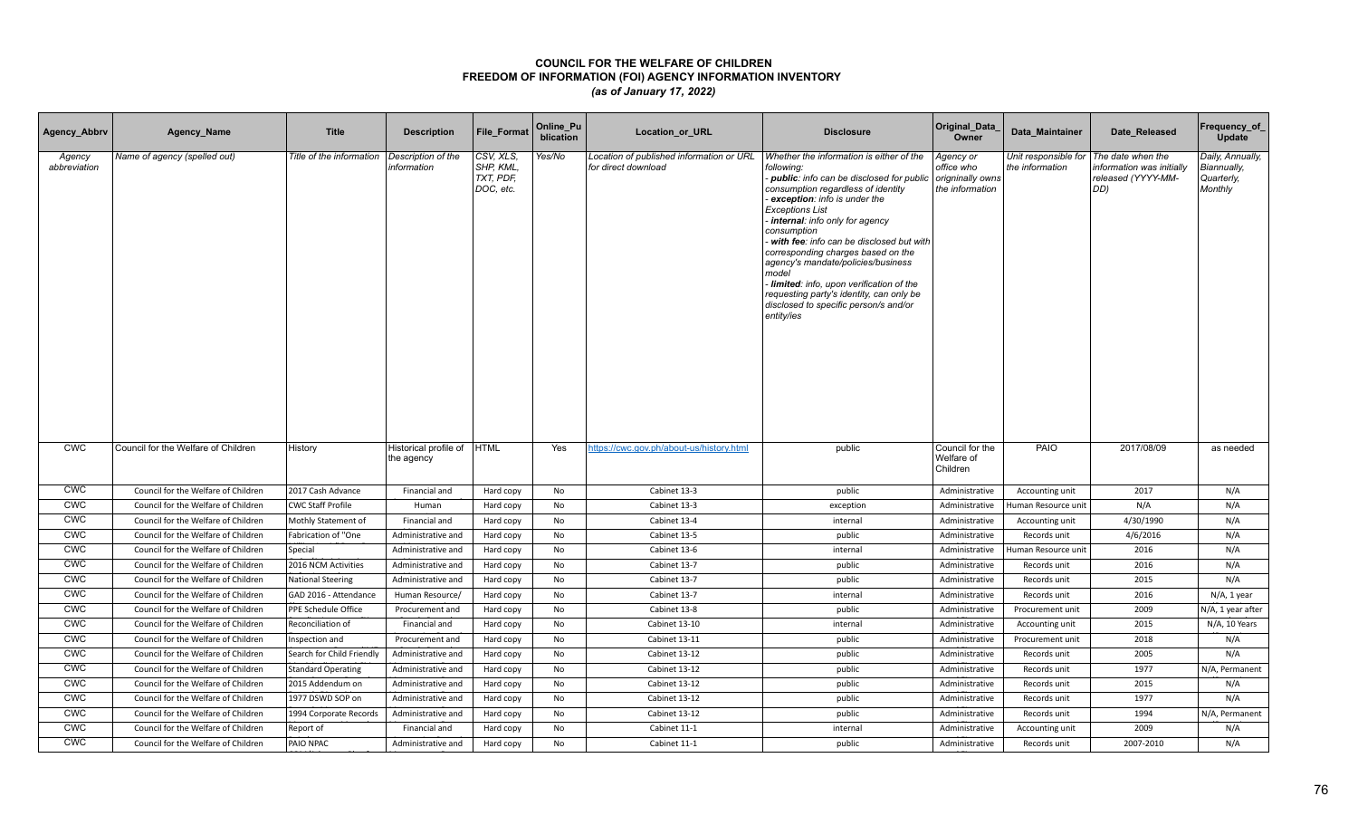| Agency_Abbrv           | Agency_Name                         | <b>Title</b>              | <b>Description</b>                  | <b>File Format</b>                               | Online_Pu<br>blication | <b>Location or URL</b>                                          | <b>Disclosure</b>                                                                                                                                                                                                                                                                                                                                                                                                                                                                                                                    | Original_Data<br>Owner                                         | Data Maintainer                         | Date Released                                                              | Frequency_of<br>Update                                   |
|------------------------|-------------------------------------|---------------------------|-------------------------------------|--------------------------------------------------|------------------------|-----------------------------------------------------------------|--------------------------------------------------------------------------------------------------------------------------------------------------------------------------------------------------------------------------------------------------------------------------------------------------------------------------------------------------------------------------------------------------------------------------------------------------------------------------------------------------------------------------------------|----------------------------------------------------------------|-----------------------------------------|----------------------------------------------------------------------------|----------------------------------------------------------|
| Agency<br>abbreviation | Name of agency (spelled out)        | Title of the information  | Description of the<br>information   | CSV, XLS,<br>SHP, KML,<br>TXT, PDF,<br>DOC, etc. | Yes/No                 | Location of published information or URL<br>for direct download | Whether the information is either of the<br>following:<br>- public: info can be disclosed for public<br>consumption regardless of identity<br>exception: info is under the<br><b>Exceptions List</b><br>internal: info only for agency<br>consumption<br>with fee: info can be disclosed but with<br>corresponding charges based on the<br>agency's mandate/policies/business<br>model<br>Iimited: info, upon verification of the<br>requesting party's identity, can only be<br>disclosed to specific person/s and/or<br>entity/ies | Agency or<br>office who<br>origninally owns<br>the information | Unit responsible for<br>the information | The date when the<br>nformation was initially<br>released (YYYY-MM-<br>DD) | Daily, Annually,<br>Biannually,<br>Quarterly,<br>Monthly |
| <b>CWC</b>             | Council for the Welfare of Children | History                   | Historical profile of<br>the agency | <b>HTML</b>                                      | Yes                    | https://cwc.gov.ph/about-us/history.html                        | public                                                                                                                                                                                                                                                                                                                                                                                                                                                                                                                               | Council for the<br>Welfare of<br>Children                      | PAIO                                    | 2017/08/09                                                                 | as needed                                                |
| <b>CWC</b>             | Council for the Welfare of Children | 2017 Cash Advance         | Financial and                       | Hard copy                                        | No                     | Cabinet 13-3                                                    | public                                                                                                                                                                                                                                                                                                                                                                                                                                                                                                                               | Administrative                                                 | Accounting unit                         | 2017                                                                       | N/A                                                      |
| <b>CWC</b>             | Council for the Welfare of Children | <b>CWC Staff Profile</b>  | Human                               | Hard copy                                        | No                     | Cabinet 13-3                                                    | exception                                                                                                                                                                                                                                                                                                                                                                                                                                                                                                                            | Administrative                                                 | Human Resource unit                     | N/A                                                                        | N/A                                                      |
| <b>CWC</b>             | Council for the Welfare of Children | Mothly Statement of       | Financial and                       | Hard copy                                        | No                     | Cabinet 13-4                                                    | internal                                                                                                                                                                                                                                                                                                                                                                                                                                                                                                                             | Administrative                                                 | Accounting unit                         | 4/30/1990                                                                  | N/A                                                      |
| <b>CWC</b>             | Council for the Welfare of Children | Fabrication of "One       | Administrative and                  | Hard copy                                        | No                     | Cabinet 13-5                                                    | public                                                                                                                                                                                                                                                                                                                                                                                                                                                                                                                               | Administrative                                                 | Records unit                            | 4/6/2016                                                                   | N/A                                                      |
| <b>CWC</b>             | Council for the Welfare of Children | Special                   | Administrative and                  | Hard copy                                        | No                     | Cabinet 13-6                                                    | internal                                                                                                                                                                                                                                                                                                                                                                                                                                                                                                                             | Administrative                                                 | Human Resource unit                     | 2016                                                                       | N/A                                                      |
| <b>CWC</b>             | Council for the Welfare of Children | 2016 NCM Activities       | Administrative and                  | Hard copy                                        | No                     | Cabinet 13-7                                                    | public                                                                                                                                                                                                                                                                                                                                                                                                                                                                                                                               | Administrative                                                 | Records unit                            | 2016                                                                       | N/A                                                      |
| <b>CWC</b>             | Council for the Welfare of Children | <b>National Steering</b>  | Administrative and                  | Hard copy                                        | No                     | Cabinet 13-7                                                    | public                                                                                                                                                                                                                                                                                                                                                                                                                                                                                                                               | Administrative                                                 | Records unit                            | 2015                                                                       | N/A                                                      |
| CWC                    | Council for the Welfare of Children | GAD 2016 - Attendance     | Human Resource/                     | Hard copy                                        | No                     | Cabinet 13-7                                                    | internal                                                                                                                                                                                                                                                                                                                                                                                                                                                                                                                             | Administrative                                                 | Records unit                            | 2016                                                                       | N/A, 1 year                                              |
| <b>CWC</b>             | Council for the Welfare of Children | PPE Schedule Office       | Procurement and                     | Hard copy                                        | No                     | Cabinet 13-8                                                    | public                                                                                                                                                                                                                                                                                                                                                                                                                                                                                                                               | Administrative                                                 | Procurement unit                        | 2009                                                                       | N/A, 1 year after                                        |
| <b>CWC</b>             | Council for the Welfare of Children | Reconciliation of         | Financial and                       | Hard copy                                        | No                     | Cabinet 13-10                                                   | internal                                                                                                                                                                                                                                                                                                                                                                                                                                                                                                                             | Administrative                                                 | Accounting unit                         | 2015                                                                       | N/A, 10 Years                                            |
| <b>CWC</b>             | Council for the Welfare of Children | Inspection and            | Procurement and                     | Hard copy                                        | No                     | Cabinet 13-11                                                   | public                                                                                                                                                                                                                                                                                                                                                                                                                                                                                                                               | Administrative                                                 | Procurement unit                        | 2018                                                                       | N/A                                                      |
| <b>CWC</b>             | Council for the Welfare of Children | Search for Child Friendly | Administrative and                  | Hard copy                                        | No                     | Cabinet 13-12                                                   | public                                                                                                                                                                                                                                                                                                                                                                                                                                                                                                                               | Administrative                                                 | Records unit                            | 2005                                                                       | N/A                                                      |
| <b>CWC</b>             | Council for the Welfare of Children | <b>Standard Operating</b> | Administrative and                  | Hard copy                                        | No                     | Cabinet 13-12                                                   | public                                                                                                                                                                                                                                                                                                                                                                                                                                                                                                                               | Administrative                                                 | Records unit                            | 1977                                                                       | N/A, Permanent                                           |
| <b>CWC</b>             | Council for the Welfare of Children | 2015 Addendum on          | Administrative and                  | Hard copy                                        | No                     | Cabinet 13-12                                                   | public                                                                                                                                                                                                                                                                                                                                                                                                                                                                                                                               | Administrative                                                 | Records unit                            | 2015                                                                       | N/A                                                      |
| <b>CWC</b>             | Council for the Welfare of Children | 1977 DSWD SOP on          | Administrative and                  | Hard copy                                        | <b>No</b>              | Cabinet 13-12                                                   | public                                                                                                                                                                                                                                                                                                                                                                                                                                                                                                                               | Administrative                                                 | Records unit                            | 1977                                                                       | N/A                                                      |
| <b>CWC</b>             | Council for the Welfare of Children | 1994 Corporate Records    | Administrative and                  | Hard copy                                        | No                     | Cabinet 13-12                                                   | public                                                                                                                                                                                                                                                                                                                                                                                                                                                                                                                               | Administrative                                                 | Records unit                            | 1994                                                                       | N/A, Permanent                                           |
| <b>CWC</b>             | Council for the Welfare of Children | Report of                 | Financial and                       | Hard copy                                        | No                     | Cabinet 11-1                                                    | internal                                                                                                                                                                                                                                                                                                                                                                                                                                                                                                                             | Administrative                                                 | Accounting unit                         | 2009                                                                       | N/A                                                      |
| <b>CWC</b>             | Council for the Welfare of Children | PAIO NPAC                 | Administrative and                  | Hard copy                                        | No                     | Cabinet 11-1                                                    | public                                                                                                                                                                                                                                                                                                                                                                                                                                                                                                                               | Administrative                                                 | Records unit                            | 2007-2010                                                                  | N/A                                                      |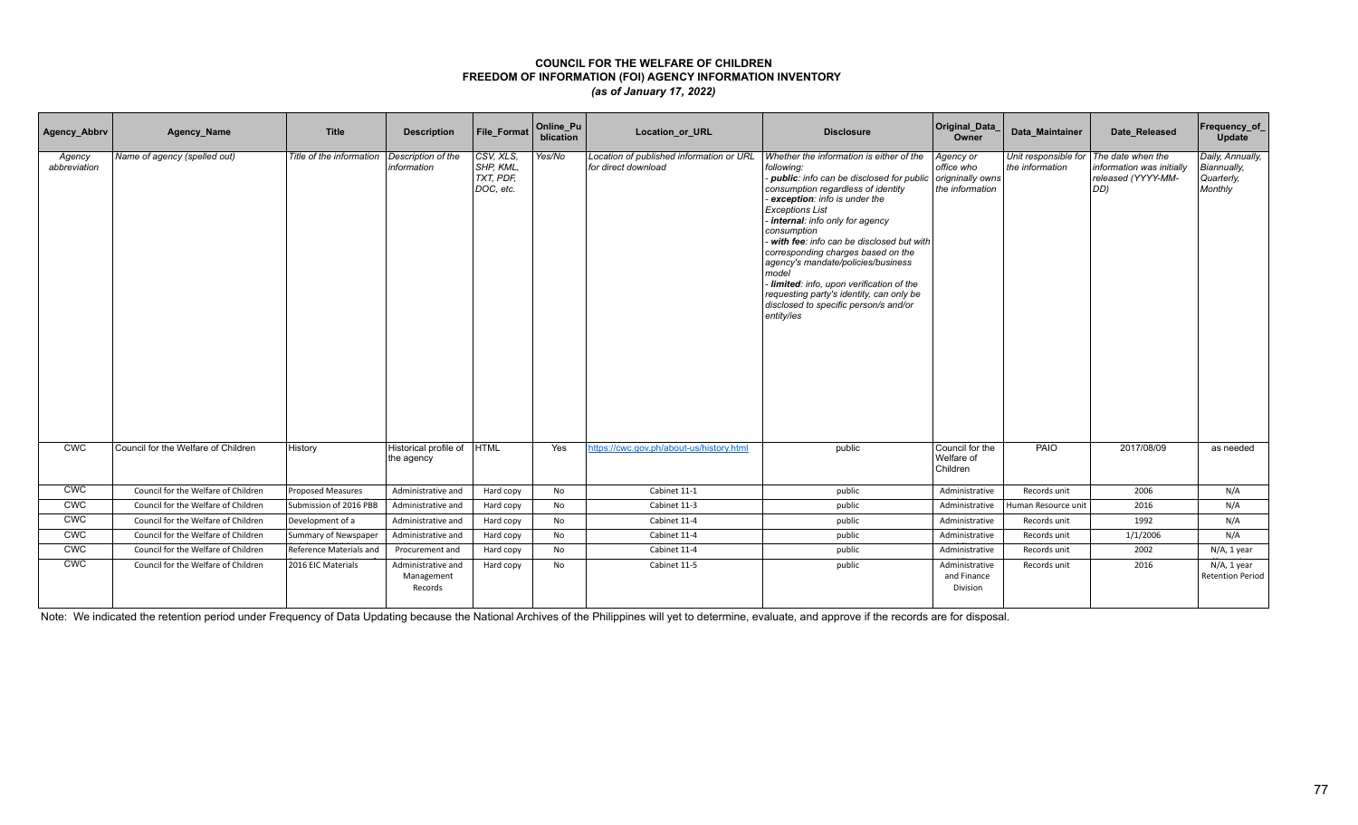| Agency_Abbrv           | Agency_Name                         | <b>Title</b>             | <b>Description</b>                          | File Format                                      | Online_Pu<br>blication | Location_or_URL                                                 | <b>Disclosure</b>                                                                                                                                                                                                                                                                                                                                                                                                                                                                                                                      | Original_Data<br>Owner                                         | Data Maintainer                                           | Date Released                                          | Frequency_of<br>Update                                   |
|------------------------|-------------------------------------|--------------------------|---------------------------------------------|--------------------------------------------------|------------------------|-----------------------------------------------------------------|----------------------------------------------------------------------------------------------------------------------------------------------------------------------------------------------------------------------------------------------------------------------------------------------------------------------------------------------------------------------------------------------------------------------------------------------------------------------------------------------------------------------------------------|----------------------------------------------------------------|-----------------------------------------------------------|--------------------------------------------------------|----------------------------------------------------------|
| Agency<br>abbreviation | Name of agency (spelled out)        | Title of the information | Description of the<br>information           | CSV, XLS,<br>SHP. KML.<br>TXT, PDF,<br>DOC. etc. | Yes/No                 | Location of published information or URL<br>for direct download | Whether the information is either of the<br>following:<br>- public: info can be disclosed for public<br>consumption regardless of identity<br>exception: info is under the<br><b>Exceptions List</b><br>internal: info only for agency<br>consumption<br>- with fee: info can be disclosed but with<br>corresponding charges based on the<br>agency's mandate/policies/business<br>model<br>Iimited: info, upon verification of the<br>requesting party's identity, can only be<br>disclosed to specific person/s and/or<br>entity/ies | Agency or<br>office who<br>origninally owns<br>the information | Unit responsible for The date when the<br>the information | information was initially<br>released (YYYY-MM-<br>DD) | Daily, Annually,<br>Biannually.<br>Quarterly,<br>Monthly |
| <b>CWC</b>             | Council for the Welfare of Children | History                  | Historical profile of<br>the agency         | <b>HTML</b>                                      | Yes                    | https://cwc.gov.ph/about-us/history.html                        | public                                                                                                                                                                                                                                                                                                                                                                                                                                                                                                                                 | Council for the<br>Welfare of<br>Children                      | PAIO                                                      | 2017/08/09                                             | as needed                                                |
| <b>CWC</b>             | Council for the Welfare of Children | <b>Proposed Measures</b> | Administrative and                          | Hard copy                                        | No                     | Cabinet 11-1                                                    | public                                                                                                                                                                                                                                                                                                                                                                                                                                                                                                                                 | Administrative                                                 | Records unit                                              | 2006                                                   | N/A                                                      |
| <b>CWC</b>             | Council for the Welfare of Children | Submission of 2016 PBB   | Administrative and                          | Hard copy                                        | No                     | Cabinet 11-3                                                    | public                                                                                                                                                                                                                                                                                                                                                                                                                                                                                                                                 | Administrative                                                 | Human Resource unit                                       | 2016                                                   | N/A                                                      |
| <b>CWC</b>             | Council for the Welfare of Children | Development of a         | Administrative and                          | Hard copy                                        | No                     | Cabinet 11-4                                                    | public                                                                                                                                                                                                                                                                                                                                                                                                                                                                                                                                 | Administrative                                                 | Records unit                                              | 1992                                                   | N/A                                                      |
| <b>CWC</b>             | Council for the Welfare of Children | Summary of Newspaper     | Administrative and                          | Hard copy                                        | No                     | Cabinet 11-4                                                    | public                                                                                                                                                                                                                                                                                                                                                                                                                                                                                                                                 | Administrative                                                 | Records unit                                              | 1/1/2006                                               | N/A                                                      |
| <b>CWC</b>             | Council for the Welfare of Children | Reference Materials and  | Procurement and                             | Hard copy                                        | No                     | Cabinet 11-4                                                    | public                                                                                                                                                                                                                                                                                                                                                                                                                                                                                                                                 | Administrative                                                 | Records unit                                              | 2002                                                   | N/A, 1 year                                              |
| <b>CWC</b>             | Council for the Welfare of Children | 2016 EIC Materials       | Administrative and<br>Management<br>Records | Hard copy                                        | No                     | Cabinet 11-5                                                    | public                                                                                                                                                                                                                                                                                                                                                                                                                                                                                                                                 | Administrative<br>and Finance<br>Division                      | Records unit                                              | 2016                                                   | N/A, 1 year<br><b>Retention Period</b>                   |

Note: We indicated the retention period under Frequency of Data Updating because the National Archives of the Philippines will yet to determine, evaluate, and approve if the records are for disposal.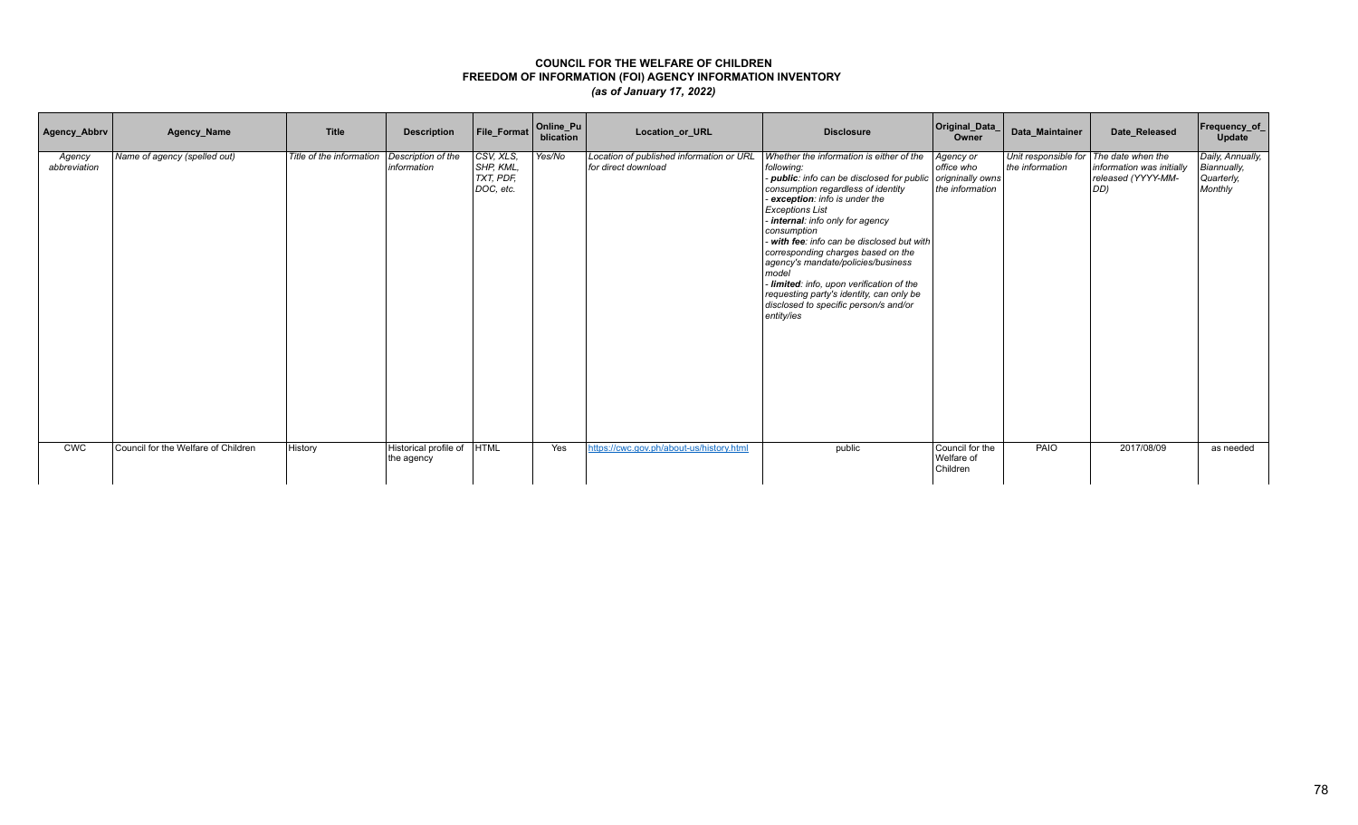| Agency_Abbrv           | Agency_Name                         | <b>Title</b>             | <b>Description</b>                  | File_Format                                      | Online_Pu<br>blication | Location_or_URL                                                 | <b>Disclosure</b>                                                                                                                                                                                                                                                                                                                                                                                                                                                                                                                        | Original_Data_<br>Owner                                        | Data_Maintainer                                           | Date_Released                                          | <b>Frequency_of_</b><br>Update                           |
|------------------------|-------------------------------------|--------------------------|-------------------------------------|--------------------------------------------------|------------------------|-----------------------------------------------------------------|------------------------------------------------------------------------------------------------------------------------------------------------------------------------------------------------------------------------------------------------------------------------------------------------------------------------------------------------------------------------------------------------------------------------------------------------------------------------------------------------------------------------------------------|----------------------------------------------------------------|-----------------------------------------------------------|--------------------------------------------------------|----------------------------------------------------------|
| Agency<br>abbreviation | Name of agency (spelled out)        | Title of the information | Description of the<br>information   | CSV, XLS,<br>SHP, KML.<br>TXT, PDF,<br>DOC, etc. | Yes/No                 | Location of published information or URL<br>for direct download | Whether the information is either of the<br>following:<br>public: info can be disclosed for public<br>consumption regardless of identity<br>- exception: info is under the<br><b>Exceptions List</b><br>- internal: info only for agency<br>consumption<br>with fee: info can be disclosed but with<br>corresponding charges based on the<br>agency's mandate/policies/business<br>model<br>- limited: info, upon verification of the<br>requesting party's identity, can only be<br>disclosed to specific person/s and/or<br>entity/ies | Agency or<br>office who<br>origninally owns<br>the information | Unit responsible for The date when the<br>the information | information was initially<br>released (YYYY-MM-<br>DD) | Daily, Annually,<br>Biannually,<br>Quarterly,<br>Monthly |
| <b>CWC</b>             | Council for the Welfare of Children | History                  | Historical profile of<br>the agency | <b>HTML</b>                                      | Yes                    | https://cwc.gov.ph/about-us/history.html                        | public                                                                                                                                                                                                                                                                                                                                                                                                                                                                                                                                   | Council for the<br>Welfare of<br>Children                      | PAIO                                                      | 2017/08/09                                             | as needed                                                |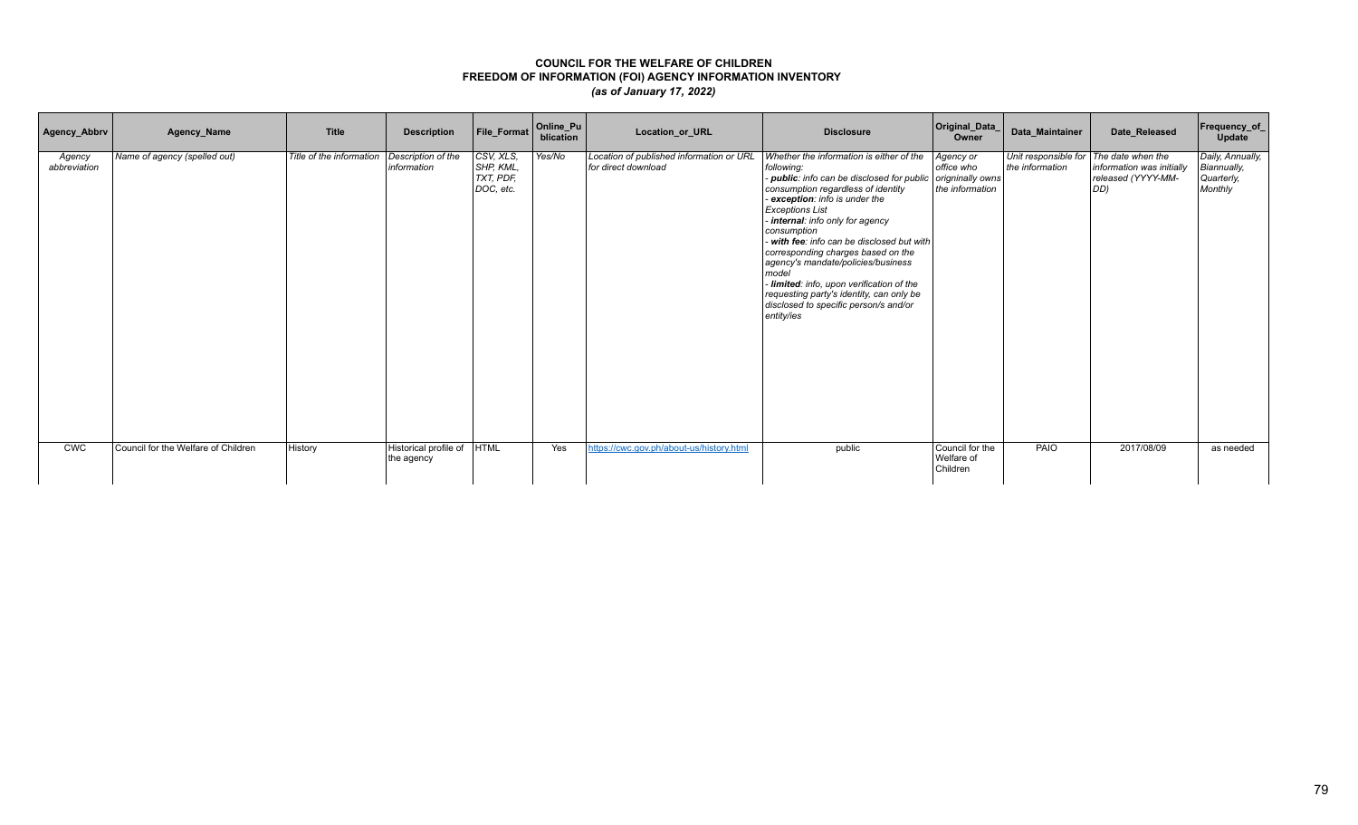| Agency_Abbrv           | Agency_Name                         | <b>Title</b>             | <b>Description</b>                  | File_Format                                      | Online_Pu<br>blication | Location_or_URL                                                 | <b>Disclosure</b>                                                                                                                                                                                                                                                                                                                                                                                                                                                                                                                        | Original_Data_<br>Owner                                        | Data_Maintainer                                           | Date_Released                                          | <b>Frequency_of_</b><br>Update                           |
|------------------------|-------------------------------------|--------------------------|-------------------------------------|--------------------------------------------------|------------------------|-----------------------------------------------------------------|------------------------------------------------------------------------------------------------------------------------------------------------------------------------------------------------------------------------------------------------------------------------------------------------------------------------------------------------------------------------------------------------------------------------------------------------------------------------------------------------------------------------------------------|----------------------------------------------------------------|-----------------------------------------------------------|--------------------------------------------------------|----------------------------------------------------------|
| Agency<br>abbreviation | Name of agency (spelled out)        | Title of the information | Description of the<br>information   | CSV, XLS,<br>SHP, KML.<br>TXT, PDF,<br>DOC, etc. | Yes/No                 | Location of published information or URL<br>for direct download | Whether the information is either of the<br>following:<br>public: info can be disclosed for public<br>consumption regardless of identity<br>- exception: info is under the<br><b>Exceptions List</b><br>- internal: info only for agency<br>consumption<br>with fee: info can be disclosed but with<br>corresponding charges based on the<br>agency's mandate/policies/business<br>model<br>- limited: info, upon verification of the<br>requesting party's identity, can only be<br>disclosed to specific person/s and/or<br>entity/ies | Agency or<br>office who<br>origninally owns<br>the information | Unit responsible for The date when the<br>the information | information was initially<br>released (YYYY-MM-<br>DD) | Daily, Annually,<br>Biannually,<br>Quarterly,<br>Monthly |
| <b>CWC</b>             | Council for the Welfare of Children | History                  | Historical profile of<br>the agency | <b>HTML</b>                                      | Yes                    | https://cwc.gov.ph/about-us/history.html                        | public                                                                                                                                                                                                                                                                                                                                                                                                                                                                                                                                   | Council for the<br>Welfare of<br>Children                      | PAIO                                                      | 2017/08/09                                             | as needed                                                |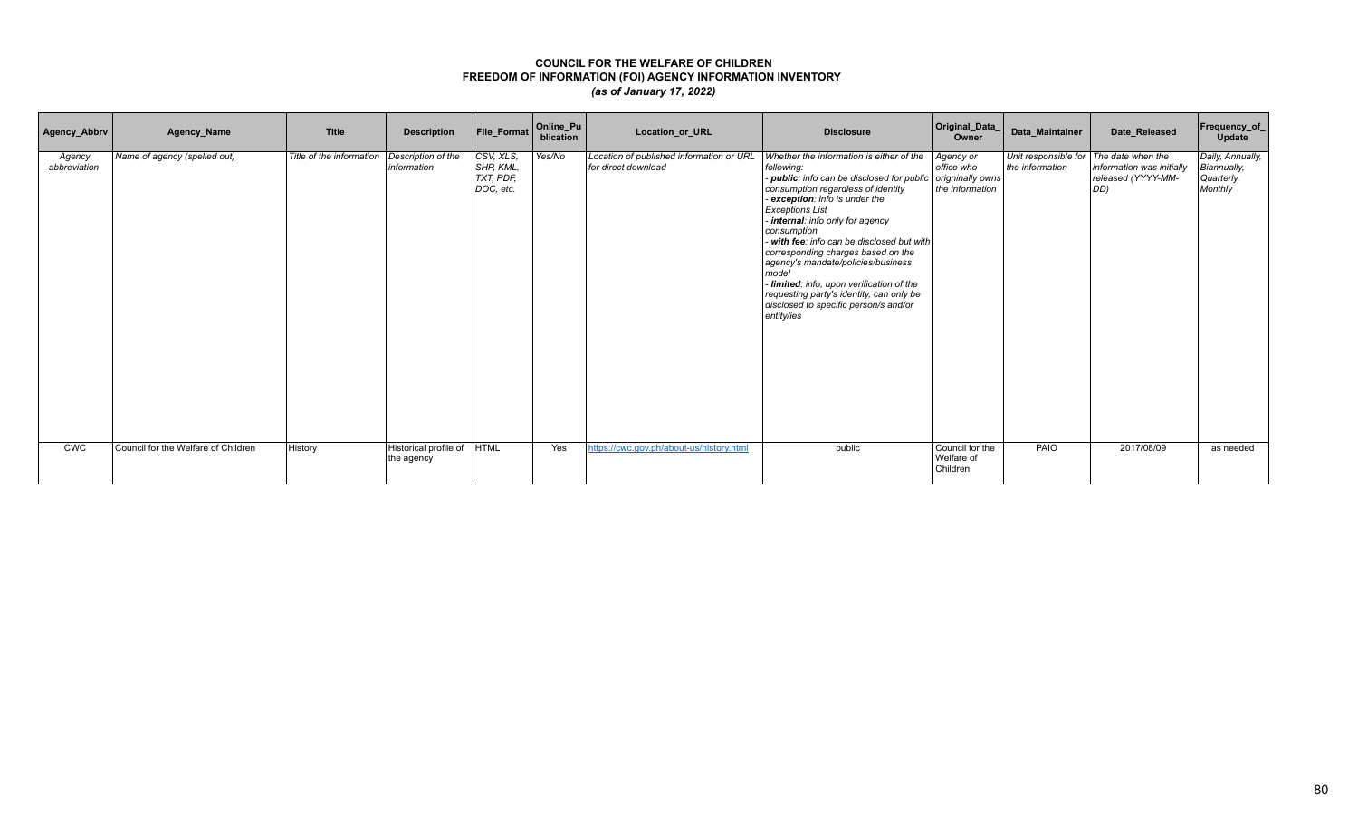| Agency_Abbrv           | Agency_Name                         | <b>Title</b>             | <b>Description</b>                  | File_Format                                      | Online_Pu<br>blication | Location_or_URL                                                 | <b>Disclosure</b>                                                                                                                                                                                                                                                                                                                                                                                                                                                                                                                    | Original_Data_<br>Owner                                        | Data_Maintainer                                           | Date_Released                                          | Frequency_of_<br>Update                                  |
|------------------------|-------------------------------------|--------------------------|-------------------------------------|--------------------------------------------------|------------------------|-----------------------------------------------------------------|--------------------------------------------------------------------------------------------------------------------------------------------------------------------------------------------------------------------------------------------------------------------------------------------------------------------------------------------------------------------------------------------------------------------------------------------------------------------------------------------------------------------------------------|----------------------------------------------------------------|-----------------------------------------------------------|--------------------------------------------------------|----------------------------------------------------------|
| Agency<br>abbreviation | Name of agency (spelled out)        | Title of the information | Description of the<br>information   | CSV, XLS,<br>SHP, KML,<br>TXT, PDF,<br>DOC, etc. | Yes/No                 | Location of published information or URL<br>for direct download | Whether the information is either of the<br>following:<br>public: info can be disclosed for public<br>consumption regardless of identity<br>exception: info is under the<br><b>Exceptions List</b><br>internal: info only for agency<br>consumption<br>with fee: info can be disclosed but with<br>corresponding charges based on the<br>agency's mandate/policies/business<br>model<br>- limited: info, upon verification of the<br>requesting party's identity, can only be<br>disclosed to specific person/s and/or<br>entity/ies | Agency or<br>office who<br>origninally owns<br>the information | Unit responsible for The date when the<br>the information | information was initially<br>released (YYYY-MM-<br>DD) | Daily, Annually,<br>Biannually,<br>Quarterly,<br>Monthly |
| <b>CWC</b>             | Council for the Welfare of Children | History                  | Historical profile of<br>the agency | <b>HTML</b>                                      | Yes                    | https://cwc.gov.ph/about-us/history.html                        | public                                                                                                                                                                                                                                                                                                                                                                                                                                                                                                                               | Council for the<br>Welfare of<br>Children                      | PAIO                                                      | 2017/08/09                                             | as needed                                                |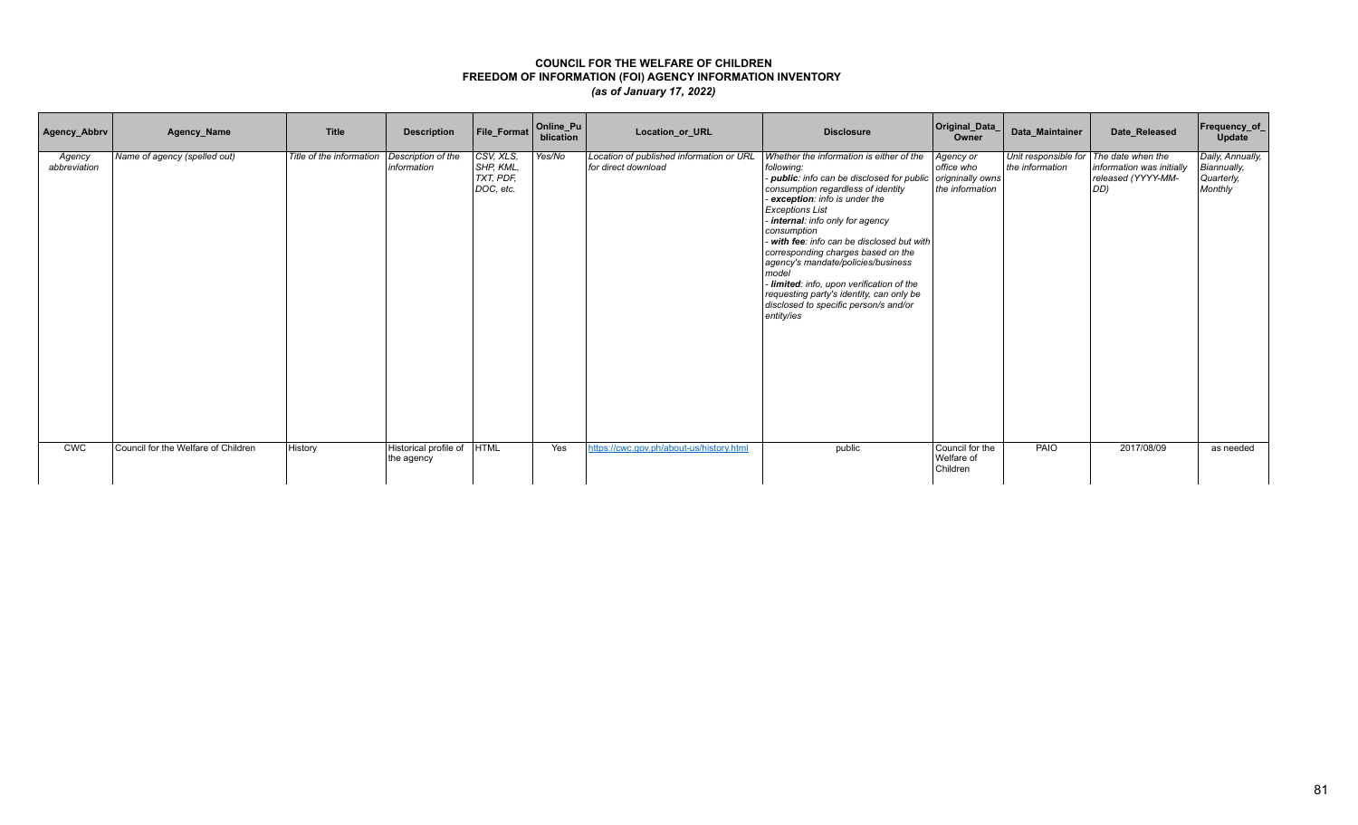| Agency_Abbrv           | Agency_Name                         | <b>Title</b>             | <b>Description</b>                  | File_Format                                      | Online_Pu<br>blication | Location_or_URL                                                 | <b>Disclosure</b>                                                                                                                                                                                                                                                                                                                                                                                                                                                                                                                    | Original_Data_<br>Owner                                        | Data_Maintainer                                           | Date_Released                                          | Frequency_of_<br>Update                                  |
|------------------------|-------------------------------------|--------------------------|-------------------------------------|--------------------------------------------------|------------------------|-----------------------------------------------------------------|--------------------------------------------------------------------------------------------------------------------------------------------------------------------------------------------------------------------------------------------------------------------------------------------------------------------------------------------------------------------------------------------------------------------------------------------------------------------------------------------------------------------------------------|----------------------------------------------------------------|-----------------------------------------------------------|--------------------------------------------------------|----------------------------------------------------------|
| Agency<br>abbreviation | Name of agency (spelled out)        | Title of the information | Description of the<br>information   | CSV, XLS,<br>SHP, KML,<br>TXT, PDF,<br>DOC, etc. | Yes/No                 | Location of published information or URL<br>for direct download | Whether the information is either of the<br>following:<br>public: info can be disclosed for public<br>consumption regardless of identity<br>exception: info is under the<br><b>Exceptions List</b><br>internal: info only for agency<br>consumption<br>with fee: info can be disclosed but with<br>corresponding charges based on the<br>agency's mandate/policies/business<br>model<br>- limited: info, upon verification of the<br>requesting party's identity, can only be<br>disclosed to specific person/s and/or<br>entity/ies | Agency or<br>office who<br>origninally owns<br>the information | Unit responsible for The date when the<br>the information | information was initially<br>released (YYYY-MM-<br>DD) | Daily, Annually,<br>Biannually,<br>Quarterly,<br>Monthly |
| <b>CWC</b>             | Council for the Welfare of Children | History                  | Historical profile of<br>the agency | <b>HTML</b>                                      | Yes                    | https://cwc.gov.ph/about-us/history.html                        | public                                                                                                                                                                                                                                                                                                                                                                                                                                                                                                                               | Council for the<br>Welfare of<br>Children                      | PAIO                                                      | 2017/08/09                                             | as needed                                                |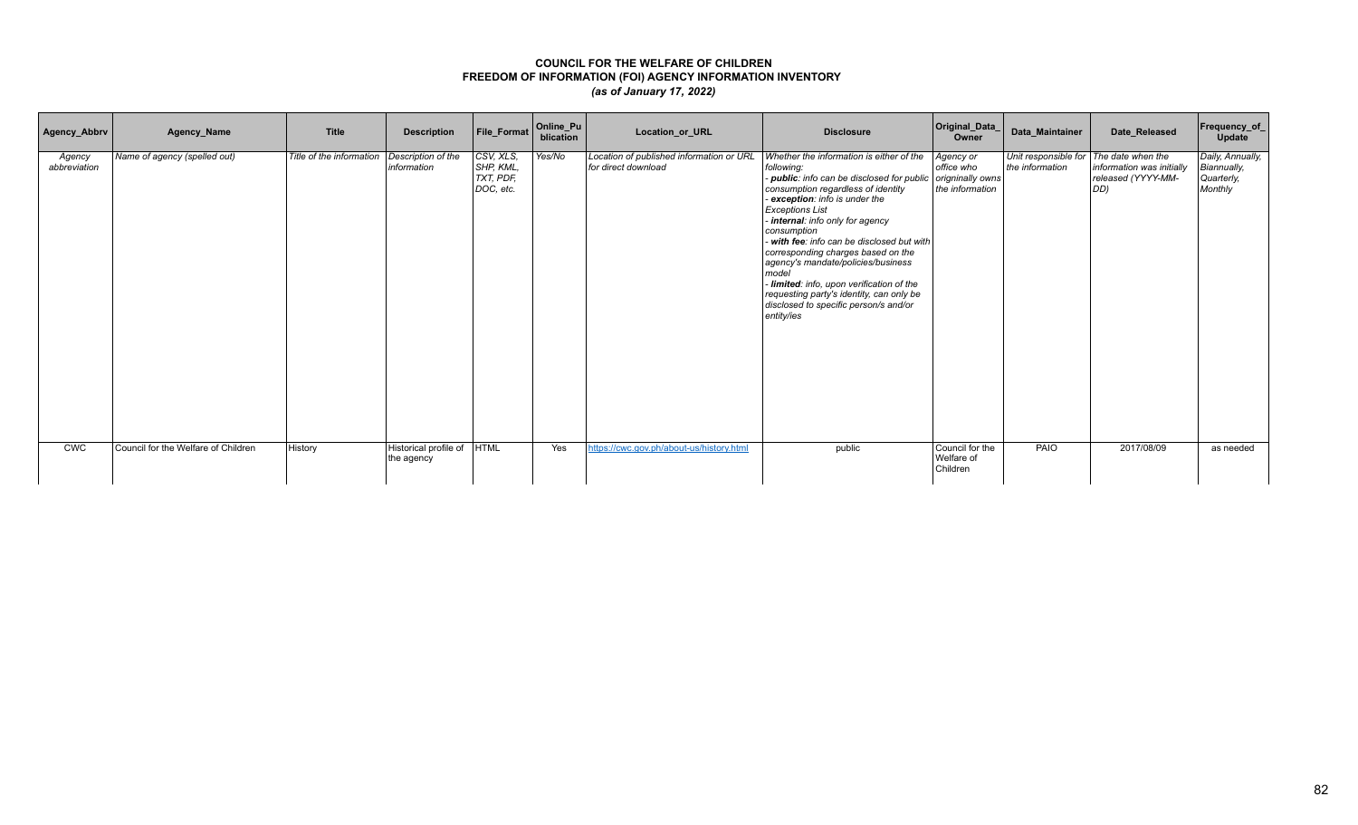| Agency_Abbrv           | Agency_Name                         | <b>Title</b>             | <b>Description</b>                  | File_Format                                      | Online_Pu<br>blication | Location_or_URL                                                 | <b>Disclosure</b>                                                                                                                                                                                                                                                                                                                                                                                                                                                                                                                    | Original_Data_<br>Owner                                        | Data_Maintainer                                           | Date_Released                                          | Frequency_of_<br>Update                                  |
|------------------------|-------------------------------------|--------------------------|-------------------------------------|--------------------------------------------------|------------------------|-----------------------------------------------------------------|--------------------------------------------------------------------------------------------------------------------------------------------------------------------------------------------------------------------------------------------------------------------------------------------------------------------------------------------------------------------------------------------------------------------------------------------------------------------------------------------------------------------------------------|----------------------------------------------------------------|-----------------------------------------------------------|--------------------------------------------------------|----------------------------------------------------------|
| Agency<br>abbreviation | Name of agency (spelled out)        | Title of the information | Description of the<br>information   | CSV, XLS,<br>SHP, KML,<br>TXT, PDF,<br>DOC, etc. | Yes/No                 | Location of published information or URL<br>for direct download | Whether the information is either of the<br>following:<br>public: info can be disclosed for public<br>consumption regardless of identity<br>exception: info is under the<br><b>Exceptions List</b><br>internal: info only for agency<br>consumption<br>with fee: info can be disclosed but with<br>corresponding charges based on the<br>agency's mandate/policies/business<br>model<br>- limited: info, upon verification of the<br>requesting party's identity, can only be<br>disclosed to specific person/s and/or<br>entity/ies | Agency or<br>office who<br>origninally owns<br>the information | Unit responsible for The date when the<br>the information | information was initially<br>released (YYYY-MM-<br>DD) | Daily, Annually,<br>Biannually,<br>Quarterly,<br>Monthly |
| <b>CWC</b>             | Council for the Welfare of Children | History                  | Historical profile of<br>the agency | <b>HTML</b>                                      | Yes                    | https://cwc.gov.ph/about-us/history.html                        | public                                                                                                                                                                                                                                                                                                                                                                                                                                                                                                                               | Council for the<br>Welfare of<br>Children                      | PAIO                                                      | 2017/08/09                                             | as needed                                                |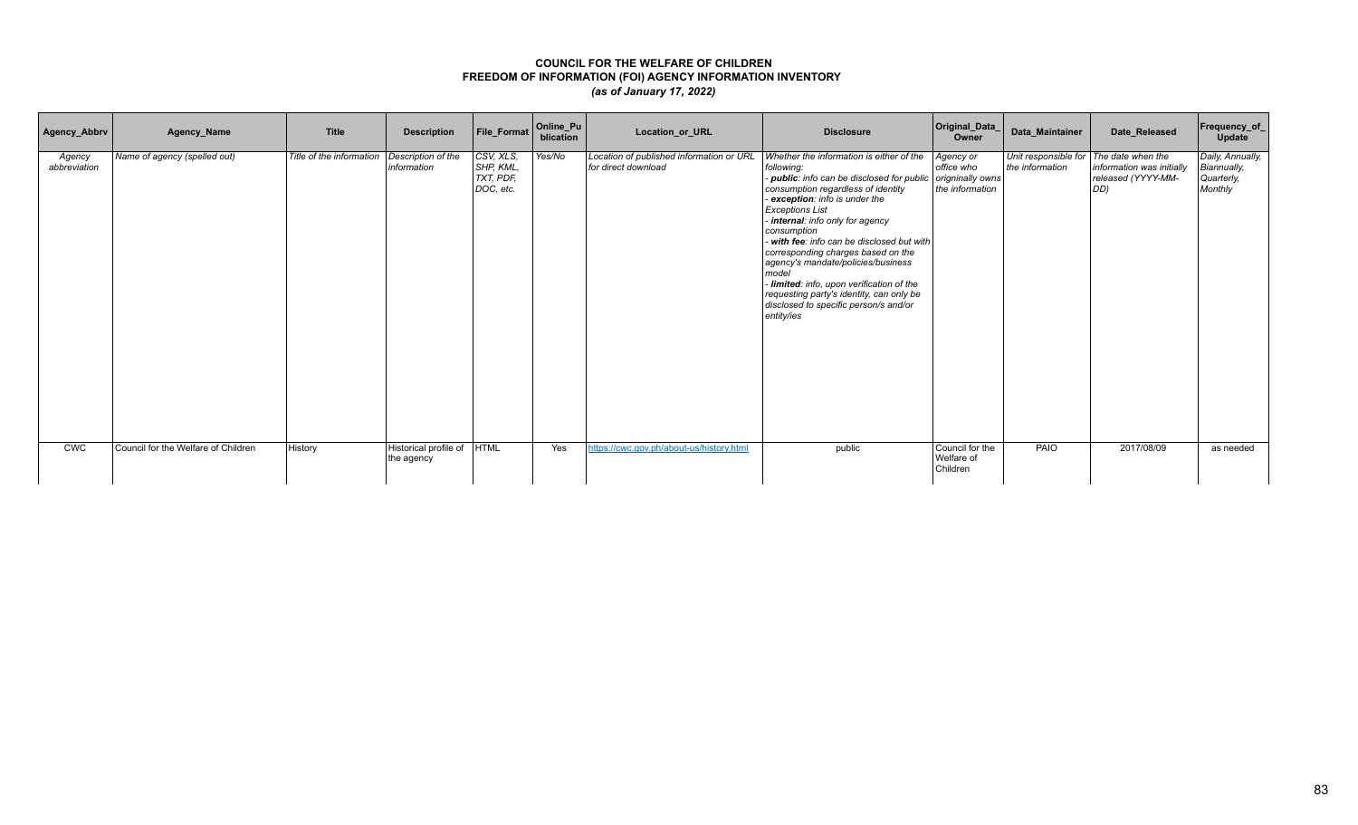| Agency_Abbrv           | Agency_Name                         | <b>Title</b>             | <b>Description</b>                  | File_Format                                      | Online_Pu<br>blication | Location_or_URL                                                 | <b>Disclosure</b>                                                                                                                                                                                                                                                                                                                                                                                                                                                                                                                    | Original_Data_<br>Owner                                        | Data_Maintainer                                           | Date_Released                                          | Frequency_of_<br>Update                                  |
|------------------------|-------------------------------------|--------------------------|-------------------------------------|--------------------------------------------------|------------------------|-----------------------------------------------------------------|--------------------------------------------------------------------------------------------------------------------------------------------------------------------------------------------------------------------------------------------------------------------------------------------------------------------------------------------------------------------------------------------------------------------------------------------------------------------------------------------------------------------------------------|----------------------------------------------------------------|-----------------------------------------------------------|--------------------------------------------------------|----------------------------------------------------------|
| Agency<br>abbreviation | Name of agency (spelled out)        | Title of the information | Description of the<br>information   | CSV, XLS,<br>SHP, KML,<br>TXT, PDF,<br>DOC, etc. | Yes/No                 | Location of published information or URL<br>for direct download | Whether the information is either of the<br>following:<br>public: info can be disclosed for public<br>consumption regardless of identity<br>exception: info is under the<br><b>Exceptions List</b><br>internal: info only for agency<br>consumption<br>with fee: info can be disclosed but with<br>corresponding charges based on the<br>agency's mandate/policies/business<br>model<br>- limited: info, upon verification of the<br>requesting party's identity, can only be<br>disclosed to specific person/s and/or<br>entity/ies | Agency or<br>office who<br>origninally owns<br>the information | Unit responsible for The date when the<br>the information | information was initially<br>released (YYYY-MM-<br>DD) | Daily, Annually,<br>Biannually,<br>Quarterly,<br>Monthly |
| <b>CWC</b>             | Council for the Welfare of Children | History                  | Historical profile of<br>the agency | <b>HTML</b>                                      | Yes                    | https://cwc.gov.ph/about-us/history.html                        | public                                                                                                                                                                                                                                                                                                                                                                                                                                                                                                                               | Council for the<br>Welfare of<br>Children                      | PAIO                                                      | 2017/08/09                                             | as needed                                                |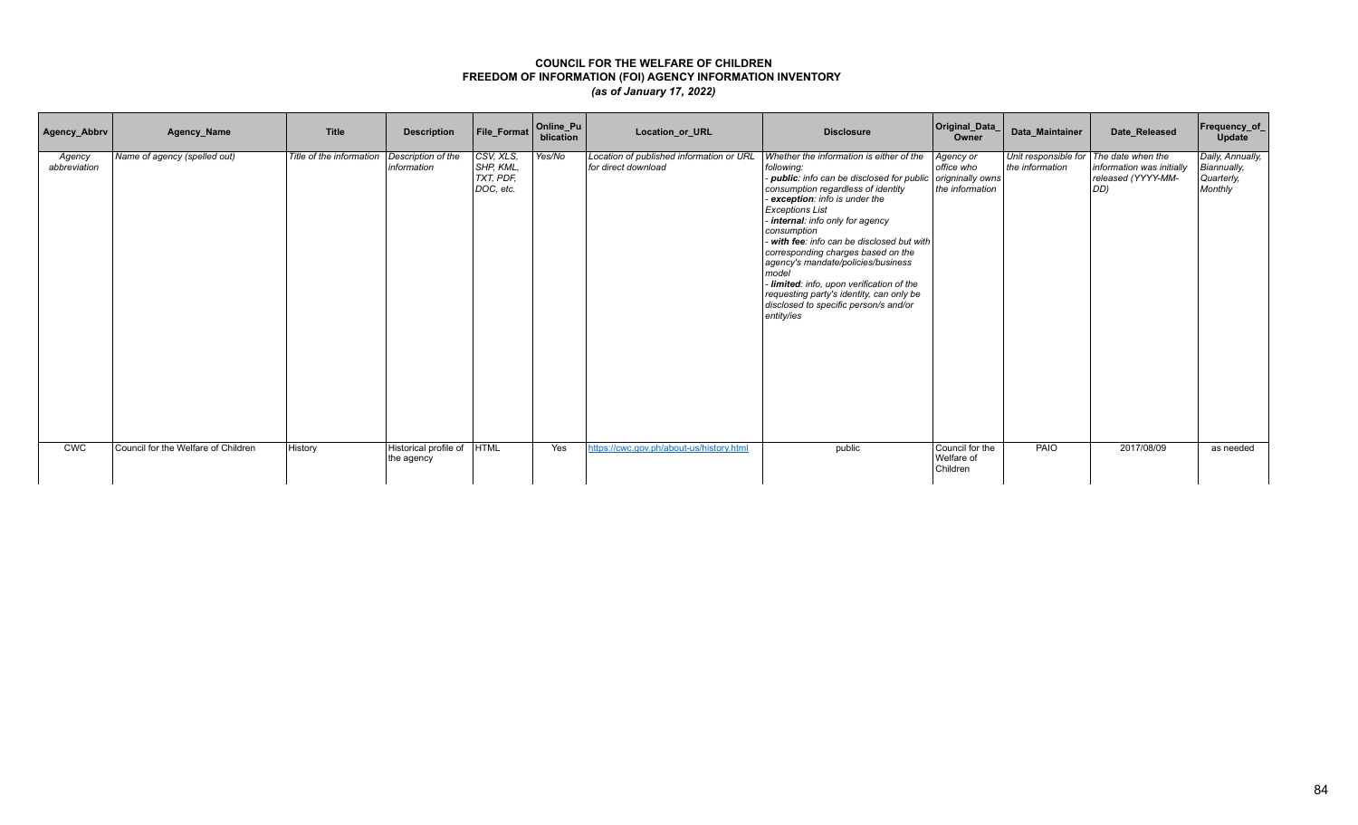| Agency_Abbrv           | Agency_Name                         | <b>Title</b>             | <b>Description</b>                  | File_Format                                      | Online_Pu<br>blication | Location_or_URL                                                 | <b>Disclosure</b>                                                                                                                                                                                                                                                                                                                                                                                                                                                                                                                        | Original_Data_<br>Owner                                        | Data_Maintainer                                           | Date_Released                                          | <b>Frequency_of_</b><br>Update                           |
|------------------------|-------------------------------------|--------------------------|-------------------------------------|--------------------------------------------------|------------------------|-----------------------------------------------------------------|------------------------------------------------------------------------------------------------------------------------------------------------------------------------------------------------------------------------------------------------------------------------------------------------------------------------------------------------------------------------------------------------------------------------------------------------------------------------------------------------------------------------------------------|----------------------------------------------------------------|-----------------------------------------------------------|--------------------------------------------------------|----------------------------------------------------------|
| Agency<br>abbreviation | Name of agency (spelled out)        | Title of the information | Description of the<br>information   | CSV, XLS,<br>SHP, KML.<br>TXT, PDF,<br>DOC, etc. | Yes/No                 | Location of published information or URL<br>for direct download | Whether the information is either of the<br>following:<br>public: info can be disclosed for public<br>consumption regardless of identity<br>- exception: info is under the<br><b>Exceptions List</b><br>- internal: info only for agency<br>consumption<br>with fee: info can be disclosed but with<br>corresponding charges based on the<br>agency's mandate/policies/business<br>model<br>- limited: info, upon verification of the<br>requesting party's identity, can only be<br>disclosed to specific person/s and/or<br>entity/ies | Agency or<br>office who<br>origninally owns<br>the information | Unit responsible for The date when the<br>the information | information was initially<br>released (YYYY-MM-<br>DD) | Daily, Annually,<br>Biannually,<br>Quarterly,<br>Monthly |
| <b>CWC</b>             | Council for the Welfare of Children | History                  | Historical profile of<br>the agency | <b>HTML</b>                                      | Yes                    | https://cwc.gov.ph/about-us/history.html                        | public                                                                                                                                                                                                                                                                                                                                                                                                                                                                                                                                   | Council for the<br>Welfare of<br>Children                      | PAIO                                                      | 2017/08/09                                             | as needed                                                |